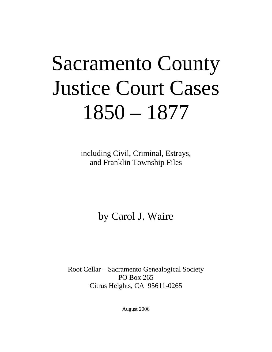# Sacramento County Justice Court Cases 1850 – 1877

including Civil, Criminal, Estrays, and Franklin Township Files

by Carol J. Waire

Root Cellar – Sacramento Genealogical Society PO Box 265 Citrus Heights, CA 95611-0265

August 2006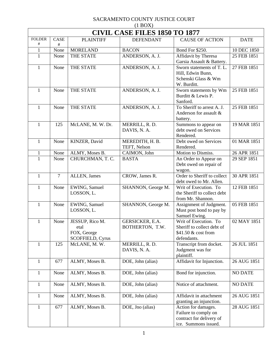|               | $(1 \text{D} \cup 1)$<br><b>CIVIL CASE FILES 1850 TO 1877</b> |                                                            |                                    |                                                                                                 |                |  |  |
|---------------|---------------------------------------------------------------|------------------------------------------------------------|------------------------------------|-------------------------------------------------------------------------------------------------|----------------|--|--|
| <b>FOLDER</b> | CASE                                                          | <b>PLAINTIFF</b>                                           | <b>DEFENDANT</b>                   | <b>CAUSE OF ACTION</b>                                                                          | <b>DATE</b>    |  |  |
| $\#$          | $\#$                                                          |                                                            |                                    |                                                                                                 |                |  |  |
| $\mathbf{1}$  | None                                                          | <b>MORELAND</b>                                            | <b>BACON</b>                       | Bond For \$250.                                                                                 | 10 DEC 1850    |  |  |
| $\mathbf{1}$  | None                                                          | THE STATE                                                  | ANDERSON, A. J.                    | Affidavit by Theresa<br>Garsia Assault & Battery.                                               | 25 FEB 1851    |  |  |
| $\mathbf{1}$  | None                                                          | THE STATE                                                  | ANDERSON, A. J.                    | Sworn statements of T.L.<br>Hill, Edwin Bunn,<br>Schenski Glass & Wm<br>W. Burditt.             | 27 FEB 1851    |  |  |
| $\mathbf{1}$  | None                                                          | THE STATE                                                  | ANDERSON, A. J.                    | Sworn statements by Wm<br>Burditt & Lewis P.<br>Sanford.                                        | 25 FEB 1851    |  |  |
| $\mathbf{1}$  | None                                                          | THE STATE                                                  | ANDERSON, A. J.                    | To Sheriff to arrest A. J.<br>Anderson for assault &<br>battery.                                | 25 FEB 1851    |  |  |
| $\mathbf{1}$  | 125                                                           | McLANE, M. W. Dr.                                          | MERRILL, R. D.<br>DAVIS, N. A.     | Summons to appear on<br>debt owed on Services<br>Rendered.                                      | 19 MAR 1851    |  |  |
| $\mathbf{1}$  | None                                                          | KINZER, David                                              | MEREDITH, H. B.<br>TEFT, Nelson    | Debt owed on Services<br>Rendered.                                                              | 01 MAR 1851    |  |  |
| $\mathbf{1}$  | None                                                          | ALMY, Moses B.                                             | CAIMON, John                       | Motion to Dismiss.                                                                              | 26 APR 1851    |  |  |
| $\mathbf{1}$  | None                                                          | CHURCHMAN, T. C.                                           | <b>BASTA</b>                       | An Order to Appear on<br>Debt owed on repair of<br>wagon.                                       | 29 SEP 1851    |  |  |
| $\mathbf{1}$  | $\overline{7}$                                                | ALLEN, James                                               | CROW, James R.                     | Order to Sheriff to collect<br>debt owed to Mr. Allen.                                          | 30 APR 1851    |  |  |
| $\mathbf{1}$  | None                                                          | EWING, Samuel<br>LOSSON, L.                                | SHANNON, George M.                 | Writ of Execution. To<br>the Sheriff to collect debt<br>from Mr. Shannon.                       | 12 FEB 1851    |  |  |
| $\mathbf{1}$  | None                                                          | EWING, Samuel<br>LOSSON, L.                                | SHANNON, George M.                 | Assignment of Judgment.<br>Must post bond to pay by<br>Samuel Ewing.                            | 05 FEB 1851    |  |  |
| $\mathbf{1}$  | None                                                          | JESSUP, Rico M.<br>etal<br>FOX, George<br>SCOFFIELD, Cyrus | GERSICKER, E.A.<br>BOTHERTON, T.W. | Writ of Execution. To<br>Sheriff to collect debt of<br>\$41.50 & cost from<br>defendants.       | 02 MAY 1851    |  |  |
| $\mathbf{1}$  | 125                                                           | McLANE, M. W.                                              | MERRILL, R. D.<br>DAVIS, N. A.     | Transcript from docket.<br>Judgment was for<br>plaintiff.                                       | 26 JUL 1851    |  |  |
| $\mathbf{1}$  | 677                                                           | ALMY, Moses B.                                             | DOE, John (alias)                  | Affidavit for Injunction.                                                                       | 26 AUG 1851    |  |  |
| 1             | None                                                          | ALMY, Moses B.                                             | DOE, John (alias)                  | Bond for injunction.                                                                            | <b>NO DATE</b> |  |  |
| $\mathbf{1}$  | None                                                          | ALMY, Moses B.                                             | DOE, John (alias)                  | Notice of attachment.                                                                           | <b>NO DATE</b> |  |  |
| $\mathbf{1}$  | None                                                          | ALMY, Moses B.                                             | DOE, John (alias)                  | Affidavit in attachment<br>granting an injunction.                                              | 26 AUG 1851    |  |  |
| $\mathbf{1}$  | 677                                                           | ALMY, Moses B.                                             | DOE, Jno (alias)                   | Action for damages.<br>Failure to comply on<br>contract for delivery of<br>ice. Summons issued. | 28 AUG 1851    |  |  |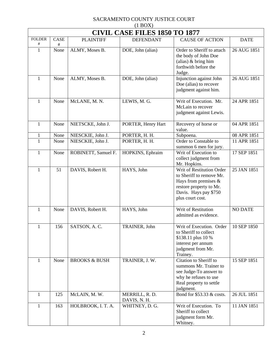| $(1$ BOX)                |                                      |                          |                                |                                                                                                                                                          |                |  |  |  |
|--------------------------|--------------------------------------|--------------------------|--------------------------------|----------------------------------------------------------------------------------------------------------------------------------------------------------|----------------|--|--|--|
|                          | <b>CIVIL CASE FILES 1850 TO 1877</b> |                          |                                |                                                                                                                                                          |                |  |  |  |
| <b>FOLDER</b><br>$^{\#}$ | CASE<br>#                            | <b>PLAINTIFF</b>         | <b>DEFENDANT</b>               | <b>CAUSE OF ACTION</b>                                                                                                                                   | <b>DATE</b>    |  |  |  |
| $\mathbf{1}$             | None                                 | ALMY, Moses B.           | DOE, John (alias)              | Order to Sheriff to attach<br>the body of John Doe<br>(alias) $& \text{bring him}$<br>forthwith before the<br>Judge.                                     | 26 AUG 1851    |  |  |  |
| $\mathbf{1}$             | None                                 | ALMY, Moses B.           | DOE, John (alias)              | Injunction against John<br>Doe (alias) to recover<br>judgment against him.                                                                               | 26 AUG 1851    |  |  |  |
| $\mathbf{1}$             | None                                 | McLANE, M. N.            | LEWIS, M. G.                   | Writ of Execution. Mr.<br>McLain to recover<br>judgment against Lewis.                                                                                   | 24 APR 1851    |  |  |  |
| $\mathbf{1}$             | None                                 | NIETSCKE, John J.        | PORTER, Henry Hart             | Recovery of horse or<br>value.                                                                                                                           | 04 APR 1851    |  |  |  |
| $\mathbf{1}$             | None                                 | NIESCKIE, John J.        | PORTER, H. H.                  | Subpoena.                                                                                                                                                | 08 APR 1851    |  |  |  |
| $\mathbf{1}$             | None                                 | NIESCKIE, John J.        | PORTER, H. H.                  | Order to Constable to<br>summon 6 men for jury.                                                                                                          | 11 APR 1851    |  |  |  |
| $\mathbf{1}$             | None                                 | ROBINETT, Samuel F.      | HOPKINS, Ephraim               | Writ of Execution to<br>collect judgment from<br>Mr. Hopkins.                                                                                            | 17 SEP 1851    |  |  |  |
| $\mathbf{1}$             | 51                                   | DAVIS, Robert H.         | HAYS, John                     | Writ of Restitution Order<br>to Sheriff to remove Mr.<br>Hays from premises $\&$<br>restore property to Mr.<br>Davis. Hays pay \$750<br>plus court cost. | 25 JAN 1851    |  |  |  |
| $\mathbf{1}$             | None                                 | DAVIS, Robert H.         | HAYS, John                     | Writ of Restitution<br>admitted as evidence.                                                                                                             | <b>NO DATE</b> |  |  |  |
| 1                        | 156                                  | SATSON, A.C.             | TRAINER, John                  | Writ of Execution. Order<br>to Sheriff to collect<br>\$138.11 plus 10 %<br>interest per annum<br>judgment from Mr.<br>Trainey.                           | 10 SEP 1850    |  |  |  |
| $\mathbf{1}$             | None                                 | <b>BROOKS &amp; BUSH</b> | TRAINER, J. W.                 | Citation to Sheriff to<br>summons Mr. Trainer to<br>see Judge-To answer to<br>why he refuses to use<br>Real property to settle<br>judgment.              | 15 SEP 1851    |  |  |  |
| $\mathbf{1}$             | 125                                  | McLAIN, M. W.            | MERRILL, R. D.<br>DAVIS, N. H. | Bond for \$53.33 & costs.                                                                                                                                | 26 JUL 1851    |  |  |  |
| $\mathbf{1}$             | 163                                  | HOLBROOK, I. T. A.       | WHITNEY, D. G.                 | Writ of Execution. To<br>Sheriff to collect<br>judgment form Mr.<br>Whitney.                                                                             | 11 JAN 1851    |  |  |  |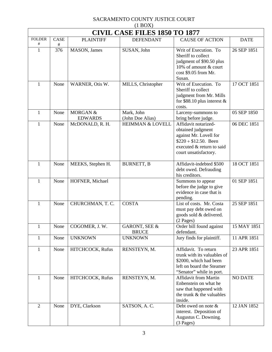| (11001)<br><b>CIVIL CASE FILES 1850 TO 1877</b> |          |                            |                                |                                                                                                                                                     |                |  |  |
|-------------------------------------------------|----------|----------------------------|--------------------------------|-----------------------------------------------------------------------------------------------------------------------------------------------------|----------------|--|--|
| <b>FOLDER</b>                                   | CASE     | <b>PLAINTIFF</b>           | <b>DEFENDANT</b>               | <b>CAUSE OF ACTION</b>                                                                                                                              | <b>DATE</b>    |  |  |
| $\#$<br>$\mathbf{1}$                            | #<br>376 | MASON, James               | SUSAN, John                    | Writ of Execution. To<br>Sheriff to collect<br>judgment of \$90.50 plus<br>10% of amount & court<br>cost \$9.05 from Mr.<br>Susan.                  | 26 SEP 1851    |  |  |
| 1                                               | None     | WARNER, Otis W.            | MILLS, Christopher             | Writ of Execution. To<br>Sheriff to collect<br>judgment from Mr. Mills<br>for \$88.10 plus interest $\&$<br>costs.                                  | 17 OCT 1851    |  |  |
| 1                                               | None     | MORGAN &<br><b>EDWARDS</b> | Mark, John<br>(John Doe Alias) | Larceny-summons to<br>bring before judge.                                                                                                           | 05 SEP 1850    |  |  |
| 1                                               | None     | McDONALD, R. H.            | <b>HEIMMAN &amp; LOVELL</b>    | Affidavit notarized-<br>obtained judgment<br>against Mr. Lovell for<br>$$220 + $12.50$ . Been<br>executed & return to said<br>court unsatisfactory. | 06 DEC 1851    |  |  |
| $\mathbf{1}$                                    | None     | MEEKS, Stephen H.          | <b>BURNETT, B</b>              | Affidavit-indebted \$500<br>debt owed. Defrauding<br>his creditors.                                                                                 | 18 OCT 1851    |  |  |
| 1                                               | None     | HOFNER, Michael            |                                | Summons to appear<br>before the judge to give<br>evidence in case that is<br>pending.                                                               | 01 SEP 1851    |  |  |
| 1                                               | None     | CHURCHMAN, T. C.           | <b>COSTA</b>                   | List of costs. Mr. Costa<br>must pay debt owed on<br>goods sold & delivered.<br>$(2$ Pages)                                                         | 25 SEP 1851    |  |  |
| $\mathbf{1}$                                    | None     | COGOMER, J. W.             | GARONT, SEE &<br><b>BRUCE</b>  | Order bill found against<br>defendant.                                                                                                              | 15 MAY 1851    |  |  |
| 1                                               | None     | <b>UNKNOWN</b>             | <b>UNKNOWN</b>                 | Jury finds for plaintiff.                                                                                                                           | 11 APR 1851    |  |  |
| $\mathbf{1}$                                    | None     | HITCHCOCK, Rufus           | RENSTEYN, M.                   | Affidavit. To return<br>trunk with its valuables of<br>\$2000, which had been<br>left on board the Steamer<br>"Senator" while in port.              | 23 APR 1851    |  |  |
| 1                                               | None     | HITCHCOCK, Rufus           | RENSTEYN, M.                   | <b>Affidavit from Martin</b><br>Enbenstein on what he<br>saw that happened with<br>the trunk & the valuables<br>inside.                             | <b>NO DATE</b> |  |  |
| $\overline{2}$                                  | None     | DYE, Clarkson              | SATSON, A.C.                   | Debt owed on note &<br>interest. Deposition of<br>Augustus C. Downing.<br>$(3$ Pages)                                                               | 12 JAN 1852    |  |  |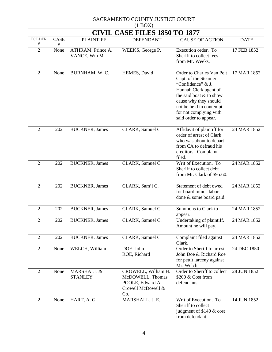| $(1 \text{D} \text{O} \Omega)$<br><b>CIVIL CASE FILES 1850 TO 1877</b> |           |                                   |                                                                                          |                                                                                                                                                                                                                                   |             |  |  |
|------------------------------------------------------------------------|-----------|-----------------------------------|------------------------------------------------------------------------------------------|-----------------------------------------------------------------------------------------------------------------------------------------------------------------------------------------------------------------------------------|-------------|--|--|
| <b>FOLDER</b><br>#                                                     | CASE<br># | <b>PLAINTIFF</b>                  | <b>DEFENDANT</b>                                                                         | <b>CAUSE OF ACTION</b>                                                                                                                                                                                                            | <b>DATE</b> |  |  |
| $\overline{2}$                                                         | None      | ATHRAM, Prince A.<br>VANCE, Wm M. | WEEKS, George P.                                                                         | Execution order. To<br>Sheriff to collect fees<br>from Mr. Weeks.                                                                                                                                                                 | 17 FEB 1852 |  |  |
| $\overline{2}$                                                         | None      | BURNHAM, W. C.                    | HEMES, David                                                                             | Order to Charles Van Pelt<br>Capt. of the Steamer<br>"Confidence" & J.<br>Hannah Clerk agent of<br>the said boat & to show<br>cause why they should<br>not be held in contempt<br>for not complying with<br>said order to appear. | 17 MAR 1852 |  |  |
| $\overline{2}$                                                         | 202       | <b>BUCKNER</b> , James            | CLARK, Samuel C.                                                                         | Affidavit of plaintiff for<br>order of arrest of Clark<br>who was about to depart<br>from CA to defraud his<br>creditors. Complaint<br>filed.                                                                                     | 24 MAR 1852 |  |  |
| $\overline{2}$                                                         | 202       | <b>BUCKNER</b> , James            | CLARK, Samuel C.                                                                         | Writ of Execution. To<br>Sheriff to collect debt<br>from Mr. Clark of \$95.60.                                                                                                                                                    | 24 MAR 1852 |  |  |
| $\overline{2}$                                                         | 202       | <b>BUCKNER</b> , James            | CLARK, Sam'l C.                                                                          | Statement of debt owed<br>for board minus labor<br>done & some board paid.                                                                                                                                                        | 24 MAR 1852 |  |  |
| $\overline{2}$                                                         | 202       | <b>BUCKNER</b> , James            | CLARK, Samuel C.                                                                         | Summons to Clark to<br>appear.                                                                                                                                                                                                    | 24 MAR 1852 |  |  |
| $\overline{2}$                                                         | 202       | <b>BUCKNER</b> , James            | CLARK, Samuel C.                                                                         | Undertaking of plaintiff.<br>Amount he will pay.                                                                                                                                                                                  | 24 MAR 1852 |  |  |
| $\sqrt{2}$                                                             | 202       | <b>BUCKNER</b> , James            | CLARK, Samuel C.                                                                         | Complaint filed against<br>Clark.                                                                                                                                                                                                 | 24 MAR 1852 |  |  |
| $\overline{2}$                                                         | None      | WELCH, William                    | DOE, John<br>ROE, Richard                                                                | Order to Sheriff to arrest<br>John Doe & Richard Roe<br>for pettit larceny against<br>Mr. Welch.                                                                                                                                  | 24 DEC 1850 |  |  |
| $\overline{2}$                                                         | None      | MARSHALL &<br><b>STANLEY</b>      | CROWELL, William H.<br>McDOWELL, Thomas<br>POOLE, Edward A.<br>Crowell McDowell &<br>Co. | Order to Sheriff to collect<br>\$200 & Cost from<br>defendants.                                                                                                                                                                   | 28 JUN 1852 |  |  |
| $\overline{2}$                                                         | None      | HART, A.G.                        | MARSHALL, J. E.                                                                          | Writ of Execution. To<br>Sheriff to collect<br>judgment of \$140 & cost<br>from defendant.                                                                                                                                        | 14 JUN 1852 |  |  |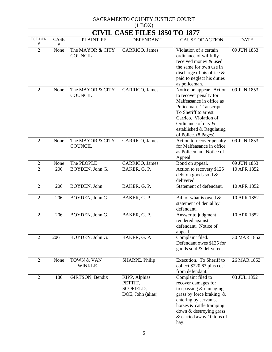| $(1$ BOX $)$       |                                      |                                    |                                                            |                                                                                                                                                                                                                                      |             |  |  |  |
|--------------------|--------------------------------------|------------------------------------|------------------------------------------------------------|--------------------------------------------------------------------------------------------------------------------------------------------------------------------------------------------------------------------------------------|-------------|--|--|--|
|                    | <b>CIVIL CASE FILES 1850 TO 1877</b> |                                    |                                                            |                                                                                                                                                                                                                                      |             |  |  |  |
| <b>FOLDER</b><br># | <b>CASE</b><br>#                     | <b>PLAINTIFF</b>                   | <b>DEFENDANT</b>                                           | <b>CAUSE OF ACTION</b>                                                                                                                                                                                                               | <b>DATE</b> |  |  |  |
| $\overline{2}$     | None                                 | The MAYOR & CITY<br><b>COUNCIL</b> | CARRICO, James                                             | Violation of a certain<br>ordinance of willfully<br>received money & used<br>the same for own use in<br>discharge of his office $\&$<br>paid to neglect his duties<br>as policeman.                                                  | 09 JUN 1853 |  |  |  |
| $\overline{2}$     | None                                 | The MAYOR & CITY<br><b>COUNCIL</b> | CARRICO, James                                             | Notice on appear. Action<br>to recover penalty for<br>Malfeasance in office as<br>Policeman. Transcript.<br>To Sheriff to arrest<br>Carrico. Violation of<br>Ordinance of city &<br>established & Regulating<br>of Police. (8 Pages) | 09 JUN 1853 |  |  |  |
| $\overline{2}$     | None                                 | The MAYOR & CITY<br><b>COUNCIL</b> | CARRICO, James                                             | Action to recover penalty<br>for Malfeasance in office<br>as Policeman. Notice of<br>Appeal.                                                                                                                                         | 09 JUN 1853 |  |  |  |
| $\overline{c}$     | None                                 | The PEOPLE                         | CARRICO, James                                             | Bond on appeal.                                                                                                                                                                                                                      | 09 JUN 1853 |  |  |  |
| $\overline{2}$     | 206                                  | BOYDEN, John G.                    | BAKER, G. P.                                               | Action to recovery \$125<br>debt on goods sold &<br>delivered.                                                                                                                                                                       | 10 APR 1852 |  |  |  |
| $\overline{2}$     | 206                                  | BOYDEN, John                       | BAKER, G. P.                                               | Statement of defendant.                                                                                                                                                                                                              | 10 APR 1852 |  |  |  |
| $\mathfrak{2}$     | 206                                  | BOYDEN, John G.                    | BAKER, G. P.                                               | Bill of what is owed $\&$<br>statement of denial by<br>defendant.                                                                                                                                                                    | 10 APR 1852 |  |  |  |
| $\overline{2}$     | 206                                  | BOYDEN, John G.                    | BAKER, G. P.                                               | Answer to judgment<br>rendered against<br>defendant. Notice of<br>appeal.                                                                                                                                                            | 10 APR 1852 |  |  |  |
| $\overline{2}$     | 206                                  | BOYDEN, John G.                    | BAKER, G. P.                                               | Complaint filed.<br>Defendant owes \$125 for<br>goods sold & delivered.                                                                                                                                                              | 30 MAR 1852 |  |  |  |
| $\overline{2}$     | None                                 | TOWN & VAN<br><b>WINKLE</b>        | SHARPE, Philip                                             | Execution. To Sheriff to<br>collect \$220.63 plus cost<br>from defendant.                                                                                                                                                            | 26 MAR 1853 |  |  |  |
| $\overline{2}$     | 180                                  | GIRTSON, Bendix                    | KIPP, Alphias<br>PETTIT,<br>SCOFIELD,<br>DOE, John (alias) | Complaint filed to<br>recover damages for<br>trespassing & damaging<br>grass by force braking $\&$<br>entering by servants,<br>horses & cattle tramping<br>down & destroying grass<br>& carried away 10 tons of<br>hay.              | 03 JUL 1852 |  |  |  |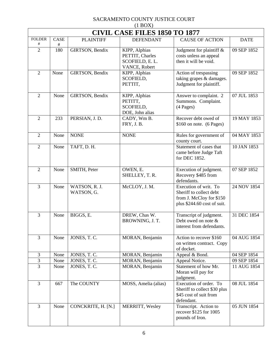| $(1 \text{D} \cup 1)$<br><b>CIVIL CASE FILES 1850 TO 1877</b> |             |                             |                                                                     |                                                                                                             |             |  |  |
|---------------------------------------------------------------|-------------|-----------------------------|---------------------------------------------------------------------|-------------------------------------------------------------------------------------------------------------|-------------|--|--|
| <b>FOLDER</b>                                                 | CASE        | <b>PLAINTIFF</b>            | <b>DEFENDANT</b>                                                    | <b>CAUSE OF ACTION</b>                                                                                      | <b>DATE</b> |  |  |
| $\#$<br>$\overline{2}$                                        | $\#$<br>180 | GIRTSON, Bendix             | KIPP, Alphias<br>PETTIT, Charles<br>SCOFIELD, E.L.<br>VANCE, Robert | Judgment for plaintiff &<br>costs unless an appeal<br>then it will be void.                                 | 09 SEP 1852 |  |  |
| $\overline{2}$                                                | None        | GIRTSON, Bendix             | KIPP, Alphias<br>SCOFIELD,<br>PETTIT,                               | Action of trespassing<br>taking grapes & damages.<br>Judgment for plaintiff.                                | 09 SEP 1852 |  |  |
| $\overline{2}$                                                | None        | GIRTSON, Bendix             | KIPP, Alphias<br>PETITT,<br>SCOFIELD,<br>DOE, John alias            | Answer to complaint. 2<br>Summons. Complaint.<br>$(4$ Pages)                                                | 07 JUL 1853 |  |  |
| $\mathbf{2}$                                                  | 233         | PERSIAN, J.D.               | CADY, Wm B.<br>FRY, J.B.                                            | Recover debt owed of<br>$$160$ on note. $(6$ Pages)                                                         | 19 MAY 1853 |  |  |
| $\overline{2}$                                                | None        | <b>NONE</b>                 | <b>NONE</b>                                                         | Rules for government of<br>county court.                                                                    | 04 MAY 1853 |  |  |
| $\overline{2}$                                                | None        | TAFT, D. H.                 |                                                                     | Statement of cases that<br>came before Judge Taft<br>for DEC 1852.                                          | 10 JAN 1853 |  |  |
| $\overline{2}$                                                | None        | SMITH, Peter                | OWEN, E.<br>SHELLEY, T. R.                                          | Execution of judgment.<br>Recovery \$485 from<br>defendants.                                                | 07 SEP 1852 |  |  |
| $\overline{3}$                                                | None        | WATSON, R. J.<br>WATSON, G. | McCLOY, J. M.                                                       | Execution of writ. To<br>Sheriff to collect debt<br>from J. McCloy for \$150<br>plus \$244.60 cost of suit. | 24 NOV 1854 |  |  |
| $\overline{3}$                                                | None        | BIGGS, E.                   | DREW, Chas W.<br>BROWNING, J. T.                                    | Transcript of judgment.<br>Debt owed on note &<br>interest from defendants.                                 | 31 DEC 1854 |  |  |
| $\mathfrak{Z}$                                                | None        | JONES, T. C.                | MORAN, Benjamin                                                     | Action to recover \$160<br>on written contract. Copy<br>of docket.                                          | 04 AUG 1854 |  |  |
| 3                                                             | None        | JONES, T. C.                | MORAN, Benjamin                                                     | Appeal & Bond.                                                                                              | 04 SEP 1854 |  |  |
| 3                                                             | None        | JONES, T. C.                | MORAN, Benjamin                                                     | Appeal Notice.                                                                                              | 09 SEP 1854 |  |  |
| $\overline{3}$                                                | None        | JONES, T. C.                | MORAN, Benjamin                                                     | Statement of how Mr.<br>Moran will pay for<br>judgment.                                                     | 11 AUG 1854 |  |  |
| $\mathfrak{Z}$                                                | 667         | The COUNTY                  | MOSS, Amelia (alias)                                                | Execution of order. To<br>Sheriff to collect \$30 plus<br>\$45 cost of suit from<br>defendant.              | 08 JUL 1854 |  |  |
| $\overline{3}$                                                | None        | CONCKRITE, H. [N.]          | MERRITT, Wesley                                                     | Transcript. Action to<br>recover \$125 for 1005<br>pounds of Iron.                                          | 05 JUN 1854 |  |  |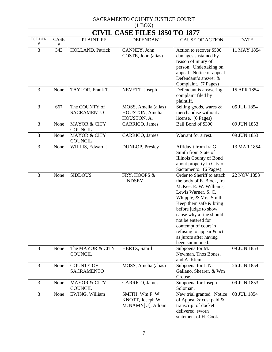| (11001)<br><b>CIVIL CASE FILES 1850 TO 1877</b> |                  |                                           |                                                          |                                                                                                                                                                                                                                                                                                                                         |             |  |
|-------------------------------------------------|------------------|-------------------------------------------|----------------------------------------------------------|-----------------------------------------------------------------------------------------------------------------------------------------------------------------------------------------------------------------------------------------------------------------------------------------------------------------------------------------|-------------|--|
| <b>FOLDER</b><br>#                              | <b>CASE</b><br># | <b>PLAINTIFF</b>                          | <b>DEFENDANT</b>                                         | <b>CAUSE OF ACTION</b>                                                                                                                                                                                                                                                                                                                  | <b>DATE</b> |  |
| 3                                               | 343              | HOLLAND, Patrick                          | CANNEY, John<br>COSTE, John (alias)                      | Action to recover \$500<br>damages sustained by<br>reason of injury of<br>person. Undertaking on<br>appeal. Notice of appeal.<br>Defendant's answer &<br>Complaint. (7 Pages)                                                                                                                                                           | 11 MAY 1854 |  |
| 3                                               | None             | TAYLOR, Frank T.                          | NEVETT, Joseph                                           | Defendant is answering<br>complaint filed by<br>plaintiff.                                                                                                                                                                                                                                                                              | 15 APR 1854 |  |
| 3                                               | 667              | The COUNTY of<br><b>SACRAMENTO</b>        | MOSS, Amelia (alias)<br>HOUSTON, Amelia<br>HOUSTON, A.   | Selling goods, wares &<br>merchandise without a<br>license. (6 Pages)                                                                                                                                                                                                                                                                   | 05 JUL 1854 |  |
| 3                                               | None             | <b>MAYOR &amp; CITY</b><br><b>COUNCIL</b> | CARRICO, James                                           | Bail Bond of \$300.                                                                                                                                                                                                                                                                                                                     | 09 JUN 1853 |  |
| 3                                               | None             | <b>MAYOR &amp; CITY</b><br><b>COUNCIL</b> | CARRICO, James                                           | Warrant for arrest.                                                                                                                                                                                                                                                                                                                     | 09 JUN 1853 |  |
| 3                                               | None             | WILLIS, Edward J.                         | <b>DUNLOP</b> , Presley                                  | Affidavit from Ira G.<br>Smith from State of<br>Illinois County of Bond<br>about property in City of<br>Sacramento. (6 Pages)                                                                                                                                                                                                           | 13 MAR 1854 |  |
| 3                                               | None             | <b>SIDDOUS</b>                            | FRY, HOOPS &<br><b>LINDSEY</b>                           | Order to Sheriff to attach<br>the body of E. Block, Ira<br>McKee, E. W. Williams,<br>Lewis Warner, S.C.<br>Whipple, & Mrs. Smith.<br>Keep them safe & bring<br>before judge to show<br>cause why a fine should<br>not be entered for<br>contempt of court in<br>refusing to appear $\&$ act<br>as jurors after having<br>been summoned. | 22 NOV 1853 |  |
| 3                                               | None             | The MAYOR & CITY<br><b>COUNCIL</b>        | HERTZ, Sam'l                                             | Subpoena for M.<br>Newman, Thos Bones,<br>and A. Klein.                                                                                                                                                                                                                                                                                 | 09 JUN 1853 |  |
| 3                                               | None             | <b>COUNTY OF</b><br><b>SACRAMENTO</b>     | MOSS, Amelia (alias)                                     | Subpoena for J.N.<br>Gallano, Shearer, & Wm<br>Crouse.                                                                                                                                                                                                                                                                                  | 26 JUN 1854 |  |
| 3                                               | None             | <b>MAYOR &amp; CITY</b><br><b>COUNCIL</b> | CARRICO, James                                           | Subpoena for Joseph<br>Soloman.                                                                                                                                                                                                                                                                                                         | 09 JUN 1853 |  |
| 3                                               | None             | EWING, William                            | SMITH, Wm F. W.<br>KNOTT, Joseph W.<br>McNAMN[U], Adrain | New trial granted. Notice<br>of Appeal $\&$ cost paid $\&$<br>transcript of docket<br>delivered, sworn<br>statement of H. Cook.                                                                                                                                                                                                         | 03 JUL 1854 |  |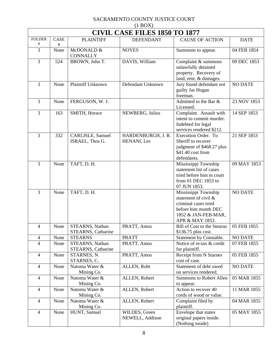| $(1$ BOX)                            |           |                                       |                                   |                                                                                                                                           |                |  |  |  |
|--------------------------------------|-----------|---------------------------------------|-----------------------------------|-------------------------------------------------------------------------------------------------------------------------------------------|----------------|--|--|--|
| <b>CIVIL CASE FILES 1850 TO 1877</b> |           |                                       |                                   |                                                                                                                                           |                |  |  |  |
| <b>FOLDER</b><br>$^{\#}$             | CASE<br># | <b>PLAINTIFF</b>                      | <b>DEFENDANT</b>                  | <b>CAUSE OF ACTION</b>                                                                                                                    | <b>DATE</b>    |  |  |  |
| 3                                    | None      | McDONALD &<br><b>CONNALLY</b>         | <b>NOYES</b>                      | Summons to appear.                                                                                                                        | 04 FEB 1854    |  |  |  |
| 3                                    | 524       | BROWN, John T.                        | DAVIS, William                    | Complaint & summons<br>unlawfully detained<br>property. Recovery of<br>land, rent, & damages.                                             | 09 DEC 1853    |  |  |  |
| 3                                    | None      | Plaintiff Unknown                     | Defendant Unknown                 | Jury found defendant not<br>guilty Jas Hogan<br>foreman.                                                                                  | <b>NO DATE</b> |  |  |  |
| 3                                    | None      | FERGUSON, W. J.                       |                                   | Admitted to the Bar &<br>Licensed.                                                                                                        | 23 NOV 1853    |  |  |  |
| 3                                    | 163       | SMITH, Horace                         | NEWBERG, Julius                   | Complaint. Assault with<br>intent to commit murder.<br>Indebted for legal<br>services rendered \$212.                                     | 14 SEP 1853    |  |  |  |
| 3                                    | 332       | CARLISLE, Samuel<br>ISRAEL, Thos G.   | HARDENBURGH, J. R.<br>HENANI, Les | Execution Order. To<br>Sheriff to recover<br>judgment of \$468.27 plus<br>\$41.40 cost from<br>defendants.                                | 21 SEP 1853    |  |  |  |
| 3                                    | None      | TAFT, D. H.                           |                                   | Mississippi Township<br>statement list of cases<br>tried before him in court<br>from 01 DEC 1853 to<br>07 JUN 1853.                       | 09 MAY 1853    |  |  |  |
| 3                                    | None      | TAFT, D. H.                           |                                   | Mississippi Township<br>statement of civil $\&$<br>criminal cases tried<br>before him month DEC<br>1852 & JAN-FEB-MAR,<br>APR & MAY 1853. | <b>NO DATE</b> |  |  |  |
| $\overline{4}$                       | None      | STEARNS, Nathan<br>STEARNS, Catharine | PRATT, Amos                       | <b>Bill of Cost to the Stearns</b><br>\$136.75 plus cost.                                                                                 | 05 FEB 1855    |  |  |  |
| $\overline{4}$                       | None      | <b>STEARNS</b>                        | <b>PRATT</b>                      | Statement by Constable.                                                                                                                   | <b>NO DATE</b> |  |  |  |
| $\overline{4}$                       | None      | STEARNS, Nathan<br>STEARNS, Catharine | PRATT, Amos                       | Notice of re-tax & credit<br>for plaintiff.                                                                                               | 07 FEB 1855    |  |  |  |
| $\overline{4}$                       | None      | STARNES, N.<br>STARNES, C.            | PRATT, Amos                       | <b>Receipt from N Starnes</b><br>cost of case.                                                                                            | 05 FEB 1855    |  |  |  |
| $\overline{4}$                       | None      | Natoma Water &<br>Mining Co.          | ALLEN, Robt                       | Statement of debt owed<br>on services rendered.                                                                                           | <b>NO DATE</b> |  |  |  |
| $\overline{4}$                       | None      | Natoma Water &<br>Mining Co.          | ALLEN, Robert                     | <b>Summons to Robert Allen</b><br>to appear.                                                                                              | 05 MAR 1855    |  |  |  |
| $\overline{4}$                       | None      | Natoma Water &<br>Mining Co.          | ALLEN, Robert                     | Action to recover 40<br>cords of wood or value.                                                                                           | 11 MAR 1855    |  |  |  |
| $\overline{4}$                       | None      | Natoma Water &<br>Mining Co.          | ALLEN, Robert                     | Complaint filed by<br>plaintiff.                                                                                                          | 04 MAR 1855    |  |  |  |
| $\overline{4}$                       | None      | HUNT, Samuel                          | WILDES, Green<br>NEWELL, Addison  | Envelope that states<br>original papers inside.<br>(Nothing inside)                                                                       | 05 MAY 1855    |  |  |  |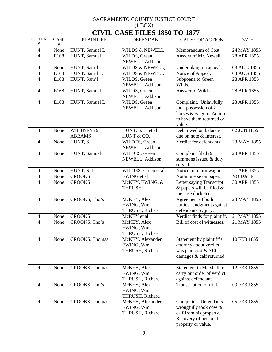| $(1$ BOX $)$                         |           |                            |                                                  |                                                                                                                         |                |  |  |
|--------------------------------------|-----------|----------------------------|--------------------------------------------------|-------------------------------------------------------------------------------------------------------------------------|----------------|--|--|
| <b>CIVIL CASE FILES 1850 TO 1877</b> |           |                            |                                                  |                                                                                                                         |                |  |  |
| <b>FOLDER</b><br>#                   | CASE<br># | <b>PLAINTIFF</b>           | <b>DEFENDANT</b>                                 | <b>CAUSE OF ACTION</b>                                                                                                  | <b>DATE</b>    |  |  |
| 4                                    | None      | HUNT, Samuel L.            | WILDS & NEWELL                                   | Memorandum of Cost.                                                                                                     | 24 MAY 1855    |  |  |
| $\overline{4}$                       | E168      | HUNT, Samuel L.            | WILDS, Green<br>NEWELL, Addison                  | Answer of Mr. Newell.                                                                                                   | 28 APR 1855    |  |  |
| 4                                    | None      | HUNT, Sam'l L.             | WILDS & NEWELL,                                  | Undertaking on appeal.                                                                                                  | 03 AUG 1855    |  |  |
| $\overline{\mathcal{A}}$             | E168      | HUNT, Sam'l L.             | <b>WILDS &amp; NEWELL</b>                        | Notice of Appeal.                                                                                                       | 03 AUG 1855    |  |  |
| $\overline{4}$                       | E168      | HUNT, Sam'l                | WILDS, Green<br>NEWELL, Addison                  | Subpoena to Green<br>Wilds.                                                                                             | 28 APR 1855    |  |  |
| $\overline{4}$                       | E168      | HUNT, Samuel L.            | WILDS, Green<br>NEWELL, Addison                  | Answer of Wilds.                                                                                                        | 28 APR 1855    |  |  |
| 4                                    | E168      | HUNT, Samuel L.            | WILDS, Green<br>NEWELL, Addison                  | Complaint. Unlawfully<br>took possession of 2<br>horses & wagon. Action<br>to have them returned or<br>value.           | 23 APR 1855    |  |  |
| $\overline{4}$                       | None      | WHITNEY &<br><b>ABRAMS</b> | HUNT, S. L. et al<br>HUNT & CO.                  | Debt owed on balance<br>due on note & Interest.                                                                         | 02 JUN 1855    |  |  |
| $\overline{4}$                       | None      | HUNT, S.                   | WILDES, Green<br>NEWELL, Addison                 | Verdict for defendants.                                                                                                 | 23 MAY 1855    |  |  |
| 4                                    | None      | HUNT, Samuel               | WILDES, Green<br>NEWELL, Addison                 | Complaint filed &<br>summons issued & duly<br>served.                                                                   | 28 APR 1855    |  |  |
| 4                                    | None      | HUNT, S.L.                 | WILDES, Green et al                              | Notice to return wagon.                                                                                                 | 21 APR 1855    |  |  |
| 4                                    | None      | <b>CROOKS</b>              | EWING et al                                      | Nothing else on paper.                                                                                                  | <b>NO DATE</b> |  |  |
| 4                                    | None      | <b>CROOKS</b>              | McKEY, EWING, &<br><b>THRUSH</b>                 | Letter saying Transcript<br>$\&$ papers will be filed $\&$<br>the case docketed.                                        | 30 APR 1855    |  |  |
| $\overline{4}$                       | None      | CROOKS, Tho's              | McKEY, Alex<br>EWING, Wm<br>THRUSH, Richard      | Agreement of both<br>parties. Judgment against<br>defendants by jury.                                                   | 28 MAY 1855    |  |  |
| 4                                    | None      | <b>CROOKS</b>              | McKEY et al                                      | Verdict finds for plaintiff.                                                                                            | 21 MAY 1855    |  |  |
| 4                                    | None      | CROOKS, Tho's              | McKEY, Alex<br>EWING, Wm<br>THRUSH, Richard      | Bill of cost of witnesses.                                                                                              | 21 MAY 1855    |  |  |
| $\overline{4}$                       | None      | CROOKS, Thomas             | McKEY, Alexander<br>EWING, Wm<br>THRUSH, Richard | Statement by plaintiff's<br>attorney about verdict<br>was paid cost & \$10<br>damages & calf returned.                  | 10 FEB 1855    |  |  |
| $\overline{4}$                       | None      | CROOKS, Thomas             | McKEY, Alex<br>EWING, Wm<br>THRUSH, Richard      | <b>Statement to Marshall to</b><br>carry out order of verdict<br>against defendants.                                    | 12 FEB 1855    |  |  |
| $\overline{4}$                       | None      | CROOKS, Tho's              | McKEY, Alex<br>EWING, Wm<br>THRUSH, Richard      | Transcription of trial.                                                                                                 | 09 FEB 1855    |  |  |
| $\overline{4}$                       | None      | CROOKS, Thomas             | McKEY, Alexander<br>EWING, Wm<br>THRUSH, Richard | Complaint. Defendants<br>wrongfully took cow &<br>calf from his property.<br>Recovery of personal<br>property or value. | 05 FEB 1855    |  |  |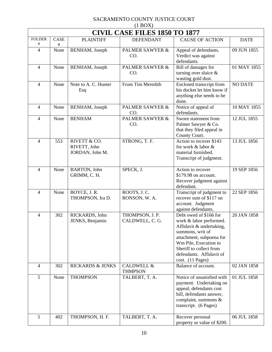| $(1$ BOX)                |                                      |                                                 |                                         |                                                                                                                                                                                                                                   |                |  |  |  |
|--------------------------|--------------------------------------|-------------------------------------------------|-----------------------------------------|-----------------------------------------------------------------------------------------------------------------------------------------------------------------------------------------------------------------------------------|----------------|--|--|--|
|                          | <b>CIVIL CASE FILES 1850 TO 1877</b> |                                                 |                                         |                                                                                                                                                                                                                                   |                |  |  |  |
| <b>FOLDER</b><br>$^{\#}$ | <b>CASE</b><br>#                     | <b>PLAINTIFF</b>                                | <b>DEFENDANT</b>                        | <b>CAUSE OF ACTION</b>                                                                                                                                                                                                            | <b>DATE</b>    |  |  |  |
| $\overline{4}$           | None                                 | BENHAM, Joseph                                  | <b>PALMER SAWYER &amp;</b><br>CO.       | Appeal of defendants.<br>Verdict was against<br>defendants.                                                                                                                                                                       | 09 JUN 1855    |  |  |  |
| $\overline{4}$           | None                                 | BENHAM, Joseph                                  | <b>PALMER SAWYER &amp;</b><br>CO.       | Bill of damages for<br>turning over sluice $\&$<br>wasting gold dust.                                                                                                                                                             | 01 MAY 1855    |  |  |  |
| 4                        | None                                 | Note to A. C. Hunter<br>Esq                     | From Tim Meredith                       | Enclosed transcript from<br>his docket let him know if<br>anything else needs to be<br>done.                                                                                                                                      | <b>NO DATE</b> |  |  |  |
| $\overline{4}$           | None                                 | BENHAM, Joseph                                  | <b>PALMER SAWYER &amp;</b><br>CO.       | Notice of appeal of<br>defendants.                                                                                                                                                                                                | 10 MAY 1855    |  |  |  |
| $\overline{\mathcal{L}}$ | None                                 | <b>BENHAM</b>                                   | <b>PALMER SAWYER &amp;</b><br>CO.       | Sworn statement from<br>Palmer Sawyer & Co.<br>that they filed appeal in<br>County Court.                                                                                                                                         | 12 JUL 1855    |  |  |  |
| 4                        | 553                                  | RIVETT & CO.<br>RIVETT, John<br>JORDAN, John M. | STRONG, T. F.                           | Action to recover \$143<br>for work & labor &<br>material furnished.<br>Transcript of judgment.                                                                                                                                   | 13 JUL 1856    |  |  |  |
| 4                        | None                                 | <b>BARTON</b> , John<br>GRIMM, C. H.            | SPECK, J.                               | Action to recover<br>\$179.98 on account.<br>Recover judgment against<br>defendant.                                                                                                                                               | 19 SEP 1856    |  |  |  |
| 4                        | None                                 | BOYCE, J. R.<br>THOMPSON, Ira D.                | ROOTS, J.C.<br>RONSON, W. A.            | Transcript of judgment to<br>recover sum of \$117 on<br>account. Judgment<br>against defendants.                                                                                                                                  | 22 SEP 1856    |  |  |  |
| 4                        | 302                                  | RICKARDS, John<br>JENKS, Benjamin               | THOMPSON, J. P.<br>CALDWELL, C. G.      | Debt owed of \$166 for<br>work & labor performed.<br>Affidavit & undertaking,<br>summons, writ of<br>attachment, subpoena for<br>Wm Pile, Execution to<br>Sheriff to collect from<br>defendants. Affidavit of<br>cost. (11 Pages) | 20 JAN 1858    |  |  |  |
| $\overline{4}$           | 302                                  | <b>RICKARDS &amp; JENKS</b>                     | <b>CALDWELL &amp;</b><br><b>THMPSON</b> | Balance of account.                                                                                                                                                                                                               | 02 JAN 1858    |  |  |  |
| 5                        | None                                 | <b>THOMPSON</b>                                 | TALBERT, T. A.                          | Notice of unsatisfied with<br>payment. Undertaking on<br>appeal, defendants cost<br>bill, defendants answer,<br>complaint, summons &<br>transcript. (6 Pages)                                                                     | 01 JUL 1858    |  |  |  |
| 5                        | 402                                  | THOMPSON, H. F.                                 | TALBERT, T. A.                          | Recover personal<br>property or value of \$200.                                                                                                                                                                                   | 06 JUL 1858    |  |  |  |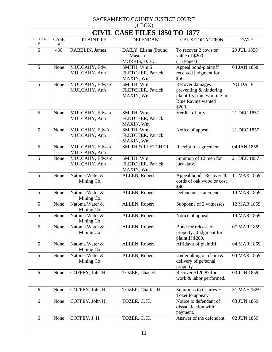| $(1$ BOX)          |                                      |                                 |                                                  |                                                                                                                |                |  |  |  |
|--------------------|--------------------------------------|---------------------------------|--------------------------------------------------|----------------------------------------------------------------------------------------------------------------|----------------|--|--|--|
|                    | <b>CIVIL CASE FILES 1850 TO 1877</b> |                                 |                                                  |                                                                                                                |                |  |  |  |
| <b>FOLDER</b><br># | CASE<br>#                            | <b>PLAINTIFF</b>                | <b>DEFENDANT</b>                                 | <b>CAUSE OF ACTION</b>                                                                                         | <b>DATE</b>    |  |  |  |
| $\overline{5}$     | 408                                  | RABBLIN, James                  | DAILY, Elisha (Pound<br>Master)<br>MORRIS, D. H. | To recover 2 cows or<br>value of \$200.<br>$(15$ Pages)                                                        | 29 JUL 1858    |  |  |  |
| 5                  | None                                 | MULCAHY, Edw<br>MULCAHY, Ann    | SMITH, Wm S.<br>FLETCHER, Patrick<br>MAXIN, Wm   | Appeal bond-plaintiff<br>received judgment for<br>\$50.                                                        | 04 JAN 1858    |  |  |  |
| 5                  | None                                 | MULCAHY, Edward<br>MULCAHY, Ann | SMITH, Wm<br>FLETCHER, Patrick<br>MAXIN, Wm      | Recover damages<br>preventing & hindering<br>plaintiffs from working in<br><b>Blue Ravine wanted</b><br>\$200. | <b>NO DATE</b> |  |  |  |
| 5                  | None                                 | MULCAHY, Edward<br>MULCAHY, Ann | SMITH, Wm<br>FLETCHER, Patrick<br>MAXIN, Wm      | Verdict of jury.                                                                                               | 21 DEC 1857    |  |  |  |
| $\overline{5}$     | None                                 | MULCAHY, Edw'd<br>MULCAHY, Ann  | SMITH, Wm<br>FLETCHER, Patrick<br>MAXIN, Wm      | Notice of appeal.                                                                                              | 21 DEC 1857    |  |  |  |
| 5                  | None                                 | MULCAHY, Edward<br>MULCAHY, Ann | <b>SMITH &amp; FLETCHER</b>                      | Receipt for agreement.                                                                                         | 04 JAN 1858    |  |  |  |
| 5                  | None                                 | MULCAHY, Edward<br>MULCAHY, Ann | SMITH, Wm<br>FLETCHER, Patrick<br>MAXIN, Wm      | Summon of 12 men for<br>jury duty.                                                                             | 21 DEC 1857    |  |  |  |
| $\overline{5}$     | None                                 | Natoma Water &<br>Mining Co.    | ALLEN, Robert                                    | Appeal bond. Recover 40<br>cords of oak wood or cost<br>\$40.                                                  | 11 MAR 1859    |  |  |  |
| 5                  | None                                 | Natoma Water &<br>Mining Co.    | ALLEN, Robert                                    | Defendants statement.                                                                                          | 14 MAR 1859    |  |  |  |
| 5                  | None                                 | Natoma Water &<br>Mining Co     | ALLEN, Robert                                    | Subpoena of 2 witnesses.                                                                                       | 12 MAR 1859    |  |  |  |
| 5                  | None                                 | Natoma Water &<br>Mining Co     | ALLEN, Robert                                    | Notice of appeal.                                                                                              | 14 MAR 1859    |  |  |  |
| 5                  | None                                 | Natoma Water &<br>Mining Co     | ALLEN, Robert                                    | Bond for release of<br>property. Judgment for<br>plaintiff \$280.                                              | 07 MAR 1859    |  |  |  |
| 5                  | None                                 | Natoma Water &<br>Mining Co     | ALLEN, Robert                                    | Affidavit of plaintiff.                                                                                        | 04 MAR 1859    |  |  |  |
| 5                  | None                                 | Natoma Water &<br>Mining Co     | ALLEN, Robert                                    | Undertaking on claim &<br>delivery of personal<br>property.                                                    | 04 MAR 1859    |  |  |  |
| 6                  | None                                 | COFFEY, John H.                 | TOZER, Chas H.                                   | Recover \$120.87 for<br>work & labor performed.                                                                | 03 JUN 1859    |  |  |  |
| 6                  | None                                 | COFFEY, John H.                 | TOZER, Charles H.                                | Summons to Charles H.<br>Tozer to appear.                                                                      | 31 MAY 1859    |  |  |  |
| $\sqrt{6}$         | None                                 | COFFEY, John H.                 | TOZER, C. H.                                     | Notice to defendant of<br>dissatisfaction with<br>payment.                                                     | 03 JUN 1859    |  |  |  |
| 6                  | None                                 | COFFEY, J.H.                    | TOZER, C. H.                                     | Answer of the defendant.                                                                                       | 02 JUN 1859    |  |  |  |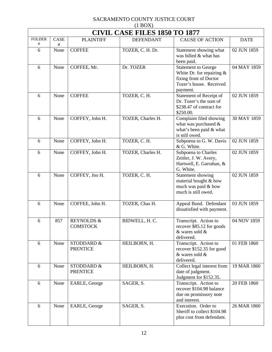| $(1$ BOX)                |                                      |                                          |                   |                                                                                                                            |             |  |  |  |
|--------------------------|--------------------------------------|------------------------------------------|-------------------|----------------------------------------------------------------------------------------------------------------------------|-------------|--|--|--|
|                          | <b>CIVIL CASE FILES 1850 TO 1877</b> |                                          |                   |                                                                                                                            |             |  |  |  |
| <b>FOLDER</b><br>$^{\#}$ | <b>CASE</b><br>#                     | <b>PLAINTIFF</b>                         | <b>DEFENDANT</b>  | <b>CAUSE OF ACTION</b>                                                                                                     | <b>DATE</b> |  |  |  |
| 6                        | None                                 | <b>COFFEE</b>                            | TOZER, C. H. Dr.  | Statement showing what<br>was billed & what has<br>been paid.                                                              | 02 JUN 1859 |  |  |  |
| 6                        | None                                 | COFFEE, Mr.                              | Dr. TOZER         | <b>Statement to George</b><br>White Dr. for repairing $&$<br>fixing front of Doctor<br>Tozer's house. Received<br>payment. | 04 MAY 1859 |  |  |  |
| 6                        | None                                 | <b>COFFEE</b>                            | TOZER, C. H.      | Statement of Receipt of<br>Dr. Tozer's the sum of<br>\$238.47 of contract for<br>\$250.00.                                 | 02 JUN 1859 |  |  |  |
| 6                        | None                                 | COFFEY, John H.                          | TOZER, Charles H. | Complaint filed showing<br>what was purchased $\&$<br>what's been paid & what<br>is still owed.                            | 30 MAY 1859 |  |  |  |
| 6                        | None                                 | COFFEY, John H.                          | TOZER, C. H.      | Subpoena to G. W. Davis<br>& G. White.                                                                                     | 02 JUN 1859 |  |  |  |
| 6                        | None                                 | COFFEY, John H.                          | TOZER, Charles H. | Subpoena to Charles<br>Zeitler, J. W. Avery,<br>Hartwell, E. Garrahan, &<br>G. White.                                      | 02 JUN 1859 |  |  |  |
| 6                        | None                                 | COFFEY, Jno H.                           | TOZER, C. H.      | Statement showing<br>material bought & how<br>much was paid & how<br>much is still owed.                                   | 02 JUN 1859 |  |  |  |
| 6                        | None                                 | COFFEE, John H.                          | TOZER, Chas H.    | Appeal Bond. Defendant<br>dissatisfied with payment.                                                                       | 03 JUN 1859 |  |  |  |
| 6                        | 857                                  | <b>REYNOLDS &amp;</b><br><b>COMSTOCK</b> | BIDWELL, H. C.    | Transcript. Action to<br>recover \$85.12 for goods<br>& wares sold &<br>delivered.                                         | 04 NOV 1859 |  |  |  |
| 6                        | None                                 | STODDARD &<br><b>PRENTICE</b>            | HEILBORN, H.      | Transcript. Action to<br>recover \$152.35 for good<br>& wares sold &<br>delivered.                                         | 01 FEB 1860 |  |  |  |
| 6                        | None                                 | STODDARD &<br><b>PRENTICE</b>            | HEILBORN, H.      | Collect legal interest from<br>date of judgment.<br>Judgment for \$152.35.                                                 | 19 MAR 1860 |  |  |  |
| 6                        | None                                 | EARLE, George                            | SAGER, S.         | Transcript. Action to<br>recover \$104.98 balance<br>due on promissory note<br>and interest.                               | 20 FEB 1860 |  |  |  |
| 6                        | None                                 | EARLE, George                            | SAGER, S.         | Execution. Order to<br>Sheriff to collect \$104.98<br>plus cost from defendant.                                            | 26 MAR 1860 |  |  |  |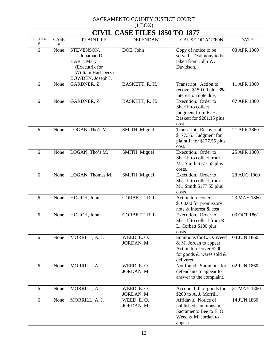| $(1 + 1)$<br><b>CIVIL CASE FILES 1850 TO 1877</b> |           |                                                                                                      |                          |                                                                                                                       |             |  |  |
|---------------------------------------------------|-----------|------------------------------------------------------------------------------------------------------|--------------------------|-----------------------------------------------------------------------------------------------------------------------|-------------|--|--|
| <b>FOLDER</b><br>#                                | CASE      | <b>PLAINTIFF</b>                                                                                     | <b>DEFENDANT</b>         | <b>CAUSE OF ACTION</b>                                                                                                | <b>DATE</b> |  |  |
| 6                                                 | #<br>None | STEVENSON,<br>Jonathan D.<br>HART, Mary<br>(Executrix for<br>William Hart Decs)<br>BOWDEN, Joseph J. | DOE, John                | Copy of notice to be<br>served. Testimony to be<br>taken from John W.<br>Davidson.                                    | 03 APR 1860 |  |  |
| 6                                                 | None      | GARDNER, Z.                                                                                          | BASKETT, R. H.           | Transcript. Action to<br>recover \$150.00 plus 3%<br>interest on note due.                                            | 11 APR 1860 |  |  |
| 6                                                 | None      | GARDNER, Z.                                                                                          | BASKETT, R. H.           | Execution. Order to<br>Sheriff to collect<br>judgment from R. H.<br>Baskett for \$261.15 plus<br>cost.                | 07 APR 1860 |  |  |
| 6                                                 | None      | LOGAN, Tho's M.                                                                                      | SMITH, Miguel            | Transcript. Recover of<br>\$177.55. Judgment for<br>plaintiff for \$177.55 plus<br>cost.                              | 21 APR 1860 |  |  |
| 6                                                 | None      | LOGAN, Tho's M.                                                                                      | SMITH, Miguel            | Execution. Order to<br>Sheriff to collect from<br>Mr. Smith \$177.55 plus<br>costs.                                   | 25 APR 1860 |  |  |
| 6                                                 | None      | LOGAN, Thomas M.                                                                                     | SMITH, Miguel            | Execution. Order to<br>Sheriff to collect from<br>Mr. Smith \$177.55 plus<br>costs.                                   | 28 AUG 1860 |  |  |
| 6                                                 | None      | HOUCH, John                                                                                          | CORBETT, R.L.            | Action to recover<br>\$100.00 for promissory<br>note & interest & cost.                                               | 23 MAY 1860 |  |  |
| 6                                                 | None      | HOUCH, John                                                                                          | CORBETT, R.L.            | Execution. Order to<br>Sheriff to collect from R.<br>L. Corbett \$100 plus<br>costs.                                  | 03 OCT 1861 |  |  |
| 6                                                 | None      | MORRILL, A. J.                                                                                       | WEED, E.O.<br>JORDAN, M. | Summons for E. O. Weed<br>& M. Jordan to appear.<br>Action to recover \$200<br>for goods & wares sold &<br>delivered. | 04 JUN 1860 |  |  |
| 6                                                 | None      | MORRILL, A. J.                                                                                       | WEED, E.O.<br>JORDAN, M. | Not found. Summons for<br>defendants to appear to<br>answer to the complaint.                                         | 02 JUN 1860 |  |  |
| 6                                                 | None      | MORRILL, A. J.                                                                                       | WEED, E.O.<br>JORDAN, M. | Account bill of goods for<br>\$200 to A. J. Morrill.                                                                  | 31 MAY 1860 |  |  |
| 6                                                 | None      | MORRILL, A. J.                                                                                       | WEED, E.O.<br>JORDAN, M. | Affidavit. Notice of<br>published summons in<br>Sacramento Bee to E.O.<br>Weed & M. Jordan to<br>appear.              | 14 JUN 1860 |  |  |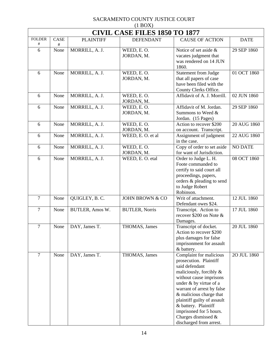|                          | $(1$ BOX)                            |                  |                            |                                                                                                                                                                                                                                                                                                                                                     |                |  |  |  |  |
|--------------------------|--------------------------------------|------------------|----------------------------|-----------------------------------------------------------------------------------------------------------------------------------------------------------------------------------------------------------------------------------------------------------------------------------------------------------------------------------------------------|----------------|--|--|--|--|
|                          | <b>CIVIL CASE FILES 1850 TO 1877</b> |                  |                            |                                                                                                                                                                                                                                                                                                                                                     |                |  |  |  |  |
| <b>FOLDER</b><br>$^{\#}$ | CASE<br>#                            | <b>PLAINTIFF</b> | <b>DEFENDANT</b>           | <b>CAUSE OF ACTION</b>                                                                                                                                                                                                                                                                                                                              | <b>DATE</b>    |  |  |  |  |
| 6                        | None                                 | MORRILL, A. J.   | WEED, E.O.<br>JORDAN, M.   | Notice of set aside &<br>vacates judgment that<br>was rendered on 14 JUN<br>1860.                                                                                                                                                                                                                                                                   | 29 SEP 1860    |  |  |  |  |
| 6                        | None                                 | MORRILL, A. J.   | WEED, E.O.<br>JORDAN, M.   | <b>Statement from Judge</b><br>that all papers of case<br>have been filed with the<br>County Clerks Office.                                                                                                                                                                                                                                         | 01 OCT 1860    |  |  |  |  |
| 6                        | None                                 | MORRILL, A. J.   | WEED, E.O.<br>JORDAN, M.   | Affidavit of A. J. Morrill.                                                                                                                                                                                                                                                                                                                         | 02 JUN 1860    |  |  |  |  |
| 6                        | None                                 | MORRILL, A. J.   | WEED, E.O.<br>JORDAN, M.   | Affidavit of M. Jordan.<br>Summons to Weed &<br>Jordan. (15 Pages)                                                                                                                                                                                                                                                                                  | 29 SEP 1860    |  |  |  |  |
| 6                        | None                                 | MORRILL, A. J.   | WEED, E.O.<br>JORDAN, M.   | Action to recover \$200<br>on account. Transcript.                                                                                                                                                                                                                                                                                                  | 20 AUG 1860    |  |  |  |  |
| 6                        | None                                 | MORRILL, A. J.   | WEED, E.O. et al           | Assignment of judgment<br>in the case.                                                                                                                                                                                                                                                                                                              | 22 AUG 1860    |  |  |  |  |
| 6                        | None                                 | MORRILL, A. J.   | WEED, E.O.<br>JORDAN, M.   | Copy of order to set aside<br>for want of Jurisdiction.                                                                                                                                                                                                                                                                                             | <b>NO DATE</b> |  |  |  |  |
| 6                        | None                                 | MORRILL, A. J.   | WEED, E. O. etal           | Order to Judge L. H.<br>Foote commanded to<br>certify to said court all<br>proceedings, papers,<br>orders & pleading to send<br>to Judge Robert<br>Robinson.                                                                                                                                                                                        | 08 OCT 1860    |  |  |  |  |
| $\overline{7}$           | None                                 | QUIGLEY, B.C.    | <b>JOHN BROWN &amp; CO</b> | Writ of attachment.<br>Defendant owes \$24.                                                                                                                                                                                                                                                                                                         | 12 JUL 1860    |  |  |  |  |
| $\overline{7}$           | None                                 | BUTLER, Amos W.  | <b>BUTLER, Norris</b>      | Transcript. Action to<br>recover \$200 on Note &<br>Damages.                                                                                                                                                                                                                                                                                        | 17 JUL 1860    |  |  |  |  |
| $\tau$                   | None                                 | DAY, James T.    | THOMAS, James              | Transcript of docket.<br>Action to recover \$200<br>plus damages for false<br>imprisonment for assault<br>& battery.                                                                                                                                                                                                                                | 20 JUL 1860    |  |  |  |  |
| $\overline{7}$           | None                                 | DAY, James T.    | THOMAS, James              | Complaint for malicious<br>prosecution. Plaintiff<br>said defendant<br>maliciously, forcibly $\&$<br>without cause imprisons<br>under & by virtue of a<br>warrant of arrest by false<br>& malicious charge that<br>plaintiff guilty of assault<br>& battery. Plaintiff<br>imprisoned for 5 hours.<br>Charges dismissed &<br>discharged from arrest. | 20 JUL 1860    |  |  |  |  |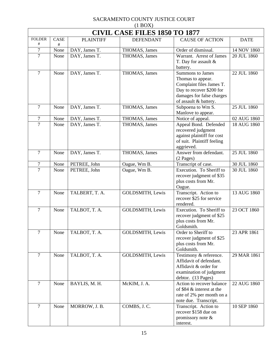| $(1 + 1)$<br><b>CIVIL CASE FILES 1850 TO 1877</b> |              |                                |                                |                                                                                                                                 |                            |  |  |
|---------------------------------------------------|--------------|--------------------------------|--------------------------------|---------------------------------------------------------------------------------------------------------------------------------|----------------------------|--|--|
| <b>FOLDER</b>                                     | CASE         | <b>PLAINTIFF</b>               | <b>DEFENDANT</b>               | <b>CAUSE OF ACTION</b>                                                                                                          | <b>DATE</b>                |  |  |
| $^{\#}$                                           | #            |                                |                                |                                                                                                                                 |                            |  |  |
| $\boldsymbol{7}$<br>$\overline{7}$                | None<br>None | DAY, James T.<br>DAY, James T. | THOMAS, James<br>THOMAS, James | Order of dismissal.<br>Warrant. Arrest of James                                                                                 | 14 NOV 1860<br>20 JUL 1860 |  |  |
|                                                   |              |                                |                                | T. Day for assault &<br>battery.                                                                                                |                            |  |  |
| $\overline{7}$                                    | None         | DAY, James T.                  | THOMAS, James                  | <b>Summons to James</b>                                                                                                         | 22 JUL 1860                |  |  |
|                                                   |              |                                |                                | Thomas to appear.<br>Complaint files James T.<br>Day to recover \$200 for<br>damages for false charges<br>of assault & battery. |                            |  |  |
| $\overline{7}$                                    | None         | DAY, James T.                  | THOMAS, James                  | Subpoena to Wm S.<br>Manlove to appear.                                                                                         | 25 JUL 1860                |  |  |
| $\overline{7}$                                    | None         | DAY, James T.                  | THOMAS, James                  | Notice of appeal.                                                                                                               | 02 AUG 1860                |  |  |
| $\overline{7}$                                    | None         | DAY, James T.                  | THOMAS, James                  | Appeal Bond. Defended<br>recovered judgment<br>against plaintiff for cost<br>of suit. Plaintiff feeling<br>aggrieved.           | 18 AUG 1860                |  |  |
| $\overline{7}$                                    | None         | DAY, James T.                  | THOMAS, James                  | Answer from defendant.<br>(2 Pages)                                                                                             | 25 JUL 1860                |  |  |
| 7                                                 | None         | PETREE, John                   | Oague, Wm B.                   | Transcript of case.                                                                                                             | 30 JUL 1860                |  |  |
| $\overline{7}$                                    | None         | PETREE, John                   | Oague, Wm B.                   | Execution. To Sheriff to<br>recover judgment of \$35<br>plus costs from Mr.<br>Oague.                                           | 30 JUL 1860                |  |  |
| $\overline{7}$                                    | None         | TALBERT, T. A.                 | GOLDSMITH, Lewis               | Transcript. Action to<br>recover \$25 for service<br>rendered.                                                                  | 13 AUG 1860                |  |  |
| $\overline{7}$                                    | None         | TALBOT, T. A.                  | <b>GOLDSMITH, Lewis</b>        | Execution. To Sheriff to<br>recover judgment of \$25<br>plus costs from Mr.<br>Goldsmith.                                       | 23 OCT 1860                |  |  |
| 7                                                 | None         | TALBOT, T. A.                  | <b>GOLDSMITH, Lewis</b>        | Order to Sheriff to<br>recover judgment of \$25<br>plus costs from Mr.<br>Goldsmith.                                            | 23 APR 1861                |  |  |
| $\overline{7}$                                    | None         | TALBOT, T. A.                  | GOLDSMITH, Lewis               | Testimony & reference.<br>Affidavit of defendant.<br>Affidavit & order for<br>examination of judgment<br>debtor. (13 Pages)     | 29 MAR 1861                |  |  |
| $\overline{7}$                                    | None         | BAYLIS, M. H.                  | McKIM, J. A.                   | Action to recover balance<br>of \$84 & interest at the<br>rate of 2% per month on a<br>note due. Transcript.                    | 22 AUG 1860                |  |  |
| $\overline{7}$                                    | None         | MORROW, J.B.                   | COMBS, J.C.                    | Transcript. Action to<br>recover \$158 due on<br>promissory note $\&$<br>interest.                                              | 10 SEP 1860                |  |  |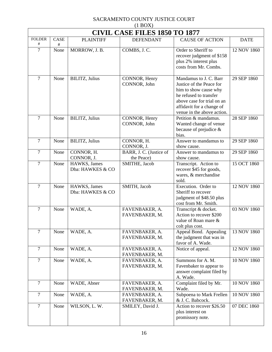| $(1 \text{D}O/\Lambda)$<br><b>CIVIL CASE FILES 1850 TO 1877</b> |           |                                  |                                       |                                                                                                                                                                                                |             |  |  |
|-----------------------------------------------------------------|-----------|----------------------------------|---------------------------------------|------------------------------------------------------------------------------------------------------------------------------------------------------------------------------------------------|-------------|--|--|
| <b>FOLDER</b><br>$\#$                                           | CASE<br># | <b>PLAINTIFF</b>                 | <b>DEFENDANT</b>                      | <b>CAUSE OF ACTION</b>                                                                                                                                                                         | <b>DATE</b> |  |  |
| $\overline{7}$                                                  | None      | MORROW, J. B.                    | COMBS, J.C.                           | Order to Sheriff to<br>recover judgment of \$158<br>plus 2% interest plus<br>costs from Mr. Combs.                                                                                             | 12 NOV 1860 |  |  |
| $\overline{7}$                                                  | None      | <b>BILITZ</b> , Julius           | CONNOR, Henry<br>CONNOR, John         | Mandamus to J. C. Barr<br>Justice of the Peace for<br>him to show cause why<br>he refused to transfer<br>above case for trial on an<br>affidavit for a change of<br>venue in the above action. | 29 SEP 1860 |  |  |
| $\overline{7}$                                                  | None      | <b>BILITZ</b> , Julius           | CONNOR, Henry<br>CONNOR, John         | Petition & mandamus.<br>Wanted change of venue<br>because of prejudice $\&$<br>bias.                                                                                                           | 28 SEP 1860 |  |  |
| $\overline{7}$                                                  | None      | <b>BILITZ</b> , Julius           | CONNOR, H.<br>CONNOR, J.              | Answer to mandamus to<br>show cause.                                                                                                                                                           | 29 SEP 1860 |  |  |
| $\overline{7}$                                                  | None      | CONNOR, H.<br>CONNOR, J.         | BARR, J. C. (Justice of<br>the Peace) | Answer to mandamus to<br>show cause.                                                                                                                                                           | 29 SEP 1860 |  |  |
| $\overline{7}$                                                  | None      | HAWKS, James<br>Dba: HAWKES & CO | SMITHE, Jacob                         | Transcript. Action to<br>recover \$45 for goods,<br>wares, & merchandise<br>sold.                                                                                                              | 15 OCT 1860 |  |  |
| $\overline{7}$                                                  | None      | HAWKS, James<br>Dba: HAWKES & CO | SMITH, Jacob                          | Execution. Order to<br>Sheriff to recover<br>judgment of \$48.50 plus<br>cost from Mr. Smith.                                                                                                  | 12 NOV 1860 |  |  |
| $\overline{7}$                                                  | None      | WADE, A.                         | FAVENBAKER, A.<br>FAVENBAKER, M.      | Transcript & docket.<br>Action to recover \$200<br>value of Roan mare &<br>colt plus cost.                                                                                                     | 03 NOV 1860 |  |  |
| $\overline{7}$                                                  | None      | WADE, A.                         | FAVENBAKER, A.<br>FAVENBAKER, M.      | Appeal Bond. Appealing<br>the judgment that was in<br>favor of A. Wade.                                                                                                                        | 13 NOV 1860 |  |  |
| $\overline{7}$                                                  | None      | WADE, A.                         | FAVENBAKER, A.<br>FAVENBAKER, M.      | Notice of appeal.                                                                                                                                                                              | 12 NOV 1860 |  |  |
| $\overline{7}$                                                  | None      | WADE, A.                         | FAVENBAKER, A.<br>FAVENBAKER, M.      | Summons for A. M.<br>Favenbaker to appear to<br>answer complaint filed by<br>A. Wade.                                                                                                          | 10 NOV 1860 |  |  |
| $\overline{7}$                                                  | None      | WADE, Abner                      | FAVENBAKER, A.<br>FAVENBAKER, M.      | Complaint filed by Mr.<br>Wade.                                                                                                                                                                | 10 NOV 1860 |  |  |
| $\overline{7}$                                                  | None      | WADE, A.                         | FAVENBAKER, A.<br>FAVENBAKER, M.      | Subpoena to Mark Frellen<br>& J. C. Babcock.                                                                                                                                                   | 10 NOV 1860 |  |  |
| $\overline{7}$                                                  | None      | WILSON, L. W.                    | SMILEY, David J.                      | Action to recover \$26.50<br>plus interest on<br>promissory note.                                                                                                                              | 07 DEC 1860 |  |  |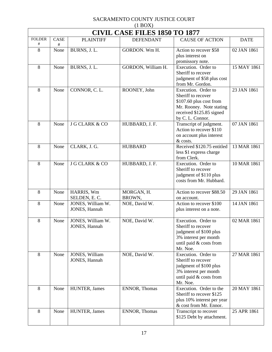| $(1$ BOX)                |                                      |                                    |                      |                                                                                                                                                  |             |  |  |  |  |
|--------------------------|--------------------------------------|------------------------------------|----------------------|--------------------------------------------------------------------------------------------------------------------------------------------------|-------------|--|--|--|--|
|                          | <b>CIVIL CASE FILES 1850 TO 1877</b> |                                    |                      |                                                                                                                                                  |             |  |  |  |  |
| <b>FOLDER</b><br>$^{\#}$ | <b>CASE</b><br>#                     | <b>PLAINTIFF</b>                   | <b>DEFENDANT</b>     | <b>CAUSE OF ACTION</b>                                                                                                                           | <b>DATE</b> |  |  |  |  |
| 8                        | None                                 | BURNS, J.L.                        | GORDON. Wm H.        | Action to recover \$58<br>plus interest on<br>promissory note.                                                                                   | 02 JAN 1861 |  |  |  |  |
| 8                        | None                                 | BURNS, J.L.                        | GORDON, William H.   | Execution. Order to<br>Sheriff to recover<br>judgment of \$58 plus cost<br>from Mr. Gordon.                                                      | 15 MAY 1861 |  |  |  |  |
| 8                        | None                                 | CONNOR, C.L.                       | ROONEY, John         | Execution. Order to<br>Sheriff to recover<br>\$107.60 plus cost from<br>Mr. Rooney. Note stating<br>received \$125.85 signed<br>by C. L. Connor. | 23 JAN 1861 |  |  |  |  |
| 8                        | None                                 | <b>J G CLARK &amp; CO</b>          | HUBBARD, J. F.       | Transcript of judgment.<br>Action to recover \$110<br>on account plus interest<br>& costs.                                                       | 07 JAN 1861 |  |  |  |  |
| 8                        | None                                 | CLARK, J. G.                       | <b>HUBBARD</b>       | Received \$120.75 entitled<br>less \$1 express charge<br>from Clerk.                                                                             | 13 MAR 1861 |  |  |  |  |
| 8                        | None                                 | <b>J G CLARK &amp; CO</b>          | HUBBARD, J. F.       | Execution. Order to<br>Sheriff to recover<br>judgment of \$110 plus<br>costs from Mr. Hubbard.                                                   | 10 MAR 1861 |  |  |  |  |
| 8                        | None                                 | HARRIS, Wm<br>SELDEN, E.C.         | MORGAN, H.<br>BROWN, | Action to recover \$88.50<br>on account.                                                                                                         | 29 JAN 1861 |  |  |  |  |
| 8                        | None                                 | JONES, William W.<br>JONES, Hannah | NOE, David W.        | Action to recover \$100<br>plus interest on a note.                                                                                              | 14 JAN 1861 |  |  |  |  |
| 8                        | None                                 | JONES, William W.<br>JONES, Hannah | NOE, David W.        | Execution. Order to<br>Sheriff to recover<br>judgment of \$100 plus<br>3% interest per month<br>until paid & costs from<br>Mr. Noe.              | 02 MAR 1861 |  |  |  |  |
| 8                        | None                                 | JONES, William<br>JONES, Hannah    | NOE, David W.        | Execution. Order to<br>Sheriff to recover<br>judgment of \$100 plus<br>3% interest per month<br>until paid & costs from<br>Mr. Noe.              | 27 MAR 1861 |  |  |  |  |
| 8                        | None                                 | HUNTER, James                      | ENNOR, Thomas        | Execution. Order to the<br>Sheriff to recover \$125<br>plus 10% interest per year<br>& cost from Mr. Ennor.                                      | 20 MAY 1861 |  |  |  |  |
| 8                        | None                                 | HUNTER, James                      | ENNOR, Thomas        | Transcript to recover<br>\$125 Debt by attachment.                                                                                               | 25 APR 1861 |  |  |  |  |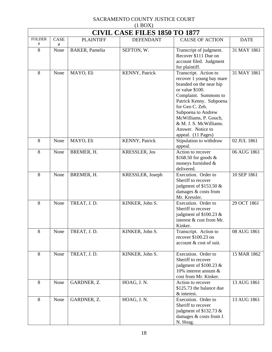| $(1$ BOX)                |                                      |                        |                      |                                                                                                                                                                                                                                                                                            |             |  |  |  |
|--------------------------|--------------------------------------|------------------------|----------------------|--------------------------------------------------------------------------------------------------------------------------------------------------------------------------------------------------------------------------------------------------------------------------------------------|-------------|--|--|--|
|                          | <b>CIVIL CASE FILES 1850 TO 1877</b> |                        |                      |                                                                                                                                                                                                                                                                                            |             |  |  |  |
| <b>FOLDER</b><br>$^{\#}$ | CASE<br>#                            | <b>PLAINTIFF</b>       | <b>DEFENDANT</b>     | <b>CAUSE OF ACTION</b>                                                                                                                                                                                                                                                                     | <b>DATE</b> |  |  |  |
| 8                        | None                                 | <b>BAKER</b> , Pamelia | SEFTON, W.           | Transcript of judgment.<br>Recover \$111 Due on<br>account filed. Judgment<br>for plaintiff.                                                                                                                                                                                               | 31 MAY 1861 |  |  |  |
| 8                        | None                                 | MAYO, Eli              | KENNY, Patrick       | Transcript. Action to<br>recover 1 young bay mare<br>branded on the near hip<br>or value \$100.<br>Complaint. Summons to<br>Patrick Kenny. Subpoena<br>for Geo C. Zeh.<br>Subpoena to Andrew<br>McWilliams, P. Gouch,<br>& M. J. S. McWilliams.<br>Answer. Notice to<br>appeal. (11 Pages) | 31 MAY 1861 |  |  |  |
| 8                        | None                                 | MAYO, Eli              | KENNY, Patrick       | Stipulation to withdraw<br>appeal.                                                                                                                                                                                                                                                         | 02 JUL 1861 |  |  |  |
| 8                        | None                                 | BREMER, H.             | <b>KRESSLER, Jos</b> | Action to recover<br>\$168.50 for goods $\&$<br>moneys furnished &<br>delivered.                                                                                                                                                                                                           | 06 AUG 1861 |  |  |  |
| 8                        | None                                 | BREMER, H.             | KRESSLER, Joseph     | Execution. Order to<br>Sheriff to recover<br>judgment of $$153.50 \&$<br>damages & costs from<br>Mr. Kressler.                                                                                                                                                                             | 10 SEP 1861 |  |  |  |
| 8                        | None                                 | TREAT, J.D.            | KINKER, John S.      | Execution. Order to<br>Sheriff to recover<br>judgment of $$100.23$ &<br>interest & cost from Mr.<br>Kinker.                                                                                                                                                                                | 29 OCT 1861 |  |  |  |
| 8                        | None                                 | TREAT, J.D.            | KINKER, John S.      | Transcript. Action to<br>recover \$100.23 on<br>account & cost of suit.                                                                                                                                                                                                                    | 08 AUG 1861 |  |  |  |
| 8                        | None                                 | TREAT, J.D.            | KINKER, John S.      | Execution. Order to<br>Sheriff to recover<br>judgment of $$100.23$ &<br>10% interest annum $\&$<br>cost from Mr. Kinker.                                                                                                                                                                   | 15 MAR 1862 |  |  |  |
| $8\,$                    | None                                 | GARDNER, Z.            | HOAG, J.N.           | Action to recover<br>\$125.73 the balance due<br>& interest.                                                                                                                                                                                                                               | 13 AUG 1861 |  |  |  |
| 8                        | None                                 | GARDNER, Z.            | HOAG, J.N.           | Execution. Order to<br>Sheriff to recover<br>judgment of \$132.73 $\&$<br>damages & costs from J.<br>N. Hoag.                                                                                                                                                                              | 13 AUG 1861 |  |  |  |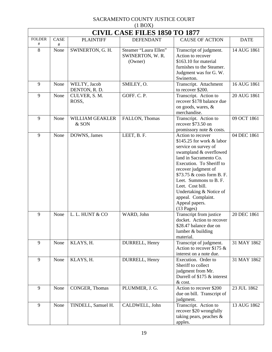| (11001)<br><b>CIVIL CASE FILES 1850 TO 1877</b> |           |                                 |                                                      |                                                                                                                                                                                                                                                                                                                                              |             |  |  |
|-------------------------------------------------|-----------|---------------------------------|------------------------------------------------------|----------------------------------------------------------------------------------------------------------------------------------------------------------------------------------------------------------------------------------------------------------------------------------------------------------------------------------------------|-------------|--|--|
| <b>FOLDER</b><br>#                              | CASE      | <b>PLAINTIFF</b>                | <b>DEFENDANT</b>                                     | <b>CAUSE OF ACTION</b>                                                                                                                                                                                                                                                                                                                       | <b>DATE</b> |  |  |
| 8                                               | #<br>None | SWINERTON, G. H.                | Steamer "Laura Ellen"<br>SWINERTON, W. R.<br>(Owner) | Transcript of judgment.<br>Action to recover<br>\$163.10 for material<br>furnishes to the Steamer.<br>Judgment was for G. W.<br>Swinerton.                                                                                                                                                                                                   | 14 AUG 1861 |  |  |
| 9                                               | None      | WELTY, Jacob<br>DENTON, R. D.   | SMILEY, O.                                           | Transcript. Attachment<br>to recover \$200.                                                                                                                                                                                                                                                                                                  | 16 AUG 1861 |  |  |
| 9                                               | None      | CULVER, S. M.<br>ROSS,          | GOFF. C. P.                                          | Transcript. Action to<br>recover \$178 balance due<br>on goods, wares, &<br>merchandise.                                                                                                                                                                                                                                                     | 20 AUG 1861 |  |  |
| 9                                               | None      | <b>WILLIAM GEAKLER</b><br>& SON | FALLON, Thomas                                       | Transcript. Action to<br>recover \$73.50 on<br>promissory note & costs.                                                                                                                                                                                                                                                                      | 09 OCT 1861 |  |  |
| 9                                               | None      | DOWNS, James                    | LEET, B. F.                                          | Action to recover<br>\$145.25 for work & labor<br>service on survey of<br>swampland & overflowed<br>land in Sacramento Co.<br>Execution. To Sheriff to<br>recover judgment of<br>\$73.75 & costs form B. F.<br>Leet. Summons to B. F.<br>Leet. Cost bill.<br>Undertaking & Notice of<br>appeal. Complaint.<br>Appeal papers.<br>$(13$ Pages) | 04 DEC 1861 |  |  |
| 9                                               | None      | L. L. HUNT & CO                 | WARD, John                                           | Transcript from justice<br>docket. Action to recover<br>\$28.47 balance due on<br>lumber $&$ building<br>material.                                                                                                                                                                                                                           | 20 DEC 1861 |  |  |
| 9                                               | None      | KLAYS, H.                       | DURRELL, Henry                                       | Transcript of judgment.<br>Action to recover \$175 $\&$<br>interest on a note due.                                                                                                                                                                                                                                                           | 31 MAY 1862 |  |  |
| 9                                               | None      | KLAYS, H.                       | DURRELL, Henry                                       | Execution. Order to<br>Sheriff to collect<br>judgment from Mr.<br>Durrell of \$175 & interest<br>& cost.                                                                                                                                                                                                                                     | 31 MAY 1862 |  |  |
| 9                                               | None      | CONGER, Thomas                  | PLUMMER, J. G.                                       | Action to recover \$200<br>due on bill. Transcript of<br>judgment.                                                                                                                                                                                                                                                                           | 23 JUL 1862 |  |  |
| 9                                               | None      | TINDELL, Samuel H.              | CALDWELL, John                                       | Transcript. Action to<br>recover \$20 wrongfully<br>taking pears, peaches $\&$<br>apples.                                                                                                                                                                                                                                                    | 13 AUG 1862 |  |  |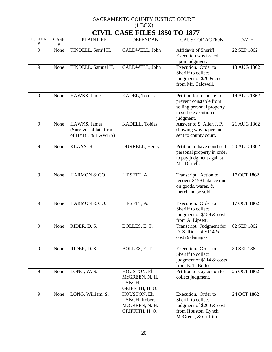| $(1$ BOX)          |                                      |                                                            |                                                                   |                                                                                                                       |             |  |  |  |
|--------------------|--------------------------------------|------------------------------------------------------------|-------------------------------------------------------------------|-----------------------------------------------------------------------------------------------------------------------|-------------|--|--|--|
|                    | <b>CIVIL CASE FILES 1850 TO 1877</b> |                                                            |                                                                   |                                                                                                                       |             |  |  |  |
| <b>FOLDER</b><br># | <b>CASE</b><br>#                     | <b>PLAINTIFF</b>                                           | <b>DEFENDANT</b>                                                  | <b>CAUSE OF ACTION</b>                                                                                                | <b>DATE</b> |  |  |  |
| 9                  | None                                 | TINDELL, Sam'l H.                                          | CALDWELL, John                                                    | Affidavit of Sheriff.<br>Execution was issued<br>upon judgment.                                                       | 22 SEP 1862 |  |  |  |
| 9                  | None                                 | TINDELL, Samuel H.                                         | CALDWELL, John                                                    | Execution. Order to<br>Sheriff to collect<br>judgment of \$20 & costs<br>from Mr. Caldwell.                           | 13 AUG 1862 |  |  |  |
| 9                  | None                                 | HAWKS, James                                               | KADEL, Tobias                                                     | Petition for mandate to<br>prevent constable from<br>selling personal property<br>to settle execution of<br>judgment. | 14 AUG 1862 |  |  |  |
| 9                  | None                                 | HAWKS, James<br>(Survivor of late firm<br>of HYDE & HAWKS) | KADELL, Tobias                                                    | Answer to S. Allen J. P.<br>showing why papers not<br>sent to county court.                                           | 21 AUG 1862 |  |  |  |
| 9                  | None                                 | KLAYS, H.                                                  | DURRELL, Henry                                                    | Petition to have court sell<br>personal property in order<br>to pay judgment against<br>Mr. Durrell.                  | 20 AUG 1862 |  |  |  |
| 9                  | None                                 | HARMON & CO.                                               | LIPSETT, A.                                                       | Transcript. Action to<br>recover \$159 balance due<br>on goods, wares, &<br>merchandise sold.                         | 17 OCT 1862 |  |  |  |
| 9                  | None                                 | HARMON & CO.                                               | LIPSETT, A.                                                       | Execution. Order to<br>Sheriff to collect<br>judgment of \$159 & cost<br>from A. Lipsett.                             | 17 OCT 1862 |  |  |  |
| 9                  | None                                 | RIDER, D. S.                                               | BOLLES, E.T.                                                      | Transcript. Judgment for<br>D. S. Rider of $$114 \&$<br>cost & damages.                                               | 02 SEP 1862 |  |  |  |
| 9                  | None                                 | RIDER, D. S.                                               | BOLLES, E.T.                                                      | Execution. Order to<br>Sheriff to collect<br>judgment of \$114 & costs<br>from E. T. Bolles.                          | 30 SEP 1862 |  |  |  |
| 9                  | None                                 | LONG, W.S.                                                 | HOUSTON, Eli<br>McGREEN, N. H.<br>LYNCH,<br>GRIFFITH, H.O.        | Petition to stay action to<br>collect judgment.                                                                       | 25 OCT 1862 |  |  |  |
| 9                  | None                                 | LONG, William. S.                                          | HOUSTON, Eli<br>LYNCH, Robert<br>McGREEN, N. H.<br>GRIFFITH, H.O. | Execution. Order to<br>Sheriff to collect<br>judgment of \$200 & cost<br>from Houston, Lynch,<br>McGreen, & Griffith. | 24 OCT 1862 |  |  |  |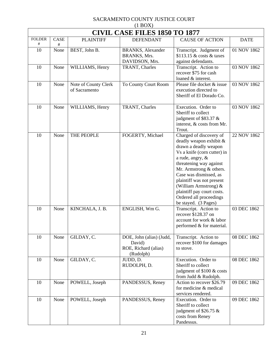| $(1$ BOX $)$       |                                      |                                       |                                                                         |                                                                                                                                                                                                                                                                                                                                                       |             |  |  |  |
|--------------------|--------------------------------------|---------------------------------------|-------------------------------------------------------------------------|-------------------------------------------------------------------------------------------------------------------------------------------------------------------------------------------------------------------------------------------------------------------------------------------------------------------------------------------------------|-------------|--|--|--|
|                    | <b>CIVIL CASE FILES 1850 TO 1877</b> |                                       |                                                                         |                                                                                                                                                                                                                                                                                                                                                       |             |  |  |  |
| <b>FOLDER</b><br># | CASE<br>#                            | <b>PLAINTIFF</b>                      | <b>DEFENDANT</b>                                                        | <b>CAUSE OF ACTION</b>                                                                                                                                                                                                                                                                                                                                | <b>DATE</b> |  |  |  |
| 10                 | None                                 | BEST, John B.                         | <b>BRANKS</b> , Alexander<br>BRANKS, Mrs.<br>DAVIDSON, Mrs.             | Transcript. Judgment of<br>\$113.15 $&$ costs $&$ taxes<br>against defendants.                                                                                                                                                                                                                                                                        | 01 NOV 1862 |  |  |  |
| 10                 | None                                 | WILLIAMS, Henry                       | TRANT, Charles                                                          | Transcript. Action to<br>recover \$75 for cash<br>loaned & interest.                                                                                                                                                                                                                                                                                  | 03 NOV 1862 |  |  |  |
| 10                 | None                                 | Note of County Clerk<br>of Sacramento | To County Court Room                                                    | Please file docket & issue<br>execution directed to<br>Sheriff of El Dorado Co.                                                                                                                                                                                                                                                                       | 03 NOV 1862 |  |  |  |
| 10                 | None                                 | WILLIAMS, Henry                       | TRANT, Charles                                                          | Execution. Order to<br>Sheriff to collect<br>judgment of \$83.37 $\&$<br>interest, & costs from Mr.<br>Trout.                                                                                                                                                                                                                                         | 03 NOV 1862 |  |  |  |
| 10                 | None                                 | THE PEOPLE                            | FOGERTY, Michael                                                        | Charged of discovery of<br>deadly weapon exhibit &<br>drawn a deadly weapon<br>Vs a knife (corn cutter) in<br>a rude, angry, &<br>threatening way against<br>Mr. Armstrong & others.<br>Case was dismissed, as<br>plaintiff was not present<br>(William Armstrong) &<br>plaintiff pay court costs.<br>Ordered all proceedings<br>be stayed. (3 Pages) | 22 NOV 1862 |  |  |  |
| 10                 | None                                 | KINCHALA, J. B.                       | ENGLISH, Wm G.                                                          | Transcript. Action to<br>recover \$128.37 on<br>account for work & labor<br>performed & for material.                                                                                                                                                                                                                                                 | 03 DEC 1862 |  |  |  |
| 10                 | None                                 | GILDAY, C.                            | DOE, John (alias) (Judd,<br>David)<br>ROE, Richard (alias)<br>(Rudolph) | Transcript. Action to<br>recover \$100 for damages<br>to stove.                                                                                                                                                                                                                                                                                       | 08 DEC 1862 |  |  |  |
| 10                 | None                                 | GILDAY, C.                            | JUDD, D.<br>RUDOLPH, D.                                                 | Execution. Order to<br>Sheriff to collect<br>judgment of \$100 & costs<br>from Judd & Rudolph.                                                                                                                                                                                                                                                        | 08 DEC 1862 |  |  |  |
| 10                 | None                                 | POWELL, Joseph                        | PANDESSUS, Reney                                                        | Action to recover \$26.79<br>for medicine & medical<br>services rendered.                                                                                                                                                                                                                                                                             | 09 DEC 1862 |  |  |  |
| 10                 | None                                 | POWELL, Joseph                        | PANDESSUS, Reney                                                        | Execution. Order to<br>Sheriff to collect<br>judgment of \$26.75 &<br>costs from Reney<br>Pandessus.                                                                                                                                                                                                                                                  | 09 DEC 1862 |  |  |  |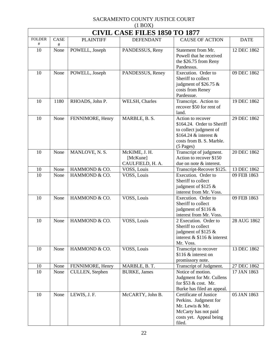| $(1$ BOX)                |                                      |                  |                                               |                                                                                                                                                     |             |  |  |  |  |
|--------------------------|--------------------------------------|------------------|-----------------------------------------------|-----------------------------------------------------------------------------------------------------------------------------------------------------|-------------|--|--|--|--|
|                          | <b>CIVIL CASE FILES 1850 TO 1877</b> |                  |                                               |                                                                                                                                                     |             |  |  |  |  |
| <b>FOLDER</b><br>$^{\#}$ | <b>CASE</b><br>#                     | <b>PLAINTIFF</b> | <b>DEFENDANT</b>                              | <b>CAUSE OF ACTION</b>                                                                                                                              | <b>DATE</b> |  |  |  |  |
| 10                       | None                                 | POWELL, Joseph   | PANDESSUS, Reny                               | Statement from Mr.<br>Powell that he received<br>the \$26.75 from Reny<br>Pandessus.                                                                | 12 DEC 1862 |  |  |  |  |
| 10                       | None                                 | POWELL, Joseph   | PANDESSUS, Reney                              | Execution. Order to<br>Sheriff to collect<br>judgment of \$26.75 $\&$<br>costs from Reney<br>Pardessue.                                             | 09 DEC 1862 |  |  |  |  |
| 10                       | 1180                                 | RHOADS, John P.  | WELSH, Charles                                | Transcript. Action to<br>recover \$50 for rent of<br>land.                                                                                          | 19 DEC 1862 |  |  |  |  |
| 10                       | None                                 | FENNIMORE, Henry | MARBLE, B. S.                                 | Action to recover<br>\$164.24. Order to Sheriff<br>to collect judgment of<br>\$164.24 $\&$ interest $\&$<br>costs from B. S. Marble.<br>$(5$ Pages) | 29 DEC 1862 |  |  |  |  |
| 10                       | None                                 | MANLOVE, N. S.   | McKIME, J. H.<br>[McKune]<br>CAULFIELD, H. A. | Transcript of judgment.<br>Action to recover \$150<br>due on note & interest.                                                                       | 20 DEC 1862 |  |  |  |  |
| 10                       | None                                 | HAMMOND & CO.    | VOSS, Louis                                   | Transcript-Recover \$125.                                                                                                                           | 13 DEC 1862 |  |  |  |  |
| 10                       | None                                 | HAMMOND & CO.    | VOSS, Louis                                   | Execution. Order to<br>Sheriff to collect<br>judgment of \$125 &<br>interest from Mr. Voss.                                                         | 09 FEB 1863 |  |  |  |  |
| 10                       | None                                 | HAMMOND & CO.    | VOSS, Louis                                   | Execution. Order to<br>Sheriff to collect<br>judgment of \$116 &<br>interest from Mr. Voss.                                                         | 09 FEB 1863 |  |  |  |  |
| 10                       | None                                 | HAMMOND & CO.    | VOSS, Louis                                   | 2 Execution. Order to<br>Sheriff to collect<br>judgment of \$125 $\&$<br>interest $&$ \$116 $&$ interest<br>Mr. Voss.                               | 28 AUG 1862 |  |  |  |  |
| 10                       | None                                 | HAMMOND & CO.    | VOSS, Louis                                   | Transcript to recover<br>\$116 $\&$ interest on<br>promissory note.                                                                                 | 13 DEC 1862 |  |  |  |  |
| 10                       | None                                 | FENNIMORE, Henry | MARBLE, B. T.                                 | Transcript of Judgment.                                                                                                                             | 27 DEC 1862 |  |  |  |  |
| 10                       | None                                 | CULLEN, Stephen  | <b>BURKE, James</b>                           | Notice of motion.<br>Judgment for Mr. Cullens<br>for \$53 & cost. Mr.<br>Burke has filed an appeal.                                                 | 17 JAN 1863 |  |  |  |  |
| 10                       | None                                 | LEWIS, J. F.     | McCARTY, John B.                              | Certificate of Justice<br>Perkins. Judgment for<br>Mr. Lewis & Mr.<br>McCarty has not paid<br>costs yet. Appeal being<br>filed.                     | 05 JAN 1863 |  |  |  |  |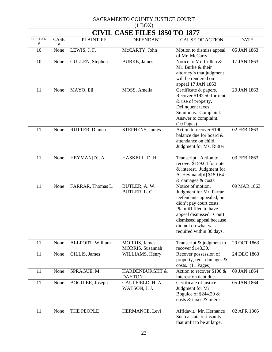| $(1$ BOX)                |                                      |                         |                                           |                                                                                                                                                                                                                                           |             |  |  |  |
|--------------------------|--------------------------------------|-------------------------|-------------------------------------------|-------------------------------------------------------------------------------------------------------------------------------------------------------------------------------------------------------------------------------------------|-------------|--|--|--|
|                          | <b>CIVIL CASE FILES 1850 TO 1877</b> |                         |                                           |                                                                                                                                                                                                                                           |             |  |  |  |
| <b>FOLDER</b><br>$^{\#}$ | <b>CASE</b><br>$\#$                  | <b>PLAINTIFF</b>        | <b>DEFENDANT</b>                          | <b>CAUSE OF ACTION</b>                                                                                                                                                                                                                    | <b>DATE</b> |  |  |  |
| 10                       | None                                 | LEWIS, J. F.            | McCARTY, John                             | Motion to dismiss appeal<br>of Mr. McCarty.                                                                                                                                                                                               | 05 JAN 1863 |  |  |  |
| 10                       | None                                 | CULLEN, Stephen         | <b>BURKE</b> , James                      | Notice to Mr. Cullen &<br>Mr. Burke & their<br>attorney's that judgment<br>will be rendered on<br>appeal 17 JAN 1863.                                                                                                                     | 17 JAN 1863 |  |  |  |
| 11                       | None                                 | MAYO, Eli               | MOSS, Amelia                              | Certificate & papers.<br>Recover \$192.50 for rent<br>& use of property.<br>Delinquent taxes.<br>Summons. Complaint.<br>Answer to complaint.<br>$(10$ Pages)                                                                              | 20 JAN 1863 |  |  |  |
| 11                       | None                                 | RUTTER, Dianna          | <b>STEPHENS</b> , James                   | Action to recover \$190<br>balance due for board &<br>attendance on child.<br>Judgment for Ms. Rutter.                                                                                                                                    | 02 FEB 1863 |  |  |  |
| 11                       | None                                 | HEYMAN[D], A.           | HASKELL, D. H.                            | Transcript. Action to<br>recover \$159.64 for note<br>& interest. Judgment for<br>A. Heymand[d] \$159.64<br>& damages & costs.                                                                                                            | 03 FEB 1863 |  |  |  |
| 11                       | None                                 | FARRAR, Thomas L.       | BUTLER, A.W.<br>BUTLER, L. G.             | Notice of motion.<br>Judgment for Mr. Farrar.<br>Defendants appealed, but<br>didn't pay court costs.<br>Plaintiff filed to have<br>appeal dismissed. Court<br>dismissed appeal because<br>did not do what was<br>required within 30 days. | 09 MAR 1863 |  |  |  |
| 11                       | None                                 | ALLPORT, William        | <b>MORRIS</b> , James<br>MORRIS, Susannah | Transcript $&$ judgment to<br>recover \$148.30.                                                                                                                                                                                           | 29 OCT 1863 |  |  |  |
| 11                       | None                                 | GILLIS, James           | WILLIAMS, Henry                           | Recover possession of<br>property, rent. damages $\&$<br>costs. (11 Pages)                                                                                                                                                                | 24 DEC 1863 |  |  |  |
| 11                       | None                                 | SPRAGUE, M.             | HARDENBURGHT &<br><b>DAYTON</b>           | Action to recover \$100 $\&$<br>interest on debt due.                                                                                                                                                                                     | 09 JAN 1864 |  |  |  |
| 11                       | None                                 | <b>BOGUIER</b> , Joseph | CAULFIELD, H. A.<br>WATSON, J. J.         | Certificate of justice.<br>Judgment for Mr.<br>Boguice of $$244.20 \&$<br>costs & taxes & interest.                                                                                                                                       | 05 JAN 1864 |  |  |  |
| 11                       | None                                 | THE PEOPLE              | HERMANCE, Levi                            | Affidavit. Mr. Hernance<br>Such a state of insanity<br>that unfit to be at large.                                                                                                                                                         | 02 APR 1866 |  |  |  |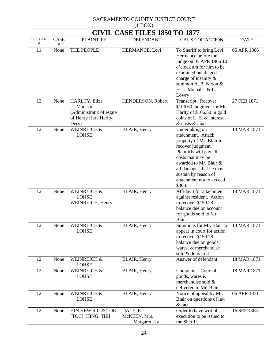| $(1 \text{D} \text{O} \Omega)$<br><b>CIVIL CASE FILES 1850 TO 1877</b> |           |                                                                                        |                                            |                                                                                                                                                                                                                                                          |             |  |
|------------------------------------------------------------------------|-----------|----------------------------------------------------------------------------------------|--------------------------------------------|----------------------------------------------------------------------------------------------------------------------------------------------------------------------------------------------------------------------------------------------------------|-------------|--|
| <b>FOLDER</b><br>$^{\#}$                                               | CASE<br># | <b>PLAINTIFF</b>                                                                       | <b>DEFENDANT</b>                           | <b>CAUSE OF ACTION</b>                                                                                                                                                                                                                                   | <b>DATE</b> |  |
| 11                                                                     | None      | THE PEOPLE                                                                             | HERMANCE, Levi                             | To Sheriff to bring Levi<br>Hermance before the<br>judge on 05 APR 1866 10<br>o'clock am for him to be<br>examined on alleged<br>charge of insanity &<br>summon A. B. Nixon &<br>H. L. Michales & L.<br>Lowry.                                           | 05 APR 1866 |  |
| 12                                                                     | None      | HARLTY, Elize<br>Madison<br>(Administratix of estate<br>of Henry Hare Harlty,<br>Decs) | HENDERSON, Robert                          | Transcript. Recover<br>\$106.60 judgment for Ms<br>Harlty of \$106.50 in gold<br>coins of U.S. & interest<br>& costs & taxes.                                                                                                                            | 27 FEB 1871 |  |
| 12                                                                     | None      | WEINREICH &<br><b>LOHSE</b>                                                            | BLAIR, Henry                               | Undertaking on<br>attachment. Attach<br>property of Mr. Blair to<br>recover judgment.<br>Plaintiffs will pay all<br>costs that may be<br>awarded to Mr. Blair &<br>all damages that he may<br>sustain by reason of<br>attachment not to exceed<br>\$300. | 13 MAR 1871 |  |
| 12                                                                     | None      | <b>WEINREICH &amp;</b><br><b>LOHSE</b><br>WEINREICH, Henry                             | BLAIR, Henry                               | Affidavit for attachment<br>against resident. Action<br>to recover \$150.28<br>balance due on account<br>for goods sold to Mr.<br>Blair.                                                                                                                 | 13 MAR 1871 |  |
| 12                                                                     | None      | WEINREICH &<br><b>LOHSE</b>                                                            | BLAIR, Henry                               | Summons for Mr. Blair to   14 MAR 1871<br>appear in court for action<br>to recover \$150.28<br>balance due on goods,<br>wares, & merchandise<br>sold & delivered.                                                                                        |             |  |
| 12                                                                     | None      | <b>WEINREICH &amp;</b><br><b>LOHSE</b>                                                 | BLAIR, Henry                               | Answer of defendant.                                                                                                                                                                                                                                     | 18 MAR 1871 |  |
| 12                                                                     | None      | WEINREICH &<br><b>LOHSE</b>                                                            | BLAIR, Henry                               | Complaint. Copy of<br>goods, wares &<br>merchandise sold &<br>delivered to Mr. Blair.                                                                                                                                                                    | 18 MAR 1871 |  |
| 12                                                                     | None      | WEINREICH &<br><b>LOHSE</b>                                                            | BLAIR, Henry                               | Notice of appeal by Mr.<br>Blair on questions of law<br>& fact.                                                                                                                                                                                          | 06 APR 1871 |  |
| 12                                                                     | None      | HIN HEW SIC & TOE<br>[TOC] [HING, TIE]                                                 | DALE, E.<br>McKEEN, Mrs.<br>Margaret et al | Order to have writ of<br>execution to be issued to<br>the Sheriff.                                                                                                                                                                                       | 16 SEP 1868 |  |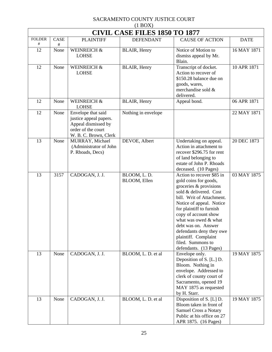| $(1$ BOX)          |                                      |                                                                                                                    |                             |                                                                                                                                                                                                                                                                                                                                                                       |             |  |  |  |
|--------------------|--------------------------------------|--------------------------------------------------------------------------------------------------------------------|-----------------------------|-----------------------------------------------------------------------------------------------------------------------------------------------------------------------------------------------------------------------------------------------------------------------------------------------------------------------------------------------------------------------|-------------|--|--|--|
|                    | <b>CIVIL CASE FILES 1850 TO 1877</b> |                                                                                                                    |                             |                                                                                                                                                                                                                                                                                                                                                                       |             |  |  |  |
| <b>FOLDER</b><br># | <b>CASE</b><br>#                     | <b>PLAINTIFF</b>                                                                                                   | <b>DEFENDANT</b>            | <b>CAUSE OF ACTION</b>                                                                                                                                                                                                                                                                                                                                                | <b>DATE</b> |  |  |  |
| 12                 | None                                 | <b>WEINREICH &amp;</b><br><b>LOHSE</b>                                                                             | BLAIR, Henry                | Notice of Motion to<br>dismiss appeal by Mr.<br>Blain.                                                                                                                                                                                                                                                                                                                | 16 MAY 1871 |  |  |  |
| 12                 | None                                 | WEINREICH &<br><b>LOHSE</b>                                                                                        | BLAIR, Henry                | Transcript of docket.<br>Action to recover of<br>\$150.28 balance due on<br>goods, wares,<br>merchandise sold &<br>delivered.                                                                                                                                                                                                                                         | 10 APR 1871 |  |  |  |
| 12                 | None                                 | <b>WEINREICH &amp;</b><br><b>LOHSE</b>                                                                             | BLAIR, Henry                | Appeal bond.                                                                                                                                                                                                                                                                                                                                                          | 06 APR 1871 |  |  |  |
| 12                 | None                                 | Envelope that said<br>justice appeal papers.<br>Appeal dismissed by<br>order of the court<br>W. B. C. Brown, Clerk | Nothing in envelope         |                                                                                                                                                                                                                                                                                                                                                                       | 22 MAY 1871 |  |  |  |
| 13                 | None                                 | MURRAY, Michael<br>(Administrator of John<br>P. Rhoads, Decs)                                                      | DEVOE, Albert               | Undertaking on appeal.<br>Action in attachment to<br>recover \$296.75 for rent<br>of land belonging to<br>estate of John P. Rhoads<br>deceased. (10 Pages)                                                                                                                                                                                                            | 20 DEC 1873 |  |  |  |
| 13                 | 3157                                 | CADOGAN, J. J.                                                                                                     | BLOOM, L.D.<br>BLOOM, Ellen | Action to recover \$85 in<br>gold coins for goods,<br>groceries & provisions<br>sold & delivered. Cost<br>bill. Writ of Attachment.<br>Notice of appeal. Notice<br>for plaintiff to furnish<br>copy of account show<br>what was owed & what<br>debt was on. Answer<br>defendants deny they owe<br>plaintiff. Complaint<br>filed. Summons to<br>defendants. (13 Pages) | 03 MAY 1875 |  |  |  |
| 13                 | None                                 | CADOGAN, J. J.                                                                                                     | BLOOM, L. D. et al          | Envelope only.<br>Deposition of S. [L.] D.<br>Bloom. Nothing in<br>envelope. Addressed to<br>clerk of county court of<br>Sacramento, opened 19<br>MAY 1875 as requested<br>by H. Starr.                                                                                                                                                                               | 19 MAY 1875 |  |  |  |
| 13                 | None                                 | CADOGAN, J. J.                                                                                                     | BLOOM, L. D. et al          | Disposition of S. [L] D.<br>Bloom taken in front of<br>Samuel Cross a Notary<br>Public at his office on 27<br>APR 1875. (16 Pages)                                                                                                                                                                                                                                    | 19 MAY 1875 |  |  |  |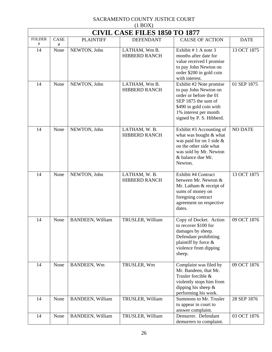| $(1 + 1)$<br><b>CIVIL CASE FILES 1850 TO 1877</b> |           |                         |                                       |                                                                                                                                                                                   |                |  |  |
|---------------------------------------------------|-----------|-------------------------|---------------------------------------|-----------------------------------------------------------------------------------------------------------------------------------------------------------------------------------|----------------|--|--|
| <b>FOLDER</b><br>$^{\#}$                          | CASE<br># | <b>PLAINTIFF</b>        | <b>DEFENDANT</b>                      | <b>CAUSE OF ACTION</b>                                                                                                                                                            | <b>DATE</b>    |  |  |
| 14                                                | None      | NEWTON, John            | LATHAM, Wm B.<br><b>HIBBERD RANCH</b> | Exhibit $# 1$ A note 3<br>months after date for<br>value received I promise<br>to pay John Newton on<br>order \$200 in gold coin<br>with interest.                                | 13 OCT 1875    |  |  |
| 14                                                | None      | NEWTON, John            | LATHAM, Wm B.<br><b>HIBBERD RANCH</b> | Exhibit #2 Note promise<br>to pay John Newton on<br>order or before the 01<br>SEP 1875 the sum of<br>\$490 in gold coin with<br>1% interest per month<br>signed by P. S. Hibberd. | 01 SEP 1875    |  |  |
| 14                                                | None      | NEWTON, John            | LATHAM, W.B.<br><b>HIBBERD RANCH</b>  | Exhibit #3 Accounting of<br>what was bought & what<br>was paid for on 1 side $\&$<br>on the other side what<br>was sold by Mr. Newton<br>& balance due Mr.<br>Newton.             | <b>NO DATE</b> |  |  |
| 14                                                | None      | NEWTON, John            | LATHAM, W.B.<br><b>HIBBERD RANCH</b>  | Exhibit #4 Contract<br>between Mr. Newton &<br>Mr. Latham & receipt of<br>sums of money on<br>foregoing contract<br>agreement on respective<br>dates.                             | 13 OCT 1875    |  |  |
| 14                                                | None      | <b>BANDEEN, William</b> | TRUSLER, William                      | Copy of Docket. Action<br>to recover \$100 for<br>damages by sheep.<br>Defendant prohibiting<br>plaintiff by force &<br>violence from dipping<br>sheep.                           | 09 OCT 1876    |  |  |
| 14                                                | None      | BANDEEN, Wm             | TRUSLER, Wm                           | Complaint was filed by<br>Mr. Bandeen, that Mr.<br>Trusler forcible &<br>violently stops him from<br>dipping his sheep $\&$<br>performing his work.                               | 09 OCT 1876    |  |  |
| 14                                                | None      | <b>BANDEEN, William</b> | TRUSLER, William                      | Summons to Mr. Trusler<br>to appear in court to<br>answer complaint.                                                                                                              | 28 SEP 1876    |  |  |
| 14                                                | None      | <b>BANDEEN, William</b> | TRUSLER, William                      | Demurrer. Defendant<br>demurrers to complaint.                                                                                                                                    | 03 OCT 1876    |  |  |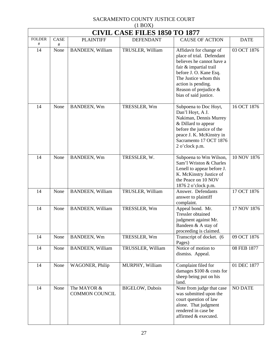| $(1 \text{D} \cup 1)$<br><b>CIVIL CASE FILES 1850 TO 1877</b> |           |                                      |                         |                                                                                                                                                                                                                                        |                |  |
|---------------------------------------------------------------|-----------|--------------------------------------|-------------------------|----------------------------------------------------------------------------------------------------------------------------------------------------------------------------------------------------------------------------------------|----------------|--|
| <b>FOLDER</b><br>#                                            | CASE<br># | <b>PLAINTIFF</b>                     | <b>DEFENDANT</b>        | <b>CAUSE OF ACTION</b>                                                                                                                                                                                                                 | <b>DATE</b>    |  |
| 14                                                            | None      | <b>BANDEEN, William</b>              | TRUSLER, William        | Affidavit for change of<br>place of trial. Defendant<br>believes he cannot have a<br>fair & impartial trail<br>before J. O. Kane Esq.<br>The Justice whom this<br>action is pending.<br>Reason of prejudice &<br>bias of said justice. | 03 OCT 1876    |  |
| 14                                                            | None      | BANDEEN, Wm                          | TRESSLER, Wm            | Subpoena to Doc Hoyt,<br>Dan'l Hoyt, A J.<br>Nakiman, Dennis Murrey<br>& Dillard to appear<br>before the justice of the<br>peace J. K. McKinstry in<br>Sacramento 17 OCT 1876<br>2 o'clock p.m.                                        | 16 OCT 1876    |  |
| 14                                                            | None      | BANDEEN, Wm                          | TRESSLER, W.            | Subpoena to Wm Wilson,<br>Sam'l Wriston & Charles<br>Lenell to appear before J.<br>K. McKinstry Justice of<br>the Peace on 10 NOV<br>1876 2 o'clock p.m.                                                                               | 10 NOV 1876    |  |
| 14                                                            | None      | <b>BANDEEN, William</b>              | TRUSLER, William        | Answer. Defendants<br>answer to plaintiff<br>complaint.                                                                                                                                                                                | 17 OCT 1876    |  |
| 14                                                            | None      | <b>BANDEEN, William</b>              | TRESSLER, Wm            | Appeal bond. Mr.<br><b>Tressler</b> obtained<br>judgment against Mr.<br>Bandeen & A stay of<br>proceeding is claimed.                                                                                                                  | 17 NOV 1876    |  |
| 14                                                            | None      | BANDEEN, Wm                          | TRESSLER, Wm            | Transcript of docket. (6<br>Pages)                                                                                                                                                                                                     | 09 OCT 1876    |  |
| 14                                                            | None      | <b>BANDEEN, William</b>              | TRUSSLER, William       | Notice of motion to<br>dismiss. Appeal.                                                                                                                                                                                                | 08 FEB 1877    |  |
| 14                                                            | None      | WAGONER, Philip                      | MURPHY, William         | Complaint filed for<br>damages $$100 \& \text{costs}$ for<br>sheep being put on his<br>land.                                                                                                                                           | 01 DEC 1877    |  |
| 14                                                            | None      | The MAYOR &<br><b>COMMON COUNCIL</b> | <b>BIGELOW</b> , Dubois | Note from judge that case<br>was submitted upon the<br>court question of law<br>alone. That judgment<br>rendered in case be<br>affirmed & executed.                                                                                    | <b>NO DATE</b> |  |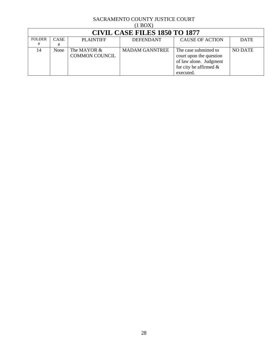|                                      | $(1$ BOX $)$     |                                      |                       |                                                                                                                      |                |  |  |
|--------------------------------------|------------------|--------------------------------------|-----------------------|----------------------------------------------------------------------------------------------------------------------|----------------|--|--|
| <b>CIVIL CASE FILES 1850 TO 1877</b> |                  |                                      |                       |                                                                                                                      |                |  |  |
| <b>FOLDER</b><br>#                   | <b>CASE</b><br># | PLAINTIFF                            | <b>DEFENDANT</b>      | <b>CAUSE OF ACTION</b>                                                                                               | <b>DATE</b>    |  |  |
| 14                                   | None             | The MAYOR &<br><b>COMMON COUNCIL</b> | <b>MADAM GANNTREE</b> | The case submitted to<br>court upon the question<br>of law alone. Judgment<br>for city be affirmed $\&$<br>executed. | <b>NO DATE</b> |  |  |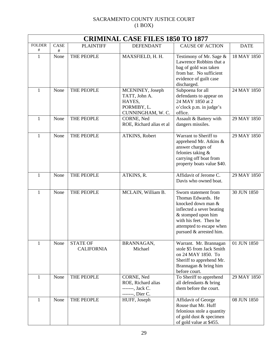| <b>CRIMINAL CASE FILES 1850 TO 1877</b> |      |                   |                                  |                                                    |             |  |
|-----------------------------------------|------|-------------------|----------------------------------|----------------------------------------------------|-------------|--|
| <b>FOLDER</b>                           | CASE | <b>PLAINTIFF</b>  | <b>DEFENDANT</b>                 | <b>CAUSE OF ACTION</b>                             | <b>DATE</b> |  |
| $^{\#}$                                 | #    |                   |                                  |                                                    |             |  |
| $\mathbf{1}$                            | None | THE PEOPLE        | MAXSFIELD, H. H.                 | Testimony of Mr. Sage &<br>Lawrence Robbins that a | 18 MAY 1850 |  |
|                                         |      |                   |                                  | bag of gold was taken                              |             |  |
|                                         |      |                   |                                  | from bar. No sufficient                            |             |  |
|                                         |      |                   |                                  | evidence of guilt case                             |             |  |
|                                         |      |                   |                                  | discharged.                                        |             |  |
| 1                                       | None | THE PEOPLE        | MCENINEY, Joseph                 | Subpoena for all                                   | 24 MAY 1850 |  |
|                                         |      |                   | TATT, John A.                    | defendants to appear on                            |             |  |
|                                         |      |                   | HAYES,                           | 24 MAY 1850 at 2                                   |             |  |
|                                         |      |                   | PORMIBY, L.<br>CUNNINGHAM, W. C. | o'clock p.m. in judge's<br>office.                 |             |  |
| 1                                       | None | THE PEOPLE        | CORNE, Ned                       | Assault & Battery with                             | 29 MAY 1850 |  |
|                                         |      |                   | ROE, Richard alias et al         | dangers missiles.                                  |             |  |
|                                         |      |                   |                                  |                                                    |             |  |
| 1                                       | None | THE PEOPLE        | ATKINS, Robert                   | Warrant to Sheriff to                              | 29 MAY 1850 |  |
|                                         |      |                   |                                  | apprehend Mr. Atkins &                             |             |  |
|                                         |      |                   |                                  | answer charges of<br>felonies taking &             |             |  |
|                                         |      |                   |                                  | carrying off boat from                             |             |  |
|                                         |      |                   |                                  | property boats value \$40.                         |             |  |
|                                         |      |                   |                                  |                                                    |             |  |
| 1                                       | None | THE PEOPLE        | ATKINS, R.                       | Affidavit of Jerome C.                             | 29 MAY 1850 |  |
|                                         |      |                   |                                  | Davis who owned boat.                              |             |  |
| $\mathbf{1}$                            | None | THE PEOPLE        | MCLAIN, William B.               | Sworn statement from                               | 30 JUN 1850 |  |
|                                         |      |                   |                                  | Thomas Edwards. He                                 |             |  |
|                                         |      |                   |                                  | knocked down man &                                 |             |  |
|                                         |      |                   |                                  | inflected a sever beating                          |             |  |
|                                         |      |                   |                                  | & stomped upon him                                 |             |  |
|                                         |      |                   |                                  | with his feet. Then he                             |             |  |
|                                         |      |                   |                                  | attempted to escape when                           |             |  |
|                                         |      |                   |                                  | pursued & arrested him.                            |             |  |
| 1                                       | None | <b>STATE OF</b>   | BRANNAGAN,                       | Warrant. Mr. Brannagan                             | 01 JUN 1850 |  |
|                                         |      | <b>CALIFORNIA</b> | Michael                          | stole \$5 from Jack Smith                          |             |  |
|                                         |      |                   |                                  | on 24 MAY 1850. To                                 |             |  |
|                                         |      |                   |                                  | Sheriff to apprehend Mr.                           |             |  |
|                                         |      |                   |                                  | Brannagan & bring him                              |             |  |
|                                         |      |                   |                                  | before court.                                      |             |  |
| 1                                       | None | THE PEOPLE        | CORNE, Ned<br>ROE, Richard alias | To Sheriff to apprehend<br>all defendants & bring  | 29 MAY 1850 |  |
|                                         |      |                   | -------, Jack C.                 | them before the court.                             |             |  |
|                                         |      |                   | -------, Dier C.                 |                                                    |             |  |
| $\mathbf{1}$                            | None | THE PEOPLE        | HUFF, Joseph                     | Affidavit of George                                | 08 JUN 1850 |  |
|                                         |      |                   |                                  | Rouse that Mr. Huff                                |             |  |
|                                         |      |                   |                                  | felonious stole a quantity                         |             |  |
|                                         |      |                   |                                  | of gold dust & specimen                            |             |  |
|                                         |      |                   |                                  | of gold value at \$455.                            |             |  |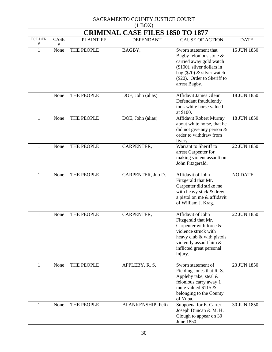| (11)<br><b>CRIMINAL CASE FILES 1850 TO 1877</b> |                  |                  |                           |                                                                                                                                                                                              |                |  |
|-------------------------------------------------|------------------|------------------|---------------------------|----------------------------------------------------------------------------------------------------------------------------------------------------------------------------------------------|----------------|--|
| <b>FOLDER</b><br>#                              | <b>CASE</b><br># | <b>PLAINTIFF</b> | <b>DEFENDANT</b>          | <b>CAUSE OF ACTION</b>                                                                                                                                                                       | <b>DATE</b>    |  |
| $\mathbf{1}$                                    | None             | THE PEOPLE       | BAGBY,                    | Sworn statement that<br>Bagby felonious stole &<br>carried away gold watch<br>$($100)$ , silver dollars in<br>bag (\$70) & silver watch<br>(\$20). Order to Sheriff to<br>arrest Bagby.      | 15 JUN 1850    |  |
| 1                                               | None             | THE PEOPLE       | DOE, John (alias)         | Affidavit James Glenn.<br>Defendant fraudulently<br>took white horse valued<br>at \$100.                                                                                                     | 18 JUN 1850    |  |
| 1                                               | None             | THE PEOPLE       | DOE, John (alias)         | Affidavit Robert Murray<br>about white horse, that he<br>did not give any person $&$<br>order to withdraw from<br>livery.                                                                    | 18 JUN 1850    |  |
| 1                                               | None             | THE PEOPLE       | CARPENTER,                | Warrant to Sheriff to<br>arrest Carpenter for<br>making violent assault on<br>John Fitzgerald.                                                                                               | 22 JUN 1850    |  |
| 1                                               | None             | THE PEOPLE       | CARPENTER, Jno D.         | Affidavit of John<br>Fitzgerald that Mr.<br>Carpenter did strike me<br>with heavy stick & drew<br>a pistol on me & affidavit<br>of William J. Krag.                                          | <b>NO DATE</b> |  |
| 1                                               | None             | THE PEOPLE       | CARPENTER,                | Affidavit of John<br>Fitzgerald that Mr.<br>Carpenter with force $\&$<br>violence struck with<br>heavy club & with pistols<br>violently assault him &<br>inflicted great personal<br>injury. | 22 JUN 1850    |  |
| 1                                               | None             | THE PEOPLE       | APPLEBY, R. S.            | Sworn statement of<br>Fielding Jones that R. S.<br>Appleby take, steal &<br>felonious carry away 1<br>mule valued \$115 $\&$<br>belonging to the County<br>of Yuba.                          | 23 JUN 1850    |  |
| 1                                               | None             | THE PEOPLE       | <b>BLANKENSHIP, Felix</b> | Subpoena for E. Carter,<br>Joseph Duncan & M. H.<br>Clough to appear on 30<br>June 1850.                                                                                                     | 30 JUN 1850    |  |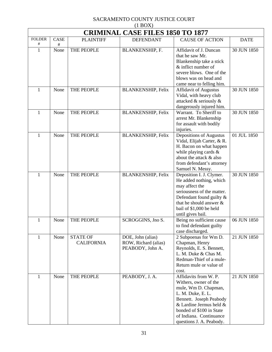| $(1$ BOX)                               |           |                                      |                                                               |                                                                                                                                                                                                                                      |             |  |  |
|-----------------------------------------|-----------|--------------------------------------|---------------------------------------------------------------|--------------------------------------------------------------------------------------------------------------------------------------------------------------------------------------------------------------------------------------|-------------|--|--|
| <b>CRIMINAL CASE FILES 1850 TO 1877</b> |           |                                      |                                                               |                                                                                                                                                                                                                                      |             |  |  |
| <b>FOLDER</b><br>#                      | CASE<br># | <b>PLAINTIFF</b>                     | <b>DEFENDANT</b>                                              | <b>CAUSE OF ACTION</b>                                                                                                                                                                                                               | <b>DATE</b> |  |  |
| $\mathbf{1}$                            | None      | THE PEOPLE                           | BLANKENSHIP, F.                                               | Affidavit of J. Duncan<br>that he saw Mr.<br>Blankenship take a stick<br>$&$ inflict number of<br>severe blows. One of the<br>blows was on head and<br>came near to felling him.                                                     | 30 JUN 1850 |  |  |
| $\mathbf{1}$                            | None      | THE PEOPLE                           | <b>BLANKENSHIP, Felix</b>                                     | <b>Affidavit of Augustus</b><br>Vidal, with heavy club<br>attacked & seriously &<br>dangerously injured him.                                                                                                                         | 30 JUN 1850 |  |  |
| $\mathbf{1}$                            | None      | THE PEOPLE                           | <b>BLANKENSHIP, Felix</b>                                     | Warrant. To Sheriff to<br>arrest Mr. Blankenship<br>for assault with bodily<br>injuries.                                                                                                                                             | 30 JUN 1850 |  |  |
| 1                                       | None      | THE PEOPLE                           | <b>BLANKENSHIP, Felix</b>                                     | Depositions of Augustus<br>Vidal, Elijah Carter, & R.<br>H. Bacon on what happen<br>while playing cards $\&$<br>about the attack & also<br>from defendant's attorney<br>Samuel N. Messy.                                             | 01 JUL 1850 |  |  |
| $\mathbf{1}$                            | None      | THE PEOPLE                           | <b>BLANKENSHIP, Felix</b>                                     | Deposition I. J. Clymer.<br>He added nothing, which<br>may affect the<br>seriousness of the matter.<br>Defendant found guilty &<br>that he should answer $\&$<br>bail of \$1,000 be held<br>until gives bail.                        | 30 JUN 1850 |  |  |
| 1                                       | None      | THE PEOPLE                           | SCROGGINS, Jno S.                                             | Being no sufficient cause<br>to find defendant guilty<br>case discharged.                                                                                                                                                            | 06 JUN 1850 |  |  |
| 1                                       | None      | <b>STATE OF</b><br><b>CALIFORNIA</b> | DOE, John (alias)<br>ROW, Richard (alias)<br>PEABODY, John A. | 2 Subpoenas for Wm D.<br>Chapman, Henry<br>Reynolds, E. S. Bennett,<br>L. M. Duke & Chas M.<br>Redman-Thief of a mule-<br>Return mule or value of<br>cost.                                                                           | 21 JUN 1850 |  |  |
| 1                                       | None      | THE PEOPLE                           | PEABODY, J. A.                                                | Affidavits from W. P.<br>Withers, owner of the<br>mule, Wm D. Chapman,<br>L. M. Duke, E. L.<br>Bennett. Joseph Peabody<br>& Lardine Jermus held &<br>bonded of \$100 in State<br>of Indiana. Continuance<br>questions J. A. Peabody. | 21 JUN 1850 |  |  |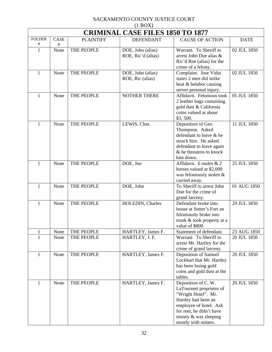| $(1 \text{D} \text{O} \Omega)$<br><b>CRIMINAL CASE FILES 1850 TO 1877</b> |             |                  |                     |                                                    |             |  |
|---------------------------------------------------------------------------|-------------|------------------|---------------------|----------------------------------------------------|-------------|--|
| <b>FOLDER</b>                                                             | <b>CASE</b> | <b>PLAINTIFF</b> | <b>DEFENDANT</b>    | <b>CAUSE OF ACTION</b>                             | <b>DATE</b> |  |
| $\#$                                                                      | #           |                  |                     |                                                    |             |  |
| $\mathbf{1}$                                                              | None        | THE PEOPLE       | DOE, John (alias)   | Warrant. To Sheriff to                             | 02 JUL 1850 |  |
|                                                                           |             |                  | ROE, Ric'd (alias)  | arrest John Doe alias &                            |             |  |
|                                                                           |             |                  |                     | Ric'd Roe (alias) for the                          |             |  |
| 1                                                                         | None        | THE PEOPLE       | DOE, John (alias)   | crime of a felony.<br>Complaint. Jose Vidat        | 02 JUL 1850 |  |
|                                                                           |             |                  | ROE, Ric (alias)    | states 2 men did strike                            |             |  |
|                                                                           |             |                  |                     | beat & belabor causing                             |             |  |
|                                                                           |             |                  |                     | server personal injury.                            |             |  |
| 1                                                                         | None        | THE PEOPLE       | <b>NOTHER THERE</b> | Affidavit. Felonious took                          | 05 JUL 1850 |  |
|                                                                           |             |                  |                     | 2 leather bags containing                          |             |  |
|                                                                           |             |                  |                     | gold dust & California                             |             |  |
|                                                                           |             |                  |                     | coins valued at about                              |             |  |
|                                                                           |             |                  |                     | \$3,500.                                           |             |  |
| 1                                                                         | None        | THE PEOPLE       | LEWIS, Chas         | Deposition of Geo                                  | 11 JUL 1850 |  |
|                                                                           |             |                  |                     | Thompson. Asked                                    |             |  |
|                                                                           |             |                  |                     | defendant to leave & he                            |             |  |
|                                                                           |             |                  |                     | struck him. He asked                               |             |  |
|                                                                           |             |                  |                     | defendant to leave again                           |             |  |
|                                                                           |             |                  |                     | & he threatens to knock<br>him down.               |             |  |
| 1                                                                         | None        | THE PEOPLE       | DOE, Jno            | Affidavit. 6 mules & 2                             | 25 JUL 1850 |  |
|                                                                           |             |                  |                     | horses valued at \$2,000                           |             |  |
|                                                                           |             |                  |                     | was feloniously stolen &                           |             |  |
|                                                                           |             |                  |                     | carried away.                                      |             |  |
| 1                                                                         | None        | THE PEOPLE       | DOE, John           | To Sheriff to arrest John                          | 01 AUG 1850 |  |
|                                                                           |             |                  |                     | Doe for the crime of                               |             |  |
|                                                                           |             |                  |                     | grand larceny.                                     |             |  |
| $\mathbf{1}$                                                              | None        | THE PEOPLE       | HOLEDIN, Charles    | Defendant broke into                               | 29 JUL 1850 |  |
|                                                                           |             |                  |                     | house at Sutter's Fort an                          |             |  |
|                                                                           |             |                  |                     | feloniously broke into                             |             |  |
|                                                                           |             |                  |                     | trunk & took property at a                         |             |  |
| 1                                                                         | None        | THE PEOPLE       | HARTLEY, James F.   | value of \$800.<br>Statement of defendant.         | 23 AUG 1850 |  |
| 1                                                                         | None        | THE PEOPLE       | HARTLEY, J. F.      | Warrant. To Sheriff to                             | 20 JUL 1850 |  |
|                                                                           |             |                  |                     | arrest Mr. Hartley for the                         |             |  |
|                                                                           |             |                  |                     | crime of grand larceny.                            |             |  |
| 1                                                                         | None        | THE PEOPLE       | HARTLEY, James F.   | Deposition of Samuel                               | 20 JUL 1850 |  |
|                                                                           |             |                  |                     | Lockhart that Mr. Hartley                          |             |  |
|                                                                           |             |                  |                     | has been losing gold                               |             |  |
|                                                                           |             |                  |                     | coins and gold dust at the                         |             |  |
|                                                                           |             |                  |                     | tables.                                            |             |  |
| 1                                                                         | None        | THE PEOPLE       | HARTLEY, James F.   | Deposition of C.W.                                 | 20 JUL 1850 |  |
|                                                                           |             |                  |                     | LaTournett proprietor of                           |             |  |
|                                                                           |             |                  |                     | "Wright Hotel". Mr.                                |             |  |
|                                                                           |             |                  |                     | Hartley had been an                                |             |  |
|                                                                           |             |                  |                     | employee of hotel. Ask<br>for rent, he didn't have |             |  |
|                                                                           |             |                  |                     | money & was sleeping                               |             |  |
|                                                                           |             |                  |                     | mostly with miners.                                |             |  |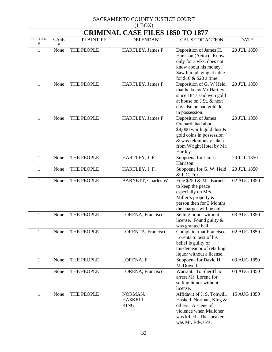| $(1 + 1)$<br><b>CRIMINAL CASE FILES 1850 TO 1877</b> |      |                  |                     |                                           |             |  |
|------------------------------------------------------|------|------------------|---------------------|-------------------------------------------|-------------|--|
| <b>FOLDER</b>                                        | CASE | <b>PLAINTIFF</b> | <b>DEFENDANT</b>    | <b>CAUSE OF ACTION</b>                    | <b>DATE</b> |  |
| #                                                    | #    |                  |                     |                                           |             |  |
| $\mathbf{1}$                                         | None | THE PEOPLE       | HARTLEY, James F.   | Deposition of James H.                    | 20 JUL 1850 |  |
|                                                      |      |                  |                     | Harrison (Actor). Know                    |             |  |
|                                                      |      |                  |                     | only for 3 wks, does not                  |             |  |
|                                                      |      |                  |                     | know about his money.                     |             |  |
|                                                      |      |                  |                     | Saw him playing at table                  |             |  |
|                                                      |      |                  |                     | for \$10 & \$20 a time.                   |             |  |
| 1                                                    | None | THE PEOPLE       | HARTLEY, James F.   | Deposition of G. W Held,                  | 20 JUL 1850 |  |
|                                                      |      |                  |                     | that he knew Mr Hartley                   |             |  |
|                                                      |      |                  |                     | since 1847 said won gold                  |             |  |
|                                                      |      |                  |                     | at house on J St. & next                  |             |  |
|                                                      |      |                  |                     | day also he had gold dust                 |             |  |
| 1                                                    | None | THE PEOPLE       | HARTLEY, James F.   | in possession.                            | 20 JUL 1850 |  |
|                                                      |      |                  |                     | Deposition of James<br>Orchard, had about |             |  |
|                                                      |      |                  |                     | \$8,000 worth gold dust &                 |             |  |
|                                                      |      |                  |                     | gold coins in possession                  |             |  |
|                                                      |      |                  |                     | & was feloniously taken                   |             |  |
|                                                      |      |                  |                     | from Wright Hotel by Mr.                  |             |  |
|                                                      |      |                  |                     | Hartley.                                  |             |  |
| 1                                                    | None | THE PEOPLE       | HARTLEY, J. F.      | Subpoena for James                        | 20 JUL 1850 |  |
|                                                      |      |                  |                     | Harrison.                                 |             |  |
| 1                                                    | None | THE PEOPLE       | HARTLEY, J. F.      | Subpoena for G. W. Held                   | 20 JUL 1850 |  |
|                                                      |      |                  |                     | & J. C. Fox.                              |             |  |
| 1                                                    | None | THE PEOPLE       | BARNETT, Charles W. | Fine \$250 & Mr. Barnett                  | 02 AUG 1850 |  |
|                                                      |      |                  |                     | to keep the peace                         |             |  |
|                                                      |      |                  |                     | especially on Mrs.                        |             |  |
|                                                      |      |                  |                     | Miller's property &                       |             |  |
|                                                      |      |                  |                     | person then for 3 Months                  |             |  |
|                                                      |      |                  |                     | the charges will be null.                 |             |  |
| 1                                                    | None | THE PEOPLE       | LORENA, Francisco   | Selling liquor without                    | 03 AUG 1850 |  |
|                                                      |      |                  |                     | license. Found guilty &                   |             |  |
|                                                      |      |                  |                     | was granted bail.                         |             |  |
| 1                                                    | None | THE PEOPLE       | LORENTA, Francisco  | <b>Complaint that Francisco</b>           | 02 AUG 1850 |  |
|                                                      |      |                  |                     | Lorenta to best of his                    |             |  |
|                                                      |      |                  |                     | belief is guilty of                       |             |  |
|                                                      |      |                  |                     | misdemeanor of retailing                  |             |  |
|                                                      |      |                  |                     | liquor without a license.                 |             |  |
| $\mathbf{1}$                                         | None | THE PEOPLE       | LORENA, F           | Subpoena for David H.<br>McDowell.        | 03 AUG 1850 |  |
| $\mathbf{1}$                                         | None | THE PEOPLE       | LORENA, Francisco   | Warrant. To Sheriff to                    | 03 AUG 1850 |  |
|                                                      |      |                  |                     | arrest Mr. Lorena for                     |             |  |
|                                                      |      |                  |                     | selling liquor without                    |             |  |
|                                                      |      |                  |                     | license.                                  |             |  |
| 1                                                    | None | THE PEOPLE       | NORMAN,             | Affidavit of J. S. Tohwill,               | 15 AUG 1850 |  |
|                                                      |      |                  | HASKELL,            | Haskell, Norman, King &                   |             |  |
|                                                      |      |                  | KING,               | others. A scene of                        |             |  |
|                                                      |      |                  |                     | violence when Malloner                    |             |  |
|                                                      |      |                  |                     | was killed. The speaker                   |             |  |
|                                                      |      |                  |                     | was Mr. Edwards.                          |             |  |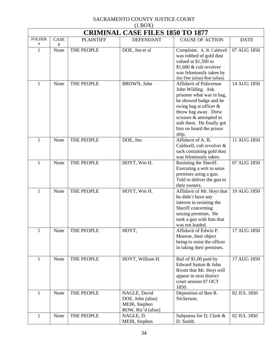| <b>CRIMINAL CASE FILES 1850 TO 1877</b> |             |                  |                                                                          |                                                                                                                                                                                                                                                  |             |  |
|-----------------------------------------|-------------|------------------|--------------------------------------------------------------------------|--------------------------------------------------------------------------------------------------------------------------------------------------------------------------------------------------------------------------------------------------|-------------|--|
| <b>FOLDER</b>                           | <b>CASE</b> | <b>PLAINTIFF</b> | <b>DEFENDANT</b>                                                         | <b>CAUSE OF ACTION</b>                                                                                                                                                                                                                           | <b>DATE</b> |  |
| #<br>$\mathbf{1}$                       | #<br>None   | THE PEOPLE       | DOE, Jno et al                                                           | Complaint. A. B. Caldwell<br>was robbed of gold dust<br>valued at \$1,500 to<br>$$1,600$ & colt revolver<br>was feloniously taken by<br>Jno Doe (alias) Roe (alias).                                                                             | 07 AUG 1850 |  |
| 1                                       | None        | THE PEOPLE       | BROWN, John                                                              | Affidavit of Policeman<br>John Wilding. Ask<br>prisoner what was in bag,<br>he showed badge and he<br>swing bag at officer &<br>throw bag away. Drew<br>scissors & attempted to<br>stab them. He finally got<br>him on board the prison<br>ship. | 14 AUG 1850 |  |
| $\mathbf{1}$                            | None        | THE PEOPLE       | DOE, Jno                                                                 | Affidavit of A. B.<br>Caldwell, colt revolver &<br>sack containing gold dust<br>was feloniously taken.                                                                                                                                           | 11 AUG 1850 |  |
| 1                                       | None        | THE PEOPLE       | HOYT, Wm H.                                                              | Resisting the Sheriff.<br>Executing a writ to seize<br>premises using a gun.<br>Told to deliver the gun to<br>their owners.                                                                                                                      | 07 AUG 1850 |  |
| $\mathbf{1}$                            | None        | THE PEOPLE       | HOYT, Wm H.                                                              | Affidavit of Mr. Hoyt that<br>he didn't have any<br>interest in resisting the<br>Sheriff concerning<br>seizing premises. He<br>took a gun with him that<br>was not loaded.                                                                       | 19 AUG 1850 |  |
| 1                                       | None        | THE PEOPLE       | HOYT,                                                                    | Affidavit of Edwin P.<br>Monroe, their object<br>being to resist the officer<br>in taking their premises.                                                                                                                                        | 17 AUG 1850 |  |
| 1                                       | None        | THE PEOPLE       | HOYT, William H.                                                         | Bail of \$1,00 paid by<br>Edward Sutton & John<br>Rivett that Mr. Hoyt will<br>appear in next district<br>court session 07 OCT<br>1850.                                                                                                          | 17 AUG 1850 |  |
| $\mathbf{1}$                            | None        | THE PEOPLE       | NAGLE, David<br>DOE, John (alias)<br>MEIR, Stephen<br>ROW, Ric'd (alias) | Deposition of Ben R.<br>Nickerson.                                                                                                                                                                                                               | 02 JUL 1850 |  |
| 1                                       | None        | THE PEOPLE       | NAGLE, D.<br>MEIR, Stephen                                               | Subpoena for D, Clark &<br>D. Smith.                                                                                                                                                                                                             | 02 JUL 1850 |  |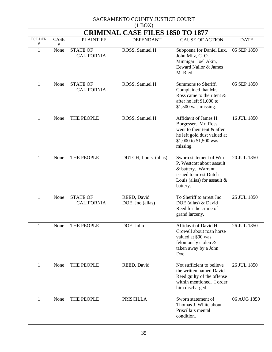| (1)<br><b>CRIMINAL CASE FILES 1850 TO 1877</b> |                  |                                      |                                 |                                                                                                                                                  |             |  |
|------------------------------------------------|------------------|--------------------------------------|---------------------------------|--------------------------------------------------------------------------------------------------------------------------------------------------|-------------|--|
| <b>FOLDER</b><br>#                             | <b>CASE</b><br># | <b>PLAINTIFF</b>                     | <b>DEFENDANT</b>                | <b>CAUSE OF ACTION</b>                                                                                                                           | <b>DATE</b> |  |
| $\mathbf{1}$                                   | None             | <b>STATE OF</b><br><b>CALIFORNIA</b> | ROSS, Samuel H.                 | Subpoena for Daniel Lux,<br>John Mitz, C.O.<br>Minnigar, Joel Akin,<br>Eeward Nailor & James<br>M. Ried.                                         | 05 SEP 1850 |  |
| 1                                              | None             | <b>STATE OF</b><br><b>CALIFORNIA</b> | ROSS, Samuel H.                 | Summons to Sheriff.<br>Complained that Mr.<br>Ross came to their tent $\&$<br>after he left \$1,000 to<br>$$1,500$ was missing.                  | 05 SEP 1850 |  |
| 1                                              | None             | THE PEOPLE                           | ROSS, Samuel H.                 | Affidavit of James H.<br>Borgesser. Mr. Ross<br>went to their tent & after<br>he left gold dust valued at<br>\$1,000 to \$1,500 was<br>missing.  | 16 JUL 1850 |  |
| $\mathbf{1}$                                   | None             | THE PEOPLE                           | DUTCH, Louis (alias)            | Sworn statement of Wm<br>P. Westcott about assault<br>& battery. Warrant<br>issued to arrest Dutch<br>Louis (alias) for assault $\&$<br>battery. | 20 JUL 1850 |  |
| $\mathbf{1}$                                   | None             | <b>STATE OF</b><br><b>CALIFORNIA</b> | REED, David<br>DOE, Jno (alias) | To Sheriff to arrest Jno<br>DOE (alias) & David<br>Reed for the crime of<br>grand larceny.                                                       | 25 JUL 1850 |  |
| 1                                              | None             | THE PEOPLE                           | DOE, John                       | Affidavit of David H.<br>Crowell about roan horse<br>valued at \$90 was<br>feloniously stolen &<br>taken away by a John<br>Doe.                  | 26 JUL 1850 |  |
| 1                                              | None             | THE PEOPLE                           | REED, David                     | Not sufficient to believe<br>the written named David<br>Reed guilty of the offense<br>within mentioned. I order<br>him discharged.               | 26 JUL 1850 |  |
| 1                                              | None             | THE PEOPLE                           | <b>PRISCILLA</b>                | Sworn statement of<br>Thomas J. White about<br>Priscilla's mental<br>condition.                                                                  | 06 AUG 1850 |  |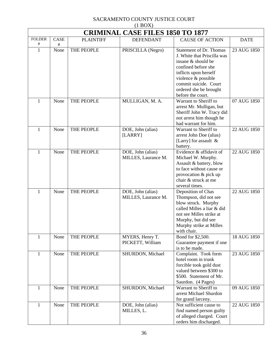| $(1 \text{D} \text{O} \Omega)$<br><b>CRIMINAL CASE FILES 1850 TO 1877</b> |           |                  |                                          |                                                                                                                                                                                                                                    |             |  |
|---------------------------------------------------------------------------|-----------|------------------|------------------------------------------|------------------------------------------------------------------------------------------------------------------------------------------------------------------------------------------------------------------------------------|-------------|--|
| <b>FOLDER</b>                                                             | CASE      | <b>PLAINTIFF</b> | <b>DEFENDANT</b>                         | <b>CAUSE OF ACTION</b>                                                                                                                                                                                                             | <b>DATE</b> |  |
| #<br>$\mathbf{1}$                                                         | #<br>None | THE PEOPLE       | PRISCILLA (Negro)                        | <b>Statement of Dr. Thomas</b><br>J. White that Priscilla was<br>insane & should be<br>confined before she<br>inflicts upon herself<br>violence & possible<br>commit suicide. Court<br>ordered she be brought<br>before the court. | 23 AUG 1850 |  |
| 1                                                                         | None      | THE PEOPLE       | MULLIGAN, M. A.                          | Warrant to Sheriff to<br>arrest Mr. Mulligan, but<br>Sheriff John W. Tracy did<br>not arrest him though he<br>had warrant for him.                                                                                                 | 07 AUG 1850 |  |
| $\mathbf{1}$                                                              | None      | THE PEOPLE       | DOE, John (alias)<br>[LARRY]             | Warrant to Sheriff to<br>arrest John Doe (alias)<br>[Larry] for assault &<br>battery.                                                                                                                                              | 22 AUG 1850 |  |
| $\mathbf{1}$                                                              | None      | THE PEOPLE       | DOE, John (alias)<br>MILLES, Laurance M. | Evidence & affidavit of<br>Michael W. Murphy.<br>Assault & battery, blow<br>to face without cause or<br>provocation & pick up<br>chair & struck at me<br>several times.                                                            | 22 AUG 1850 |  |
| $\mathbf{1}$                                                              | None      | THE PEOPLE       | DOE, John (alias)<br>MILLES, Laurance M. | Deposition of Chas<br>Thompson, did not see<br>blow struck. Murphy<br>called Milles a liar & did<br>not see Milles strike at<br>Murphy, but did see<br>Murphy strike at Milles<br>with chair.                                      | 22 AUG 1850 |  |
| $\mathbf{1}$                                                              | None      | THE PEOPLE       | MYERS, Henry T.<br>PICKETT, William      | Bond for \$2,500.<br>Guarantee payment if one<br>is to be made.                                                                                                                                                                    | 18 AUG 1850 |  |
| $\mathbf{1}$                                                              | None      | THE PEOPLE       | SHURDON, Michael                         | Complaint. Took form<br>hotel room in trunk<br>forcible took gold dust<br>valued between \$300 to<br>\$500. Statement of Mr.<br>Saurdon. (4 Pages)                                                                                 | 23 AUG 1850 |  |
| $\mathbf{1}$                                                              | None      | THE PEOPLE       | SHURDON, Michael                         | Warrant to Sheriff to<br>arrest Michael Shurdon<br>for grand larceny.                                                                                                                                                              | 09 AUG 1850 |  |
| 1                                                                         | None      | THE PEOPLE       | DOE, John (alias)<br>MILLES, L.          | Not sufficient cause to<br>find named person guilty<br>of alleged charged. Court<br>orders him discharged.                                                                                                                         | 22 AUG 1850 |  |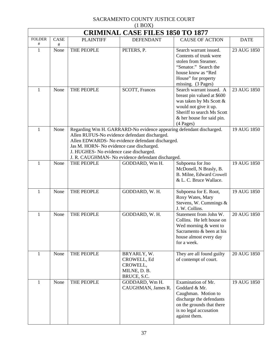|                   | <b>CRIMINAL CASE FILES 1850 TO 1877</b> |                                                                                                                                                                                                                                                                                                                       |                                                                       |                                                                                                                                                                                      |             |  |
|-------------------|-----------------------------------------|-----------------------------------------------------------------------------------------------------------------------------------------------------------------------------------------------------------------------------------------------------------------------------------------------------------------------|-----------------------------------------------------------------------|--------------------------------------------------------------------------------------------------------------------------------------------------------------------------------------|-------------|--|
| <b>FOLDER</b>     | CASE                                    | <b>PLAINTIFF</b>                                                                                                                                                                                                                                                                                                      | <b>DEFENDANT</b>                                                      | <b>CAUSE OF ACTION</b>                                                                                                                                                               | <b>DATE</b> |  |
| #<br>$\mathbf{1}$ | #<br>None                               | THE PEOPLE                                                                                                                                                                                                                                                                                                            | PETERS, P.                                                            | Search warrant issued.<br>Contents of trunk were<br>stolen from Steamer.<br>"Senator." Search the<br>house know as "Red<br>House" for property<br>missing. (3 Pages)                 | 23 AUG 1850 |  |
| 1                 | None                                    | THE PEOPLE                                                                                                                                                                                                                                                                                                            | SCOTT, Frances                                                        | Search warrant issued. A<br>breast pin valued at \$600<br>was taken by Ms Scott &<br>would not give it up.<br>Sheriff to search Ms Scott<br>& her house for said pin.<br>$(4$ Pages) | 23 AUG 1850 |  |
| $\mathbf{1}$      | None                                    | Regarding Wm H. GARRARD-No evidence appearing defendant discharged.<br>Allen RUFUS-No evidence defendant discharged.<br>Allen EDWARDS- No evidence defendant discharged.<br>Jas M. HORN- No evidence case discharged.<br>J. HUGHES- No evidence case discharged.<br>J. R. CAUGHMAN- No evidence defendant discharged. | 19 AUG 1850                                                           |                                                                                                                                                                                      |             |  |
| 1                 | None                                    | THE PEOPLE                                                                                                                                                                                                                                                                                                            | GODDARD, Wm H.                                                        | Subpoena for Jno<br>McDonell, N Brasly, B.<br>B. Milne, Edward Crowell<br>& L. C. Bruce Wallace.                                                                                     | 19 AUG 1850 |  |
| $\mathbf{1}$      | None                                    | THE PEOPLE                                                                                                                                                                                                                                                                                                            | GODDARD, W. H.                                                        | Subpoena for E. Root,<br>Roxy Wates, Mary<br>Stevens, W. Cummings &<br>J. W. Collins.                                                                                                | 19 AUG 1850 |  |
| 1                 | None                                    | THE PEOPLE                                                                                                                                                                                                                                                                                                            | GODDARD, W. H.                                                        | Statement from John W.<br>Collins. He left house on<br>Wed morning $&$ went to<br>Sacramento & been at his<br>house almost every day<br>for a week.                                  | 20 AUG 1850 |  |
| 1                 | None                                    | THE PEOPLE                                                                                                                                                                                                                                                                                                            | BRYARLY, W.<br>CROWELL, Ed<br>CROWELL,<br>MILNE, D. B.<br>BRUCE, S.C. | They are all found guilty<br>of contempt of court.                                                                                                                                   | 20 AUG 1850 |  |
| $\mathbf{1}$      | None                                    | THE PEOPLE                                                                                                                                                                                                                                                                                                            | GODDARD, Wm H.<br>CAUGHMAN, James R.                                  | Examination of Mr.<br>Goddard & Mr.<br>Caughman. Motion to<br>discharge the defendants<br>on the grounds that there<br>is no legal accusation<br>against them.                       | 19 AUG 1850 |  |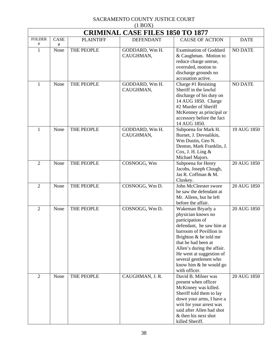| $(1 - 1)$<br><b>CRIMINAL CASE FILES 1850 TO 1877</b> |           |                  |                             |                                                                                                                                                                                                                                                                                                    |                |  |
|------------------------------------------------------|-----------|------------------|-----------------------------|----------------------------------------------------------------------------------------------------------------------------------------------------------------------------------------------------------------------------------------------------------------------------------------------------|----------------|--|
| <b>FOLDER</b><br>#                                   | CASE<br># | <b>PLAINTIFF</b> | <b>DEFENDANT</b>            | <b>CAUSE OF ACTION</b>                                                                                                                                                                                                                                                                             | <b>DATE</b>    |  |
| $\mathbf{1}$                                         | None      | THE PEOPLE       | GODDARD, Wm H.<br>CAUGHMAN, | <b>Examination of Goddard</b><br>& Caughman. Motion to<br>reduce charge untrue,<br>overruled, motion to<br>discharge grounds no<br>accusation active.                                                                                                                                              | <b>NO DATE</b> |  |
| 1                                                    | None      | THE PEOPLE       | GODDARD, Wm H.<br>CAUGHMAN, | Charge #1 Resisting<br>Sheriff in the lawful<br>discharge of his duty on<br>14 AUG 1850. Charge<br>#2 Murder of Sheriff<br>McKenney as principal or<br>accessory before the fact<br>14 AUG 1850.                                                                                                   | <b>NO DATE</b> |  |
| 1                                                    | None      | THE PEOPLE       | GODDARD, Wm H.<br>CAUGHMAN, | Subpoena for Mark H.<br>Burnet, J. Dovoalikin,<br>Wm Dustin, Geo N.<br>Denton, Mark Franklin, J.<br>Cox, J. H. Ling $&$<br>Michael Majors.                                                                                                                                                         | 19 AUG 1850    |  |
| $\overline{2}$                                       | None      | THE PEOPLE       | COSNOGG, Wm                 | Subpoena for Henry<br>Jacobs, Joseph Clough,<br>Jas R. Coffman & M.<br>Cluskey.                                                                                                                                                                                                                    | 20 AUG 1850    |  |
| $\overline{2}$                                       | None      | THE PEOPLE       | COSNOGG, Wm D.              | John McCleester swore<br>he saw the defendant at<br>Mr. Allens, but he left<br>before the affair.                                                                                                                                                                                                  | 20 AUG 1850    |  |
| $\overline{2}$                                       | None      | THE PEOPLE       | COSNOGG, Wm D.              | Wakeman Bryarly a<br>physician knows no<br>participation of<br>defendant, he saw him at<br>barroom of Povillion in<br>Brighton $&$ he told me<br>that he had been at<br>Allen's during the affair.<br>He went at suggestion of<br>several gentlemen who<br>know him & he would go<br>with officer. | 20 AUG 1850    |  |
| $\overline{2}$                                       | None      | THE PEOPLE       | CAUGHMAN, J. R.             | David B. Milner was<br>present when officer<br>McKinney was killed.<br>Sheriff told them to lay<br>down your arms, I have a<br>writ for your arrest was<br>said after Allen had shot<br>& then his next shot<br>killed Sheriff.                                                                    | 20 AUG 1850    |  |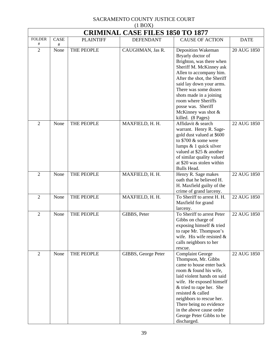| $(1 + 1)$<br><b>CRIMINAL CASE FILES 1850 TO 1877</b> |              |                  |                     |                                                                                                                                                                                                                                                                                                                                               |             |  |
|------------------------------------------------------|--------------|------------------|---------------------|-----------------------------------------------------------------------------------------------------------------------------------------------------------------------------------------------------------------------------------------------------------------------------------------------------------------------------------------------|-------------|--|
| <b>FOLDER</b><br>#                                   | CASE<br>$\#$ | <b>PLAINTIFF</b> | <b>DEFENDANT</b>    | <b>CAUSE OF ACTION</b>                                                                                                                                                                                                                                                                                                                        | <b>DATE</b> |  |
| $\overline{2}$                                       | None         | THE PEOPLE       | CAUGHMAN, Jas R.    | Deposition Wakeman<br>Bryarly doctor of<br>Brighton, was there when<br>Sheriff M. McKinney ask<br>Allen to accompany him.<br>After the shot, the Sheriff<br>said lay down your arms.<br>There was some dozen<br>shots made in a joining<br>room where Sheriffs<br>posse was. Sheriff<br>McKinney was shot $&$<br>killed. (8 Pages)            | 20 AUG 1850 |  |
| $\overline{2}$                                       | None         | THE PEOPLE       | MAXFIELD, H. H.     | Affidavit & search<br>warrant. Henry R. Sage-<br>gold dust valued at \$600<br>to $$700 \&$ some were<br>lumps $& 1$ quick silver<br>valued at \$25 & another<br>of similar quality valued<br>at \$20 was stolen within<br>Bulls Head.                                                                                                         | 22 AUG 1850 |  |
| $\overline{2}$                                       | None         | THE PEOPLE       | MAXFIELD, H. H.     | Henry R. Sage makes<br>oath that he believed H.<br>H. Maxfield guilty of the<br>crime of grand larceny.                                                                                                                                                                                                                                       | 22 AUG 1850 |  |
| $\overline{2}$                                       | None         | THE PEOPLE       | MAXFIELD, H. H.     | To Sheriff to arrest H. H.<br>Maxfield for grand<br>larceny.                                                                                                                                                                                                                                                                                  | 22 AUG 1850 |  |
| $\overline{2}$                                       | None         | THE PEOPLE       | GIBBS, Peter        | To Sheriff to arrest Peter<br>Gibbs on charge of<br>exposing himself & tried<br>to rape Mr. Thompson's<br>wife. His wife resisted $\&$<br>calls neighbors to her<br>rescue.                                                                                                                                                                   | 22 AUG 1850 |  |
| $\mathbf{2}$                                         | None         | THE PEOPLE       | GIBBS, George Peter | <b>Complaint George</b><br>Thompson, Mr. Gibbs<br>came to house enter back<br>room & found his wife,<br>laid violent hands on said<br>wife. He exposed himself<br>& tried to rape her. She<br>resisted & called<br>neighbors to rescue her.<br>There being no evidence<br>in the above cause order<br>George Peter Gibbs to be<br>discharged. | 22 AUG 1850 |  |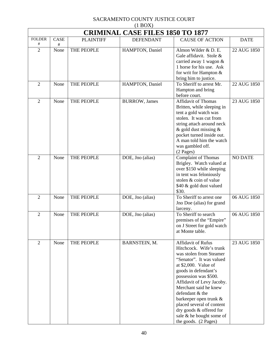|                     | $(1 + 1)$<br><b>CRIMINAL CASE FILES 1850 TO 1877</b> |                  |                       |                                                                                                                                                                                                                                                                                                                                                                                                |                |  |  |
|---------------------|------------------------------------------------------|------------------|-----------------------|------------------------------------------------------------------------------------------------------------------------------------------------------------------------------------------------------------------------------------------------------------------------------------------------------------------------------------------------------------------------------------------------|----------------|--|--|
| <b>FOLDER</b>       | CASE                                                 | <b>PLAINTIFF</b> | <b>DEFENDANT</b>      | <b>CAUSE OF ACTION</b>                                                                                                                                                                                                                                                                                                                                                                         | <b>DATE</b>    |  |  |
| #<br>$\overline{2}$ | #<br>None                                            | THE PEOPLE       | HAMPTON, Daniel       | Almon Wilder & D. E.<br>Gale affidavit. Stole &<br>carried away 1 wagon &<br>1 horse for his use. Ask<br>for writ for Hampton &<br>bring him to justice.                                                                                                                                                                                                                                       | 22 AUG 1850    |  |  |
| $\overline{2}$      | None                                                 | THE PEOPLE       | HAMPTON, Daniel       | To Sheriff to arrest Mr.<br>Hampton and bring<br>before court.                                                                                                                                                                                                                                                                                                                                 | 22 AUG 1850    |  |  |
| $\overline{2}$      | None                                                 | THE PEOPLE       | <b>BURROW</b> , James | Affidavit of Thomas<br>Britten, while sleeping in<br>tent a gold watch was<br>stolen. It was cut from<br>string attach around neck<br>$&$ gold dust missing $&$<br>pocket turned inside out.<br>A man told him the watch<br>was gambled off.<br>(2 Pages)                                                                                                                                      | 23 AUG 1850    |  |  |
| $\overline{2}$      | None                                                 | THE PEOPLE       | DOE, Jno (alias)      | <b>Complaint of Thomas</b><br>Brigley. Watch valued at<br>over \$150 while sleeping<br>in tent was feloniously<br>stolen & coin of value<br>\$40 & gold dust valued<br>\$30.                                                                                                                                                                                                                   | <b>NO DATE</b> |  |  |
| $\overline{2}$      | None                                                 | THE PEOPLE       | DOE, Jno (alias)      | To Sheriff to arrest one<br>Jno Doe (alias) for grand<br>larceny.                                                                                                                                                                                                                                                                                                                              | 06 AUG 1850    |  |  |
| $\overline{2}$      | None                                                 | THE PEOPLE       | DOE, Jno (alias)      | To Sheriff to search<br>premises of the "Empire"<br>on J Street for gold watch<br>at Monte table.                                                                                                                                                                                                                                                                                              | 06 AUG 1850    |  |  |
| $\overline{2}$      | None                                                 | THE PEOPLE       | BARNSTEIN, M.         | Affidavit of Rufus<br>Hitchcock. Wife's trunk<br>was stolen from Steamer<br>"Senator". It was valued<br>at $$2,000$ . Value of<br>goods in defendant's<br>possession was \$500.<br>Affidavit of Levy Jacoby.<br>Merchant said he knew<br>defendant & the<br>barkeeper open trunk &<br>placed several of content<br>dry goods & offered for<br>sale & he bought some of<br>the goods. (2 Pages) | 23 AUG 1850    |  |  |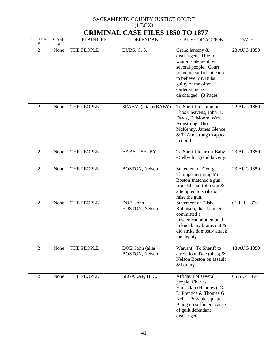|                    | $(1 + 1)$<br><b>CRIMINAL CASE FILES 1850 TO 1877</b> |                  |                                            |                                                                                                                                                                                                                |             |  |  |
|--------------------|------------------------------------------------------|------------------|--------------------------------------------|----------------------------------------------------------------------------------------------------------------------------------------------------------------------------------------------------------------|-------------|--|--|
| <b>FOLDER</b><br># | CASE<br>$\#$                                         | <b>PLAINTIFF</b> | <b>DEFENDANT</b>                           | <b>CAUSE OF ACTION</b>                                                                                                                                                                                         | <b>DATE</b> |  |  |
| $\overline{2}$     | None                                                 | THE PEOPLE       | BUBS, C. S.                                | Grand larceny &<br>discharged. Thief of<br>wagon statement by<br>several people. Court<br>found no sufficient cause<br>to believe Mr. Bubs<br>guilty of the offense.<br>Ordered he be<br>discharged. (3 Pages) | 23 AUG 1850 |  |  |
| $\overline{2}$     | None                                                 | THE PEOPLE       | SEABY, (alias) (BABY)                      | To Sheriff to summons<br>Thos Cleavens, John H.<br>Davis, D. Moore, Wm<br>Armstrong, Thos<br>McKenny, James Glence<br>& T. Armstrong to appear<br>in court.                                                    | 22 AUG 1850 |  |  |
| $\overline{2}$     | None                                                 | THE PEOPLE       | <b>BABY-SELBY</b>                          | To Sheriff to arrest Baby<br>- Selby for grand larceny.                                                                                                                                                        | 23 AUG 1850 |  |  |
| $\overline{2}$     | None                                                 | THE PEOPLE       | <b>BOSTON</b> , Nelson                     | <b>Statement of George</b><br>Thompson stating Mr.<br>Boston snatched a gun<br>from Elisha Robinson &<br>attempted to strike or<br>raise the gun.                                                              | 23 AUG 1850 |  |  |
| $\overline{2}$     | None                                                 | THE PEOPLE       | DOE, John<br>BOSTON, Nelson                | <b>Statement of Elisha</b><br>Robinson, that John Doe<br>committed a<br>misdemeanor attempted<br>to knock my brains out $\&$<br>did strike & mostly attack<br>the deputy.                                      | 01 JUL 1850 |  |  |
| $\overline{2}$     | None                                                 | THE PEOPLE       | DOE, John (alias)<br><b>BOSTON, Nelson</b> | Warrant. To Sheriff to<br>arrest John Doe (alias) $\&$<br>Nelson Boston on assault<br>& battery.                                                                                                               | 18 AUG 1850 |  |  |
| 2                  | None                                                 | THE PEOPLE       | SEGALAP, H.C.                              | Affidavit of several<br>people, Charles<br>Hansickin (Hendley), G.<br>L. Prentice & Thomas G.<br>Kells. Possible squatter.<br>Being no sufficient cause<br>of guilt defendant<br>discharged.                   | 05 SEP 1850 |  |  |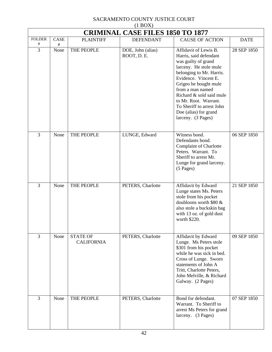|                    | <b>CRIMINAL CASE FILES 1850 TO 1877</b> |                                      |                                  |                                                                                                                                                                                                                                                                                                                                    |             |  |
|--------------------|-----------------------------------------|--------------------------------------|----------------------------------|------------------------------------------------------------------------------------------------------------------------------------------------------------------------------------------------------------------------------------------------------------------------------------------------------------------------------------|-------------|--|
| <b>FOLDER</b><br># | CASE<br>$\#$                            | <b>PLAINTIFF</b>                     | <b>DEFENDANT</b>                 | <b>CAUSE OF ACTION</b>                                                                                                                                                                                                                                                                                                             | <b>DATE</b> |  |
| $\overline{3}$     | None                                    | THE PEOPLE                           | DOE, John (alias)<br>ROOT, D. E. | Affidavit of Lewis B.<br>Harris, said defendant<br>was guilty of grand<br>larceny. He stole mule<br>belonging to Mr. Harris.<br>Evidence. Vincent E.<br>Grigeo he bought mule<br>from a man named<br>Richard & sold said mule<br>to Mr. Root. Warrant.<br>To Sheriff to arrest John<br>Doe (alias) for grand<br>larceny. (3 Pages) | 28 SEP 1850 |  |
| 3                  | None                                    | THE PEOPLE                           | LUNGE, Edward                    | Witness bond.<br>Defendants bond.<br><b>Complaint of Charlotte</b><br>Peters. Warrant. To<br>Sheriff to arrest Mr.<br>Lunge for grand larceny.<br>(5 Pages)                                                                                                                                                                        | 06 SEP 1850 |  |
| 3                  | None                                    | THE PEOPLE                           | PETERS, Charlotte                | Affidavit by Edward<br>Lunge states Ms. Peters<br>stole from his pocket<br>doubloons worth \$80 &<br>also stole a buckskin bag<br>with 13 oz. of gold dust<br>worth \$220.                                                                                                                                                         | 21 SEP 1850 |  |
| 3                  | None                                    | <b>STATE OF</b><br><b>CALIFORNIA</b> | PETERS, Charlotte                | Affidavit by Edward<br>Lunge. Ms Peters stole<br>\$301 from his pocket<br>while he was sick in bed.<br>Cross of Lunge. Sworn<br>statements of John A<br>Tritt, Charlotte Peters,<br>John Melville, & Richard<br>Galway. (2 Pages)                                                                                                  | 09 SEP 1850 |  |
| $\overline{3}$     | None                                    | THE PEOPLE                           | PETERS, Charlotte                | Bond for defendant.<br>Warrant. To Sheriff to<br>arrest Ms Peters for grand<br>larceny. (3 Pages)                                                                                                                                                                                                                                  | 07 SEP 1850 |  |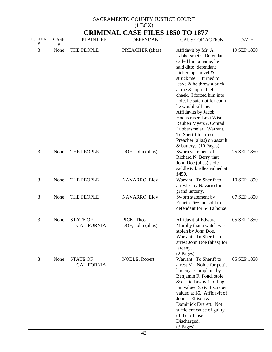| <b>CRIMINAL CASE FILES 1850 TO 1877</b> |           |                                      |                                 |                                                                                                                                                                                                                                                                                                                                                                                                                  |             |
|-----------------------------------------|-----------|--------------------------------------|---------------------------------|------------------------------------------------------------------------------------------------------------------------------------------------------------------------------------------------------------------------------------------------------------------------------------------------------------------------------------------------------------------------------------------------------------------|-------------|
| <b>FOLDER</b>                           | CASE      | <b>PLAINTIFF</b>                     | <b>DEFENDANT</b>                | <b>CAUSE OF ACTION</b>                                                                                                                                                                                                                                                                                                                                                                                           | <b>DATE</b> |
| #<br>$\overline{3}$                     | #<br>None | THE PEOPLE                           | PREACHER (alias)                | Affidavit by Mr. A.<br>Labbersmeir. Defendant<br>called him a name, he<br>said ditto, defendant<br>picked up shovel &<br>struck me. I turned to<br>leave & he threw a brick<br>at me & injured left<br>cheek. I forced him into<br>hole, he said not for court<br>he would kill me.<br>Affidavits by Jacob<br>Hochstraser, Levi Wise,<br>Reuben Myers & Conrad<br>Lubbersmeier. Warrant.<br>To Sheriff to arrest | 19 SEP 1850 |
| 3                                       | None      | THE PEOPLE                           | DOE, John (alias)               | Preacher (alias) on assault<br>& battery. (10 Pages)<br>Sworn statement of<br>Richard N. Berry that<br>John Doe (alias) stole                                                                                                                                                                                                                                                                                    | 25 SEP 1850 |
|                                         |           |                                      |                                 | saddle & bridles valued at<br>\$450.                                                                                                                                                                                                                                                                                                                                                                             |             |
| 3                                       | None      | THE PEOPLE                           | NAVARRO, Eloy                   | Warrant. To Sheriff to<br>arrest Eloy Navarro for<br>grand larceny.                                                                                                                                                                                                                                                                                                                                              | 10 SEP 1850 |
| 3                                       | None      | THE PEOPLE                           | NAVARRO, Eloy                   | Sworn statement by<br>Enacio Pizzano sold to<br>defendant for \$48 a horse.                                                                                                                                                                                                                                                                                                                                      | 07 SEP 1850 |
| 3                                       | None      | <b>STATE OF</b><br><b>CALIFORNIA</b> | PICK, Thos<br>DOE, John (alias) | Affidavit of Edward<br>Murphy that a watch was<br>stolen by John Doe.<br>Warrant. To Sheriff to<br>arrest John Doe (alias) for<br>larceny.<br>(2 Pages)                                                                                                                                                                                                                                                          | 05 SEP 1850 |
| 3                                       | None      | <b>STATE OF</b><br><b>CALIFORNIA</b> | NOBLE, Robert                   | Warrant. To Sheriff to<br>arrest Mr. Noble for pettit<br>larceny. Complaint by<br>Benjamin F. Pond, stole<br>& carried away 1 rolling<br>pin valued $$5 \& 1 \text{ screen}$<br>valued at \$5. Affidavit of<br>John J. Ellison &<br>Dominick Everett. Not<br>sufficient cause of guilty<br>of the offense.<br>Discharged.<br>$(3$ Pages)                                                                         | 05 SEP 1850 |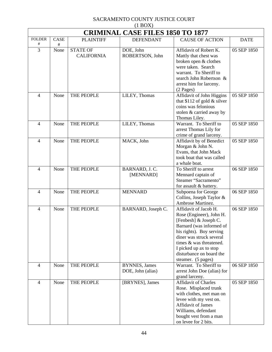| (1)<br><b>CRIMINAL CASE FILES 1850 TO 1877</b> |             |                   |                       |                                                     |             |  |
|------------------------------------------------|-------------|-------------------|-----------------------|-----------------------------------------------------|-------------|--|
| <b>FOLDER</b>                                  | <b>CASE</b> | <b>PLAINTIFF</b>  | <b>DEFENDANT</b>      | <b>CAUSE OF ACTION</b>                              | <b>DATE</b> |  |
| #                                              | $\#$        |                   |                       |                                                     |             |  |
| 3                                              | None        | <b>STATE OF</b>   | DOE, John             | Affidavit of Robert K.                              | 05 SEP 1850 |  |
|                                                |             | <b>CALIFORNIA</b> | ROBERTSON, John       | Mattly that chest was                               |             |  |
|                                                |             |                   |                       | broken open & clothes<br>were taken. Search         |             |  |
|                                                |             |                   |                       | warrant. To Sheriff to                              |             |  |
|                                                |             |                   |                       | search John Robertson &                             |             |  |
|                                                |             |                   |                       | arrest him for larceny.                             |             |  |
|                                                |             |                   |                       | (2 Pages)                                           |             |  |
| $\overline{4}$                                 | None        | THE PEOPLE        | LILEY, Thomas         | Affidavit of John Higgins                           | 05 SEP 1850 |  |
|                                                |             |                   |                       | that \$112 of gold $\&$ silver                      |             |  |
|                                                |             |                   |                       | coins was felonious                                 |             |  |
|                                                |             |                   |                       | stolen & carried away by                            |             |  |
|                                                |             |                   |                       | Thomas Liley.                                       |             |  |
| $\overline{4}$                                 | None        | THE PEOPLE        | LILEY, Thomas         | Warrant. To Sheriff to                              | 05 SEP 1850 |  |
|                                                |             |                   |                       | arrest Thomas Lily for                              |             |  |
|                                                |             |                   |                       | crime of grand larceny.                             |             |  |
| $\overline{4}$                                 | None        | THE PEOPLE        | MACK, John            | Affidavit by of Benedict<br>Morgan & John N.        | 05 SEP 1850 |  |
|                                                |             |                   |                       | Evans, that John Mack                               |             |  |
|                                                |             |                   |                       | took boat that was called                           |             |  |
|                                                |             |                   |                       | a whale boat.                                       |             |  |
| $\overline{4}$                                 | None        | THE PEOPLE        | BARNARD, J.C.         | To Sheriff to arrest                                | 06 SEP 1850 |  |
|                                                |             |                   | [MENNARD]             | Mennard captain of                                  |             |  |
|                                                |             |                   |                       | Steamer "Sacramento"                                |             |  |
|                                                |             |                   |                       | for assault & battery.                              |             |  |
| $\overline{4}$                                 | None        | THE PEOPLE        | <b>MENNARD</b>        | Subpoena for George                                 | 06 SEP 1850 |  |
|                                                |             |                   |                       | Collins, Joseph Taylor &                            |             |  |
|                                                |             |                   |                       | Ambrose Martinez.                                   |             |  |
| $\overline{4}$                                 | None        | THE PEOPLE        | BARNARD, Joseph C.    | Affidavit of Jacob H.                               | 06 SEP 1850 |  |
|                                                |             |                   |                       | Rose (Engineer), John H.                            |             |  |
|                                                |             |                   |                       | [Fenbesh] & Joseph C.<br>Barnard (was informed of   |             |  |
|                                                |             |                   |                       | his rights). Boy serving                            |             |  |
|                                                |             |                   |                       | diner was struck several                            |             |  |
|                                                |             |                   |                       | times & was threatened.                             |             |  |
|                                                |             |                   |                       | I picked up ax to stop                              |             |  |
|                                                |             |                   |                       | disturbance on board the                            |             |  |
|                                                |             |                   |                       | steamer. (5 pages)                                  |             |  |
| $\overline{4}$                                 | None        | THE PEOPLE        | <b>BYNNES</b> , James | Warrant. To Sheriff to                              | 06 SEP 1850 |  |
|                                                |             |                   | DOE, John (alias)     | arrest John Doe (alias) for                         |             |  |
|                                                |             |                   |                       | grand larceny.                                      |             |  |
| $\overline{4}$                                 | None        | THE PEOPLE        | [BRYNES], James       | <b>Affidavit of Charles</b>                         | 05 SEP 1850 |  |
|                                                |             |                   |                       | Rose. Misplaced trunk                               |             |  |
|                                                |             |                   |                       | with clothes, met man on                            |             |  |
|                                                |             |                   |                       | levee with my vest on.<br><b>Affidavit of James</b> |             |  |
|                                                |             |                   |                       | Williams, defendant                                 |             |  |
|                                                |             |                   |                       | bought vest from a man                              |             |  |
|                                                |             |                   |                       | on levee for 2 bits.                                |             |  |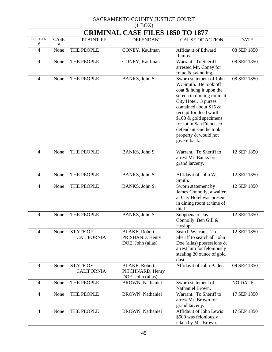| $(1 \text{D}01)$<br><b>CRIMINAL CASE FILES 1850 TO 1877</b> |              |                                      |                                                               |                                                                                                                                                                                                                                                                                                                 |                |  |  |
|-------------------------------------------------------------|--------------|--------------------------------------|---------------------------------------------------------------|-----------------------------------------------------------------------------------------------------------------------------------------------------------------------------------------------------------------------------------------------------------------------------------------------------------------|----------------|--|--|
| <b>FOLDER</b>                                               | <b>CASE</b>  | <b>PLAINTIFF</b>                     | <b>DEFENDANT</b>                                              | <b>CAUSE OF ACTION</b>                                                                                                                                                                                                                                                                                          | <b>DATE</b>    |  |  |
| #<br>$\overline{4}$                                         | $\#$<br>None | THE PEOPLE                           | CONEY, Kaufman                                                | Affidavit of Edward<br>Ramos.                                                                                                                                                                                                                                                                                   | 08 SEP 1850    |  |  |
| 4                                                           | None         | THE PEOPLE                           | CONEY, Kaufman                                                | Warrant. To Sheriff<br>arrested Mr. Coney for<br>fraud & swindling.                                                                                                                                                                                                                                             | 08 SEP 1850    |  |  |
| 4                                                           | None         | THE PEOPLE                           | BANKS, John S.                                                | Sworn statement of John<br>W. Smith. He took off<br>coat & hung it upon the<br>screen in dinning room at<br>City Hotel. 3 purses<br>contained about \$15 &<br>receipt for deed worth<br>$$100 \&$ gold specimens<br>for lot in San Francisco<br>defendant said he took<br>property & would not<br>give it back. | 08 SEP 1850    |  |  |
| 4                                                           | None         | THE PEOPLE                           | BANKS, John S.                                                | Warrant. To Sheriff to<br>arrest Mr. Banks for<br>grand larceny.                                                                                                                                                                                                                                                | 12 SEP 1850    |  |  |
| 4                                                           | None         | THE PEOPLE                           | BANKS, John S.                                                | Affidavit of John W.<br>Smith.                                                                                                                                                                                                                                                                                  | 12 SEP 1850    |  |  |
| $\overline{4}$                                              | None         | THE PEOPLE                           | BANKS, John S.                                                | Sworn statement by<br>James Connolly, a waiter<br>at City Hotel was present<br>in dining room at time of<br>thief.                                                                                                                                                                                              | 12 SEP 1850    |  |  |
| 4                                                           | None         | THE PEOPLE                           | BANKS, John S.                                                | Subpoena of Jas<br>Connolly, Ben Gill &<br>Hyslop.                                                                                                                                                                                                                                                              | 12 SEP 1850    |  |  |
| $\overline{4}$                                              | None         | <b>STATE OF</b><br><b>CALIFORNIA</b> | <b>BLAKE, Robert</b><br>PRISHAND, Henry<br>DOE, John (alias)  | Search Warrant. To<br>Sheriff to search all John<br>Doe (alias) possessions $\&$<br>arrest him for feloniously<br>stealing 20 ounce of gold<br>dust.                                                                                                                                                            | 12 SEP 1850    |  |  |
| $\overline{4}$                                              | None         | <b>STATE OF</b><br><b>CALIFORNIA</b> | <b>BLAKE, Robert</b><br>PITCHNARD, Henry<br>DOE, John (alias) | Affidavit of John Bader.                                                                                                                                                                                                                                                                                        | 09 SEP 1850    |  |  |
| $\overline{4}$                                              | None         | THE PEOPLE                           | <b>BROWN</b> , Nathaniel                                      | Sworn statement of<br>Nathaniel Brown.                                                                                                                                                                                                                                                                          | <b>NO DATE</b> |  |  |
| $\overline{4}$                                              | None         | THE PEOPLE                           | <b>BROWN</b> , Nathaniel                                      | Warrant. To Sheriff to<br>arrest Mr. Brown for<br>grand larceny.                                                                                                                                                                                                                                                | 17 SEP 1850    |  |  |
| $\overline{4}$                                              | None         | THE PEOPLE                           | <b>BROWN</b> , Nathaniel                                      | Affidavit of John Lewis<br>\$500 was feloniously<br>taken by Mr. Brown.                                                                                                                                                                                                                                         | 17 SEP 1850    |  |  |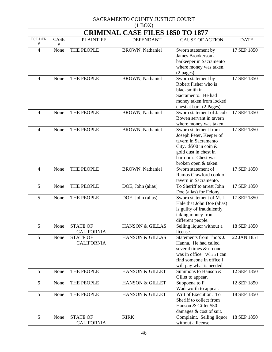|                | $(1 \text{D} \text{O} \Omega)$<br><b>CRIMINAL CASE FILES 1850 TO 1877</b> |                   |                            |                                        |             |  |  |
|----------------|---------------------------------------------------------------------------|-------------------|----------------------------|----------------------------------------|-------------|--|--|
| <b>FOLDER</b>  | CASE                                                                      | <b>PLAINTIFF</b>  | <b>DEFENDANT</b>           | <b>CAUSE OF ACTION</b>                 | <b>DATE</b> |  |  |
| #              | #                                                                         |                   |                            |                                        |             |  |  |
| $\overline{4}$ | None                                                                      | THE PEOPLE        | BROWN, Nathaniel           | Sworn statement by                     | 17 SEP 1850 |  |  |
|                |                                                                           |                   |                            | James Brookerson a                     |             |  |  |
|                |                                                                           |                   |                            | barkeeper in Sacramento                |             |  |  |
|                |                                                                           |                   |                            | where money was taken.                 |             |  |  |
|                |                                                                           |                   |                            | $(2$ pages)                            |             |  |  |
| 4              | None                                                                      | THE PEOPLE        | <b>BROWN</b> , Nathaniel   | Sworn statement by                     | 17 SEP 1850 |  |  |
|                |                                                                           |                   |                            | Robert Fisher who is                   |             |  |  |
|                |                                                                           |                   |                            | blacksmith in                          |             |  |  |
|                |                                                                           |                   |                            | Sacramento. He had                     |             |  |  |
|                |                                                                           |                   |                            | money taken from locked                |             |  |  |
|                |                                                                           |                   |                            | chest at bar. (2 Pages)                |             |  |  |
| 4              | None                                                                      | THE PEOPLE        | <b>BROWN</b> , Nathaniel   | Sworn statement of Jacob               | 17 SEP 1850 |  |  |
|                |                                                                           |                   |                            | Bowen servant in tavern                |             |  |  |
|                |                                                                           |                   |                            | where money was taken.                 |             |  |  |
| 4              | None                                                                      | THE PEOPLE        | <b>BROWN</b> , Nathaniel   | Sworn statement from                   | 17 SEP 1850 |  |  |
|                |                                                                           |                   |                            | Joseph Peter, Keeper of                |             |  |  |
|                |                                                                           |                   |                            | tavern in Sacramento                   |             |  |  |
|                |                                                                           |                   |                            | City. $$500$ in coin &                 |             |  |  |
|                |                                                                           |                   |                            | gold dust in chest in                  |             |  |  |
|                |                                                                           |                   |                            | barroom. Chest was                     |             |  |  |
|                |                                                                           |                   |                            | broken open & taken.                   |             |  |  |
| 4              | None                                                                      | THE PEOPLE        | <b>BROWN</b> , Nathaniel   | Sworn statement of                     | 17 SEP 1850 |  |  |
|                |                                                                           |                   |                            | Ramos Crawford cook of                 |             |  |  |
|                |                                                                           |                   |                            | tavern in Sacramento.                  |             |  |  |
| 5              | None                                                                      | THE PEOPLE        | DOE, John (alias)          | To Sheriff to arrest John              | 17 SEP 1850 |  |  |
|                |                                                                           |                   |                            | Doe (alias) for Felony.                |             |  |  |
| 5              | None                                                                      | THE PEOPLE        | DOE, John (alias)          | Sworn statement of M.L.                | 17 SEP 1850 |  |  |
|                |                                                                           |                   |                            | Hale that John Doe (alias)             |             |  |  |
|                |                                                                           |                   |                            | is guilty of fraudulently              |             |  |  |
|                |                                                                           |                   |                            | taking money from<br>different people. |             |  |  |
| 5              | None                                                                      | <b>STATE OF</b>   | <b>HANSON &amp; GILLAS</b> | Selling liquor without a               | 18 SEP 1850 |  |  |
|                |                                                                           | <b>CALIFORNIA</b> |                            | license.                               |             |  |  |
| 5              | None                                                                      | <b>STATE OF</b>   | <b>HANSON &amp; GILLAS</b> | Statements from Tho's J.               | 22 JAN 1851 |  |  |
|                |                                                                           | <b>CALIFORNIA</b> |                            | Hanna. He had called                   |             |  |  |
|                |                                                                           |                   |                            | several times & no one                 |             |  |  |
|                |                                                                           |                   |                            | was in office. When I can              |             |  |  |
|                |                                                                           |                   |                            | find someone in office I               |             |  |  |
|                |                                                                           |                   |                            | will pay what is needed.               |             |  |  |
| 5              | None                                                                      | THE PEOPLE        | <b>HANSON &amp; GILLET</b> | Summons to Hanson &                    | 12 SEP 1850 |  |  |
|                |                                                                           |                   |                            | Gillet to appear.                      |             |  |  |
| 5              | None                                                                      | THE PEOPLE        | HANSON & GILLET            | Subpoena to F.                         | 12 SEP 1850 |  |  |
|                |                                                                           |                   |                            | Wadsworth to appear.                   |             |  |  |
| 5              | None                                                                      | THE PEOPLE        | <b>HANSON &amp; GILLET</b> | Writ of Execution. To                  | 18 SEP 1850 |  |  |
|                |                                                                           |                   |                            | Sheriff to collect from                |             |  |  |
|                |                                                                           |                   |                            | Hanson & Gillet \$50                   |             |  |  |
|                |                                                                           |                   |                            | damages & cost of suit.                |             |  |  |
| 5              | None                                                                      | <b>STATE OF</b>   | <b>KIRK</b>                | Complaint. Selling liquor              | 18 SEP 1850 |  |  |
|                |                                                                           | <b>CALIFORNIA</b> |                            | without a license.                     |             |  |  |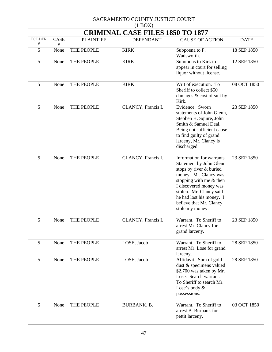| $(1 \text{D}0)$<br><b>CRIMINAL CASE FILES 1850 TO 1877</b> |                  |                  |                    |                                                                                                                                                                                                                                                                    |             |  |
|------------------------------------------------------------|------------------|------------------|--------------------|--------------------------------------------------------------------------------------------------------------------------------------------------------------------------------------------------------------------------------------------------------------------|-------------|--|
| <b>FOLDER</b><br>$^{\#}$                                   | <b>CASE</b><br># | <b>PLAINTIFF</b> | <b>DEFENDANT</b>   | <b>CAUSE OF ACTION</b>                                                                                                                                                                                                                                             | <b>DATE</b> |  |
| 5                                                          | None             | THE PEOPLE       | <b>KIRK</b>        | Subpoena to F.<br>Wadsworth.                                                                                                                                                                                                                                       | 18 SEP 1850 |  |
| 5                                                          | None             | THE PEOPLE       | <b>KIRK</b>        | Summons to Kirk to<br>appear in court for selling<br>liquor without license.                                                                                                                                                                                       | 12 SEP 1850 |  |
| 5                                                          | None             | THE PEOPLE       | <b>KIRK</b>        | Writ of execution. To<br>Sheriff to collect \$50<br>damages $& cost of suit by$<br>Kirk.                                                                                                                                                                           | 08 OCT 1850 |  |
| 5                                                          | None             | THE PEOPLE       | CLANCY, Francis I. | Evidence. Sworn<br>statements of John Glenn,<br>Stephen H. Squire, John<br>Smith & Samuel Deal.<br>Being not sufficient cause<br>to find guilty of grand<br>larceny, Mr. Clancy is<br>discharged.                                                                  | 23 SEP 1850 |  |
| 5                                                          | None             | THE PEOPLE       | CLANCY, Francis I. | Information for warrants.<br>Statement by John Glenn<br>stops by river & buried<br>money. Mr. Clancy was<br>stopping with me & then<br>I discovered money was<br>stolen. Mr. Clancy said<br>he had lost his money. I<br>believe that Mr. Clancy<br>stole my money. | 23 SEP 1850 |  |
| 5                                                          | None             | THE PEOPLE       | CLANCY, Francis I. | Warrant. To Sheriff to<br>arrest Mr. Clancy for<br>grand larceny.                                                                                                                                                                                                  | 23 SEP 1850 |  |
| 5                                                          | None             | THE PEOPLE       | LOSE, Jacob        | Warrant. To Sheriff to<br>arrest Mr. Lose for grand<br>larceny.                                                                                                                                                                                                    | 28 SEP 1850 |  |
| 5                                                          | None             | THE PEOPLE       | LOSE, Jacob        | Affidavit. Sum of gold<br>dust & specimens valued<br>\$2,700 was taken by Mr.<br>Lose. Search warrant.<br>To Sheriff to search Mr.<br>Lose's body &<br>possessions.                                                                                                | 28 SEP 1850 |  |
| 5                                                          | None             | THE PEOPLE       | BURBANK, B.        | Warrant. To Sheriff to<br>arrest B. Burbank for<br>pettit larceny.                                                                                                                                                                                                 | 03 OCT 1850 |  |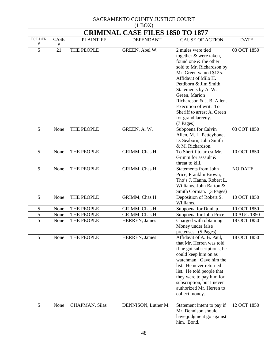|                    | <b>CRIMINAL CASE FILES 1850 TO 1877</b> |                        |                       |                                                                                                                                                                                                                                                                                                                                              |                |  |  |
|--------------------|-----------------------------------------|------------------------|-----------------------|----------------------------------------------------------------------------------------------------------------------------------------------------------------------------------------------------------------------------------------------------------------------------------------------------------------------------------------------|----------------|--|--|
| <b>FOLDER</b><br># | <b>CASE</b><br>$\#$                     | <b>PLAINTIFF</b>       | <b>DEFENDANT</b>      | <b>CAUSE OF ACTION</b>                                                                                                                                                                                                                                                                                                                       | <b>DATE</b>    |  |  |
| 5                  | 21                                      | THE PEOPLE             | GREEN, Abel W.        | 2 mules were tied<br>together & were taken,<br>found one & the other<br>sold to Mr. Richardson by<br>Mr. Green valued \$125.<br>Affidavit of Milo H.<br>Pettiborn & Jim Smith.<br>Statements by A.W.<br>Green, Marion<br>Richardson & J. B. Allen.<br>Execution of writ. To<br>Sheriff to arrest A. Green<br>for grand larceny.<br>(7 Pages) | 03 OCT 1850    |  |  |
| 5                  | None                                    | THE PEOPLE             | GREEN, A.W.           | Subpoena for Calvin<br>Allen, M. L. Petteybone,<br>D. Seaborn, John Smith<br>& M. Richardson.                                                                                                                                                                                                                                                | 03 COT 1850    |  |  |
| 5                  | None                                    | THE PEOPLE             | GRIMM, Chas H.        | To Sheriff to arrest Mr.<br>Grimm for assault &<br>threat to kill.                                                                                                                                                                                                                                                                           | 10 OCT 1850    |  |  |
| 5                  | None                                    | THE PEOPLE             | GRIMM, Chas H         | <b>Statements from John</b><br>Price, Franklin Brown,<br>Tho's J. Hanna, Robert L.<br>Williams, John Barton &<br>Smith Corman. (3 Pages)                                                                                                                                                                                                     | <b>NO DATE</b> |  |  |
| 5                  | None                                    | THE PEOPLE             | GRIMM, Chas H         | Deposition of Robert S.<br>Williams.                                                                                                                                                                                                                                                                                                         | 10 OCT 1850    |  |  |
| 5                  | None                                    | THE PEOPLE             | GRIMM, Chas H         | Subpoena for Dunlap.                                                                                                                                                                                                                                                                                                                         | 10 OCT 1850    |  |  |
| 5                  | None                                    | THE PEOPLE             | <b>GRIMM, Chas H</b>  | Subpoena for John Price.                                                                                                                                                                                                                                                                                                                     | 10 AUG 1850    |  |  |
| 5                  | None                                    | THE PEOPLE             | <b>HERREN</b> , James | Charged with obtaining<br>Money under false<br>pretenses. (5 Pages)                                                                                                                                                                                                                                                                          | 18 OCT 1850    |  |  |
| 5                  | None                                    | THE PEOPLE             | HERREN, James         | Affidavit of A. B. Paul,<br>that Mr. Herren was told<br>if he got subscriptions, he<br>could keep him on as<br>watchman. Gave him the<br>list. He never returned<br>list. He told people that<br>they were to pay him for<br>subscription, but I never<br>authorized Mr. Herren to<br>collect money.                                         | 18 OCT 1850    |  |  |
| 5                  | None                                    | <b>CHAPMAN</b> , Silas | DENNISON, Luther M.   | Statement intent to pay if<br>Mr. Dennison should<br>have judgment go against<br>him. Bond.                                                                                                                                                                                                                                                  | 12 OCT 1850    |  |  |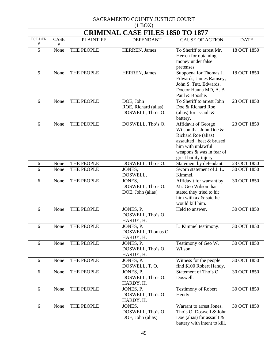| (11001)<br><b>CRIMINAL CASE FILES 1850 TO 1877</b> |           |                  |                                                        |                                                                                                                                                                           |             |  |  |
|----------------------------------------------------|-----------|------------------|--------------------------------------------------------|---------------------------------------------------------------------------------------------------------------------------------------------------------------------------|-------------|--|--|
| <b>FOLDER</b><br>#                                 | CASE<br># | <b>PLAINTIFF</b> | <b>DEFENDANT</b>                                       | <b>CAUSE OF ACTION</b>                                                                                                                                                    | <b>DATE</b> |  |  |
| $\overline{5}$                                     | None      | THE PEOPLE       | HERREN, James                                          | To Sheriff to arrest Mr.<br>Herren for obtaining<br>money under false<br>pretenses.                                                                                       | 18 OCT 1850 |  |  |
| 5                                                  | None      | THE PEOPLE       | HERREN, James                                          | Subpoena for Thomas J.<br>Edwards, James Ramsey,<br>John S. Tutt, Edwards,<br>Doctor Hanna MD, A. B.<br>Paul & Booshe.                                                    | 18 OCT 1850 |  |  |
| 6                                                  | None      | THE PEOPLE       | DOE, John<br>ROE, Richard (alias)<br>DOSWELL, Tho's O. | To Sheriff to arrest John<br>Doe & Richard Roe<br>(alias) for assault $\&$<br>battery.                                                                                    | 23 OCT 1850 |  |  |
| 6                                                  | None      | THE PEOPLE       | DOSWELL, Tho's O.                                      | Affidavit of George<br>Wilson that John Doe &<br>Richard Roe (alias)<br>assaulted, beat & brused<br>him with unlawful<br>weapons & was in fear of<br>great bodily injury. | 23 OCT 1850 |  |  |
| 6                                                  | None      | THE PEOPLE       | DOSWELL, Tho's O.                                      | Statement by defendant.                                                                                                                                                   | 23 OCT 1850 |  |  |
| 6                                                  | None      | THE PEOPLE       | JONES,<br>DOSWELL,                                     | Sworn statement of J.L.<br>Kimmel.                                                                                                                                        | 30 OCT 1850 |  |  |
| 6                                                  | None      | THE PEOPLE       | JONES,<br>DOSWELL, Tho's O.<br>DOE, John (alias)       | Affidavit for warrant by<br>Mr. Geo Wilson that<br>stated they tried to hit<br>him with ax & said he<br>would kill him.                                                   | 30 OCT 1850 |  |  |
| 6                                                  | None      | THE PEOPLE       | JONES, P.<br>DOSWELL, Tho's O.<br>HARDY, H.            | Held to answer.                                                                                                                                                           | 30 OCT 1850 |  |  |
| 6                                                  | None      | THE PEOPLE       | JONES, P.<br>DOSWELL, Thomas O.<br>HARDY, H.           | L. Kimmel testimony.                                                                                                                                                      | 30 OCT 1850 |  |  |
| 6                                                  | None      | THE PEOPLE       | JONES, P.<br>DOSWELL, Tho's O.<br>HARDY, H.            | Testimony of Geo W.<br>Wilson.                                                                                                                                            | 30 OCT 1850 |  |  |
| 6                                                  | None      | THE PEOPLE       | JONES, P.<br>DOSWELL, T.O.                             | Witness for the people<br>find \$100 Robert Handy.                                                                                                                        | 30 OCT 1850 |  |  |
| 6                                                  | None      | THE PEOPLE       | JONES, P.<br>DOSWELL, Tho's O.<br>HARDY, H.            | Statement of Tho's O.<br>Doswell.                                                                                                                                         | 30 OCT 1850 |  |  |
| 6                                                  | None      | THE PEOPLE       | JONES, P.<br>DOSWELL, Tho's O.<br>HARDY, H.            | <b>Testimony of Robert</b><br>Hendy.                                                                                                                                      | 30 OCT 1850 |  |  |
| 6                                                  | None      | THE PEOPLE       | JONES,<br>DOSWELL, Tho's O.<br>DOE, John (alias)       | Warrant to arrest Jones,<br>Tho's O. Doswell & John<br>Doe (alias) for assault $\&$<br>battery with intent to kill.                                                       | 30 OCT 1850 |  |  |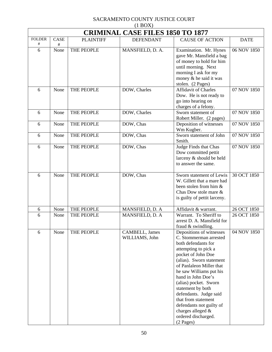|               | $(1 + 1)$<br><b>CRIMINAL CASE FILES 1850 TO 1877</b> |                  |                                  |                                                                                                                                                                                                                                                                                                                                                                                                                        |             |  |  |
|---------------|------------------------------------------------------|------------------|----------------------------------|------------------------------------------------------------------------------------------------------------------------------------------------------------------------------------------------------------------------------------------------------------------------------------------------------------------------------------------------------------------------------------------------------------------------|-------------|--|--|
| <b>FOLDER</b> | <b>CASE</b>                                          | <b>PLAINTIFF</b> | <b>DEFENDANT</b>                 | <b>CAUSE OF ACTION</b>                                                                                                                                                                                                                                                                                                                                                                                                 | <b>DATE</b> |  |  |
| #<br>6        | #<br>None                                            | THE PEOPLE       | MANSFIELD, D. A.                 | Examination. Mr. Hynes<br>gave Mr. Mansfield a bag<br>of money to hold for him<br>until morning. Next<br>morning I ask for my<br>money & he said it was<br>stolen. (2 Pages)                                                                                                                                                                                                                                           | 06 NOV 1850 |  |  |
| 6             | None                                                 | THE PEOPLE       | DOW, Charles                     | <b>Affidavit of Charles</b><br>Dow. He is not ready to<br>go into hearing on<br>charges of a felony.                                                                                                                                                                                                                                                                                                                   | 07 NOV 1850 |  |  |
| 6             | None                                                 | THE PEOPLE       | DOW, Charles                     | Sworn statement of<br>Robert Miller. (2 pages)                                                                                                                                                                                                                                                                                                                                                                         | 07 NOV 1850 |  |  |
| 6             | None                                                 | THE PEOPLE       | DOW, Chas                        | Deposition of witnesses<br>Wm Kugber.                                                                                                                                                                                                                                                                                                                                                                                  | 07 NOV 1850 |  |  |
| 6             | None                                                 | THE PEOPLE       | DOW, Chas                        | Sworn statement of John<br>Smith.                                                                                                                                                                                                                                                                                                                                                                                      | 07 NOV 1850 |  |  |
| 6             | None                                                 | THE PEOPLE       | DOW, Chas                        | Judge Finds that Chas<br>Dow committed pettit<br>larceny & should be held<br>to answer the same.                                                                                                                                                                                                                                                                                                                       | 07 NOV 1850 |  |  |
| 6             | None                                                 | THE PEOPLE       | DOW, Chas                        | Sworn statement of Lewis<br>W. Gillett that a mare had<br>been stolen from him &<br>Chas Dow stole mare &<br>is guilty of pettit larceny.                                                                                                                                                                                                                                                                              | 30 OCT 1850 |  |  |
| 6             | None                                                 | THE PEOPLE       | MANSFIELD, D. A                  | Affidavit & warrant.                                                                                                                                                                                                                                                                                                                                                                                                   | 26 OCT 1850 |  |  |
| 6             | None                                                 | THE PEOPLE       | MANSFIELD, D. A                  | Warrant. To Sheriff to<br>arrest D. A. Mansfield for<br>fraud & swindling.                                                                                                                                                                                                                                                                                                                                             | 26 OCT 1850 |  |  |
| 6             | None                                                 | THE PEOPLE       | CAMBELL, James<br>WILLIAMS, John | Depositions of witnesses<br>C. Stommerman arrested<br>both defendants for<br>attempting to pick a<br>pocket of John Doe<br>(alias). Sworn statement<br>of Panlaleon Miller that<br>he saw Williams put his<br>hand in John Doe's<br>(alias) pocket. Sworn<br>statement by both<br>defendants. Judge said<br>that from statement<br>defendants not guilty of<br>charges alleged &<br>ordered discharged.<br>$(2$ Pages) | 04 NOV 1850 |  |  |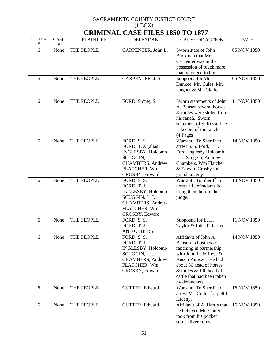# SACRAMENTO COUNTY JUSTICE COURT

| $(1$ BOX)                |                                         |                  |                                                                                                                                 |                                                                                                                                                                                                                                 |             |  |  |  |
|--------------------------|-----------------------------------------|------------------|---------------------------------------------------------------------------------------------------------------------------------|---------------------------------------------------------------------------------------------------------------------------------------------------------------------------------------------------------------------------------|-------------|--|--|--|
|                          | <b>CRIMINAL CASE FILES 1850 TO 1877</b> |                  |                                                                                                                                 |                                                                                                                                                                                                                                 |             |  |  |  |
| <b>FOLDER</b><br>$^{\#}$ | CASE<br>#                               | <b>PLAINTIFF</b> | <b>DEFENDANT</b>                                                                                                                | <b>CAUSE OF ACTION</b>                                                                                                                                                                                                          | <b>DATE</b> |  |  |  |
| 6                        | None                                    | THE PEOPLE       | CARPENTER, John L.                                                                                                              | Sworn state of John<br>Buckman that Mr.<br>Carpenter was in the<br>possession of black mare<br>that belonged to him.                                                                                                            | 05 NOV 1850 |  |  |  |
| 6                        | None                                    | THE PEOPLE       | CARPENTER, J. S.                                                                                                                | Subpoena for Mr.<br>Dunkee. Mr. Cules, Mr.<br>Ungher & Mr. Clarke.                                                                                                                                                              | 05 NOV 1850 |  |  |  |
| 6                        | None                                    | THE PEOPLE       | FORD, Sidney S.                                                                                                                 | Sworn statements of John<br>A. Bensen several horses<br>& mules were stolen from<br>his ranch. Sworn<br>statement of S. Russell he<br>is keeper of the ranch.<br>(4 Pages)                                                      | 11 NOV 1850 |  |  |  |
| 6                        | None                                    | THE PEOPLE       | FORD, S. S.<br>FORD, T. J. (alias)<br>INGLESBY, Holcomb<br>SCUGGIN, L. J.<br>CHAMBERS, Andrew<br>FLATCHER, Wm<br>CROSBY, Edward | Warrant. To Sheriff to<br>arrest S. S. Ford, T. J.<br>Ford, Inglesby Holcomb,<br>L. J. Scuggin, Andrew<br>Chambers, Wm Flatcher<br>& Edward Crosby for<br>grand larceny.                                                        | 14 NOV 1850 |  |  |  |
| 6                        | None                                    | THE PEOPLE       | FORD, S. S.<br>FORD, T. J.<br>INGLESBY, Holcomb<br>SCUGGIN, L. J.<br>CHAMBERS, Andrew<br>FLATCHER, Wm<br>CROSBY, Edward         | Warrant. To Sheriff to<br>arrest all defendants &<br>bring them before the<br>judge.                                                                                                                                            | 18 NOV 1850 |  |  |  |
| 6                        | None                                    | THE PEOPLE       | FORD, S. S.<br>FORD, T. J.<br><b>AND OTHERS</b>                                                                                 | Subpoena for L. H.<br>Taylor & John T. Jefins.                                                                                                                                                                                  | 11 NOV 1850 |  |  |  |
| 6                        | None                                    | THE PEOPLE       | FORD, S. S.<br>FORD, T. J.<br>INGLESBY, Holcomb<br>SCUGGIN, L. J.<br>CHAMBERS, Andrew<br>FLATCHER, Wm<br>CROSBY, Edward         | Affidavit of John A.<br>Benson in business of<br>ranching in partnership<br>with John L. Jeffreys &<br>Anson Kimsey. He had<br>about 60 head of horses<br>& mules & 100 head of<br>cattle that had been taken<br>by defendants. | 14 NOV 1850 |  |  |  |
| 6                        | None                                    | THE PEOPLE       | CUTTER, Edward                                                                                                                  | Warrant. To Sheriff to<br>arrest Mr. Cutter for pettit<br>larceny.                                                                                                                                                              | 16 NOV 1850 |  |  |  |
| 6                        | None                                    | THE PEOPLE       | CUTTER, Edward                                                                                                                  | Affidavit of A. Harris that<br>he believed Mr. Cutter<br>took from his pocket<br>some silver coins.                                                                                                                             | 16 NOV 1850 |  |  |  |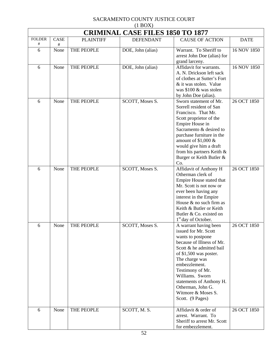| $(1 \text{D} \text{O} \Omega)$<br><b>CRIMINAL CASE FILES 1850 TO 1877</b> |             |                  |                   |                                                                                                                                                                                                                                                                                                                            |             |  |
|---------------------------------------------------------------------------|-------------|------------------|-------------------|----------------------------------------------------------------------------------------------------------------------------------------------------------------------------------------------------------------------------------------------------------------------------------------------------------------------------|-------------|--|
| <b>FOLDER</b>                                                             | <b>CASE</b> | <b>PLAINTIFF</b> | <b>DEFENDANT</b>  | <b>CAUSE OF ACTION</b>                                                                                                                                                                                                                                                                                                     | <b>DATE</b> |  |
| #<br>6                                                                    | #<br>None   | THE PEOPLE       | DOE, John (alias) | Warrant. To Sheriff to<br>arrest John Doe (alias) for<br>grand larceny.                                                                                                                                                                                                                                                    | 16 NOV 1850 |  |
| 6                                                                         | None        | THE PEOPLE       | DOE, John (alias) | Affidavit for warrants.<br>A. N. Drickson left sack<br>of clothes at Sutter's Fort<br>& it was stolen. Value<br>was \$100 & was stolen<br>by John Doe (alias).                                                                                                                                                             | 16 NOV 1850 |  |
| 6                                                                         | None        | THE PEOPLE       | SCOTT, Moses S.   | Sworn statement of Mr.<br>Sorrell resident of San<br>Francisco. That Mr.<br>Scott proprietor of the<br>Empire House in<br>Sacramento & desired to<br>purchase furniture in the<br>amount of $$1,000 \&$<br>would give him a draft<br>from his partners Keith &<br>Burger or Keith Butler &<br>Co.                          | 26 OCT 1850 |  |
| 6                                                                         | None        | THE PEOPLE       | SCOTT, Moses S.   | Affidavit of Anthony H<br>Otherman clerk of<br>Empire House stated that<br>Mr. Scott is not now or<br>ever been having any<br>interest in the Empire<br>House & no such firm as<br>Keith & Butler or Keith<br>Butler & Co. existed on<br>1 <sup>st</sup> day of October.                                                   | 26 OCT 1850 |  |
| 6                                                                         | None        | THE PEOPLE       | SCOTT, Moses S.   | A warrant having been<br>issued for Mr. Scott<br>wants to postpone<br>because of Illness of Mr.<br>Scott & he admitted bail<br>of \$1,500 was poster.<br>The charge was<br>embezzlement.<br>Testimony of Mr.<br>Williams. Sworn<br>statements of Anthony H.<br>Otherman, John G.<br>Witmore & Moses S.<br>Scott. (9 Pages) | 26 OCT 1850 |  |
| 6                                                                         | None        | THE PEOPLE       | SCOTT, M. S.      | Affidavit & order of<br>arrest. Warrant. To<br>Sheriff to arrest Mr. Scott<br>for embezzlement.                                                                                                                                                                                                                            | 26 OCT 1850 |  |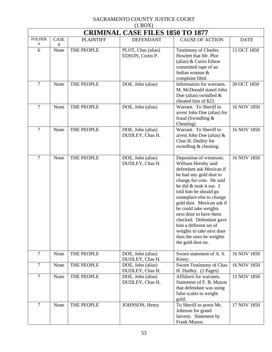| <b>CRIMINAL CASE FILES 1850 TO 1877</b> |             |                  |                                        |                                                                                                                                                                                                                                                                                                                                                                                                                                       |             |  |
|-----------------------------------------|-------------|------------------|----------------------------------------|---------------------------------------------------------------------------------------------------------------------------------------------------------------------------------------------------------------------------------------------------------------------------------------------------------------------------------------------------------------------------------------------------------------------------------------|-------------|--|
| <b>FOLDER</b><br>#                      | <b>CASE</b> | <b>PLAINTIFF</b> | <b>DEFENDANT</b>                       | <b>CAUSE OF ACTION</b>                                                                                                                                                                                                                                                                                                                                                                                                                | <b>DATE</b> |  |
| 6                                       | #<br>None   | THE PEOPLE       | PLOT, Chas (alias)<br>EDSON, Curtis P. | <b>Testimony of Charles</b><br>Howlett that Mr. Plot<br>(alias) & Curtis Edson<br>committed rape of an<br>Indian woman &<br>complaint filed.                                                                                                                                                                                                                                                                                          | 12 OCT 1850 |  |
| $\overline{7}$                          | None        | THE PEOPLE       | DOE, John (alias)                      | Information for warrants.<br>M. McDonald stated John<br>Doe (alias) swindled $\&$<br>cheated him of \$23.                                                                                                                                                                                                                                                                                                                             | 30 OCT 1850 |  |
| $\overline{7}$                          | None        | THE PEOPLE       | DOE, John (alias)                      | Warrant. To Sheriff to<br>arrest John Doe (alias) for<br>fraud (Swindling &<br>Cheating).                                                                                                                                                                                                                                                                                                                                             | 16 NOV 1850 |  |
| $\overline{7}$                          | None        | THE PEOPLE       | DOE, John (alias)<br>DUDLEY, Chas H.   | Warrant. To Sheriff to<br>arrest John Doe (alias) $\&$<br>Chas H. Dudley for<br>swindling & cheating.                                                                                                                                                                                                                                                                                                                                 | 16 NOV 1850 |  |
| $\overline{7}$                          | None        | THE PEOPLE       | DOE, John (alias)<br>DUDLEY, Chas H.   | Deposition of witnesses.<br>William Hornby said<br>defendant ask Mexican if<br>he had any gold dust to<br>change for coin. He said<br>he did & took it out. I<br>told him he should go<br>someplace else to change<br>gold dust. Mexican ask if<br>he could take weights<br>next door to have them<br>checked. Defendant gave<br>him a different set of<br>weights to take next door<br>than the ones he weights<br>the gold dust on. | 16 NOV 1850 |  |
| $\overline{7}$                          | None        | THE PEOPLE       | DOE, John (alias)<br>DUDLEY, Chas H.   | Sworn statement of A.S.<br>Kinny.                                                                                                                                                                                                                                                                                                                                                                                                     | 16 NOV 1850 |  |
| $\overline{7}$                          | None        | THE PEOPLE       | DOE, John (alias)<br>DUDLEY, Chas H.   | Sworn Testimony of Chas<br>H. Dudley. (2 Pages)                                                                                                                                                                                                                                                                                                                                                                                       | 16 NOV 1850 |  |
| $\overline{7}$                          | None        | THE PEOPLE       | DOE, John (alias)<br>DUDLEY, Chas H.   | Affidavit for warrants.<br>Statement of F. B. Maxon<br>that defendant was using<br>false scales to weight<br>gold.                                                                                                                                                                                                                                                                                                                    | 15 NOV 1850 |  |
| 7                                       | None        | THE PEOPLE       | JOHNSON, Henry                         | To Sheriff to arrest Mr.<br>Johnson for grand<br>larceny. Statement by<br>Frank Munoz.                                                                                                                                                                                                                                                                                                                                                | 17 NOV 1850 |  |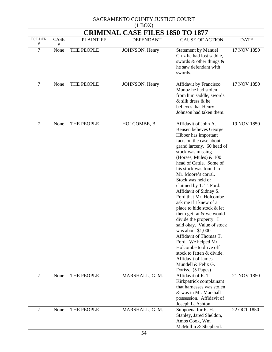| (1)<br><b>CRIMINAL CASE FILES 1850 TO 1877</b> |      |                  |                  |                                                                                                                                                                                                                                                                                                                                                                                                                                                                                                                                                                                                                                                                                                   |             |  |
|------------------------------------------------|------|------------------|------------------|---------------------------------------------------------------------------------------------------------------------------------------------------------------------------------------------------------------------------------------------------------------------------------------------------------------------------------------------------------------------------------------------------------------------------------------------------------------------------------------------------------------------------------------------------------------------------------------------------------------------------------------------------------------------------------------------------|-------------|--|
| <b>FOLDER</b>                                  | CASE | <b>PLAINTIFF</b> | <b>DEFENDANT</b> | <b>CAUSE OF ACTION</b>                                                                                                                                                                                                                                                                                                                                                                                                                                                                                                                                                                                                                                                                            | <b>DATE</b> |  |
| #                                              | #    |                  |                  |                                                                                                                                                                                                                                                                                                                                                                                                                                                                                                                                                                                                                                                                                                   |             |  |
| $\overline{7}$                                 | None | THE PEOPLE       | JOHNSON, Henry   | Statement by Manuel<br>Cruz he had lost saddle,<br>swords $\&$ other things $\&$<br>he saw defendant with<br>swords.                                                                                                                                                                                                                                                                                                                                                                                                                                                                                                                                                                              | 17 NOV 1850 |  |
| $\overline{7}$                                 | None | THE PEOPLE       | JOHNSON, Henry   | Affidavit by Francisco<br>Munoz he had stolen<br>from him saddle, swords<br>& silk dress & he<br>believes that Henry<br>Johnson had taken them.                                                                                                                                                                                                                                                                                                                                                                                                                                                                                                                                                   | 17 NOV 1850 |  |
| $\tau$                                         | None | THE PEOPLE       | HOLCOMBE, B.     | Affidavit of John A.<br>Bensen believes George<br>Hibber has important<br>facts on the case about<br>grand larceny. 60 head of<br>stock was missing<br>(Horses, Mules) & 100<br>head of Cattle. Some of<br>his stock was found in<br>Mr. Moore's corral.<br>Stock was held or<br>claimed by T. T. Ford.<br>Affidavit of Sidney S.<br>Ford that Mr. Holcombe<br>ask me if I knew of a<br>place to hide stock & let<br>them get fat & we would<br>divide the property. I<br>said okay. Value of stock<br>was about \$1,000.<br>Affidavit of Thomas T.<br>Ford. We helped Mr.<br>Holcombe to drive off<br>stock to fatten & divide.<br>Affidavit of James<br>Mundell & Felix G.<br>Doriss. (5 Pages) | 19 NOV 1850 |  |
| $\overline{7}$                                 | None | THE PEOPLE       | MARSHALL, G. M.  | Affidavit of R.T.<br>Kirkpatrick complainant<br>that harnesses was stolen<br>& was in Mr. Marshall<br>possession. Affidavit of<br>Joseph L. Ashton.                                                                                                                                                                                                                                                                                                                                                                                                                                                                                                                                               | 21 NOV 1850 |  |
| $\overline{7}$                                 | None | THE PEOPLE       | MARSHALL, G. M.  | Subpoena for R. H.<br>Stanley, Jared Sheldon,<br>Amos Cook, Wm<br>McMullin & Shepherd.                                                                                                                                                                                                                                                                                                                                                                                                                                                                                                                                                                                                            | 22 OCT 1850 |  |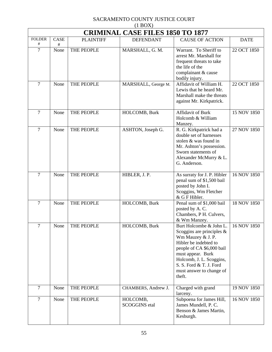| (11)<br><b>CRIMINAL CASE FILES 1850 TO 1877</b> |           |                  |                                  |                                                                                                                                                                                                                                                      |             |  |  |
|-------------------------------------------------|-----------|------------------|----------------------------------|------------------------------------------------------------------------------------------------------------------------------------------------------------------------------------------------------------------------------------------------------|-------------|--|--|
| <b>FOLDER</b><br>#                              | CASE<br># | <b>PLAINTIFF</b> | <b>DEFENDANT</b>                 | <b>CAUSE OF ACTION</b>                                                                                                                                                                                                                               | <b>DATE</b> |  |  |
| $\overline{7}$                                  | None      | THE PEOPLE       | MARSHALL, G. M.                  | Warrant. To Sheriff to<br>arrest Mr. Marshall for<br>frequent threats to take<br>the life of the<br>complainant & cause<br>bodily injury.                                                                                                            | 22 OCT 1850 |  |  |
| $\overline{7}$                                  | None      | THE PEOPLE       | MARSHALL, George M.              | Affidavit of William H.<br>Lewis that he heard Mr.<br>Marshall make the threats<br>against Mr. Kirkpatrick.                                                                                                                                          | 22 OCT 1850 |  |  |
| 7                                               | None      | THE PEOPLE       | HOLCOMB, Burk                    | Affidavit of Burk<br>Holcomb & William<br>Manzey.                                                                                                                                                                                                    | 15 NOV 1850 |  |  |
| $\overline{7}$                                  | None      | THE PEOPLE       | ASHTON, Joseph G.                | R. G. Kirkpatrick had a<br>double set of harnesses<br>stolen & was found in<br>Mr. Ashton's possession.<br>Sworn statements of<br>Alexander McMurry & L.<br>G. Anderson.                                                                             | 27 NOV 1850 |  |  |
| $\overline{7}$                                  | None      | THE PEOPLE       | HIBLER, J. P.                    | As surraty for J. P. Hibler<br>penal sum of \$1,500 bail<br>posted by John I.<br>Scoggins, Wm Fletcher<br>& G F Hibler.                                                                                                                              | 16 NOV 1850 |  |  |
| 7                                               | None      | THE PEOPLE       | HOLCOMB, Burk                    | Penal sum of \$1,000 bail<br>posted by A.C.<br>Chambers, P H. Culvers,<br>& Wm Manzey.                                                                                                                                                               | 18 NOV 1850 |  |  |
| 7                                               | None      | THE PEOPLE       | HOLCOMB, Burk                    | Burt Holcombe & John L.<br>Scoggins are principles $\&$<br>Wm Mauzey & J. P.<br>Hibler be indebted to<br>people of CA \$6,000 bail<br>must appear. Burk<br>Holcomb, J. L. Scoggins,<br>S. S. Ford & T. J. Ford<br>must answer to change of<br>theft. | 16 NOV 1850 |  |  |
| $\overline{7}$                                  | None      | THE PEOPLE       | CHAMBERS, Andrew J.              | Charged with grand<br>larceny.                                                                                                                                                                                                                       | 19 NOV 1850 |  |  |
| $\overline{7}$                                  | None      | THE PEOPLE       | HOLCOMB,<br><b>SCOGGINS</b> etal | Subpoena for James Hill,<br>James Mundell, P. C.<br>Benson & James Martin,<br>Kesburgh.                                                                                                                                                              | 16 NOV 1850 |  |  |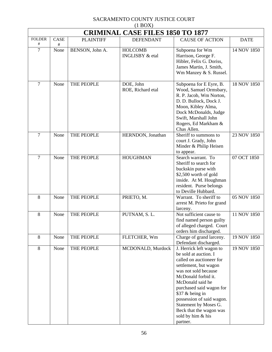|                    | <b>CRIMINAL CASE FILES 1850 TO 1877</b> |                  |                                              |                                                                                                                                                                                                                                                                                                                                            |             |  |  |
|--------------------|-----------------------------------------|------------------|----------------------------------------------|--------------------------------------------------------------------------------------------------------------------------------------------------------------------------------------------------------------------------------------------------------------------------------------------------------------------------------------------|-------------|--|--|
| <b>FOLDER</b><br># | <b>CASE</b><br>#                        | <b>PLAINTIFF</b> | <b>DEFENDANT</b>                             | <b>CAUSE OF ACTION</b>                                                                                                                                                                                                                                                                                                                     | <b>DATE</b> |  |  |
| $\overline{7}$     | None                                    | BENSON, John A.  | <b>HOLCOMB</b><br><b>INGLISBY &amp; etal</b> | Subpoena for Wm<br>Harrison, George F.<br>Hibler, Felix G. Doriss,<br>James Martin, J. Smith,<br>Wm Manzey & S. Russel.                                                                                                                                                                                                                    | 14 NOV 1850 |  |  |
| $\overline{7}$     | None                                    | THE PEOPLE       | DOE, John<br>ROE, Richard etal               | Subpoena for E Eyre, B.<br>Wood, Samuel Ormsbary,<br>R. P. Jacob, Wm Norton,<br>D. D. Bullock, Dock J.<br>Moon, Kibley Alma,<br>Dock McDonalds, Judge<br>Swift, Marshall John<br>Rogers, Ed Markham &<br>Chas Allen.                                                                                                                       | 18 NOV 1850 |  |  |
| $\overline{7}$     | None                                    | THE PEOPLE       | HERNDON, Jonathan                            | Sheriff to summons to<br>court J. Grady, John<br>Minder & Philip Heisen<br>to appear.                                                                                                                                                                                                                                                      | 23 NOV 1850 |  |  |
| $\overline{7}$     | None                                    | THE PEOPLE       | <b>HOUGHMAN</b>                              | Search warrant. To<br>Sheriff to search for<br>buckskin purse with<br>\$2,500 worth of gold<br>inside. At M. Houghman<br>resident. Purse belongs<br>to Deville Hubbard.                                                                                                                                                                    | 07 OCT 1850 |  |  |
| 8                  | None                                    | THE PEOPLE       | PRIETO, M.                                   | Warrant. To sheriff to<br>arrest M. Prieto for grand<br>larceny.                                                                                                                                                                                                                                                                           | 05 NOV 1850 |  |  |
| 8                  | None                                    | THE PEOPLE       | PUTNAM, S.L.                                 | Not sufficient cause to<br>find named person guilty<br>of alleged charged. Court<br>orders him discharged.                                                                                                                                                                                                                                 | 11 NOV 1850 |  |  |
| 8                  | None                                    | THE PEOPLE       | FLETCHER, Wm                                 | Charge of grand larceny.<br>Defendant discharged.                                                                                                                                                                                                                                                                                          | 19 NOV 1850 |  |  |
| 8                  | None                                    | THE PEOPLE       | MCDONALD, Murdock                            | J. Herrick left wagon to<br>be sold at auction. I<br>called on auctioneer for<br>settlement, but wagon<br>was not sold because<br>McDonald forbid it.<br>McDonald said he<br>purchased said wagon for<br>\$37 & being in<br>possession of said wagon.<br>Statement by Moses G.<br>Beck that the wagon was<br>sold by him & his<br>partner. | 19 NOV 1850 |  |  |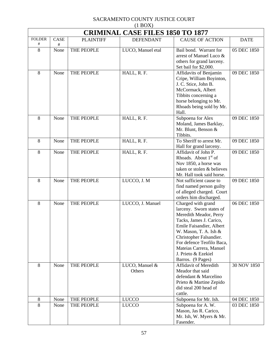| $(1 \text{D} \text{O} \Omega)$<br><b>CRIMINAL CASE FILES 1850 TO 1877</b> |           |                  |                          |                                                                                                                                                                                                                                                                                           |             |  |  |
|---------------------------------------------------------------------------|-----------|------------------|--------------------------|-------------------------------------------------------------------------------------------------------------------------------------------------------------------------------------------------------------------------------------------------------------------------------------------|-------------|--|--|
| <b>FOLDER</b>                                                             | CASE      | <b>PLAINTIFF</b> | <b>DEFENDANT</b>         | <b>CAUSE OF ACTION</b>                                                                                                                                                                                                                                                                    | <b>DATE</b> |  |  |
| #<br>8                                                                    | #<br>None | THE PEOPLE       | LUCO, Manuel etal        | Bail bond. Warrant for<br>arrest of Manuel Luco &<br>others for grand larceny.<br>Set bail for \$2,000.                                                                                                                                                                                   | 05 DEC 1850 |  |  |
| 8                                                                         | None      | THE PEOPLE       | HALL, R. F.              | Affidavits of Benjamin<br>Cripe, William Boyinton,<br>J. C. Stice, John B.<br>McCormack, Albert<br>Tibbits concerning a<br>horse belonging to Mr.<br>Rhoads being sold by Mr.<br>Hall.                                                                                                    | 09 DEC 1850 |  |  |
| 8                                                                         | None      | THE PEOPLE       | HALL, R. F.              | Subpoena for Alex<br>Moland, James Barklay,<br>Mr. Blunt, Benson &<br>Tibbits.                                                                                                                                                                                                            | 09 DEC 1850 |  |  |
| 8                                                                         | None      | THE PEOPLE       | HALL, R. F.              | To Sheriff to arrest Mr.<br>Hall for grand larceny.                                                                                                                                                                                                                                       | 09 DEC 1850 |  |  |
| 8                                                                         | None      | THE PEOPLE       | HALL, R. F.              | Affidavit of John P.<br>Rhoads. About $1st$ of<br>Nov 1850, a horse was<br>taken or stolen & believes<br>Mr. Hall took said horse.                                                                                                                                                        | 09 DEC 1850 |  |  |
| 8                                                                         | None      | THE PEOPLE       | LUCCO, J. M              | Not sufficient cause to<br>find named person guilty<br>of alleged charged. Court<br>orders him discharged.                                                                                                                                                                                | 09 DEC 1850 |  |  |
| 8                                                                         | None      | THE PEOPLE       | LUCCO, J. Manuel         | Charged with grand<br>larceny. Sworn states of<br>Meredith Meador, Perry<br>Tacks, James J. Carico,<br>Emile Faisandier, Albert<br>W. Mason, T. A. Ish $&$<br>Christopher Falsandier.<br>For defence Teofilo Baca,<br>Mateias Carrera, Manuel<br>J. Prieto & Ezekiel<br>Barros. (9 Pages) | 06 DEC 1850 |  |  |
| 8                                                                         | None      | THE PEOPLE       | LUCO, Manuel &<br>Others | <b>Affidavit of Meredith</b><br>Meador that said<br>defendant & Marcelino<br>Prieto & Martine Zepido<br>did steal 200 head of<br>cattle.                                                                                                                                                  | 30 NOV 1850 |  |  |
| $8\,$                                                                     | None      | THE PEOPLE       | <b>LUCCO</b>             | Subpoena for Mr. Ish.                                                                                                                                                                                                                                                                     | 04 DEC 1850 |  |  |
| 8                                                                         | None      | THE PEOPLE       | <b>LUCCO</b>             | Subpoena for A. W.<br>Mason, Jas R. Carico,<br>Mr. Ish, W. Myers & Mr.<br>Fasender.                                                                                                                                                                                                       | 03 DEC 1850 |  |  |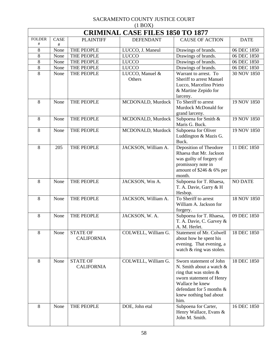| $(1 \text{D}01)$<br><b>CRIMINAL CASE FILES 1850 TO 1877</b> |             |                                      |                           |                                                                                                                                                                                                  |                |  |  |
|-------------------------------------------------------------|-------------|--------------------------------------|---------------------------|--------------------------------------------------------------------------------------------------------------------------------------------------------------------------------------------------|----------------|--|--|
| <b>FOLDER</b>                                               | <b>CASE</b> | <b>PLAINTIFF</b>                     | <b>DEFENDANT</b>          | <b>CAUSE OF ACTION</b>                                                                                                                                                                           | <b>DATE</b>    |  |  |
| #                                                           | #           |                                      |                           |                                                                                                                                                                                                  |                |  |  |
| 8                                                           | None        | THE PEOPLE                           | LUCCO, J. Maneul          | Drawings of brands.                                                                                                                                                                              | 06 DEC 1850    |  |  |
| 8                                                           | None        | THE PEOPLE                           | <b>LUCCO</b>              | Drawings of brands.                                                                                                                                                                              | 06 DEC 1850    |  |  |
| 8                                                           | None        | THE PEOPLE                           | <b>LUCCO</b>              | Drawings of brands.                                                                                                                                                                              | 06 DEC 1850    |  |  |
| 8                                                           | None        | THE PEOPLE                           | <b>LUCCO</b>              | Drawings of brands.                                                                                                                                                                              | 06 DEC 1850    |  |  |
| 8                                                           | None        | THE PEOPLE                           | LUCCO, Manuel &<br>Others | Warrant to arrest. To<br>Sheriff to arrest Manuel<br>Lucco, Marcelino Prieto<br>& Martine Zepido for<br>larceny.                                                                                 | 30 NOV 1850    |  |  |
| 8                                                           | None        | THE PEOPLE                           | MCDONALD, Murdock         | To Sheriff to arrest<br>Murdock McDonald for<br>grand larceny.                                                                                                                                   | 19 NOV 1850    |  |  |
| 8                                                           | None        | THE PEOPLE                           | MCDONALD, Murdock         | Subpoena for Smith &<br>Maris G. Buck.                                                                                                                                                           | 19 NOV 1850    |  |  |
| 8                                                           | None        | THE PEOPLE                           | MCDONALD, Murdock         | Subpoena for Oliver<br>Luddington & Mazis G.<br>Buck.                                                                                                                                            | 19 NOV 1850    |  |  |
| $8\,$                                                       | 205         | THE PEOPLE                           | JACKSON, William A.       | Deposition of Theodore<br>Rhaesa that Mr. Jackson<br>was guilty of forgery of<br>promissory note in<br>amount of \$246 & 6% per<br>month.                                                        | 11 DEC 1850    |  |  |
| 8                                                           | None        | THE PEOPLE                           | JACKSON, Wm A.            | Subpoena for T. Rhaesa,<br>T. A. Davie, Garry & H<br>Hesbop.                                                                                                                                     | <b>NO DATE</b> |  |  |
| 8                                                           | None        | THE PEOPLE                           | JACKSON, William A.       | To Sheriff to arrest<br>William A. Jackson for<br>forgery.                                                                                                                                       | 18 NOV 1850    |  |  |
| 8                                                           | None        | THE PEOPLE                           | JACKSON, W. A.            | Subpoena for T. Rhaesa,<br>T. A. Davie, C. Garvey &<br>A. M. Herlet.                                                                                                                             | 09 DEC 1850    |  |  |
| 8                                                           | None        | <b>STATE OF</b><br><b>CALIFORNIA</b> | COLWELL, William G.       | Statement of Mr. Colwell<br>about how he spent his<br>evening. That evening, a<br>watch & ring was stolen.                                                                                       | 18 DEC 1850    |  |  |
| 8                                                           | None        | <b>STATE OF</b><br><b>CALIFORNIA</b> | COLWELL, William G.       | Sworn statement of John<br>N. Smith about a watch &<br>ring that was stolen $\&$<br>sworn statement of Henry<br>Wallace he knew<br>defendant for 5 months $\&$<br>knew nothing bad about<br>him. | 18 DEC 1850    |  |  |
| 8                                                           | None        | THE PEOPLE                           | DOE, John etal            | Subpoena for Carter,<br>Henry Wallace, Evans &<br>John M. Smith.                                                                                                                                 | 16 DEC 1850    |  |  |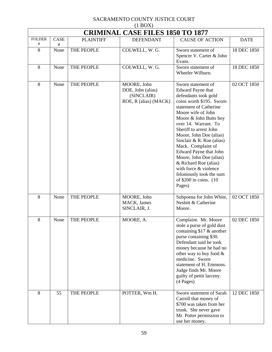| (11)<br><b>CRIMINAL CASE FILES 1850 TO 1877</b> |                     |                  |                                                                         |                                                                                                                                                                                                                                                                                                                                                                                                                                                                                        |             |  |  |
|-------------------------------------------------|---------------------|------------------|-------------------------------------------------------------------------|----------------------------------------------------------------------------------------------------------------------------------------------------------------------------------------------------------------------------------------------------------------------------------------------------------------------------------------------------------------------------------------------------------------------------------------------------------------------------------------|-------------|--|--|
| <b>FOLDER</b><br>#                              | <b>CASE</b><br>$\#$ | <b>PLAINTIFF</b> | <b>DEFENDANT</b>                                                        | <b>CAUSE OF ACTION</b>                                                                                                                                                                                                                                                                                                                                                                                                                                                                 | <b>DATE</b> |  |  |
| 8                                               | None                | THE PEOPLE       | COLWELL, W. G.                                                          | Sworn statement of<br>Spencer V. Carter & John<br>Evans.                                                                                                                                                                                                                                                                                                                                                                                                                               | 18 DEC 1850 |  |  |
| $8\,$                                           | None                | THE PEOPLE       | COLWELL, W. G.                                                          | Sworn statement of<br>Wheeler Wilburn.                                                                                                                                                                                                                                                                                                                                                                                                                                                 | 18 DEC 1850 |  |  |
| 8                                               | None                | THE PEOPLE       | MOORE, John<br>DOE, John (alias)<br>(SINCLAIR)<br>ROE, R (alias) (MACK) | Sworn statement of<br><b>Edward Payne that</b><br>defendants took gold<br>coins worth \$195. Sworn<br>statement of Catherine<br>Moore wife of John<br>Moore & John Butts boy<br>over 14. Warrant. To<br>Sheriff to arrest John<br>Moore, John Doe (alias)<br>Sinclair & R. Roe (alias)<br>Mack. Complaint of<br>Edward Payne that John<br>Moore, John Doe (alias)<br>& Richard Roe (alias)<br>with force & violence<br>feloniously took the sum<br>of $$200$ in coins. $(10$<br>Pages) | 02 OCT 1850 |  |  |
| 8                                               | None                | THE PEOPLE       | MOORE, John<br>MACK, James<br>SINCLAIR, J.                              | Subpoena for John White,<br>Nesbitt & Catherine<br>Moore.                                                                                                                                                                                                                                                                                                                                                                                                                              | 02 OCT 1850 |  |  |
| 8                                               | None                | THE PEOPLE       | MOORE, A.                                                               | Complaint. Mr. Moore<br>stole a purse of gold dust<br>containing $$17 \&$ another<br>purse containing \$30.<br>Defendant said he took<br>money because he had no<br>other way to buy food &<br>medicine. Sworn<br>statement of H. Emmons.<br>Judge finds Mr. Moore<br>guilty of pettit larceny.<br>(4 Pages)                                                                                                                                                                           | 02 DEC 1850 |  |  |
| 8                                               | 55                  | THE PEOPLE       | POTTER, Wm H.                                                           | Sworn statement of Sarah<br>Carroll that money of<br>\$700 was taken from her<br>trunk. She never gave<br>Mr. Potter permission to<br>use her money.                                                                                                                                                                                                                                                                                                                                   | 12 DEC 1850 |  |  |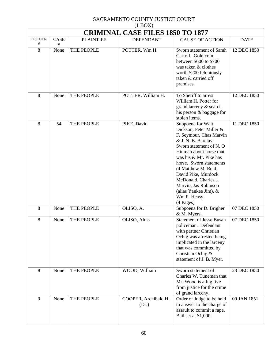| $(1 + 1)$<br><b>CRIMINAL CASE FILES 1850 TO 1877</b> |           |                  |                               |                                                                                                                                                                                                                                                                                                                                                                   |             |  |
|------------------------------------------------------|-----------|------------------|-------------------------------|-------------------------------------------------------------------------------------------------------------------------------------------------------------------------------------------------------------------------------------------------------------------------------------------------------------------------------------------------------------------|-------------|--|
| <b>FOLDER</b><br>#                                   | CASE      | <b>PLAINTIFF</b> | <b>DEFENDANT</b>              | <b>CAUSE OF ACTION</b>                                                                                                                                                                                                                                                                                                                                            | <b>DATE</b> |  |
| 8                                                    | #<br>None | THE PEOPLE       | POTTER, Wm H.                 | Sworn statement of Sarah<br>Carroll. Gold coin<br>between \$600 to \$700<br>was taken & clothes<br>worth \$200 feloniously<br>taken & carried off<br>premises.                                                                                                                                                                                                    | 12 DEC 1850 |  |
| 8                                                    | None      | THE PEOPLE       | POTTER, William H.            | To Sheriff to arrest<br>William H. Potter for<br>grand larceny & search<br>his person & baggage for<br>stolen items.                                                                                                                                                                                                                                              | 12 DEC 1850 |  |
| 8                                                    | 54        | THE PEOPLE       | PIKE, David                   | Subpoena for Walt<br>Dickson, Peter Miller &<br>F. Seymour, Chas Marvin<br>& J. N. B. Barclay.<br>Sworn statement of N.O.<br>Hinman about horse that<br>was his & Mr. Pike has<br>horse. Sworn statements<br>of Matthew M. Reid,<br>David Pike, Murdock<br>McDonald, Charles J.<br>Marvin, Jas Robinson<br>(alias Yankee Jim), $&$<br>Wm P. Heasy.<br>$(4$ Pages) | 11 DEC 1850 |  |
| 8                                                    | None      | THE PEOPLE       | OLISO, A.                     | Subpoena for D. Brigher<br>& M. Myers.                                                                                                                                                                                                                                                                                                                            | 07 DEC 1850 |  |
| 8                                                    | None      | THE PEOPLE       | OLISO, Alois                  | <b>Statement of Jesse Busan</b><br>policeman. Defendant<br>with partner Christian<br>Ochig was arrested being<br>implicated in the larceny<br>that was committed by<br>Christian Ochig &<br>statement of J. B. Myer.                                                                                                                                              | 07 DEC 1850 |  |
| 8                                                    | None      | THE PEOPLE       | WOOD, William                 | Sworn statement of<br>Charles W. Tuneman that<br>Mr. Wood is a fugitive<br>from justice for the crime<br>of grand larceny.                                                                                                                                                                                                                                        | 23 DEC 1850 |  |
| 9                                                    | None      | THE PEOPLE       | COOPER, Archibald H.<br>(Dr.) | Order of Judge to be held<br>to answer to the charge of<br>assault to commit a rape.<br>Bail set at \$1,000.                                                                                                                                                                                                                                                      | 09 JAN 1851 |  |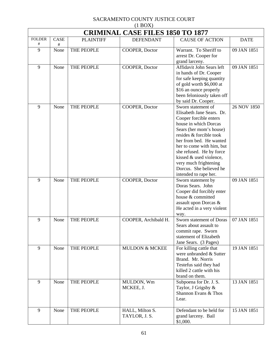| $(1 \text{D}V)$<br><b>CRIMINAL CASE FILES 1850 TO 1877</b> |                  |                  |                                  |                                                                                                                                                                                                                                                                                                                                                      |             |  |  |
|------------------------------------------------------------|------------------|------------------|----------------------------------|------------------------------------------------------------------------------------------------------------------------------------------------------------------------------------------------------------------------------------------------------------------------------------------------------------------------------------------------------|-------------|--|--|
| <b>FOLDER</b><br>#                                         | <b>CASE</b><br># | <b>PLAINTIFF</b> | <b>DEFENDANT</b>                 | <b>CAUSE OF ACTION</b>                                                                                                                                                                                                                                                                                                                               | <b>DATE</b> |  |  |
| 9                                                          | None             | THE PEOPLE       | COOPER, Doctor                   | Warrant. To Sheriff to<br>arrest Dr. Cooper for<br>grand larceny.                                                                                                                                                                                                                                                                                    | 09 JAN 1851 |  |  |
| 9                                                          | None             | THE PEOPLE       | COOPER, Doctor                   | Affidavit John Sears left<br>in hands of Dr. Cooper<br>for safe keeping quantity<br>of gold worth \$6,000 at<br>\$16 an ounce properly<br>been feloniously taken off<br>by said Dr. Cooper.                                                                                                                                                          | 09 JAN 1851 |  |  |
| 9                                                          | None             | THE PEOPLE       | COOPER, Doctor                   | Sworn statement of<br>Elisabeth Jane Sears. Dr.<br>Cooper forcible enters<br>house in which Dorcas<br>Sears (her mom's house)<br>resides & forcible took<br>her from bed. He wanted<br>her to come with him, but<br>she refused. He by force<br>kissed & used violence,<br>very much frightening<br>Dorcus. She believed he<br>intended to rape her. | 26 NOV 1850 |  |  |
| 9                                                          | None             | THE PEOPLE       | COOPER, Doctor                   | Sworn statement by<br>Doras Sears. John<br>Cooper did forcibly enter<br>house & committed<br>assault upon Dorcas &<br>He acted in a very violent<br>way.                                                                                                                                                                                             | 09 JAN 1851 |  |  |
| 9                                                          | None             | THE PEOPLE       | COOPER, Archibald H.             | Sworn statement of Doras<br>Sears about assault to<br>commit rape. Sworn<br>statement of Elizabeth<br>Jane Sears. (3 Pages)                                                                                                                                                                                                                          | 07 JAN 1851 |  |  |
| 9                                                          | None             | THE PEOPLE       | <b>MULDON &amp; MCKEE</b>        | For killing cattle that<br>were unbranded & Sutter<br>Brand. Mr. Norris<br>Testefus said they had<br>killed 2 cattle with his<br>brand on them.                                                                                                                                                                                                      | 19 JAN 1851 |  |  |
| 9                                                          | None             | THE PEOPLE       | MULDON, Wm<br>MCKEE, J.          | Subpoena for Dr. J. S.<br>Taylor, J Grigsby &<br>Shannon Evans & Thos<br>Lear.                                                                                                                                                                                                                                                                       | 13 JAN 1851 |  |  |
| 9                                                          | None             | THE PEOPLE       | HALL, Milton S.<br>TAYLOR, J. S. | Defendant to be held for<br>grand larceny. Bail<br>\$1,000.                                                                                                                                                                                                                                                                                          | 15 JAN 1851 |  |  |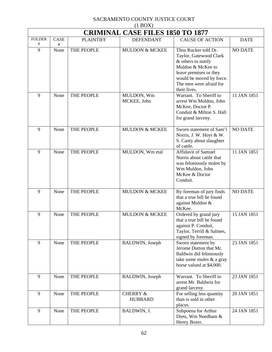|                    | (11001)<br><b>CRIMINAL CASE FILES 1850 TO 1877</b> |                  |                                       |                                                                                                                                                                                            |                |  |  |
|--------------------|----------------------------------------------------|------------------|---------------------------------------|--------------------------------------------------------------------------------------------------------------------------------------------------------------------------------------------|----------------|--|--|
| <b>FOLDER</b><br># | CASE<br>#                                          | <b>PLAINTIFF</b> | <b>DEFENDANT</b>                      | <b>CAUSE OF ACTION</b>                                                                                                                                                                     | <b>DATE</b>    |  |  |
| 9                  | None                                               | THE PEOPLE       | <b>MULDON &amp; MCKEE</b>             | Thos Rucker told Dr.<br>Taylor, Gatewood Clark<br>& others to notify<br>Muldon & McKee to<br>leave premises or they<br>would be moved by force.<br>The men were afraid for<br>their lives. | <b>NO DATE</b> |  |  |
| 9                  | None                                               | THE PEOPLE       | MULDON, Wm<br>MCKEE, John             | Warrant. To Sheriff to<br>arrest Wm Muldon, John<br>McKee, Doctor P.<br>Conduit & Milton S. Hall<br>for grand larceny.                                                                     | 11 JAN 1851    |  |  |
| 9                  | None                                               | THE PEOPLE       | <b>MULDON &amp; MCKEE</b>             | Sworn statement of Sam'l<br>Norris, J. W. Hoyt & W.<br>S. Canty about slaughter<br>of cattle.                                                                                              | <b>NO DATE</b> |  |  |
| 9                  | None                                               | THE PEOPLE       | MULDON, Wm etal                       | Affidavit of Samuel<br>Norris about cattle that<br>was feloniously stolen by<br>Wm Muldon, John<br>McKee & Doctor<br>Conduit.                                                              | 11 JAN 1851    |  |  |
| 9                  | None                                               | THE PEOPLE       | <b>MULDON &amp; MCKEE</b>             | By foreman of jury finds<br>that a true bill be found<br>against Muldon &<br>McKee.                                                                                                        | <b>NO DATE</b> |  |  |
| 9                  | None                                               | THE PEOPLE       | <b>MULDON &amp; MCKEE</b>             | Ordered by grand jury<br>that a true bill be found<br>against P. Conduit,<br>Taylor, Terrill & Salmes,<br>signed by foreman.                                                               | 15 JAN 1851    |  |  |
| 9                  | None                                               | THE PEOPLE       | BALDWIN, Joseph                       | Sworn statement by<br>Jerome Dutton that Mr.<br>Baldwin did feloniously<br>take some mules & a gray<br>horse valued at \$4,000.                                                            | 23 JAN 1851    |  |  |
| 9                  | None                                               | THE PEOPLE       | BALDWIN, Joseph                       | Warrant. To Sheriff to<br>arrest Mr. Baldwin for<br>grand larceny.                                                                                                                         | 23 JAN 1851    |  |  |
| 9                  | None                                               | THE PEOPLE       | <b>CHERRY &amp;</b><br><b>HUBBARD</b> | For selling less quantity<br>than is sold in other<br>places.                                                                                                                              | 20 JAN 1851    |  |  |
| 9                  | None                                               | THE PEOPLE       | BALDWIN, J.                           | Subpoena for Arthur<br>Diets, Wm Needham &<br>Henry Bozer.                                                                                                                                 | 24 JAN 1851    |  |  |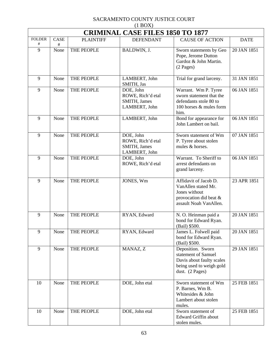| $(1 + 1)$<br><b>CRIMINAL CASE FILES 1850 TO 1877</b> |             |                  |                                                                 |                                                                                                                      |             |  |
|------------------------------------------------------|-------------|------------------|-----------------------------------------------------------------|----------------------------------------------------------------------------------------------------------------------|-------------|--|
| <b>FOLDER</b>                                        | <b>CASE</b> | <b>PLAINTIFF</b> | <b>DEFENDANT</b>                                                | <b>CAUSE OF ACTION</b>                                                                                               | <b>DATE</b> |  |
| #<br>9                                               | #<br>None   | THE PEOPLE       | BALDWIN, J.                                                     | Sworn statements by Geo<br>Pope, Jerome Dutton<br>Gardoz & John Martin.<br>$(2$ Pages)                               | 20 JAN 1851 |  |
| 9                                                    | None        | THE PEOPLE       | LAMBERT, John<br>SMITH, Jas                                     | Trial for grand larceny.                                                                                             | 31 JAN 1851 |  |
| 9                                                    | None        | THE PEOPLE       | DOE, John<br>ROWE, Rich'd etal<br>SMITH, James<br>LAMBERT, John | Warrant. Wm P. Tyree<br>sworn statement that the<br>defendants stole 80 to<br>100 horses & mules form<br>him.        | 06 JAN 1851 |  |
| 9                                                    | None        | THE PEOPLE       | LAMBERT, John                                                   | Bond for appearance for<br>John Lambert on bail.                                                                     | 06 JAN 1851 |  |
| 9                                                    | None        | THE PEOPLE       | DOE, John<br>ROWE, Rich'd etal<br>SMITH, James<br>LAMBERT, John | Sworn statement of Wm<br>P. Tyree about stolen<br>mules & horses.                                                    | 07 JAN 1851 |  |
| 9                                                    | None        | THE PEOPLE       | DOE, John<br>ROWE, Rich'd etal                                  | Warrant. To Sheriff to<br>arrest defendants on<br>grand larceny.                                                     | 06 JAN 1851 |  |
| 9                                                    | None        | THE PEOPLE       | JONES, Wm                                                       | Affidavit of Jacob D.<br>VanAllen stated Mr.<br>Jones without<br>provocation did beat &<br>assault Noah VanAllen.    | 23 APR 1851 |  |
| 9                                                    | None        | THE PEOPLE       | RYAN, Edward                                                    | N. O. Heinman paid a<br>bond for Edward Ryan.<br>(Bail) \$500.                                                       | 20 JAN 1851 |  |
| 9                                                    | None        | THE PEOPLE       | RYAN, Edward                                                    | James L. Folwell paid<br>bond for Edward Ryan.<br>(Bail) \$500.                                                      | 20 JAN 1851 |  |
| 9                                                    | None        | THE PEOPLE       | MANAZ, Z                                                        | Deposition. Sworn<br>statement of Samuel<br>Davis about faulty scales<br>being used to weigh gold<br>dust. (2 Pages) | 29 JAN 1851 |  |
| 10                                                   | None        | THE PEOPLE       | DOE, John etal                                                  | Sworn statement of Wm<br>P. Barnes, Wm B.<br>Whitesides & John<br>Lambert about stolen<br>mules.                     | 25 FEB 1851 |  |
| 10                                                   | None        | THE PEOPLE       | DOE, John etal                                                  | Sworn statement of<br>Edward Griffin about<br>stolen mules.                                                          | 25 FEB 1851 |  |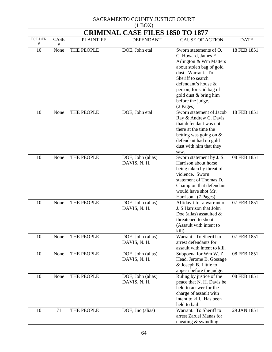|               | <b>CRIMINAL CASE FILES 1850 TO 1877</b> |                  |                                   |                                                                                                                                                                                                                                                            |             |  |
|---------------|-----------------------------------------|------------------|-----------------------------------|------------------------------------------------------------------------------------------------------------------------------------------------------------------------------------------------------------------------------------------------------------|-------------|--|
| <b>FOLDER</b> | <b>CASE</b>                             | <b>PLAINTIFF</b> | <b>DEFENDANT</b>                  | <b>CAUSE OF ACTION</b>                                                                                                                                                                                                                                     | <b>DATE</b> |  |
| #<br>10       | $\#$<br>None                            | THE PEOPLE       | DOE, John etal                    | Sworn statements of O.<br>C. Howard, James E.<br>Arlington & Wm Matters<br>about stolen bag of gold<br>dust. Warrant. To<br>Sheriff to search<br>defendant's house &<br>person, for said bag of<br>gold dust & bring him<br>before the judge.<br>(2 Pages) | 18 FEB 1851 |  |
| 10            | None                                    | THE PEOPLE       | DOE, John etal                    | Sworn statement of Jacob<br>Ray & Andrew C. Davis<br>that defendant was not<br>there at the time the<br>betting was going on $&$<br>defendant had no gold<br>dust with him that they<br>saw.                                                               | 18 FEB 1851 |  |
| 10            | None                                    | THE PEOPLE       | DOE, John (alias)<br>DAVIS, N. H. | Sworn statement by J. S.<br>Harrison about horse<br>being taken by threat of<br>violence. Sworn<br>statement of Thomas D.<br>Champion that defendant<br>would have shot Mr.<br>Harrison. (7 Pages)                                                         | 08 FEB 1851 |  |
| 10            | None                                    | THE PEOPLE       | DOE, John (alias)<br>DAVIS, N. H. | Affidavit for a warrant of<br>J. S Harrison that John<br>Doe (alias) assaulted $\&$<br>threatened to shoot.<br>(Assault with intent to<br>kill).                                                                                                           | 07 FEB 1851 |  |
| 10            | None                                    | THE PEOPLE       | DOE, John (alias)<br>DAVIS, N. H. | Warrant. To Sheriff to<br>arrest defendants for<br>assault with intent to kill.                                                                                                                                                                            | 07 FEB 1851 |  |
| 10            | None                                    | THE PEOPLE       | DOE, John (alias)<br>DAVIS, N. H. | Subpoena for Wm W. Z.<br>Head, Jerome B. Gossage<br>& Joseph B. Little to<br>appear before the judge.                                                                                                                                                      | 08 FEB 1851 |  |
| 10            | None                                    | THE PEOPLE       | DOE, John (alias)<br>DAVIS, N. H. | Ruling by justice of the<br>peace that N. H. Davis be<br>held to answer for the<br>charge of assault with<br>intent to kill. Has been<br>held to bail.                                                                                                     | 08 FEB 1851 |  |
| 10            | 71                                      | THE PEOPLE       | DOE, Jno (alias)                  | Warrant. To Sheriff to<br>arrest Zaruel Manas for<br>cheating $&$ swindling.                                                                                                                                                                               | 29 JAN 1851 |  |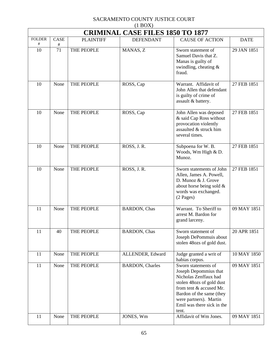| $(1 + 1)$<br><b>CRIMINAL CASE FILES 1850 TO 1877</b> |         |                  |                         |                                                                                                                                                                                                                            |             |  |  |
|------------------------------------------------------|---------|------------------|-------------------------|----------------------------------------------------------------------------------------------------------------------------------------------------------------------------------------------------------------------------|-------------|--|--|
| <b>FOLDER</b><br>#                                   | CASE    | <b>PLAINTIFF</b> | <b>DEFENDANT</b>        | <b>CAUSE OF ACTION</b>                                                                                                                                                                                                     | <b>DATE</b> |  |  |
| 10                                                   | #<br>71 | THE PEOPLE       | MANAS, Z                | Sworn statement of<br>Samuel Davis that Z.<br>Manas is guilty of<br>swindling, cheating &<br>fraud.                                                                                                                        | 29 JAN 1851 |  |  |
| 10                                                   | None    | THE PEOPLE       | ROSS, Cap               | Warrant. Affidavit of<br>John Allen that defendant<br>is guilty of crime of<br>assault & battery.                                                                                                                          | 27 FEB 1851 |  |  |
| 10                                                   | None    | THE PEOPLE       | ROSS, Cap               | John Allen was deposed<br>& said Cap Ross without<br>provocation violently<br>assaulted & struck him<br>several times.                                                                                                     | 27 FEB 1851 |  |  |
| 10                                                   | None    | THE PEOPLE       | ROSS, J. R.             | Subpoena for W. B.<br>Woods, Wm High & D.<br>Munoz.                                                                                                                                                                        | 27 FEB 1851 |  |  |
| 10                                                   | None    | THE PEOPLE       | ROSS, J.R.              | Sworn statements of John<br>Allen, James A. Powell,<br>D. Munoz & J. Grove<br>about horse being sold &<br>words was exchanged.<br>$(2$ Pages)                                                                              | 27 FEB 1851 |  |  |
| 11                                                   | None    | THE PEOPLE       | <b>BARDON</b> , Chas    | Warrant. To Sheriff to<br>arrest M. Bardon for<br>grand larceny.                                                                                                                                                           | 09 MAY 1851 |  |  |
| 11                                                   | 40      | THE PEOPLE       | <b>BARDON</b> , Chas    | Sworn statement of<br>Joseph DePommuis about<br>stolen 48ozs of gold dust.                                                                                                                                                 | 20 APR 1851 |  |  |
| 11                                                   | None    | THE PEOPLE       | ALLENDER, Edward        | Judge granted a writ of<br>habias corpus.                                                                                                                                                                                  | 10 MAY 1850 |  |  |
| 11                                                   | None    | THE PEOPLE       | <b>BARDON</b> , Charles | Sworn statements of<br>Joseph Depommius that<br>Nicholas Zenffaux had<br>stolen 48ozs of gold dust<br>from tent & accused Mr.<br>Bardon of the same (they<br>were partners). Martin<br>Emil was there sick in the<br>tent. | 09 MAY 1851 |  |  |
| 11                                                   | None    | THE PEOPLE       | JONES, Wm               | Affidavit of Wm Jones.                                                                                                                                                                                                     | 09 MAY 1851 |  |  |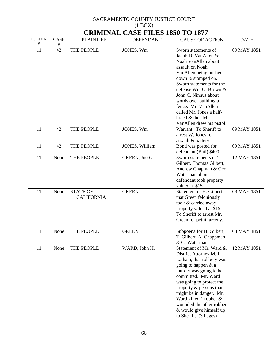| $(1 + 1)$<br><b>CRIMINAL CASE FILES 1850 TO 1877</b> |            |                                      |                  |                                                                                                                                                                                                                                                                                                                                                    |             |  |  |
|------------------------------------------------------|------------|--------------------------------------|------------------|----------------------------------------------------------------------------------------------------------------------------------------------------------------------------------------------------------------------------------------------------------------------------------------------------------------------------------------------------|-------------|--|--|
| <b>FOLDER</b>                                        | CASE       | <b>PLAINTIFF</b>                     | <b>DEFENDANT</b> | <b>CAUSE OF ACTION</b>                                                                                                                                                                                                                                                                                                                             | <b>DATE</b> |  |  |
| #<br>11                                              | $\#$<br>42 | THE PEOPLE                           | JONES, Wm        | Sworn statements of<br>Jacob D. VanAllen &<br>Noah VanAllen about<br>assault on Noah<br>VanAllen being pushed<br>down & stomped on.<br>Sworn statements for the<br>defense Wm G. Brown &<br>John C. Ninnus about<br>words over building a<br>fence. Mr. VanAllen<br>called Mr. Jones a half-<br>breed & then Mr.<br>VanAllen drew his pistol.      | 09 MAY 1851 |  |  |
| 11                                                   | 42         | THE PEOPLE                           | JONES, Wm        | Warrant. To Sheriff to<br>arrest W. Jones for<br>assault & battery.                                                                                                                                                                                                                                                                                | 09 MAY 1851 |  |  |
| 11                                                   | 42         | THE PEOPLE                           | JONES, William   | Bond was posted for<br>defendant (Bail) \$400.                                                                                                                                                                                                                                                                                                     | 09 MAY 1851 |  |  |
| 11                                                   | None       | THE PEOPLE                           | GREEN, Jno G.    | Sworn statements of T.<br>Gilbert, Thomas Gilbert,<br>Andrew Chapman & Geo<br>Waterman about<br>defendant took property<br>valued at \$15.                                                                                                                                                                                                         | 12 MAY 1851 |  |  |
| 11                                                   | None       | <b>STATE OF</b><br><b>CALIFORNIA</b> | <b>GREEN</b>     | Statement of H. Gilbert<br>that Green feloniously<br>took & carried away<br>property valued at \$15.<br>To Sheriff to arrest Mr.<br>Green for pettit larceny.                                                                                                                                                                                      | 03 MAY 1851 |  |  |
| 11                                                   | None       | THE PEOPLE                           | <b>GREEN</b>     | Subpoena for H. Gilbert,<br>T. Gilbert, A. Chappman<br>& G. Waterman.                                                                                                                                                                                                                                                                              | 03 MAY 1851 |  |  |
| 11                                                   | None       | THE PEOPLE                           | WARD, John H.    | Statement of Mr. Ward &<br>District Attorney M. L.<br>Latham, that robbery was<br>going to happen & a<br>murder was going to be<br>committed. Mr. Ward<br>was going to protect the<br>property & persons that<br>might be in danger. Mr.<br>Ward killed 1 robber &<br>wounded the other robber<br>& would give himself up<br>to Sheriff. (3 Pages) | 12 MAY 1851 |  |  |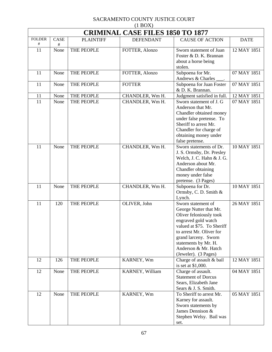| $(1 \text{D} \text{O} \Omega)$<br><b>CRIMINAL CASE FILES 1850 TO 1877</b> |      |                  |                  |                                                |             |  |  |
|---------------------------------------------------------------------------|------|------------------|------------------|------------------------------------------------|-------------|--|--|
| <b>FOLDER</b>                                                             | CASE | <b>PLAINTIFF</b> | <b>DEFENDANT</b> | <b>CAUSE OF ACTION</b>                         | <b>DATE</b> |  |  |
| $^{\#}$                                                                   | #    |                  |                  |                                                |             |  |  |
| 11                                                                        | None | THE PEOPLE       | FOTTER, Alonzo   | Sworn statement of Juan                        | 12 MAY 1851 |  |  |
|                                                                           |      |                  |                  | Foster & D. K. Brannan                         |             |  |  |
|                                                                           |      |                  |                  | about a horse being                            |             |  |  |
| 11                                                                        | None | THE PEOPLE       | FOTTER, Alonzo   | stolen.<br>Subpoena for Mr.                    | 07 MAY 1851 |  |  |
|                                                                           |      |                  |                  | Andrews & Charles                              |             |  |  |
| 11                                                                        | None | THE PEOPLE       | <b>FOTTER</b>    | Subpoena for Juan Foster                       | 07 MAY 1851 |  |  |
|                                                                           |      |                  |                  | & D. K. Brannan.                               |             |  |  |
| 11                                                                        | None | THE PEOPLE       | CHANDLER, Wm H.  | Judgment satisfied in full.                    | 12 MAY 1851 |  |  |
| 11                                                                        | None | THE PEOPLE       | CHANDLER, Wm H.  | Sworn statement of J. G                        | 07 MAY 1851 |  |  |
|                                                                           |      |                  |                  | Anderson that Mr.                              |             |  |  |
|                                                                           |      |                  |                  | Chandler obtained money                        |             |  |  |
|                                                                           |      |                  |                  | under false pretense. To                       |             |  |  |
|                                                                           |      |                  |                  | Sheriff to arrest Mr.                          |             |  |  |
|                                                                           |      |                  |                  | Chandler for charge of                         |             |  |  |
|                                                                           |      |                  |                  | obtaining money under<br>false pretense.       |             |  |  |
| 11                                                                        | None | THE PEOPLE       | CHANDLER, Wm H.  | Sworn statements of Dr.                        | 10 MAY 1851 |  |  |
|                                                                           |      |                  |                  | J. S. Ormsby, Dr. Presley                      |             |  |  |
|                                                                           |      |                  |                  | Welch, J. C. Hahn & J. G.                      |             |  |  |
|                                                                           |      |                  |                  | Anderson about Mr.                             |             |  |  |
|                                                                           |      |                  |                  | Chandler obtaining                             |             |  |  |
|                                                                           |      |                  |                  | money under false                              |             |  |  |
|                                                                           |      |                  |                  | pretense. (3 Pages)                            |             |  |  |
| 11                                                                        | None | THE PEOPLE       | CHANDLER, Wm H.  | Subpoena for Dr.                               | 10 MAY 1851 |  |  |
|                                                                           |      |                  |                  | Ormsby, C. D. Smith &                          |             |  |  |
|                                                                           |      |                  |                  | Lynch.                                         |             |  |  |
| 11                                                                        | 120  | THE PEOPLE       | OLIVER, John     | Sworn statement of                             | 26 MAY 1851 |  |  |
|                                                                           |      |                  |                  | George Nutter that Mr.                         |             |  |  |
|                                                                           |      |                  |                  | Oliver feloniously took<br>engraved gold watch |             |  |  |
|                                                                           |      |                  |                  | valued at \$75. To Sheriff                     |             |  |  |
|                                                                           |      |                  |                  | to arrest Mr. Oliver for                       |             |  |  |
|                                                                           |      |                  |                  | grand larceny. Sworn                           |             |  |  |
|                                                                           |      |                  |                  | statements by Mr. H.                           |             |  |  |
|                                                                           |      |                  |                  | Anderson & Mr. Hatch                           |             |  |  |
|                                                                           |      |                  |                  | (Jeweler). (3 Pages)                           |             |  |  |
| 12                                                                        | 126  | THE PEOPLE       | KARNEY, Wm       | Charge of assault & bail                       | 12 MAY 1851 |  |  |
|                                                                           |      |                  |                  | is set at \$1,000.                             |             |  |  |
| 12                                                                        | None | THE PEOPLE       | KARNEY, William  | Charge of assault.                             | 04 MAY 1851 |  |  |
|                                                                           |      |                  |                  | <b>Statement of Dorcus</b>                     |             |  |  |
|                                                                           |      |                  |                  | Sears, Elizabeth Jane<br>Sears & J. S. Smith.  |             |  |  |
| 12                                                                        | None | THE PEOPLE       | KARNEY, Wm       | To Sheriff to arrest Mr.                       | 05 MAY 1851 |  |  |
|                                                                           |      |                  |                  | Karney for assault.                            |             |  |  |
|                                                                           |      |                  |                  | Sworn statements by                            |             |  |  |
|                                                                           |      |                  |                  | James Dennison &                               |             |  |  |
|                                                                           |      |                  |                  | Stephen Welsy. Bail was                        |             |  |  |
|                                                                           |      |                  |                  | set.                                           |             |  |  |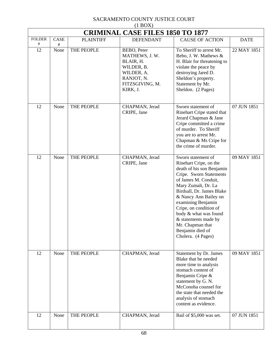| <b>CRIMINAL CASE FILES 1850 TO 1877</b> |              |                  |                                                                                                                     |                                                                                                                                                                                                                                                                                                                                                                          |             |  |
|-----------------------------------------|--------------|------------------|---------------------------------------------------------------------------------------------------------------------|--------------------------------------------------------------------------------------------------------------------------------------------------------------------------------------------------------------------------------------------------------------------------------------------------------------------------------------------------------------------------|-------------|--|
| <b>FOLDER</b>                           | <b>CASE</b>  | <b>PLAINTIFF</b> | <b>DEFENDANT</b>                                                                                                    | <b>CAUSE OF ACTION</b>                                                                                                                                                                                                                                                                                                                                                   | <b>DATE</b> |  |
| #<br>12                                 | $\#$<br>None | THE PEOPLE       | BEBO, Peter<br>MATHEWS, J. W.<br>BLAIR, H.<br>WILDER, B.<br>WILDER, A.<br>RANJOT, N.<br>FITZSGIVING, M.<br>KIRK, J. | To Sheriff to arrest Mr.<br>Bebo, J. W. Mathews &<br>H. Blair for threatening to<br>violate the peace by<br>destroying Jared D.<br>Sheldon's property.<br>Statement by Mr.<br>Sheldon. (2 Pages)                                                                                                                                                                         | 22 MAY 1851 |  |
| 12                                      | None         | THE PEOPLE       | CHAPMAN, Jerad<br>CRIPE, Jane                                                                                       | Sworn statement of<br>Rinehart Cripe stated that<br>Jerard Chapman & Jane<br>Cripe committed a crime<br>of murder. To Sheriff<br>you are to arrest Mr.<br>Chapman & Ms Cripe for<br>the crime of murder.                                                                                                                                                                 | 07 JUN 1851 |  |
| 12                                      | None         | THE PEOPLE       | CHAPMAN, Jerad<br>CRIPE, Jane                                                                                       | Sworn statement of<br>Rinehart Cripe, on the<br>death of his son Benjamin<br>Cripe. Sworn Statements<br>of James M. Conduit,<br>Mary Zumalt, Dr. La<br>Birdsall, Dr. James Blake<br>& Nancy Ann Bailey on<br>examining Benjamin<br>Cripe, on condition of<br>body & what was found<br>& statements made by<br>Mr. Chapman that<br>Benjamin died of<br>Cholera. (4 Pages) | 09 MAY 1851 |  |
| 12                                      | None         | THE PEOPLE       | CHAPMAN, Jerad                                                                                                      | Statement by Dr. James<br>Blake that he needed<br>more time to analysis<br>stomach content of<br>Benjamin Cripe &<br>statement by G. N.<br>McConoha counsel for<br>the state that needed the<br>analysis of stomach<br>content as evidence.                                                                                                                              | 09 MAY 1851 |  |
| 12                                      | None         | THE PEOPLE       | CHAPMAN, Jerad                                                                                                      | Bail of \$5,000 was set.                                                                                                                                                                                                                                                                                                                                                 | 07 JUN 1851 |  |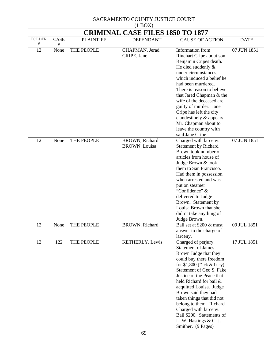|               | <b>CRIMINAL CASE FILES 1850 TO 1877</b> |                  |                                        |                                                                                                                                                                                                                                                                                                                                                                                                                                        |             |  |
|---------------|-----------------------------------------|------------------|----------------------------------------|----------------------------------------------------------------------------------------------------------------------------------------------------------------------------------------------------------------------------------------------------------------------------------------------------------------------------------------------------------------------------------------------------------------------------------------|-------------|--|
| <b>FOLDER</b> | CASE                                    | <b>PLAINTIFF</b> | <b>DEFENDANT</b>                       | <b>CAUSE OF ACTION</b>                                                                                                                                                                                                                                                                                                                                                                                                                 | <b>DATE</b> |  |
| #<br>12       | $\#$<br>None                            | THE PEOPLE       |                                        | Information from                                                                                                                                                                                                                                                                                                                                                                                                                       | 07 JUN 1851 |  |
|               |                                         |                  | CHAPMAN, Jerad<br>CRIPE, Jane          | Rinehart Cripe about son<br>Benjamin Cripes death.<br>He died suddenly $&$<br>under circumstances,<br>which induced a belief he<br>had been murdered.<br>There is reason to believe<br>that Jared Chapman & the<br>wife of the deceased are<br>guilty of murder. Jane<br>Cripe has left the city<br>clandestinely $\&$ appears<br>Mr. Chapman about to<br>leave the country with<br>said Jane Cripe.                                   |             |  |
| 12            | None                                    | THE PEOPLE       | BROWN, Richard<br><b>BROWN, Louisa</b> | Charged with larceny.<br><b>Statement by Richard</b><br>Brown took number of<br>articles from house of<br>Judge Brown & took<br>them to San Francisco.<br>Had them in possession<br>when arrested and was<br>put on steamer<br>"Confidence" &<br>delivered to Judge<br>Brown. Statement by<br>Louisa Brown that she<br>didn't take anything of<br>Judge Brown.                                                                         | 07 JUN 1851 |  |
| 12            | None                                    | THE PEOPLE       | BROWN, Richard                         | Bail set at \$200 & must<br>answer to the charge of<br>larceny.                                                                                                                                                                                                                                                                                                                                                                        | 09 JUL 1851 |  |
| 12            | 122                                     | THE PEOPLE       | KETHERLY, Lewis                        | Charged of perjury.<br><b>Statement of James</b><br>Brown Judge that they<br>could buy there freedom<br>for \$1,800 (Dick & Lucy).<br>Statement of Geo S. Fake<br>Justice of the Peace that<br>held Richard for bail &<br>acquitted Louisa. Judge<br>Brown said they had<br>taken things that did not<br>belong to them. Richard<br>Charged with larceny.<br>Bail \$200. Statements of<br>L. W. Hastings & C. J.<br>Smither. (9 Pages) | 17 JUL 1851 |  |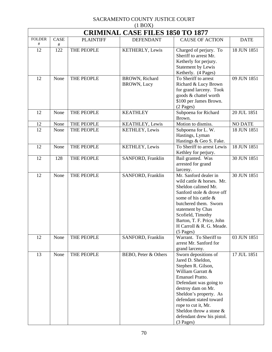|                       | $(1 \text{D} \text{O} \Omega)$          |                  |                                      |                                                                                                                                                                                                                                                                                                                     |                |  |  |  |
|-----------------------|-----------------------------------------|------------------|--------------------------------------|---------------------------------------------------------------------------------------------------------------------------------------------------------------------------------------------------------------------------------------------------------------------------------------------------------------------|----------------|--|--|--|
|                       | <b>CRIMINAL CASE FILES 1850 TO 1877</b> |                  |                                      |                                                                                                                                                                                                                                                                                                                     |                |  |  |  |
| <b>FOLDER</b><br>$\#$ | CASE<br>#                               | <b>PLAINTIFF</b> | <b>DEFENDANT</b>                     | <b>CAUSE OF ACTION</b>                                                                                                                                                                                                                                                                                              | <b>DATE</b>    |  |  |  |
| 12                    | 122                                     | THE PEOPLE       | KETHERLY, Lewis                      | Charged of perjury. To<br>Sheriff to arrest Mr.<br>Ketherly for perjury.<br>Statement by Lewis<br>Ketherly. (4 Pages)                                                                                                                                                                                               | 18 JUN 1851    |  |  |  |
| 12                    | None                                    | THE PEOPLE       | BROWN, Richard<br><b>BROWN, Lucy</b> | To Sheriff to arrest<br>Richard & Lucy Brown<br>for grand larceny. Took<br>goods & chattel worth<br>\$100 per James Brown.<br>$(2$ Pages)                                                                                                                                                                           | 09 JUN 1851    |  |  |  |
| 12                    | None                                    | THE PEOPLE       | <b>KEATHLEY</b>                      | Subpoena for Richard<br>Brown.                                                                                                                                                                                                                                                                                      | 20 JUL 1851    |  |  |  |
| 12                    | None                                    | THE PEOPLE       | KEATHLEY, Lewis                      | Motion to dismiss.                                                                                                                                                                                                                                                                                                  | <b>NO DATE</b> |  |  |  |
| 12                    | None                                    | THE PEOPLE       | KETHLEY, Lewis                       | Subpoena for L. W.<br>Hastings, Lyman<br>Hastings & Geo S. Fake.                                                                                                                                                                                                                                                    | 18 JUN 1851    |  |  |  |
| 12                    | None                                    | THE PEOPLE       | KETHLEY, Lewis                       | To Sheriff to arrest Lewis<br>Kethley for perjury.                                                                                                                                                                                                                                                                  | 18 JUN 1851    |  |  |  |
| 12                    | 128                                     | THE PEOPLE       | SANFORD, Franklin                    | Bail granted. Was<br>arrested for grand<br>larceny.                                                                                                                                                                                                                                                                 | 30 JUN 1851    |  |  |  |
| 12                    | None                                    | THE PEOPLE       | SANFORD, Franklin                    | Mr. Sanford dealer in<br>wild cattle & horses. Mr.<br>Sheldon calimed Mr.<br>Sanford stole & drove off<br>some of his cattle &<br>butchered them. Sworn<br>statement by Chas<br>Scofield, Timothy<br>Barton, T. F. Price, John<br>H Carroll & R. G. Meade.<br>$(5$ Pages)                                           | 30 JUN 1851    |  |  |  |
| 12                    | None                                    | THE PEOPLE       | SANFORD, Franklin                    | Warrant. To Sheriff to<br>arrest Mr. Sanford for<br>grand larceny.                                                                                                                                                                                                                                                  | 03 JUN 1851    |  |  |  |
| 13                    | None                                    | THE PEOPLE       | BEBO, Peter & Others                 | Sworn depositions of<br>Jared D. Sheldon,<br>Stephen R. Gilson,<br>William Garratt &<br><b>Emanuel Pratto.</b><br>Defendant was going to<br>destroy dam on Mr.<br>Sheldon's property. As<br>defendant stated toward<br>rope to cut it, Mr.<br>Sheldon throw a stone $\&$<br>defendant drew his pistol.<br>(3 Pages) | 17 JUL 1851    |  |  |  |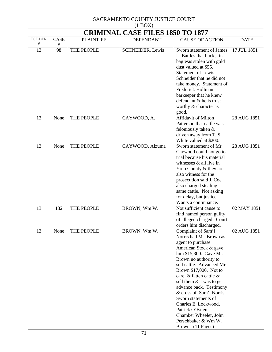| $(1 - 1)$<br><b>CRIMINAL CASE FILES 1850 TO 1877</b> |            |                  |                         |                                                                                                                                                                                                                                                                                                                                                                                                                                                             |             |  |
|------------------------------------------------------|------------|------------------|-------------------------|-------------------------------------------------------------------------------------------------------------------------------------------------------------------------------------------------------------------------------------------------------------------------------------------------------------------------------------------------------------------------------------------------------------------------------------------------------------|-------------|--|
| <b>FOLDER</b>                                        | CASE       | <b>PLAINTIFF</b> | <b>DEFENDANT</b>        | <b>CAUSE OF ACTION</b>                                                                                                                                                                                                                                                                                                                                                                                                                                      | <b>DATE</b> |  |
| #<br>13                                              | $\#$<br>98 | THE PEOPLE       | <b>SCHNEIDER, Lewis</b> | Sworn statement of James<br>L. Battles that buckskin<br>bag was stolen with gold<br>dust valued at \$55.<br><b>Statement of Lewis</b><br>Schneider that he did not<br>take money. Statement of<br>Frederick Hollman<br>barkeeper that he knew<br>defendant & he is trust<br>worthy & character is<br>good.                                                                                                                                                  | 17 JUL 1851 |  |
| 13                                                   | None       | THE PEOPLE       | CAYWOOD, A.             | <b>Affidavit of Milton</b><br>Patterson that cattle was<br>feloniously taken &<br>driven away from T. S.<br>White valued at \$200.                                                                                                                                                                                                                                                                                                                          | 28 AUG 1851 |  |
| 13                                                   | None       | THE PEOPLE       | CAYWOOD, Alzuma         | Sworn statement of Mr.<br>Caywood could not go to<br>trial because his material<br>witnesses & all live in<br>Yolo County & they are<br>also witness for the<br>prosecution said J. Coe<br>also charged stealing<br>same cattle. Not asking<br>for delay, but justice.<br>Wants a continuance.                                                                                                                                                              | 28 AUG 1851 |  |
| 13                                                   | 132        | THE PEOPLE       | BROWN, Wm W.            | Not sufficient cause to<br>find named person guilty<br>of alleged charged. Court<br>orders him discharged.                                                                                                                                                                                                                                                                                                                                                  | 02 MAY 1851 |  |
| 13                                                   | None       | THE PEOPLE       | BROWN, Wm W.            | Complaint of Sam'l<br>Norris had Mr. Brown as<br>agent to purchase<br>American Stock & gave<br>him \$15,300. Gave Mr.<br>Brown no authority to<br>sell cattle. Advanced Mr.<br>Brown \$17,000. Not to<br>care & fatten cattle &<br>sell them $&$ I was to get<br>advance back. Testimony<br>& cross of Sam'l Norris<br>Sworn statements of<br>Charles E. Lockwood,<br>Patrick O'Brien,<br>Chamber Wheeler, John<br>Perschbaker & Wm W.<br>Brown. (11 Pages) | 02 AUG 1851 |  |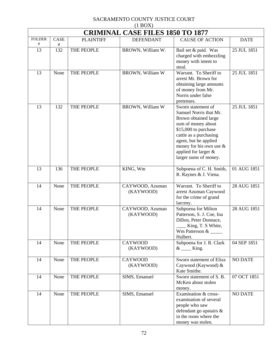| (11001)<br><b>CRIMINAL CASE FILES 1850 TO 1877</b> |          |                  |                              |                                                                                                                                                                                                                                                      |                          |  |  |
|----------------------------------------------------|----------|------------------|------------------------------|------------------------------------------------------------------------------------------------------------------------------------------------------------------------------------------------------------------------------------------------------|--------------------------|--|--|
| <b>FOLDER</b><br>$\#$                              | CASE     | <b>PLAINTIFF</b> | <b>DEFENDANT</b>             | <b>CAUSE OF ACTION</b>                                                                                                                                                                                                                               | <b>DATE</b>              |  |  |
| 13                                                 | #<br>132 | THE PEOPLE       | BROWN, William W.            | Bail set & paid. Was<br>charged with embezzling<br>money with intent to<br>steal.                                                                                                                                                                    | 25 JUL 1851              |  |  |
| 13                                                 | None     | THE PEOPLE       | BROWN, William W             | Warrant. To Sheriff to<br>arrest Mr. Brown for<br>obtaining large amounts<br>of money from Mr.<br>Norris under false<br>pretenses.                                                                                                                   | 25 JUL 1851              |  |  |
| 13                                                 | 132      | THE PEOPLE       | BROWN, William W             | Sworn statement of<br>Samuel Norris that Mr.<br>Brown obtained large<br>sum of money about<br>\$15,000 to purchase<br>cattle as a purchasing<br>agent, but he applied<br>money for his own use $\&$<br>applied for larger &<br>larger sums of money. | 25 JUL 1851              |  |  |
| 13                                                 | 136      | THE PEOPLE       | KING, Wm                     | Subpoena of C. H. Smith,<br>R. Raynes & J. Viena.                                                                                                                                                                                                    | $\overline{01}$ AUG 1851 |  |  |
| 14                                                 | None     | THE PEOPLE       | CAYWOOD, Azuman<br>(KAYWOOD) | Warrant. To Sheriff to<br>arrest Azuman Caywood<br>for the crime of grand<br>larceny.                                                                                                                                                                | 28 AUG 1851              |  |  |
| 14                                                 | None     | THE PEOPLE       | CAYWOOD, Azuman<br>(KAYWOOD) | Subpoena for Milton<br>Patterson, S. J. Coe, Ina<br>Dillon, Peter Donnace,<br>____ King, T. S White,<br>Wm Patterson $\&$<br>Hulbert.                                                                                                                | 28 AUG 1851              |  |  |
| 14                                                 | None     | THE PEOPLE       | <b>CAYWOOD</b><br>(KAYWOOD)  | Subpoena for J. R. Clark<br>$&$ King.                                                                                                                                                                                                                | 04 SEP 1851              |  |  |
| 14                                                 | None     | THE PEOPLE       | <b>CAYWOOD</b><br>(KAYWOOD)  | Sworn statement of Eliza<br>Caywood (Kaywood) &<br>Kate Smithe.                                                                                                                                                                                      | <b>NO DATE</b>           |  |  |
| 14                                                 | None     | THE PEOPLE       | SIMS, Emanuel                | Sworn statement of S. B.<br>McKen about stolen<br>money.                                                                                                                                                                                             | 07 OCT 1851              |  |  |
| 14                                                 | None     | THE PEOPLE       | SIMS, Emanuel                | Examination & cross-<br>examination of several<br>people who saw<br>defendant go upstairs &<br>in the room where the<br>money was stolen.                                                                                                            | <b>NO DATE</b>           |  |  |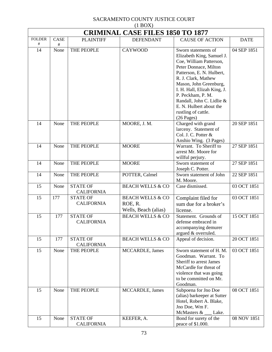|               | $(1 + 1)$<br><b>CRIMINAL CASE FILES 1850 TO 1877</b> |                                      |                             |                                                      |             |  |  |
|---------------|------------------------------------------------------|--------------------------------------|-----------------------------|------------------------------------------------------|-------------|--|--|
| <b>FOLDER</b> | CASE                                                 | <b>PLAINTIFF</b>                     | <b>DEFENDANT</b>            | <b>CAUSE OF ACTION</b>                               | <b>DATE</b> |  |  |
| #             | $\#$                                                 |                                      |                             |                                                      |             |  |  |
| 14            | None                                                 | THE PEOPLE                           | <b>CAYWOOD</b>              | Sworn statements of                                  | 04 SEP 1851 |  |  |
|               |                                                      |                                      |                             | Elizabeth King, Samuel J.<br>Coe, William Patterson, |             |  |  |
|               |                                                      |                                      |                             | Peter Donnace, Milton                                |             |  |  |
|               |                                                      |                                      |                             | Patterson, E. N. Hulbert,                            |             |  |  |
|               |                                                      |                                      |                             | R. J. Clark, Mathew                                  |             |  |  |
|               |                                                      |                                      |                             | Mason, John Greenburg,                               |             |  |  |
|               |                                                      |                                      |                             | I. H. Hall, Elizah King, J.                          |             |  |  |
|               |                                                      |                                      |                             | P. Peckham, P. M.                                    |             |  |  |
|               |                                                      |                                      |                             | Randall, John C. Lidlie &                            |             |  |  |
|               |                                                      |                                      |                             | E. N. Hulbert about the                              |             |  |  |
|               |                                                      |                                      |                             | rustling of cattle.                                  |             |  |  |
|               |                                                      |                                      |                             | $(26$ Pages)                                         |             |  |  |
| 14            | None                                                 | THE PEOPLE                           | MOORE, J. M.                | Charged with grand<br>larceny. Statement of          | 20 SEP 1851 |  |  |
|               |                                                      |                                      |                             | Col. J. C. Potter &                                  |             |  |  |
|               |                                                      |                                      |                             | Anshio Wing. (3 Pages)                               |             |  |  |
| 14            | None                                                 | THE PEOPLE                           | <b>MOORE</b>                | Warrant. To Sheriff to                               | 27 SEP 1851 |  |  |
|               |                                                      |                                      |                             | arrest Mr. Moore for                                 |             |  |  |
|               |                                                      |                                      |                             | willful perjury.                                     |             |  |  |
| 14            | None                                                 | THE PEOPLE                           | <b>MOORE</b>                | Sworn statement of                                   | 27 SEP 1851 |  |  |
|               |                                                      |                                      |                             | Joseph C. Potter.                                    |             |  |  |
| 14            | None                                                 | THE PEOPLE                           | POTTER, Calmel              | Sworn statement of John<br>M. Moore.                 | 22 SEP 1851 |  |  |
| 15            | None                                                 | <b>STATE OF</b>                      | <b>BEACH WELLS &amp; CO</b> | Case dismissed.                                      | 03 OCT 1851 |  |  |
|               |                                                      | <b>CALIFORNIA</b>                    |                             |                                                      |             |  |  |
| 15            | 177                                                  | <b>STATE OF</b>                      | <b>BEACH WELLS &amp; CO</b> | Complaint filed for                                  | 03 OCT 1851 |  |  |
|               |                                                      | <b>CALIFORNIA</b>                    | ROE, R.                     | sum due for a broker's                               |             |  |  |
|               |                                                      |                                      | Wells, Beach (alias)        | license.                                             |             |  |  |
| 15            | 177                                                  | <b>STATE OF</b>                      | <b>BEACH WELLS &amp; CO</b> | Statement. Grounds of                                | 15 OCT 1851 |  |  |
|               |                                                      | <b>CALIFORNIA</b>                    |                             | defense embraced in                                  |             |  |  |
|               |                                                      |                                      |                             | accompanying demurer                                 |             |  |  |
|               |                                                      |                                      |                             | argued & overruled.                                  |             |  |  |
| 15            | 177                                                  | <b>STATE OF</b><br><b>CALIFORNIA</b> | <b>BEACH WELLS &amp; CO</b> | Appeal of decision.                                  | 20 OCT 1851 |  |  |
| 15            | None                                                 | THE PEOPLE                           | MCCARDLE, James             | Sworn statement of H. M.                             | 03 OCT 1851 |  |  |
|               |                                                      |                                      |                             | Goodman. Warrant. To                                 |             |  |  |
|               |                                                      |                                      |                             | Sheriff to arrest James                              |             |  |  |
|               |                                                      |                                      |                             | McCardle for threat of                               |             |  |  |
|               |                                                      |                                      |                             | violence that was going                              |             |  |  |
|               |                                                      |                                      |                             | to be committed on Mr.                               |             |  |  |
|               |                                                      |                                      |                             | Goodman.                                             |             |  |  |
| 15            | None                                                 | THE PEOPLE                           | MCCARDLE, James             | Subpoena for Jno Doe                                 | 08 OCT 1851 |  |  |
|               |                                                      |                                      |                             | (alias) barkeeper at Sutter                          |             |  |  |
|               |                                                      |                                      |                             | Hotel, Robert A. Blake,<br>Jno Doe, Wm F.            |             |  |  |
|               |                                                      |                                      |                             | McMasters &<br>Lake.                                 |             |  |  |
| 15            | None                                                 | <b>STATE OF</b>                      | KEEFER, A.                  | Bond for surety of the                               | 08 NOV 1851 |  |  |
|               |                                                      | <b>CALIFORNIA</b>                    |                             | peace of \$1.000.                                    |             |  |  |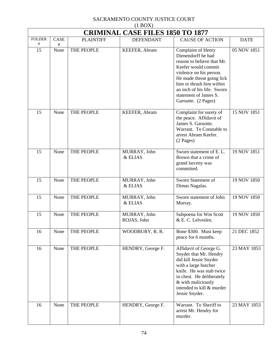|                    | $(1 + 1)$<br><b>CRIMINAL CASE FILES 1850 TO 1877</b> |                  |                             |                                                                                                                                                                                                                                                                 |             |  |  |
|--------------------|------------------------------------------------------|------------------|-----------------------------|-----------------------------------------------------------------------------------------------------------------------------------------------------------------------------------------------------------------------------------------------------------------|-------------|--|--|
| <b>FOLDER</b><br># | CASE<br>$\#$                                         | <b>PLAINTIFF</b> | <b>DEFENDANT</b>            | <b>CAUSE OF ACTION</b>                                                                                                                                                                                                                                          | <b>DATE</b> |  |  |
| 15                 | None                                                 | THE PEOPLE       | KEEFER, Abram               | Complaint of Henry<br>Dienendorff he had<br>reason to believe that Mr.<br>Keefer would commit<br>violence on his person.<br>He made threat going lick<br>him or thrash him within<br>an inch of his life. Sworn<br>statement of James S.<br>Garoutte. (2 Pages) | 05 NOV 1851 |  |  |
| 15                 | None                                                 | THE PEOPLE       | KEEFER, Abram               | Complaint for surety of<br>the peace. Affidavit of<br>James S. Garuotte.<br>Warrant. To Constable to<br>arrest Abram Keefer.<br>(2 Pages)                                                                                                                       | 15 NOV 1851 |  |  |
| 15                 | None                                                 | THE PEOPLE       | MURRAY, John<br>& ELIAS     | Sworn statement of E. L.<br>Brown that a crime of<br>grand larceny was<br>committed.                                                                                                                                                                            | 19 NOV 1851 |  |  |
| 15                 | None                                                 | THE PEOPLE       | MURRAY, John<br>& ELIAS     | Sworn Statement of<br>Dimas Nagalas.                                                                                                                                                                                                                            | 19 NOV 1850 |  |  |
| 15                 | None                                                 | THE PEOPLE       | MURRAY, John<br>& ELIAS     | Sworn statement of John<br>Murray.                                                                                                                                                                                                                              | 19 NOV 1850 |  |  |
| 15                 | None                                                 | THE PEOPLE       | MURRAY, John<br>ROJAS, John | Subpoena for Wm Scott<br>& E. C. Lelveslen.                                                                                                                                                                                                                     | 19 NOV 1850 |  |  |
| 16                 | None                                                 | THE PEOPLE       | WOODBURY, R. R.             | Bone \$300. Must keep<br>peace for 6 months.                                                                                                                                                                                                                    | 21 DEC 1852 |  |  |
| 16                 | None                                                 | THE PEOPLE       | HENDRY, George F.           | Affidavit of George G.<br>Snyder that Mr. Hendry<br>did kill Jessie Snyder<br>with a large butcher<br>knife. He was stab twice<br>in chest. He deliberately<br>& with maliciously<br>intended to kill & murder<br>Jessie Snyder.                                | 23 MAY 1853 |  |  |
| 16                 | None                                                 | THE PEOPLE       | HENDRY, George F.           | Warrant. To Sheriff to<br>arrest Mr. Hendry for<br>murder.                                                                                                                                                                                                      | 23 MAY 1853 |  |  |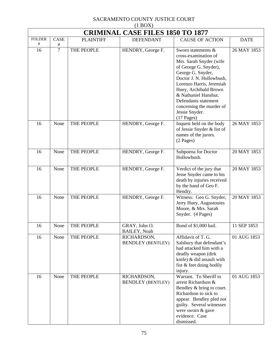|                    | <b>CRIMINAL CASE FILES 1850 TO 1877</b> |                  |                                         |                                                                                                                                                                                                                                                                                                                    |             |  |  |
|--------------------|-----------------------------------------|------------------|-----------------------------------------|--------------------------------------------------------------------------------------------------------------------------------------------------------------------------------------------------------------------------------------------------------------------------------------------------------------------|-------------|--|--|
| <b>FOLDER</b><br># | CASE<br>$\#$                            | <b>PLAINTIFF</b> | <b>DEFENDANT</b>                        | <b>CAUSE OF ACTION</b>                                                                                                                                                                                                                                                                                             | <b>DATE</b> |  |  |
| 16                 | $\overline{7}$                          | THE PEOPLE       | HENDRY, George F.                       | Sworn statements &<br>cross-examination of<br>Mrs. Sarah Snyder (wife<br>of George G. Snyder),<br>George G. Snyder,<br>Doctor J. N. Hollowbush,<br>Lorenzo Harris, Jeremiah<br>Huey, Archibald Brown<br>& Nathaniel Hanshut.<br>Defendants statement<br>concerning the murder of<br>Jessie Snyder.<br>$(17$ Pages) | 26 MAY 1853 |  |  |
| 16                 | None                                    | THE PEOPLE       | HENDRY, George F.                       | Inquest held on the body<br>of Jessie Snyder & list of<br>names of the jurors.<br>$(2$ Pages)                                                                                                                                                                                                                      | 26 MAY 1853 |  |  |
| 16                 | None                                    | THE PEOPLE       | HENDRY, George F.                       | Subpoena for Doctor<br>Hollowbush.                                                                                                                                                                                                                                                                                 | 20 MAY 1853 |  |  |
| 16                 | None                                    | THE PEOPLE       | HENDRY, George F.                       | Verdict of the jury that<br>Jesse Snyder came to his<br>death by injuries received<br>by the hand of Geo F.<br>Hendry.                                                                                                                                                                                             | 20 MAY 1853 |  |  |
| 16                 | None                                    | THE PEOPLE       | HENDRY, George F.                       | Witness: Geo G. Snyder,<br>Jerry Huey, Augustouies<br>Moore, & Mrs. Sarah<br>Snyder. (4 Pages)                                                                                                                                                                                                                     | 20 MAY 1853 |  |  |
| 16                 | None                                    | THE PEOPLE       | GRAY, John O.<br><b>BAILEY, Noah</b>    | Bond of \$1,000 bail.                                                                                                                                                                                                                                                                                              | 11 SEP 1853 |  |  |
| 16                 | None                                    | THE PEOPLE       | RICHARDSON,<br><b>BENDLEY (BENTLEY)</b> | Affidavit of T. G.<br>Salsbury that defendant's<br>had attacked him with a<br>deadly weapon (dirk<br>knife) & did assault with<br>fist & feet doing bodily<br>injury.                                                                                                                                              | 01 AUG 1853 |  |  |
| 16                 | None                                    | THE PEOPLE       | RICHARDSON,<br><b>BENDLEY (BENTLEY)</b> | Warrant. To Sheriff to<br>arrest Richardson &<br>Bendley & bring to court.<br>Richardson to sick to<br>appear. Bendley pled not<br>guilty. Several witnesses<br>were sworn & gave<br>evidence. Case<br>dismissed.                                                                                                  | 01 AUG 1853 |  |  |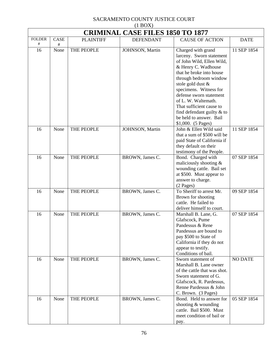|                    | <b>CRIMINAL CASE FILES 1850 TO 1877</b> |                  |                  |                                                                                                                                                                                                                                                                                                                                                                        |                |
|--------------------|-----------------------------------------|------------------|------------------|------------------------------------------------------------------------------------------------------------------------------------------------------------------------------------------------------------------------------------------------------------------------------------------------------------------------------------------------------------------------|----------------|
| <b>FOLDER</b><br># | CASE<br>#                               | <b>PLAINTIFF</b> | <b>DEFENDANT</b> | <b>CAUSE OF ACTION</b>                                                                                                                                                                                                                                                                                                                                                 | <b>DATE</b>    |
| 16                 | None                                    | THE PEOPLE       | JOHNSON, Martin  | Charged with grand<br>larceny. Sworn statement<br>of John Wild, Ellen Wild,<br>& Henry C. Wadhouse<br>that he broke into house<br>through bedroom window<br>stole gold dust &<br>specimens. Witness for<br>defense sworn statement<br>of L. W. Waltemath.<br>That sufficient cause to<br>find defendant guilty $&$ to<br>be held to answer. Bail<br>\$1,000. (5 Pages) | 11 SEP 1854    |
| 16                 | None                                    | THE PEOPLE       | JOHNSON, Martin  | John & Ellen Wild said<br>that a sum of \$500 will be<br>paid State of California if<br>they default on their<br>testimony of the People.                                                                                                                                                                                                                              | 11 SEP 1854    |
| 16                 | None                                    | THE PEOPLE       | BROWN, James C.  | Bond. Charged with<br>maliciously shooting &<br>wounding cattle. Bail set<br>at \$500. Must appear to<br>answer to charge.<br>(2 Pages)                                                                                                                                                                                                                                | 07 SEP 1854    |
| 16                 | None                                    | THE PEOPLE       | BROWN, James C.  | To Sheriff to arrest Mr.<br>Brown for shooting<br>cattle. He failed to<br>deliver himself to court.                                                                                                                                                                                                                                                                    | 09 SEP 1854    |
| 16                 | None                                    | THE PEOPLE       | BROWN, James C.  | Marshall B. Lane, G.<br>Glafscock, Pume<br>Pandessus & Rene<br>Pandessus are bound to<br>pay \$500 to State of<br>California if they do not<br>appear to testify.<br>Conditions of bail.                                                                                                                                                                               | 07 SEP 1854    |
| 16                 | None                                    | THE PEOPLE       | BROWN, James C.  | Sworn statement of<br>Marshall B. Lane owner<br>of the cattle that was shot.<br>Sworn statement of G.<br>Glafscock, R. Pardessus,<br>Renne Pardessus & John<br>C. Brown. (3 Pages)                                                                                                                                                                                     | <b>NO DATE</b> |
| 16                 | None                                    | THE PEOPLE       | BROWN, James C.  | Bond. Held to answer for<br>shooting $&$ wounding<br>cattle. Bail \$500. Must<br>meet condition of bail or<br>pay.                                                                                                                                                                                                                                                     | 05 SEP 1854    |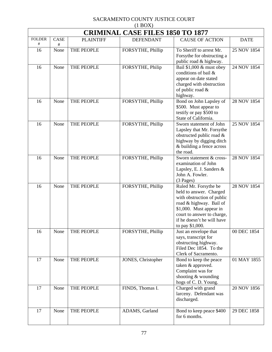| $(1$ BOX $)$             |                                         |                  |                    |                                                                                                                                                                                                                     |             |  |  |  |  |
|--------------------------|-----------------------------------------|------------------|--------------------|---------------------------------------------------------------------------------------------------------------------------------------------------------------------------------------------------------------------|-------------|--|--|--|--|
|                          | <b>CRIMINAL CASE FILES 1850 TO 1877</b> |                  |                    |                                                                                                                                                                                                                     |             |  |  |  |  |
| <b>FOLDER</b><br>$^{\#}$ | CASE<br>#                               | <b>PLAINTIFF</b> | <b>DEFENDANT</b>   | <b>CAUSE OF ACTION</b>                                                                                                                                                                                              | <b>DATE</b> |  |  |  |  |
| 16                       | None                                    | THE PEOPLE       | FORSYTHE, Phillip  | To Sheriff to arrest Mr.<br>Forsythe for obstructing a<br>public road & highway.                                                                                                                                    | 25 NOV 1854 |  |  |  |  |
| 16                       | None                                    | THE PEOPLE       | FORSYTHE, Philip   | Bail \$1,000 & must obey<br>conditions of bail &<br>appear on date stated<br>charged with obstruction<br>of public road $&$<br>highway.                                                                             | 24 NOV 1854 |  |  |  |  |
| 16                       | None                                    | THE PEOPLE       | FORSYTHE, Phillip  | Bond on John Lapsley of<br>\$500. Must appear to<br>testify or pay \$500 to<br>State of California.                                                                                                                 | 28 NOV 1854 |  |  |  |  |
| 16                       | None                                    | THE PEOPLE       | FORSYTHE, Phillip  | Sworn statement of John<br>Lapsley that Mr. Forsythe<br>obstructed public road &<br>highway by digging ditch<br>& building a fence across<br>the road.                                                              | 25 NOV 1854 |  |  |  |  |
| 16                       | None                                    | THE PEOPLE       | FORSYTHE, Phillip  | Sworn statement & cross-<br>examination of John<br>Lapsley, E. J. Sanders &<br>John A. Fowler.<br>$(3$ Pages)                                                                                                       | 28 NOV 1854 |  |  |  |  |
| 16                       | None                                    | THE PEOPLE       | FORSYTHE, Phillip  | Ruled Mr. Forsythe be<br>held to answer. Charged<br>with obstruction of public<br>road & highway. Bail of<br>\$1,000. Must appear in<br>court to answer to charge,<br>if he doesn't he will have<br>to pay \$1,000. | 28 NOV 1854 |  |  |  |  |
| 16                       | None                                    | THE PEOPLE       | FORSYTHE, Phillip  | Just an envelope that<br>says, transcript for<br>obstructing highway.<br>Filed Dec 1854. To the<br>Clerk of Sacramento.                                                                                             | 00 DEC 1854 |  |  |  |  |
| 17                       | None                                    | THE PEOPLE       | JONES, Christopher | Bond to keep the peace<br>taken & approved.<br>Complaint was for<br>shooting & wounding<br>hogs of C.D. Young.                                                                                                      | 01 MAY 1855 |  |  |  |  |
| 17                       | None                                    | THE PEOPLE       | FINDS, Thomas I.   | Charged with grand<br>larceny. Defendant was<br>discharged.                                                                                                                                                         | 20 NOV 1856 |  |  |  |  |
| 17                       | None                                    | THE PEOPLE       | ADAMS, Garland     | Bond to keep peace \$400<br>for 6 months.                                                                                                                                                                           | 29 DEC 1858 |  |  |  |  |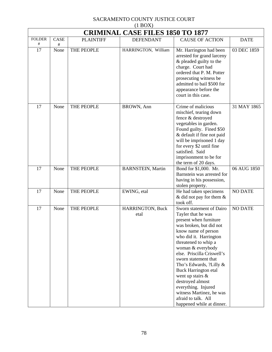|                    | $(1 + 1)$<br><b>CRIMINAL CASE FILES 1850 TO 1877</b> |                  |                          |                                                                                                                                                                                                                                                                                                                                                                                                                                                                     |                |  |  |
|--------------------|------------------------------------------------------|------------------|--------------------------|---------------------------------------------------------------------------------------------------------------------------------------------------------------------------------------------------------------------------------------------------------------------------------------------------------------------------------------------------------------------------------------------------------------------------------------------------------------------|----------------|--|--|
| <b>FOLDER</b><br># | CASE<br>$\#$                                         | <b>PLAINTIFF</b> | <b>DEFENDANT</b>         | <b>CAUSE OF ACTION</b>                                                                                                                                                                                                                                                                                                                                                                                                                                              | <b>DATE</b>    |  |  |
| 17                 | None                                                 | THE PEOPLE       | HARRINGTON, William      | Mr. Harrington had been<br>arrested for grand larceny<br>& pleaded guilty to the<br>charge. Court had<br>ordered that P. M. Potter<br>prosecuting witness be<br>admitted to bail \$500 for<br>appearance before the<br>court in this case.                                                                                                                                                                                                                          | 03 DEC 1859    |  |  |
| 17                 | None                                                 | THE PEOPLE       | BROWN, Ann               | Crime of malicious<br>mischief, tearing down<br>fence & destroyed<br>vegetables in garden.<br>Found guilty. Fined \$50<br>& default if fine not paid<br>will be imprisoned 1 day<br>for every \$2 until fine<br>satisfied. Said<br>imprisonment to be for<br>the term of 20 days.                                                                                                                                                                                   | 31 MAY 1865    |  |  |
| 17                 | None                                                 | THE PEOPLE       | <b>BARNSTEIN, Martin</b> | Bond for \$1,000. Mr.<br>Barnstein was arrested for<br>having in his possession,<br>stolen property.                                                                                                                                                                                                                                                                                                                                                                | 06 AUG 1850    |  |  |
| 17                 | None                                                 | THE PEOPLE       | EWING, etal              | He had taken specimens<br>& did not pay for them $\&$<br>took off.                                                                                                                                                                                                                                                                                                                                                                                                  | <b>NO DATE</b> |  |  |
| 17                 | None                                                 | THE PEOPLE       | HARRINGTON, Buck<br>etal | Sworn statement of Dairo<br>Tayler that he was<br>present when furniture<br>was broken, but did not<br>know name of person<br>who did it. Harrington<br>threatened to whip a<br>woman & everybody<br>else. Priscilla Criswell's<br>sworn statement that<br>Tho's Edwards, ?Lilly &<br><b>Buck Harrington etal</b><br>went up stairs $\&$<br>destroyed almost<br>everything. Injured<br>witness Martinez, he was<br>afraid to talk. All<br>happened while at dinner. | <b>NO DATE</b> |  |  |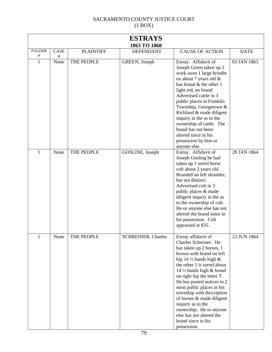| <b>ESTRAYS</b>     |              |                  |                           |                                                                                                                                                                                                                                                                                                                                                                                                                                                                           |             |  |  |
|--------------------|--------------|------------------|---------------------------|---------------------------------------------------------------------------------------------------------------------------------------------------------------------------------------------------------------------------------------------------------------------------------------------------------------------------------------------------------------------------------------------------------------------------------------------------------------------------|-------------|--|--|
| 1863 TO 1868       |              |                  |                           |                                                                                                                                                                                                                                                                                                                                                                                                                                                                           |             |  |  |
| <b>FOLDER</b><br># | CASE<br>$\#$ | <b>PLAINTIFF</b> | <b>DEFENDANT</b>          | <b>CAUSE OF ACTION</b>                                                                                                                                                                                                                                                                                                                                                                                                                                                    | <b>DATE</b> |  |  |
| $\mathbf{1}$       | None         | THE PEOPLE       | GREEN, Joseph             | Estray. Affidavit of<br>Joseph Green taken up 2<br>work oxen 1 large brindle<br>ox about 7 years old $&$<br>has brand & the other 1<br>light red, no brand.<br>Advertised cattle in 3<br>public places in Franklin<br>Township, Georgetown &<br>Richland & made diligent<br>inquiry in the as to the<br>ownership of cattle. The<br>brand has not been<br>altered since in his<br>possession by him or<br>anyone else.                                                    | 03 JAN 1863 |  |  |
| 1                  | None         | THE PEOPLE       | GOSLINE, Joseph           | Estray. Affidavit of<br>Joseph Gosling he had<br>taken up 1 sorrel horse<br>colt about 2 years old.<br>Branded on left shoulder,<br>but not distinct.<br>Advertised colt in 3<br>public places & made<br>diligent inquiry in the as<br>to the ownership of colt.<br>He or anyone else has not<br>altered the brand since in<br>his possession. Colt<br>appraised at \$35.                                                                                                 | 28 JAN 1864 |  |  |
| 1                  | None         | THE PEOPLE       | <b>SCHREINER, Charles</b> | Estray affidavit of<br>Charles Schreiner. He<br>has taken up 2 horses, 1<br>brown with brand on left<br>hip 14 $\frac{1}{2}$ hands high &<br>the other 1 is sorrel about<br>14 1/2 hands high & brand<br>on right hip the letter T.<br>He has posted notices in 2<br>most public places in his<br>township with description<br>of horses & made diligent<br>inquiry as to the<br>ownership. He or anyone<br>else has not altered the<br>brand since in his<br>possession. | 23 JUN 1864 |  |  |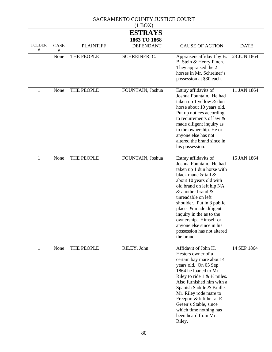| $(1$ BOX $)$       |              |                  |                  |                                                                                                                                                                                                                                                                                                                                                                                               |             |  |  |  |  |
|--------------------|--------------|------------------|------------------|-----------------------------------------------------------------------------------------------------------------------------------------------------------------------------------------------------------------------------------------------------------------------------------------------------------------------------------------------------------------------------------------------|-------------|--|--|--|--|
| <b>ESTRAYS</b>     |              |                  |                  |                                                                                                                                                                                                                                                                                                                                                                                               |             |  |  |  |  |
|                    | 1863 TO 1868 |                  |                  |                                                                                                                                                                                                                                                                                                                                                                                               |             |  |  |  |  |
| <b>FOLDER</b><br># | CASE<br>#    | <b>PLAINTIFF</b> | <b>DEFENDANT</b> | <b>CAUSE OF ACTION</b>                                                                                                                                                                                                                                                                                                                                                                        | <b>DATE</b> |  |  |  |  |
| $\mathbf{1}$       | None         | THE PEOPLE       | SCHREINER, C.    | Appraisers affidavit by B.<br>B. Stein & Henry Finch.<br>They appraised the 2<br>horses in Mr. Schreiner's<br>possession at \$30 each.                                                                                                                                                                                                                                                        | 23 JUN 1864 |  |  |  |  |
| 1                  | None         | THE PEOPLE       | FOUNTAIN, Joshua | Estray affidavits of<br>Joshua Fountain. He had<br>taken up 1 yellow & dun<br>horse about 10 years old.<br>Put up notices according<br>to requirements of law $\&$<br>made diligent inquiry as<br>to the ownership. He or<br>anyone else has not<br>altered the brand since in<br>his possession.                                                                                             | 11 JAN 1864 |  |  |  |  |
| 1                  | None         | THE PEOPLE       | FOUNTAIN, Joshua | Estray affidavits of<br>Joshua Fountain. He had<br>taken up 1 dun horse with<br>black mane & tail &<br>about 10 years old with<br>old brand on left hip NA<br>$&$ another brand $&$<br>unreadable on left<br>shoulder. Put in 3 public<br>places & made diligent<br>inquiry in the as to the<br>ownership. Himself or<br>anyone else since in his<br>possession has not altered<br>the brand. | 15 JAN 1864 |  |  |  |  |
| 1                  | None         | THE PEOPLE       | RILEY, John      | Affidavit of John H.<br>Hesters owner of a<br>certain bay mare about 4<br>years old. On 05 Sep<br>1864 he loaned to Mr.<br>Riley to ride 1 & $\frac{1}{2}$ miles.<br>Also furnished him with a<br>Spanish Saddle & Bridle.<br>Mr. Riley rode mare to<br>Freeport & left her at E<br>Green's Stable, since<br>which time nothing has<br>been heard from Mr.<br>Riley.                          | 14 SEP 1864 |  |  |  |  |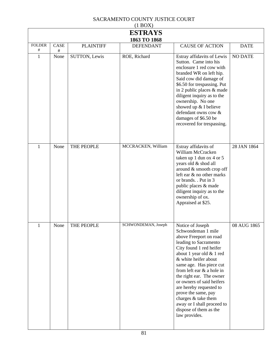#### SACRAMENTO COUNTY JUSTICE COURT  $(1 \text{ DQV})$

| (1 B <sub>U</sub> <sub>A</sub> ) |              |                      |                     |                                                                                                                                                                                                                                                                                                                                                                                                                                             |                |  |  |  |
|----------------------------------|--------------|----------------------|---------------------|---------------------------------------------------------------------------------------------------------------------------------------------------------------------------------------------------------------------------------------------------------------------------------------------------------------------------------------------------------------------------------------------------------------------------------------------|----------------|--|--|--|
| <b>ESTRAYS</b><br>1863 TO 1868   |              |                      |                     |                                                                                                                                                                                                                                                                                                                                                                                                                                             |                |  |  |  |
| <b>FOLDER</b><br>#               | CASE<br>$\#$ | <b>PLAINTIFF</b>     | <b>DEFENDANT</b>    | <b>CAUSE OF ACTION</b>                                                                                                                                                                                                                                                                                                                                                                                                                      | <b>DATE</b>    |  |  |  |
| $\mathbf{1}$                     | None         | <b>SUTTON, Lewis</b> | ROE, Richard        | Estray affidavits of Lewis<br>Sutton. Came into his<br>enclosure 1 red cow with<br>branded WR on left hip.<br>Said cow did damage of<br>\$6.50 for trespassing. Put<br>in 2 public places & made<br>diligent inquiry as to the<br>ownership. No one<br>showed up & I believe<br>defendant owns cow &<br>damages of \$6.50 be<br>recovered for trespassing.                                                                                  | <b>NO DATE</b> |  |  |  |
| 1                                | None         | THE PEOPLE           | MCCRACKEN, William  | Estray affidavits of<br>William McCracken<br>taken up 1 dun ox 4 or 5<br>years old & shod all<br>around & smooth crop off<br>left ear & no other marks<br>or brands. . Put in 3<br>public places & made<br>diligent inquiry as to the<br>ownership of ox.<br>Appraised at \$25.                                                                                                                                                             | 28 JAN 1864    |  |  |  |
| $\mathbf{I}$                     | None         | THE PEOPLE           | SCHWONDEMAN, Joseph | Notice of Joseph<br>Schwondeman 1 mile<br>above Freeport on road<br>leading to Sacramento<br>City found 1 red heifer<br>about 1 year old & 1 red<br>& white heifer about<br>same age. Has piece cut<br>from left ear & a hole in<br>the right ear. The owner<br>or owners of said heifers<br>are hereby requested to<br>prove the same, pay<br>charges & take them<br>away or I shall proceed to<br>dispose of them as the<br>law provides. | 08 AUG 1865    |  |  |  |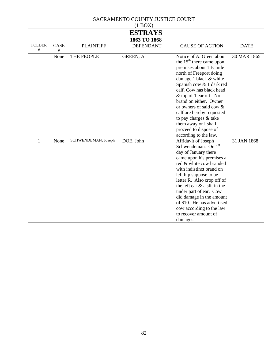| $(1$ BOX)      |      |                     |                  |                                                                                                                                                                                                                                                                                                                                                                                                                             |             |  |  |  |
|----------------|------|---------------------|------------------|-----------------------------------------------------------------------------------------------------------------------------------------------------------------------------------------------------------------------------------------------------------------------------------------------------------------------------------------------------------------------------------------------------------------------------|-------------|--|--|--|
| <b>ESTRAYS</b> |      |                     |                  |                                                                                                                                                                                                                                                                                                                                                                                                                             |             |  |  |  |
| 1863 TO 1868   |      |                     |                  |                                                                                                                                                                                                                                                                                                                                                                                                                             |             |  |  |  |
| <b>FOLDER</b>  | CASE | <b>PLAINTIFF</b>    | <b>DEFENDANT</b> | <b>CAUSE OF ACTION</b>                                                                                                                                                                                                                                                                                                                                                                                                      | <b>DATE</b> |  |  |  |
| #              | #    |                     |                  |                                                                                                                                                                                                                                                                                                                                                                                                                             |             |  |  |  |
| 1              | None | THE PEOPLE          | GREEN, A.        | Notice of A. Green about<br>the $15th$ there came upon<br>premises about $1\frac{1}{2}$ mile<br>north of Freeport doing<br>damage 1 black & white<br>Spanish cow & 1 dark red<br>calf. Cow has black head<br>& top of 1 ear off. No<br>brand on either. Owner<br>or owners of said cow $\&$<br>calf are hereby requested<br>to pay charges & take<br>them away or I shall<br>proceed to dispose of<br>according to the law. | 30 MAR 1865 |  |  |  |
| 1              | None | SCHWENDEMAN, Joseph | DOE, John        | Affidavit of Joseph<br>Schwendeman. On 1 <sup>st</sup><br>day of January there<br>came upon his premises a<br>red & white cow branded<br>with indistinct brand on<br>left hip suppose to be<br>letter R. Also crop off of<br>the left ear $\&$ a slit in the<br>under part of ear. Cow<br>did damage in the amount<br>of \$10. He has advertised<br>cow according to the law<br>to recover amount of<br>damages.            | 31 JAN 1868 |  |  |  |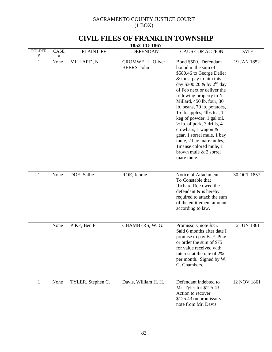| <b>CIVIL FILES OF FRANKLIN TOWNSHIP</b> |              |                   |                                        |                                                                                                                                                                                                                                                                                                                                                                                                                                                                                                                   |             |  |  |
|-----------------------------------------|--------------|-------------------|----------------------------------------|-------------------------------------------------------------------------------------------------------------------------------------------------------------------------------------------------------------------------------------------------------------------------------------------------------------------------------------------------------------------------------------------------------------------------------------------------------------------------------------------------------------------|-------------|--|--|
|                                         |              |                   | 1852 TO 1867                           |                                                                                                                                                                                                                                                                                                                                                                                                                                                                                                                   |             |  |  |
| <b>FOLDER</b><br>#                      | CASE<br>$\#$ | <b>PLAINTIFF</b>  | <b>DEFENDANT</b>                       | <b>CAUSE OF ACTION</b>                                                                                                                                                                                                                                                                                                                                                                                                                                                                                            | <b>DATE</b> |  |  |
| $\mathbf{1}$                            | None         | MILLARD, N        | <b>CROMWELL, Oliver</b><br>BEERS, John | Bond \$500. Defendant<br>bound in the sum of<br>\$580.46 to George Deller<br>& must pay to him this<br>day \$300.20 & by $2^{nd}$ day<br>of Feb next or deliver the<br>following property to N.<br>Millard, 450 lb. four, 30<br>lb. beans, 70 lb. potatoes,<br>15 lb. apples, 4lbs tea, 1<br>keg of powder, 1 gal oil,<br>$\frac{1}{2}$ lb. of pork, 3 drills, 4<br>crowbars, 1 wagon &<br>gear, 1 sorrel mule, 1 bay<br>mule, 2 bay mare mules,<br>1manse colored mule, 1<br>brown mule & 2 sorrel<br>mare mule. | 19 JAN 1852 |  |  |
| $\mathbf{1}$                            | None         | DOE, Sallie       | ROE, Jennie                            | Notice of Attachment.<br>To Constable that<br>Richard Roe owed the<br>defendant $&$ is hereby<br>required to attach the sum<br>of the entitlement amount<br>according to law.                                                                                                                                                                                                                                                                                                                                     | 30 OCT 1857 |  |  |
| $\mathbf{1}$                            | None         | PIKE, Ben F.      | CHAMBERS, W. G.                        | Promissory note \$75.<br>Said 6 months after date I<br>promise to pay B. F. Pike<br>or order the sum of \$75<br>for value received with<br>interest at the rate of 2%<br>per month. Signed by W.<br>G. Chambers.                                                                                                                                                                                                                                                                                                  | 12 JUN 1861 |  |  |
| $\mathbf{1}$                            | None         | TYLER, Stephen C. | Davis, William H. H.                   | Defendant indebted to<br>Mr. Tyler for \$125.43.<br>Action to recover<br>\$125.43 on promissory<br>note from Mr. Davis.                                                                                                                                                                                                                                                                                                                                                                                           | 12 NOV 1861 |  |  |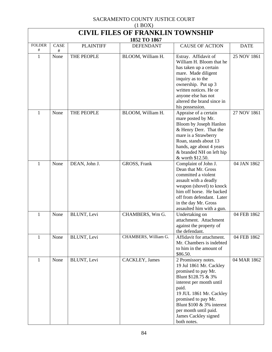| $(1$ BOX $)$             |                                         |                  |                      |                                                                                                                                                                                                                                                                                     |             |  |  |  |
|--------------------------|-----------------------------------------|------------------|----------------------|-------------------------------------------------------------------------------------------------------------------------------------------------------------------------------------------------------------------------------------------------------------------------------------|-------------|--|--|--|
|                          | <b>CIVIL FILES OF FRANKLIN TOWNSHIP</b> |                  |                      |                                                                                                                                                                                                                                                                                     |             |  |  |  |
| 1852 TO 1867             |                                         |                  |                      |                                                                                                                                                                                                                                                                                     |             |  |  |  |
| <b>FOLDER</b><br>$^{\#}$ | CASE<br>#                               | <b>PLAINTIFF</b> | <b>DEFENDANT</b>     | <b>CAUSE OF ACTION</b>                                                                                                                                                                                                                                                              | <b>DATE</b> |  |  |  |
| $\mathbf{1}$             | None                                    | THE PEOPLE       | BLOOM, William H.    | Estray. Affidavit of<br>William H. Bloom that he<br>has taken up a certain<br>mare. Made diligent<br>inquiry as to the<br>ownership. Put up 3<br>written notices. He or<br>anyone else has not<br>altered the brand since in<br>his possession.                                     | 25 NOV 1861 |  |  |  |
| $\mathbf{1}$             | None                                    | THE PEOPLE       | BLOOM, William H.    | Appraise of a certain<br>mare posted by Mr.<br>Bloom by Joseph Hanlon<br>& Henry Derr. That the<br>mare is a Strawberry<br>Roan, stands about 13<br>hands, age about 4 years<br>& branded NH on left hip<br>& worth \$12.50.                                                        | 27 NOV 1861 |  |  |  |
| $\mathbf{1}$             | None                                    | DEAN, John J.    | GROSS, Frank         | Complaint of John J.<br>Dean that Mr. Gross<br>committed a violent<br>assault with a deadly<br>weapon (shovel) to knock<br>him off horse. He backed<br>off from defendant. Later<br>in the day Mr. Gross<br>assaulted him with a gun.                                               | 04 JAN 1862 |  |  |  |
| 1                        | None                                    | BLUNT, Levi      | CHAMBERS, Wm G.      | Undertaking on<br>attachment. Attachment<br>against the property of<br>the defendant.                                                                                                                                                                                               | 04 FEB 1862 |  |  |  |
| 1                        | None                                    | BLUNT, Levi      | CHAMBERS, William G. | Affidavit for attachment.<br>Mr. Chambers is indebted<br>to him in the amount of<br>\$86.50.                                                                                                                                                                                        | 04 FEB 1862 |  |  |  |
| 1                        | None                                    | BLUNT, Levi      | CACKLEY, James       | 2 Promissory notes.<br>19 Jul 1861 Mr. Cackley<br>promised to pay Mr.<br>Blunt \$128.75 & 3%<br>interest per month until<br>paid.<br>19 JUL 1861 Mr. Cackley<br>promised to pay Mr.<br>Blunt $$100 \& 3\%$ interest<br>per month until paid.<br>James Cackley signed<br>both notes. | 04 MAR 1862 |  |  |  |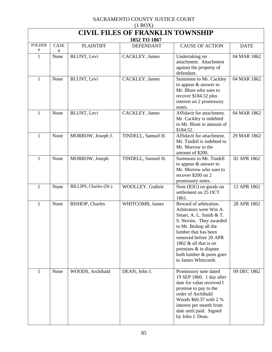| $(1 \text{D} \text{O} \Omega)$<br><b>CIVIL FILES OF FRANKLIN TOWNSHIP</b> |      |                        |                                  |                                                                                                                                                                                                                                                                                           |             |  |  |
|---------------------------------------------------------------------------|------|------------------------|----------------------------------|-------------------------------------------------------------------------------------------------------------------------------------------------------------------------------------------------------------------------------------------------------------------------------------------|-------------|--|--|
| <b>FOLDER</b>                                                             | CASE | <b>PLAINTIFF</b>       | 1852 TO 1867<br><b>DEFENDANT</b> | <b>CAUSE OF ACTION</b>                                                                                                                                                                                                                                                                    | <b>DATE</b> |  |  |
| #                                                                         | #    |                        |                                  |                                                                                                                                                                                                                                                                                           |             |  |  |
| 1                                                                         | None | <b>BLUNT</b> , Levi    | CACKLEY, James                   | Undertaking on<br>attachment. Attachment<br>against the property of<br>defendant.                                                                                                                                                                                                         | 04 MAR 1862 |  |  |
| $\mathbf{1}$                                                              | None | BLUNT, Levi            | CACKLEY, James                   | Summons to Mr. Cackley<br>to appear & answer to<br>Mr. Blunt who sues to<br>recover \$184.52 plus<br>interest on 2 promissory<br>notes.                                                                                                                                                   | 04 MAR 1862 |  |  |
| $\mathbf{1}$                                                              | None | BLUNT, Levi            | CACKLEY, James                   | Affidavit for attachment.<br>Mr. Cackley is indebted<br>to Mr. Blunt in amount of<br>\$184.52.                                                                                                                                                                                            | 04 MAR 1862 |  |  |
| $\mathbf{1}$                                                              | None | MORROW, Joseph J.      | TINDELL, Samuel H.               | Affidavit for attachment.<br>Mr. Tindell is indebted to<br>Mr. Morrow in the<br>amount of \$200.                                                                                                                                                                                          | 29 MAR 1862 |  |  |
| 1                                                                         | None | MORROW, Joseph         | TINDELL, Samuel H.               | Summons to Mr. Tindell<br>to appear & answer to<br>Mr. Morrow who sues to<br>recover \$200 on 2<br>promissory notes.                                                                                                                                                                      | 02 APR 1862 |  |  |
| 1                                                                         | None | BILLIPS, Charles (Dr.) | WOOLLEY, Guthrie                 | Note (IOU) on goods on<br>settlement on 25 OCT<br>1861.                                                                                                                                                                                                                                   | 12 APR 1862 |  |  |
| $\mathbf{1}$                                                              | None | <b>BISHOP, Charles</b> | WHITCOMB, James                  | Reward of arbitration.<br>Arbitrators were Wm A.<br>Smart, A. L. Smith & T.<br>S. Nevins. They awarded<br>to Mr. Bishop all the<br>lumber that has been<br>removed before 20 APR<br>1862 $&$ all that is on<br>premises $\&$ in dispute<br>both lumber & posts goes<br>to James Whitcomb. | 28 APR 1862 |  |  |
| 1                                                                         | None | WOODS, Archibald       | DEAN, John J.                    | Promissory note dated<br>19 SEP 1860. 1 day after<br>date for value received I<br>promise to pay to the<br>order of Archibald<br>Woods \$60.37 with 2 %<br>interest per month from<br>date until paid. Signed<br>by John J. Dean.                                                         | 09 DEC 1862 |  |  |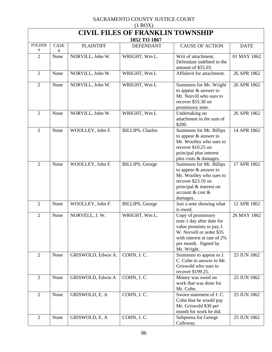| (1 U U)<br><b>CIVIL FILES OF FRANKLIN TOWNSHIP</b> |           |                    |                          |                                                                                                                                                                               |             |  |  |  |
|----------------------------------------------------|-----------|--------------------|--------------------------|-------------------------------------------------------------------------------------------------------------------------------------------------------------------------------|-------------|--|--|--|
| 1852 TO 1867                                       |           |                    |                          |                                                                                                                                                                               |             |  |  |  |
| <b>FOLDER</b><br>#                                 | CASE<br># | <b>PLAINTIFF</b>   | <b>DEFENDANT</b>         | <b>CAUSE OF ACTION</b>                                                                                                                                                        | <b>DATE</b> |  |  |  |
| $\overline{2}$                                     | None      | NORVILL, John W.   | WRIGHT, Wm L.            | Writ of attachment.<br>Defendant indebted in the<br>amount of \$55.03.                                                                                                        | 01 MAY 1862 |  |  |  |
| $\overline{2}$                                     | None      | NORVILL, John W.   | WRIGHT, Wm L             | Affidavit for attachment.                                                                                                                                                     | 26 APR 1862 |  |  |  |
| $\overline{2}$                                     | None      | NORVILL, John W.   | WRIGHT, Wm L             | Summons for Mr. Wright<br>to appear & answer to<br>Mr. Norvill who sues to<br>recover \$55.30 on<br>promissory note.                                                          | 26 APR 1862 |  |  |  |
| $\overline{2}$                                     | None      | NORVILL, John W.   | WRIGHT, Wm L             | Undertaking on<br>attachment in the sum of<br>\$200.                                                                                                                          | 26 APR 1862 |  |  |  |
| $\overline{2}$                                     | None      | WOOLLEY, John F.   | <b>BILLIPS</b> , Charles | Summons for Mr. Billips<br>to appear & answer to<br>Mr. Woolley who sues to<br>recover \$10.25 on<br>principal plus interest<br>plus costs & damages.                         | 14 APR 1862 |  |  |  |
| $\overline{2}$                                     | None      | WOOLLEY, John F.   | <b>BILLIPS</b> , George  | Summons for Mr. Billips<br>to appear & answer to<br>Mr. Woolley who sues to<br>recover \$23.10 on<br>principal & interest on<br>account & cost &<br>damages.                  | 17 APR 1862 |  |  |  |
| $\overline{2}$                                     | None      | WOOLLEY, John F.   | <b>BILLIPS</b> , George  | Just a note showing what<br>is owed.                                                                                                                                          | 12 APR 1862 |  |  |  |
| $\overline{2}$                                     | None      | NORVELL, J.W.      | WRIGHT, Wm L.            | Copy of promissory<br>note.1 day after date for<br>value promises to pay.J.<br>W. Norvell or order \$35<br>with interest at rate of 2%<br>per month. Signed by<br>Mr. Wright. | 26 MAY 1862 |  |  |  |
| $\overline{2}$                                     | None      | GRISWOLD, Edwin A. | COHN, J.C.               | Summons to appear to J.<br>C. Cohn to answer to Mr.<br>Griswold who sues to<br>recover \$199.25.                                                                              | 25 JUN 1862 |  |  |  |
| $\overline{2}$                                     | None      | GRISWOLD, Edwin A  | COHN, J.C.               | Money was owed on<br>work that was done for<br>Mr. Cohn.                                                                                                                      | 25 JUN 1862 |  |  |  |
| $\overline{2}$                                     | None      | GRISWOLD, E. A     | COHN, J.C.               | Sworn statement of J.C.<br>Cohn that he would pay<br>Mr. Griswold \$30 per<br>month for work he did.                                                                          | 25 JUN 1862 |  |  |  |
| $\overline{2}$                                     | None      | GRISWOLD, E. A     | COHN, J.C.               | Subpoena for George<br>Calloway.                                                                                                                                              | 25 JUN 1862 |  |  |  |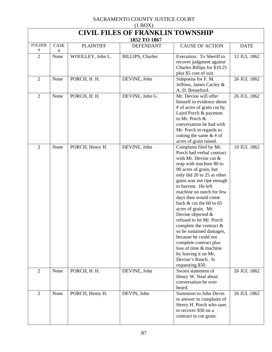| $(1$ BOX)                                               |           |                  |                          |                                                                                                                                                                                                                                                                                                                                                                                                                                                                                                                                                                                          |             |  |  |  |
|---------------------------------------------------------|-----------|------------------|--------------------------|------------------------------------------------------------------------------------------------------------------------------------------------------------------------------------------------------------------------------------------------------------------------------------------------------------------------------------------------------------------------------------------------------------------------------------------------------------------------------------------------------------------------------------------------------------------------------------------|-------------|--|--|--|
| <b>CIVIL FILES OF FRANKLIN TOWNSHIP</b><br>1852 TO 1867 |           |                  |                          |                                                                                                                                                                                                                                                                                                                                                                                                                                                                                                                                                                                          |             |  |  |  |
| <b>FOLDER</b><br>#                                      | CASE<br># | <b>PLAINTIFF</b> | <b>DEFENDANT</b>         | <b>CAUSE OF ACTION</b>                                                                                                                                                                                                                                                                                                                                                                                                                                                                                                                                                                   | <b>DATE</b> |  |  |  |
| $\overline{2}$                                          | None      | WOOLLEY, John L. | <b>BILLIPS</b> , Charles | Execution. To Sheriff to<br>recover judgment against<br>Charles Billips for \$10.25<br>plus \$5 cost of suit.                                                                                                                                                                                                                                                                                                                                                                                                                                                                            | 12 JUL 1862 |  |  |  |
| $\overline{2}$                                          | None      | PORCH, H. H.     | DEVINE, John             | Subpoena for F. M.<br>Jeffries, James Cacley &<br>A. D. Breneford.                                                                                                                                                                                                                                                                                                                                                                                                                                                                                                                       | 26 JUL 1862 |  |  |  |
| $\overline{2}$                                          | None      | PORCH, H. H.     | DEVINE, John G.          | Mr. Devine will offer<br>himself in evidence about<br># of acres of grain cut by<br>Laird Porch & payment<br>to Mr. Porch &<br>conversation he had with<br>Mr. Porch in regards to<br>cutting the same $&$ # of<br>acres of grain raised.                                                                                                                                                                                                                                                                                                                                                | 26 JUL 1862 |  |  |  |
| $\overline{2}$                                          | None      | PORCH, Henry H.  | DEVINE, John             | Complaint filed by Mr.<br>Porch had verbal contract<br>with Mr. Devine cut $&$<br>reap with machine 80 to<br>90 acres of grain, but<br>only did 20 to 25 as other<br>gains was not ripe enough<br>to harvest. He left<br>machine on ranch for few<br>days then would come<br>back $&$ cut the 60 to 65<br>acres of grain. Mr.<br>Devine objected $&$<br>refused to let Mr. Porch<br>complete the contract $\&$<br>so he sustained damages,<br>because he could not<br>complete contract plus<br>loss of time & machine<br>by leaving it on Mr.<br>Devine's Ranch. Is<br>requesting \$50. | 10 JUL 1862 |  |  |  |
| $\overline{2}$                                          | None      | PORCH, H. H.     | DEVINE, John             | Sworn statement of<br>Henry W. Neal about<br>conversation he over<br>heard.                                                                                                                                                                                                                                                                                                                                                                                                                                                                                                              | 26 JUL 1862 |  |  |  |
| $\overline{2}$                                          | None      | PORCH, Henry H.  | DEVIN, John              | Summons to John Devin<br>to answer to complaint of<br>Henry H. Porch who sues<br>to recover \$50 on a<br>contract to cut grain.                                                                                                                                                                                                                                                                                                                                                                                                                                                          | 26 JUL 1862 |  |  |  |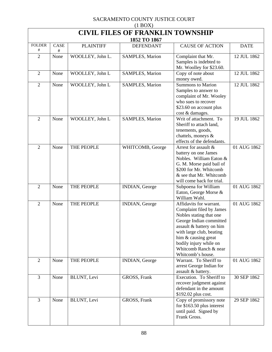| (11001)<br><b>CIVIL FILES OF FRANKLIN TOWNSHIP</b> |              |                  |                        |                                                                                                                                                                                                                                                                  |             |  |  |  |
|----------------------------------------------------|--------------|------------------|------------------------|------------------------------------------------------------------------------------------------------------------------------------------------------------------------------------------------------------------------------------------------------------------|-------------|--|--|--|
| 1852 TO 1867                                       |              |                  |                        |                                                                                                                                                                                                                                                                  |             |  |  |  |
| <b>FOLDER</b><br>#                                 | CASE<br>$\#$ | <b>PLAINTIFF</b> | <b>DEFENDANT</b>       | <b>CAUSE OF ACTION</b>                                                                                                                                                                                                                                           | <b>DATE</b> |  |  |  |
| $\overline{2}$                                     | None         | WOOLLEY, John L. | <b>SAMPLES, Marion</b> | Complaint that Mr.<br>Samples is indebted to<br>Mr. Woolley for \$23.60.                                                                                                                                                                                         | 12 JUL 1862 |  |  |  |
| $\overline{2}$                                     | None         | WOOLLEY, John L  | <b>SAMPLES, Marion</b> | Copy of note about<br>money owed.                                                                                                                                                                                                                                | 12 JUL 1862 |  |  |  |
| $\overline{2}$                                     | None         | WOOLLEY, John L  | SAMPLES, Marion        | <b>Summons to Marion</b><br>Samples to answer to<br>complaint of Mr. Wooley<br>who sues to recover<br>\$23.60 on account plus<br>cost & damages.                                                                                                                 | 12 JUL 1862 |  |  |  |
| $\overline{2}$                                     | None         | WOOLLEY, John L  | SAMPLES, Marion        | Writ of attachment. To<br>Sheriff to attach land,<br>tenements, goods,<br>chattels, moneys &<br>effects of the defendants.                                                                                                                                       | 19 JUL 1862 |  |  |  |
| $\mathbf{2}$                                       | None         | THE PEOPLE       | WHITCOMB, George       | Arrest for assault &<br>battery on one James<br>Nobles. William Eaton &<br>G. M. Morse paid bail of<br>\$200 for Mr. Whitcomb<br>& see that Mr. Whitcomb<br>will come back for trial.                                                                            | 01 AUG 1862 |  |  |  |
| $\overline{2}$                                     | None         | THE PEOPLE       | INDIAN, George         | Subpoena for William<br>Eaton, George Morse &<br>William Wahl.                                                                                                                                                                                                   | 01 AUG 1862 |  |  |  |
| $\overline{2}$                                     | None         | THE PEOPLE       | INDIAN, George         | Affidavits for warrant.<br>Complaint filed by James<br>Nobles stating that one<br>George Indian committed<br>assault & battery on him<br>with large club, beating<br>him & causing great<br>bodily injury while on<br>Whitcomb Ranch & near<br>Whitcomb's house. | 01 AUG 1862 |  |  |  |
| $\overline{2}$                                     | None         | THE PEOPLE       | INDIAN, George         | Warrant. To Sheriff to<br>arrest George Indian for<br>assault & battery.                                                                                                                                                                                         | 01 AUG 1862 |  |  |  |
| $\overline{3}$                                     | None         | BLUNT, Levi      | GROSS, Frank           | Execution. To Sheriff to<br>recover judgment against<br>defendant in the amount<br>\$192.02 plus cost.                                                                                                                                                           | 30 SEP 1862 |  |  |  |
| $\overline{3}$                                     | None         | BLUNT, Levi      | GROSS, Frank           | Copy of promissory note<br>for $$163.50$ plus interest<br>until paid. Signed by<br>Frank Gross.                                                                                                                                                                  | 29 SEP 1862 |  |  |  |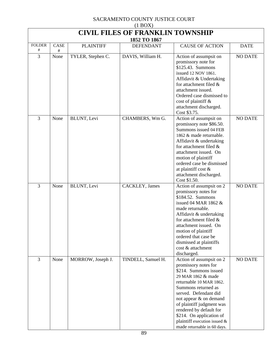| $(1$ BOX $)$                            |           |                   |                    |                                                                                                                                                                                                                                                                                                                                                         |                |  |  |  |
|-----------------------------------------|-----------|-------------------|--------------------|---------------------------------------------------------------------------------------------------------------------------------------------------------------------------------------------------------------------------------------------------------------------------------------------------------------------------------------------------------|----------------|--|--|--|
| <b>CIVIL FILES OF FRANKLIN TOWNSHIP</b> |           |                   |                    |                                                                                                                                                                                                                                                                                                                                                         |                |  |  |  |
| 1852 TO 1867                            |           |                   |                    |                                                                                                                                                                                                                                                                                                                                                         |                |  |  |  |
| <b>FOLDER</b><br>#                      | CASE<br># | <b>PLAINTIFF</b>  | <b>DEFENDANT</b>   | <b>CAUSE OF ACTION</b>                                                                                                                                                                                                                                                                                                                                  | <b>DATE</b>    |  |  |  |
| 3                                       | None      | TYLER, Stephen C. | DAVIS, William H.  | Action of assumpsit on<br>promissory note for<br>\$125.43. Summons<br>issued 12 NOV 1861.<br>Affidavit & Undertaking<br>for attachment filed &<br>attachment issued.<br>Ordered case dismissed to<br>cost of plaintiff &<br>attachment discharged.<br>Cost \$3.75.                                                                                      | <b>NO DATE</b> |  |  |  |
| 3                                       | None      | BLUNT, Levi       | CHAMBERS, Wm G.    | Action of assumpsit on<br>promissory note \$86.50.<br>Summons issued 04 FEB<br>1862 & made returnable.<br>Affidavit & undertaking<br>for attachment filed &<br>attachment issued. On<br>motion of plaintiff<br>ordered case be dismissed<br>at plaintiff cost &<br>attachment discharged.<br>Cost \$1.50.                                               | <b>NO DATE</b> |  |  |  |
| $\overline{3}$                          | None      | BLUNT, Levi       | CACKLEY, James     | Action of assumpsit on 2<br>promissory notes for<br>\$184.52. Summons<br>issued 04 MAR 1862 $&$<br>made returnable.<br>Affidavit & undertaking<br>for attachment filed $\&$<br>attachment issued. On<br>motion of plaintiff<br>ordered that case be<br>dismissed at plaintiffs<br>cost & attachment<br>discharged.                                      | <b>NO DATE</b> |  |  |  |
| 3                                       | None      | MORROW, Joseph J. | TINDELL, Samuel H. | Action of assumpsit on 2<br>promissory notes for<br>\$214. Summons issued<br>29 MAR 1862 & made<br>returnable 10 MAR 1862.<br>Summons returned as<br>served. Defendant did<br>not appear & on demand<br>of plaintiff judgment was<br>rendered by default for<br>\$214. On application of<br>plaintiff execution issued &<br>made returnable in 60 days. | <b>NO DATE</b> |  |  |  |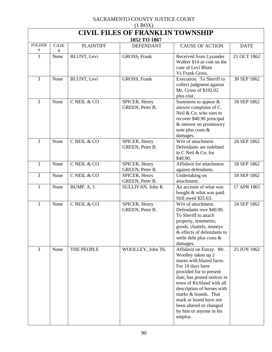| $(1 \text{D} \text{O} \Omega)$<br><b>CIVIL FILES OF FRANKLIN TOWNSHIP</b> |              |                     |                                  |                                                                                                                                                                                                                                                                                                                                        |             |  |  |  |
|---------------------------------------------------------------------------|--------------|---------------------|----------------------------------|----------------------------------------------------------------------------------------------------------------------------------------------------------------------------------------------------------------------------------------------------------------------------------------------------------------------------------------|-------------|--|--|--|
|                                                                           | 1852 TO 1867 |                     |                                  |                                                                                                                                                                                                                                                                                                                                        |             |  |  |  |
| <b>FOLDER</b><br>#                                                        | CASE<br>$\#$ | <b>PLAINTIFF</b>    | <b>DEFENDANT</b>                 | <b>CAUSE OF ACTION</b>                                                                                                                                                                                                                                                                                                                 | <b>DATE</b> |  |  |  |
| 3                                                                         | None         | <b>BLUNT</b> , Levi | GROSS, Frank                     | Received from Lysander<br>Walker \$14 as cost on the<br>case of Levi Blunt<br>Vs Frank Gross.                                                                                                                                                                                                                                          | 21 OCT 1862 |  |  |  |
| 3                                                                         | None         | BLUNT, Levi         | GROSS, Frank                     | Execution. To Sheriff to<br>collect judgment against<br>Mr. Gross of \$192.02<br>plus cost.                                                                                                                                                                                                                                            | 30 SEP 1862 |  |  |  |
| 3                                                                         | None         | C NEIL & CO         | SPICER, Henry<br>GREEN, Peter B. | Summons to appear $\&$<br>answer complaint of C.<br>Neil & Co. who sues to<br>recover \$40.90 principal<br>& interest on promissory<br>note plus costs &<br>damages.                                                                                                                                                                   | 18 SEP 1862 |  |  |  |
| 3                                                                         | None         | C NEIL & CO         | SPICER, Henry<br>GREEN, Peter B. | Writ of attachment.<br>Defendants are indebted<br>to C Neil & Co. for<br>\$40.90.                                                                                                                                                                                                                                                      | 24 SEP 1862 |  |  |  |
| 3                                                                         | None         | C NEIL & CO         | SPICER, Henry<br>GREEN, Peter B. | Affidavit for attachment<br>against defendants.                                                                                                                                                                                                                                                                                        | 18 SEP 1862 |  |  |  |
| 3                                                                         | None         | C NEIL & CO         | SPICER, Henry<br>GREEN, Peter B. | Undertaking on<br>attachment.                                                                                                                                                                                                                                                                                                          | 18 SEP 1862 |  |  |  |
| 3                                                                         | None         | BUMP, A. J.         | SULLIVAN, John R.                | An account of what was<br>bought & what was paid.<br>Still owed \$25.63.                                                                                                                                                                                                                                                               | 17 APR 1865 |  |  |  |
| 3                                                                         | None         | C NEIL & CO         | SPICER, Henry<br>GREEN, Peter B. | Writ of attachment.<br>Defendants owe \$40.90.<br>To Sheriff to attach<br>property, tenements,<br>goods, chattels, moneys<br>& effects of defendants to<br>settle debt plus costs &<br>damages.                                                                                                                                        | 24 SEP 1862 |  |  |  |
| 3                                                                         | None         | THE PEOPLE          | WOOLLEY, John T6.                | Affidavit on Estray. Mr.<br>Woolley taken up 2<br>mares with blazed faces.<br>For 10 days have<br>provided for to present<br>date, has posted notices in<br>town of Richland with all<br>description of horses with<br>marks & brands. That<br>mark or brand have not<br>been altered or changed<br>by him or anyone in his<br>employ. | 25 JUN 1862 |  |  |  |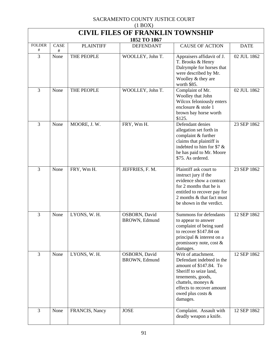| $(1$ BOX)          |                                         |                  |                                |                                                                                                                                                                                                               |             |  |  |  |
|--------------------|-----------------------------------------|------------------|--------------------------------|---------------------------------------------------------------------------------------------------------------------------------------------------------------------------------------------------------------|-------------|--|--|--|
|                    | <b>CIVIL FILES OF FRANKLIN TOWNSHIP</b> |                  |                                |                                                                                                                                                                                                               |             |  |  |  |
|                    |                                         |                  | 1852 TO 1867                   |                                                                                                                                                                                                               |             |  |  |  |
| <b>FOLDER</b><br># | CASE<br>#                               | <b>PLAINTIFF</b> | <b>DEFENDANT</b>               | <b>CAUSE OF ACTION</b>                                                                                                                                                                                        | <b>DATE</b> |  |  |  |
| 3                  | None                                    | THE PEOPLE       | WOOLLEY, John T.               | Appraisers affidavit of J.<br>T. Brooks & Henry<br>Dalrymple for horses that<br>were described by Mr.<br>Woolley & they are<br>worth \$85.                                                                    | 02 JUL 1862 |  |  |  |
| 3                  | None                                    | THE PEOPLE       | WOOLLEY, John T.               | Complaint of Mr.<br>Woolley that John<br>Wilcox feloniously enters<br>enclosure & stole 1<br>brown bay horse worth<br>\$125.                                                                                  | 02 JUL 1862 |  |  |  |
| 3                  | None                                    | MOORE, J.W.      | FRY, Wm H.                     | Defendant denies<br>allegation set forth in<br>complaint & further<br>claims that plaintiff is<br>indebted to him for \$7 &<br>he has paid to Mr. Moore<br>\$75. As ordered.                                  | 23 SEP 1862 |  |  |  |
| $\overline{3}$     | None                                    | FRY, Wm H.       | JEFFRIES, F. M.                | Plaintiff ask court to<br>instruct jury if the<br>evidence show a contract<br>for 2 months that he is<br>entitled to recover pay for<br>2 months & that fact must<br>be shown in the verdict.                 | 23 SEP 1862 |  |  |  |
| 3                  | None                                    | LYONS, W. H.     | OSBORN, David<br>BROWN, Edmund | Summons for defendants<br>to appear to answer<br>complaint of being sued<br>to recover \$147.84 on<br>principal & interest on a<br>promissory note, cost &<br>damages.                                        | 12 SEP 1862 |  |  |  |
| $\overline{3}$     | None                                    | LYONS, W. H.     | OSBORN, David<br>BROWN, Edmund | Writ of attachment.<br>Defendant indebted in the<br>amount of \$147.84. To<br>Sheriff to seize land,<br>tenements, goods,<br>chattels, moneys &<br>effects to recover amount<br>owed plus costs &<br>damages. | 12 SEP 1862 |  |  |  |
| 3                  | None                                    | FRANCIS, Nancy   | <b>JOSE</b>                    | Complaint. Assault with<br>deadly weapon a knife.                                                                                                                                                             | 12 SEP 1862 |  |  |  |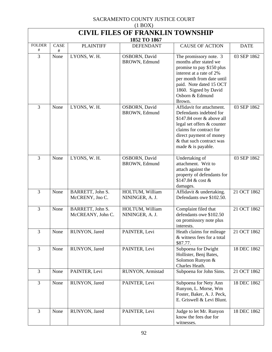| (1 U/T)<br><b>CIVIL FILES OF FRANKLIN TOWNSHIP</b> |           |                                       |                                    |                                                                                                                                                                                                                          |             |  |  |
|----------------------------------------------------|-----------|---------------------------------------|------------------------------------|--------------------------------------------------------------------------------------------------------------------------------------------------------------------------------------------------------------------------|-------------|--|--|
| 1852 TO 1867                                       |           |                                       |                                    |                                                                                                                                                                                                                          |             |  |  |
| <b>FOLDER</b><br>#                                 | CASE<br># | <b>PLAINTIFF</b>                      | <b>DEFENDANT</b>                   | <b>CAUSE OF ACTION</b>                                                                                                                                                                                                   | <b>DATE</b> |  |  |
| 3                                                  | None      | LYONS, W. H.                          | OSBORN, David<br>BROWN, Edmund     | The promissory note. 3<br>months after stated we<br>promise to pay \$150 plus<br>interest at a rate of 2%<br>per month from date until<br>paid. Note dated 15 OCT<br>1860. Signed by David<br>Osborn & Edmund<br>Brown.  | 03 SEP 1862 |  |  |
| 3                                                  | None      | LYONS, W. H.                          | OSBORN, David<br>BROWN, Edmund     | Affidavit for attachment.<br>Defendants indebted for<br>$$147.84$ over & above all<br>legal set offers & counter<br>claims for contract for<br>direct payment of money<br>& that such contract was<br>made & is payable. | 03 SEP 1862 |  |  |
| 3                                                  | None      | LYONS, W. H.                          | OSBORN, David<br>BROWN, Edmund     | Undertaking of<br>attachment. Writ to<br>attach against the<br>property of defendants for<br>\$147.84 & cost &<br>damages.                                                                                               | 03 SEP 1862 |  |  |
| 3                                                  | None      | BARRETT, John S.<br>McCRENY, Jno C.   | HOLTUM, William<br>NININGER, A. J. | Affidavit & undertaking.<br>Defendants owe \$102.50.                                                                                                                                                                     | 21 OCT 1862 |  |  |
| 3                                                  | None      | BARRETT, John S.<br>McCREANY, John C. | HOLTUM, William<br>NININGER, A. J. | Complaint filed that<br>defendants owe \$102.50<br>on promissory note plus<br>interests.                                                                                                                                 | 21 OCT 1862 |  |  |
| 3                                                  | None      | RUNYON, Jared                         | PAINTER, Levi                      | Heath claims for mileage<br>& witness fees for a total<br>\$87.77.                                                                                                                                                       | 21 OCT 1862 |  |  |
| 3                                                  | None      | RUNYON, Jared                         | PAINTER, Levi                      | Subpoena for Dwight<br>Hollister, Benj Bates,<br>Solomon Runyon &<br>Charles Heath.                                                                                                                                      | 18 DEC 1862 |  |  |
| 3                                                  | None      | PAINTER, Levi                         | RUNYON, Armistad                   | Subpoena for John Sims.                                                                                                                                                                                                  | 21 OCT 1862 |  |  |
| 3                                                  | None      | RUNYON, Jared                         | PAINTER, Levi                      | Subpoena for Nety Ann<br>Runyon, L. Morse, Wm<br>Foster, Baker, A. J. Peck,<br>E. Griswell & Levi Blunt.                                                                                                                 | 18 DEC 1862 |  |  |
| 3                                                  | None      | RUNYON, Jared                         | PAINTER, Levi                      | Judge to let Mr. Runyon<br>know the fees due for<br>witnesses.                                                                                                                                                           | 18 DEC 1862 |  |  |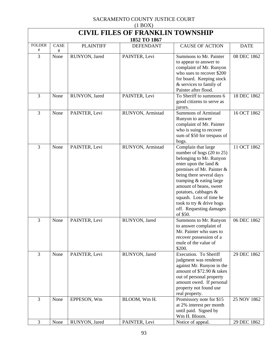| $(1 \text{D} \text{O} \Omega)$<br><b>CIVIL FILES OF FRANKLIN TOWNSHIP</b> |           |                  |                  |                                                                                                                                                                                                                                                                                                                                          |             |  |  |
|---------------------------------------------------------------------------|-----------|------------------|------------------|------------------------------------------------------------------------------------------------------------------------------------------------------------------------------------------------------------------------------------------------------------------------------------------------------------------------------------------|-------------|--|--|
| 1852 TO 1867                                                              |           |                  |                  |                                                                                                                                                                                                                                                                                                                                          |             |  |  |
| <b>FOLDER</b><br>#                                                        | CASE<br># | <b>PLAINTIFF</b> | <b>DEFENDANT</b> | <b>CAUSE OF ACTION</b>                                                                                                                                                                                                                                                                                                                   | <b>DATE</b> |  |  |
| 3                                                                         | None      | RUNYON, Jared    | PAINTER, Levi    | Summons to Mr. Painter<br>to appear to answer to<br>complaint of Mr. Runyon<br>who sues to recover \$200<br>for board. Keeping stock<br>& services to family of<br>Painter after flood.                                                                                                                                                  | 08 DEC 1862 |  |  |
| 3                                                                         | None      | RUNYON, Jared    | PAINTER, Levi    | To Sheriff to summons 6<br>good citizens to serve as<br>jurors.                                                                                                                                                                                                                                                                          | 18 DEC 1862 |  |  |
| 3                                                                         | None      | PAINTER, Levi    | RUNYON, Armistad | <b>Summons of Armistad</b><br>Runyon to answer<br>complaint of Mr. Painter<br>who is suing to recover<br>sum of \$50 for trespass of<br>hogs.                                                                                                                                                                                            | 16 OCT 1862 |  |  |
| 3                                                                         | None      | PAINTER, Levi    | RUNYON, Armistad | Complain that large<br>number of hogs (20 to 25)<br>belonging to Mr. Runyon<br>enter upon the land &<br>premises of Mr. Painter &<br>being there several days<br>tramping & eating large<br>amount of beans, sweet<br>potatoes, cabbages &<br>squash. Loss of time he<br>took to try & drive hogs<br>off. Requesting damages<br>of \$50. | 11 OCT 1862 |  |  |
| 3                                                                         | None      | PAINTER, Levi    | RUNYON, Jared    | Summons to Mr. Runyon<br>to answer complaint of<br>Mr. Painter who sues to<br>recover possession of a<br>mule of the value of<br>\$200.                                                                                                                                                                                                  | 06 DEC 1862 |  |  |
| 3                                                                         | None      | PAINTER, Levi    | RUNYON, Jared    | Execution. To Sheriff<br>judgment was rendered<br>against Mr. Runyon in the<br>amount of \$72.90 & takes<br>out of personal property<br>amount owed. If personal<br>property not found use<br>real property.                                                                                                                             | 29 DEC 1862 |  |  |
| 3                                                                         | None      | EPPESON, Wm      | BLOOM, Wm H.     | Promissory note for \$15<br>at 2% interest per month<br>until paid. Signed by<br>Wm H. Bloom.                                                                                                                                                                                                                                            | 25 NOV 1862 |  |  |
| 3                                                                         | None      | RUNYON, Jared    | PAINTER, Levi    | Notice of appeal.                                                                                                                                                                                                                                                                                                                        | 29 DEC 1862 |  |  |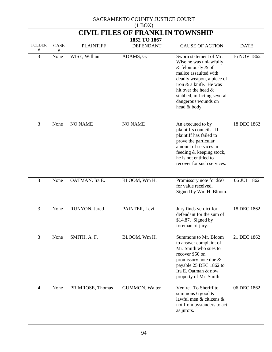| $(1 \text{D} \text{O} \Omega)$<br><b>CIVIL FILES OF FRANKLIN TOWNSHIP</b> |      |                  |                                  |                                                                                                                                                                                                                                                        |             |  |  |
|---------------------------------------------------------------------------|------|------------------|----------------------------------|--------------------------------------------------------------------------------------------------------------------------------------------------------------------------------------------------------------------------------------------------------|-------------|--|--|
| <b>FOLDER</b>                                                             | CASE | <b>PLAINTIFF</b> | 1852 TO 1867<br><b>DEFENDANT</b> | <b>CAUSE OF ACTION</b>                                                                                                                                                                                                                                 | <b>DATE</b> |  |  |
| #                                                                         | #    |                  |                                  |                                                                                                                                                                                                                                                        |             |  |  |
| 3                                                                         | None | WISE, William    | ADAMS, G.                        | Sworn statement of Mr.<br>Wise he was unlawfully<br>& feloniously $\&$ of<br>malice assaulted with<br>deadly weapon, a piece of<br>iron & a knife. He was<br>hit over the head &<br>stabbed, inflicting several<br>dangerous wounds on<br>head & body. | 16 NOV 1862 |  |  |
| $\overline{3}$                                                            | None | <b>NO NAME</b>   | <b>NO NAME</b>                   | An executed to by<br>plaintiffs councils. If<br>plaintiff has failed to<br>prove the particular<br>amount of services in<br>feeding & keeping stock,<br>he is not entitled to<br>recover for such services.                                            | 18 DEC 1862 |  |  |
| 3                                                                         | None | OATMAN, Ira E.   | BLOOM, Wm H.                     | Promissory note for \$50<br>for value received.<br>Signed by Wm H. Bloom.                                                                                                                                                                              | 06 JUL 1862 |  |  |
| 3                                                                         | None | RUNYON, Jared    | PAINTER, Levi                    | Jury finds verdict for<br>defendant for the sum of<br>\$14.87. Signed by<br>foreman of jury.                                                                                                                                                           | 18 DEC 1862 |  |  |
| 3                                                                         | None | SMITH. A. F.     | BLOOM, Wm H.                     | Summons to Mr. Bloom<br>to answer complaint of<br>Mr. Smith who sues to<br>recover \$50 on<br>promissory note due $\&$<br>payable 25 DEC 1862 to<br>Ira E. Oatman & now<br>property of Mr. Smith.                                                      | 21 DEC 1862 |  |  |
| $\overline{4}$                                                            | None | PRIMROSE, Thomas | GUMMON, Walter                   | Venire. To Sheriff to<br>summons 6 good $\&$<br>lawful men & citizens &<br>not from bystanders to act<br>as jurors.                                                                                                                                    | 06 DEC 1862 |  |  |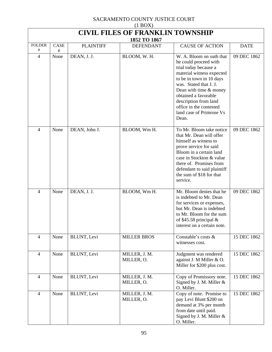| (11001)<br><b>CIVIL FILES OF FRANKLIN TOWNSHIP</b> |              |                  |                             |                                                                                                                                                                                                                                                                                                          |             |  |  |
|----------------------------------------------------|--------------|------------------|-----------------------------|----------------------------------------------------------------------------------------------------------------------------------------------------------------------------------------------------------------------------------------------------------------------------------------------------------|-------------|--|--|
| 1852 TO 1867                                       |              |                  |                             |                                                                                                                                                                                                                                                                                                          |             |  |  |
| <b>FOLDER</b><br>#                                 | CASE<br>$\#$ | <b>PLAINTIFF</b> | <b>DEFENDANT</b>            | <b>CAUSE OF ACTION</b>                                                                                                                                                                                                                                                                                   | <b>DATE</b> |  |  |
| 4                                                  | None         | DEAN, J. J.      | BLOOM, W.H.                 | W. A. Bloom on oath that<br>he could proceed with<br>trial today because a<br>material witness expected<br>to be in town in 10 days<br>was. Stated that J. J.<br>Dean with time & money<br>obtained a favorable<br>description from land<br>office in the contested<br>land case of Primrose Vs<br>Dean. | 09 DEC 1862 |  |  |
| 4                                                  | None         | DEAN, John J.    | BLOOM, Wm H.                | To Mr. Bloom take notice<br>that Mr. Dean will offer<br>himself as witness to<br>prove service for said<br>Bloom in a certain land<br>case in Stockton & value<br>there of. Promises from<br>defendant to said plaintiff<br>the sum of \$18 for that<br>service.                                         | 09 DEC 1862 |  |  |
| $\overline{\mathcal{A}}$                           | None         | DEAN, J. J.      | BLOOM, Wm H.                | Mr. Bloom denies that he<br>is indebted to Mr. Dean<br>for services or expenses,<br>but Mr. Dean is indebted<br>to Mr. Bloom for the sum<br>of \$45.58 principal $&$<br>interest on a certain note.                                                                                                      | 09 DEC 1862 |  |  |
| $\overline{4}$                                     | None         | BLUNT, Levi      | <b>MILLER BROS</b>          | Constable's costs &<br>witnesses cost.                                                                                                                                                                                                                                                                   | 15 DEC 1862 |  |  |
| $\overline{4}$                                     | None         | BLUNT, Levi      | MILLER, J. M.<br>MILLER, O. | Judgment was rendered<br>against J. M Miller & O.<br>Miller for \$200 plus cost.                                                                                                                                                                                                                         | 15 DEC 1862 |  |  |
| $\overline{4}$                                     | None         | BLUNT, Levi      | MILLER, J. M.<br>MILLER, O. | Copy of Promissory note.<br>Signed by J. M. Miller &<br>O. Miller.                                                                                                                                                                                                                                       | 15 DEC 1862 |  |  |
| 4                                                  | None         | BLUNT, Levi      | MILLER, J. M.<br>MILLER, O. | Copy of note. Promise to<br>pay Levi Blunt \$200 on<br>demand at 3% per month<br>from date until paid.<br>Signed by J. M. Miller $&$<br>O. Miller.                                                                                                                                                       | 15 DEC 1862 |  |  |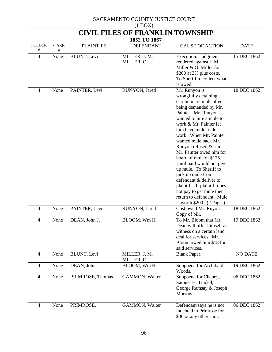| $(1 \text{DOL})$<br><b>CIVIL FILES OF FRANKLIN TOWNSHIP</b><br>1852 TO 1867 |           |                  |                             |                                                                                                                                                                                                                                                                                                                                                                                                                                                                                                                                                                |                |  |  |
|-----------------------------------------------------------------------------|-----------|------------------|-----------------------------|----------------------------------------------------------------------------------------------------------------------------------------------------------------------------------------------------------------------------------------------------------------------------------------------------------------------------------------------------------------------------------------------------------------------------------------------------------------------------------------------------------------------------------------------------------------|----------------|--|--|
| <b>FOLDER</b><br>#                                                          | CASE<br># | <b>PLAINTIFF</b> | <b>DEFENDANT</b>            | <b>CAUSE OF ACTION</b>                                                                                                                                                                                                                                                                                                                                                                                                                                                                                                                                         | <b>DATE</b>    |  |  |
| 4                                                                           | None      | BLUNT, Levi      | MILLER, J. M.<br>MILLER, O. | Execution. Judgment<br>rendered against J. M.<br>Miller & O. Miller for<br>\$200 at 3% plus costs.<br>To Sheriff to collect what<br>is owed.                                                                                                                                                                                                                                                                                                                                                                                                                   | 15 DEC 1862    |  |  |
| $\overline{4}$                                                              | None      | PAINTER, Levi    | RUNYON, Jared               | Mr. Runyon is<br>wrongfully detaining a<br>certain mare mule after<br>being demanded by Mr.<br>Painter. Mr. Runyon<br>wanted to hire a mule to<br>work & Mr. Painter let<br>him have mule to do<br>work. When Mr. Painter<br>wanted mule back Mr.<br>Runyon refused & said<br>Mr. Painter owed him for<br>board of mule of \$175.<br>Until paid would not give<br>up mule. To Sheriff to<br>pick up mule from<br>defendant & deliver to<br>plaintiff. If plaintiff does<br>not pay to get mule then<br>return to defendant. Mule<br>is worth $$200. (2 Pages)$ | 18 DEC 1862    |  |  |
| 4                                                                           | None      | PAINTER, Levi    | RUNYON, Jared               | Cost owed Mr. Ruyon.<br>Copy of bill.                                                                                                                                                                                                                                                                                                                                                                                                                                                                                                                          | 18 DEC 1862    |  |  |
| 4                                                                           | None      | DEAN, John J.    | BLOOM, Wm H.                | To Mr. Bloom that Mr.<br>Dean will offer himself as<br>witness on a certain land<br>deal for services. Mr.<br>Bloom owed him \$18 for<br>said services.                                                                                                                                                                                                                                                                                                                                                                                                        | 19 DEC 1862    |  |  |
| $\overline{4}$                                                              | None      | BLUNT, Levi      | MILLER, J. M.<br>MILLER, O. | Blank Paper.                                                                                                                                                                                                                                                                                                                                                                                                                                                                                                                                                   | <b>NO DATE</b> |  |  |
| $\overline{4}$                                                              | None      | DEAN, John J.    | BLOOM, Wm H.                | Subpoena for Archibald<br>Woods.                                                                                                                                                                                                                                                                                                                                                                                                                                                                                                                               | 19 DEC 1862    |  |  |
| $\overline{4}$                                                              | None      | PRIMROSE, Thomas | GAMMON, Walter              | Subpoena for Cheney,<br>Samuel H. Tindell,<br>George Ramsay & Joseph<br>Morrow.                                                                                                                                                                                                                                                                                                                                                                                                                                                                                | 06 DEC 1862    |  |  |
| $\overline{4}$                                                              | None      | PRIMROSE,        | GAMMON, Walter              | Defendant says he is not<br>indebted to Primrose for<br>\$30 or any other sum.                                                                                                                                                                                                                                                                                                                                                                                                                                                                                 | 06 DEC 1862    |  |  |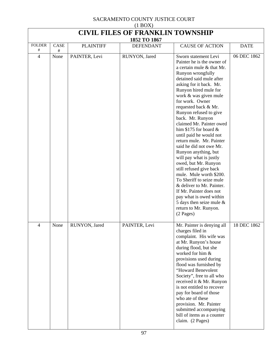| $(1 + 1)$<br><b>CIVIL FILES OF FRANKLIN TOWNSHIP</b><br>1852 TO 1867 |           |                  |                  |                                                                                                                                                                                                                                                                                                                                                                                                                                                                                                                                                                                                                                                                                                                                                                       |             |  |  |
|----------------------------------------------------------------------|-----------|------------------|------------------|-----------------------------------------------------------------------------------------------------------------------------------------------------------------------------------------------------------------------------------------------------------------------------------------------------------------------------------------------------------------------------------------------------------------------------------------------------------------------------------------------------------------------------------------------------------------------------------------------------------------------------------------------------------------------------------------------------------------------------------------------------------------------|-------------|--|--|
| <b>FOLDER</b><br>#                                                   | CASE      | <b>PLAINTIFF</b> | <b>DEFENDANT</b> | <b>CAUSE OF ACTION</b>                                                                                                                                                                                                                                                                                                                                                                                                                                                                                                                                                                                                                                                                                                                                                | <b>DATE</b> |  |  |
| $\overline{4}$                                                       | #<br>None | PAINTER, Levi    | RUNYON, Jared    | Sworn statement Levi<br>Painter he is the owner of<br>a certain mule & that Mr.<br>Runyon wrongfully<br>detained said mule after<br>asking for it back. Mr.<br>Runyon hired mule for<br>work & was given mule<br>for work. Owner<br>requested back & Mr.<br>Runyon refused to give<br>back. Mr. Runyon<br>claimed Mr. Painter owed<br>him \$175 for board $\&$<br>until paid he would not<br>return mule. Mr. Painter<br>said he did not owe Mr.<br>Runyon anything, but<br>will pay what is justly<br>owed, but Mr. Runyon<br>still refused give back<br>mule. Mule worth \$200.<br>To Sheriff to seize mule<br>& deliver to Mr. Painter.<br>If Mr. Painter does not<br>pay what is owed within<br>5 days then seize mule $\&$<br>return to Mr. Runyon.<br>(2 Pages) | 06 DEC 1862 |  |  |
| 4                                                                    | None      | RUNYON, Jared    | PAINTER, Levi    | Mr. Painter is denying all<br>charges filed in<br>complaint. His wife was<br>at Mr. Runyon's house<br>during flood, but she<br>worked for him &<br>provisions used during<br>flood was furnished by<br>"Howard Benevolent<br>Society", free to all who<br>received it & Mr. Runyon<br>is not entitled to recover<br>pay for board of those<br>who ate of these<br>provision. Mr. Painter<br>submitted accompanying<br>bill of items as a counter<br>claim. (2 Pages)                                                                                                                                                                                                                                                                                                  | 18 DEC 1862 |  |  |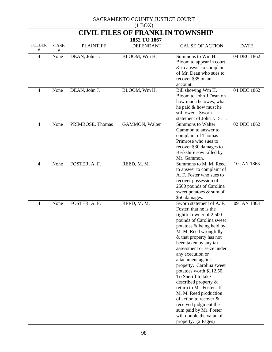| $(1 \text{DOL})$<br><b>CIVIL FILES OF FRANKLIN TOWNSHIP</b> |      |                  |                                  |                                                                                                                                                                                                                                                                                                                                                                                                                                                                                                                                                                                            |             |  |
|-------------------------------------------------------------|------|------------------|----------------------------------|--------------------------------------------------------------------------------------------------------------------------------------------------------------------------------------------------------------------------------------------------------------------------------------------------------------------------------------------------------------------------------------------------------------------------------------------------------------------------------------------------------------------------------------------------------------------------------------------|-------------|--|
| <b>FOLDER</b>                                               | CASE | <b>PLAINTIFF</b> | 1852 TO 1867<br><b>DEFENDANT</b> | <b>CAUSE OF ACTION</b>                                                                                                                                                                                                                                                                                                                                                                                                                                                                                                                                                                     | <b>DATE</b> |  |
| #                                                           | #    |                  |                                  |                                                                                                                                                                                                                                                                                                                                                                                                                                                                                                                                                                                            |             |  |
| 4                                                           | None | DEAN, John J.    | BLOOM, Wm H.                     | Summons to Wm H.<br>Bloom to appear in court<br>& to answer to complaint<br>of Mr. Dean who sues to<br>recover \$35 on an<br>account.                                                                                                                                                                                                                                                                                                                                                                                                                                                      | 04 DEC 1862 |  |
| 4                                                           | None | DEAN, John J.    | BLOOM, Wm H.                     | Bill showing Wm H.<br>Bloom to John J Dean on<br>how much he owes, what<br>he paid & how must he<br>still owed. Sworn<br>statement of John J. Dean.                                                                                                                                                                                                                                                                                                                                                                                                                                        | 04 DEC 1862 |  |
| $\overline{4}$                                              | None | PRIMROSE, Thomas | GAMMON, Walter                   | <b>Summons to Walter</b><br>Gammon to answer to<br>complaint of Thomas<br>Primrose who sues to<br>recover \$30 damages to<br>Berkshire sow killed by<br>Mr. Gammon.                                                                                                                                                                                                                                                                                                                                                                                                                        | 02 DEC 1862 |  |
| 4                                                           | None | FOSTER, A. F.    | REED, M. M.                      | Summons to M. M. Reed<br>to answer to complaint of<br>A. F. Foster who sues to<br>recover possession of<br>2500 pounds of Carolina<br>sweet potatoes & sum of<br>\$50 damages.                                                                                                                                                                                                                                                                                                                                                                                                             | 10 JAN 1863 |  |
| $\overline{4}$                                              | None | FOSTER, A. F.    | REED, M. M.                      | Sworn statement of A. F.<br>Foster, that he is the<br>rightful owner of 2,500<br>pounds of Carolina sweet<br>potatoes & being held by<br>M. M. Reed wrongfully<br>& that property has not<br>been taken by any tax<br>assessment or seize under<br>any execution or<br>attachment against<br>property. Carolina sweet<br>potatoes worth \$112.50.<br>To Sheriff to take<br>described property $\&$<br>return to Mr. Foster. If<br>M. M. Reed production<br>of action to recover $\&$<br>received judgment the<br>sum paid by Mr. Foster<br>will double the value of<br>property. (2 Pages) | 09 JAN 1863 |  |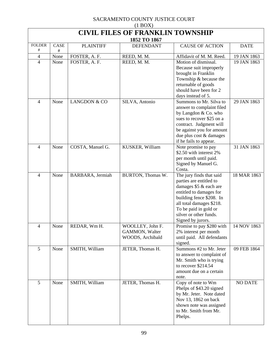| $(1 \text{DOL})$<br><b>CIVIL FILES OF FRANKLIN TOWNSHIP</b><br>1852 TO 1867 |           |                         |                                                        |                                                                                                                                                                                                                                          |                |  |  |
|-----------------------------------------------------------------------------|-----------|-------------------------|--------------------------------------------------------|------------------------------------------------------------------------------------------------------------------------------------------------------------------------------------------------------------------------------------------|----------------|--|--|
| <b>FOLDER</b><br>#                                                          | CASE<br># | <b>PLAINTIFF</b>        | <b>DEFENDANT</b>                                       | <b>CAUSE OF ACTION</b>                                                                                                                                                                                                                   | <b>DATE</b>    |  |  |
| 4                                                                           | None      | FOSTER, A. F.           | REED, M. M.                                            | Affidavit of M. M. Reed.                                                                                                                                                                                                                 | 19 JAN 1863    |  |  |
| 4                                                                           | None      | FOSTER, A. F.           | REED, M. M.                                            | Motion of dismissal.<br>Because suit improperly<br>brought in Franklin<br>Township & because the<br>returnable of goods<br>should have been for 2<br>days instead of 5.                                                                  | 19 JAN 1863    |  |  |
| 4                                                                           | None      | <b>LANGDON &amp; CO</b> | SILVA, Antonio                                         | Summons to Mr. Silva to<br>answer to complaint filed<br>by Langdon & Co. who<br>sues to recover \$25 on a<br>contract. Judgment will<br>be against you for amount<br>due plus cost & damages<br>if he fails to appear.                   | 29 JAN 1863    |  |  |
| 4                                                                           | None      | COSTA, Manuel G.        | KUSKER, William                                        | Note promise to pay<br>\$2.50 with interest 2%<br>per month until paid.<br>Signed by Manuel G.<br>Costa.                                                                                                                                 | 31 JAN 1863    |  |  |
| $\overline{\mathcal{A}}$                                                    | None      | BARBARA, Jermiah        | BURTON, Thomas W.                                      | The jury finds that said<br>parties are entitled to<br>damages \$5 & each are<br>entitled to damages for<br>building fence \$208. In<br>all total damages \$218.<br>To be paid in gold or<br>silver or other funds.<br>Signed by jurors. | 18 MAR 1863    |  |  |
| 4                                                                           | None      | REDAR, Wm H.            | WOOLLEY, John F.<br>GAMMON, Walter<br>WOODS, Archibald | Promise to pay \$280 with<br>2% interest per month<br>until paid. All defendants<br>signed.                                                                                                                                              | 14 NOV 1863    |  |  |
| 5                                                                           | None      | SMITH, William          | JETER, Thomas H.                                       | Summons #2 to Mr. Jeter<br>to answer to complaint of<br>Mr. Smith who is trying<br>to recover \$214.54<br>amount due on a certain<br>note.                                                                                               | 09 FEB 1864    |  |  |
| 5                                                                           | None      | SMITH, William          | JETER, Thomas H.                                       | Copy of note to Wm<br>Phelps of \$43.20 signed<br>by Mr. Jeter. Note dated<br>Nov 13, 1862 on back<br>shown note was assigned<br>to Mr. Smith from Mr.<br>Phelps.                                                                        | <b>NO DATE</b> |  |  |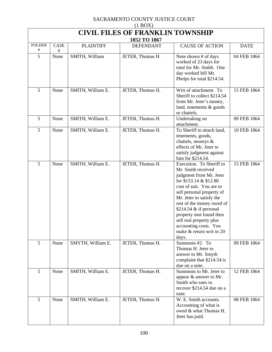| $(1 \text{D} \text{O} \Omega)$<br><b>CIVIL FILES OF FRANKLIN TOWNSHIP</b> |           |                   |                                  |                                                                                                                                                                                                                                                                                                                                                                        |             |  |  |
|---------------------------------------------------------------------------|-----------|-------------------|----------------------------------|------------------------------------------------------------------------------------------------------------------------------------------------------------------------------------------------------------------------------------------------------------------------------------------------------------------------------------------------------------------------|-------------|--|--|
| <b>FOLDER</b>                                                             | CASE      | <b>PLAINTIFF</b>  | 1852 TO 1867<br><b>DEFENDANT</b> | <b>CAUSE OF ACTION</b>                                                                                                                                                                                                                                                                                                                                                 | <b>DATE</b> |  |  |
| #<br>5                                                                    | #<br>None | SMITH, William    | JETER, Thomas H.                 | Note shown # of days<br>worked of 23 days for<br>total for Mr. Smith. One<br>day worked bill Mr.<br>Phelps for total \$214.54.                                                                                                                                                                                                                                         | 04 FEB 1864 |  |  |
| 5                                                                         | None      | SMITH, William E. | JETER, Thomas H.                 | Writ of attachment. To<br>Sheriff to collect \$214.54<br>from Mr. Jeter's money,<br>land, tenements & goods<br>or chattels.                                                                                                                                                                                                                                            | 15 FEB 1864 |  |  |
| 5                                                                         | None      | SMITH, William E. | JETER, Thomas H.                 | Undertaking on<br>attachment.                                                                                                                                                                                                                                                                                                                                          | 09 FEB 1864 |  |  |
| 5                                                                         | None      | SMITH, William E. | JETER, Thomas H.                 | To Sheriff to attach land,<br>tenements, goods,<br>chattels, moneys &<br>effects of Mr. Jeter to<br>satisfy judgment against<br>him for \$214.54.                                                                                                                                                                                                                      | 10 FEB 1864 |  |  |
| 5                                                                         | None      | SMITH, William E. | JETER, Thomas H.                 | Execution. To Sheriff to<br>Mr. Smith received<br>judgment from Mr. Jeter<br>for \$153.14 & \$12.80<br>cost of suit. You are to<br>sell personal property of<br>Mr. Jeter to satisfy the<br>rest of the money owed of<br>\$214.54 $\&$ if personal<br>property mot found then<br>sell real property plus<br>accounting costs. You<br>make & return writ in 20<br>days. | 15 FEB 1864 |  |  |
| 5                                                                         | None      | SMYTH, William E. | JETER, Thomas H.                 | Summons #2. To<br>Thomas H. Jeter to<br>answer to Mr. Smyth<br>complaint that \$214.54 is<br>due on a note.                                                                                                                                                                                                                                                            | 09 FEB 1864 |  |  |
| 5                                                                         | None      | SMITH, William E. | JETER, Thomas H.                 | Summons to Mr. Jeter to<br>appear & answer to Mr.<br>Smith who sues to<br>recover \$214.54 due on a<br>note.                                                                                                                                                                                                                                                           | 12 FEB 1864 |  |  |
| 5                                                                         | None      | SMITH, William E. | JETER, Thomas H.                 | W. E. Smith accounts.<br>Accounting of what is<br>owed & what Thomas H.<br>Jeter has paid.                                                                                                                                                                                                                                                                             | 08 FEB 1864 |  |  |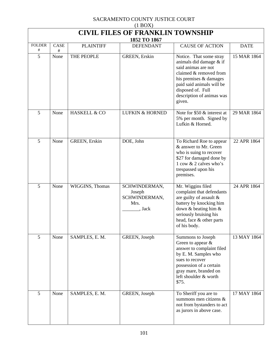| $(1$ BOX)                                               |           |                         |                                                          |                                                                                                                                                                                                                        |             |  |  |
|---------------------------------------------------------|-----------|-------------------------|----------------------------------------------------------|------------------------------------------------------------------------------------------------------------------------------------------------------------------------------------------------------------------------|-------------|--|--|
| <b>CIVIL FILES OF FRANKLIN TOWNSHIP</b><br>1852 TO 1867 |           |                         |                                                          |                                                                                                                                                                                                                        |             |  |  |
| <b>FOLDER</b>                                           | CASE      | <b>PLAINTIFF</b>        | <b>DEFENDANT</b>                                         | <b>CAUSE OF ACTION</b>                                                                                                                                                                                                 | <b>DATE</b> |  |  |
| #<br>5                                                  | #<br>None | THE PEOPLE              | GREEN, Erskin                                            | Notice. That some stray<br>animals did damage & if<br>said animas are not<br>claimed & removed from<br>his premises & damages<br>paid said animals will be<br>disposed of. Full<br>description of animas was<br>given. | 15 MAR 1864 |  |  |
| 5                                                       | None      | <b>HASKELL &amp; CO</b> | <b>LUFKIN &amp; HORNED</b>                               | Note for \$50 & interest at<br>5% per month. Signed by<br>Lufkin & Horned.                                                                                                                                             | 29 MAR 1864 |  |  |
| 5                                                       | None      | GREEN, Erskin           | DOE, John                                                | To Richard Roe to appear<br>& answer to Mr. Green<br>who is suing to recover<br>\$27 for damaged done by<br>1 cow & 2 calves who's<br>trespassed upon his<br>premises.                                                 | 22 APR 1864 |  |  |
| 5                                                       | None      | WIGGINS, Thomas         | SCHWINDERMAN,<br>Joseph<br>SCHWINDERMAN,<br>Mrs.<br>Jack | Mr. Wiggins filed<br>complaint that defendants<br>are guilty of assault $\&$<br>battery by knocking him<br>down & beating him &<br>seriously bruising his<br>head, face & other parts<br>of his body.                  | 24 APR 1864 |  |  |
| 5                                                       | None      | SAMPLES, E. M.          | GREEN, Joseph                                            | Summons to Joseph<br>Green to appear $\&$<br>answer to complaint filed<br>by E. M. Samples who<br>sues to recover<br>possession of a certain<br>gray mare, branded on<br>left shoulder & worth<br>\$75.                | 13 MAY 1864 |  |  |
| 5                                                       | None      | SAMPLES, E. M.          | GREEN, Joseph                                            | To Sheriff you are to<br>summons men citizens &<br>not from bystanders to act<br>as jurors in above case.                                                                                                              | 17 MAY 1864 |  |  |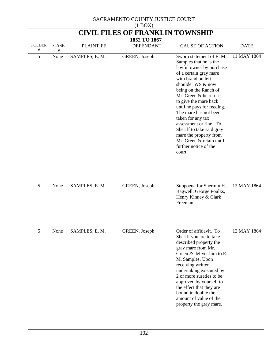| $(1 \text{D}0/\Lambda)$<br><b>CIVIL FILES OF FRANKLIN TOWNSHIP</b> |           |                  |                                  |                                                                                                                                                                                                                                                                                                                                                                                                                                 |             |  |  |
|--------------------------------------------------------------------|-----------|------------------|----------------------------------|---------------------------------------------------------------------------------------------------------------------------------------------------------------------------------------------------------------------------------------------------------------------------------------------------------------------------------------------------------------------------------------------------------------------------------|-------------|--|--|
| <b>FOLDER</b>                                                      | CASE      | <b>PLAINTIFF</b> | 1852 TO 1867<br><b>DEFENDANT</b> | <b>CAUSE OF ACTION</b>                                                                                                                                                                                                                                                                                                                                                                                                          | <b>DATE</b> |  |  |
| #<br>5                                                             | #<br>None | SAMPLES, E. M.   | GREEN, Joseph                    | Sworn statement of E. M.                                                                                                                                                                                                                                                                                                                                                                                                        | 11 MAY 1864 |  |  |
|                                                                    |           |                  |                                  | Samples that he is the<br>lawful owner by purchase<br>of a certain gray mare<br>with brand on left<br>shoulder WS & now<br>being on the Ranch of<br>Mr. Green & he refuses<br>to give the mare back<br>until he pays for feeding.<br>The mare has not been<br>taken for any tax<br>assessment or fine. To<br>Sheriff to take said gray<br>mare the property from<br>Mr. Green & retain until<br>further notice of the<br>court. |             |  |  |
| 5                                                                  | None      | SAMPLES, E. M.   | GREEN, Joseph                    | Subpoena for Shermin H.<br>Bagwell, George Foulks,<br>Henry Kinney & Clark<br>Freeman.                                                                                                                                                                                                                                                                                                                                          | 12 MAY 1864 |  |  |
| 5                                                                  | None      | SAMPLES, E. M.   | GREEN, Joseph                    | Order of affidavit. To<br>Sheriff you are to take<br>described property the<br>gray mare from Mr.<br>Green & deliver him to E.<br>M. Samples. Upon<br>receiving written<br>undertaking executed by<br>2 or more sureties to be<br>approved by yourself to<br>the effect that they are<br>bound in double the<br>amount of value of the<br>property the gray mare.                                                               | 12 MAY 1864 |  |  |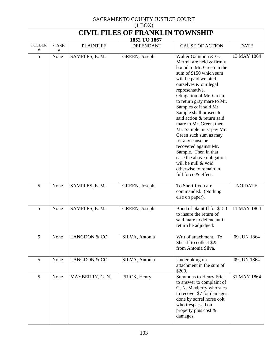| (110011)<br><b>CIVIL FILES OF FRANKLIN TOWNSHIP</b> |           |                         |                                  |                                                                                                                                                                                                                                                                                                                                                                                                                                                                                                                                                                               |                |  |  |
|-----------------------------------------------------|-----------|-------------------------|----------------------------------|-------------------------------------------------------------------------------------------------------------------------------------------------------------------------------------------------------------------------------------------------------------------------------------------------------------------------------------------------------------------------------------------------------------------------------------------------------------------------------------------------------------------------------------------------------------------------------|----------------|--|--|
| <b>FOLDER</b>                                       | CASE      | <b>PLAINTIFF</b>        | 1852 TO 1867<br><b>DEFENDANT</b> | <b>CAUSE OF ACTION</b>                                                                                                                                                                                                                                                                                                                                                                                                                                                                                                                                                        | <b>DATE</b>    |  |  |
| #<br>5                                              | #<br>None | SAMPLES, E. M.          | GREEN, Joseph                    | Walter Gammon & G.<br>Merrell are held & firmly<br>bound to Mr. Green in the<br>sum of \$150 which sum<br>will be paid we bind<br>ourselves & our legal<br>representative.<br>Obligation of Mr. Green<br>to return gray mare to Mr.<br>Samples & if said Mr.<br>Sample shall prosecute<br>said action & return said<br>mare to Mr. Green, then<br>Mr. Sample must pay Mr.<br>Green such sum as may<br>for any cause be<br>recovered against Mr.<br>Sample. Then in that<br>case the above obligation<br>will be null & void<br>otherwise to remain in<br>full force & effect. | 13 MAY 1864    |  |  |
| 5                                                   | None      | SAMPLES, E. M.          | GREEN, Joseph                    | To Sheriff you are<br>commanded. (Nothing<br>else on paper).                                                                                                                                                                                                                                                                                                                                                                                                                                                                                                                  | <b>NO DATE</b> |  |  |
| 5                                                   | None      | SAMPLES, E. M.          | GREEN, Joseph                    | Bond of plaintiff for \$150<br>to insure the return of<br>said mare to defendant if<br>return be adjudged.                                                                                                                                                                                                                                                                                                                                                                                                                                                                    | 11 MAY 1864    |  |  |
| 5                                                   | None      | LANGDON & CO            | SILVA, Antonia                   | Writ of attachment. To<br>Sheriff to collect \$25<br>from Antonia Silva.                                                                                                                                                                                                                                                                                                                                                                                                                                                                                                      | 09 JUN 1864    |  |  |
| 5                                                   | None      | <b>LANGDON &amp; CO</b> | SILVA, Antonia                   | Undertaking on<br>attachment in the sum of<br>\$200.                                                                                                                                                                                                                                                                                                                                                                                                                                                                                                                          | 09 JUN 1864    |  |  |
| 5                                                   | None      | MAYBERRY, G. N.         | FRICK, Henry                     | Summons to Henry Frick<br>to answer to complaint of<br>G. N. Mayberry who sues<br>to recover \$7 for damages<br>done by sorrel horse colt<br>who trespassed on<br>property plus cost &<br>damages.                                                                                                                                                                                                                                                                                                                                                                            | 31 MAY 1864    |  |  |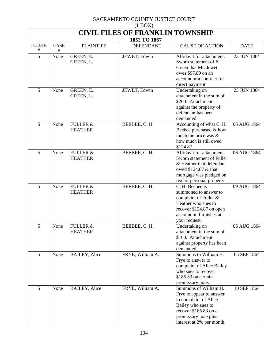| $(1$ BOX)                               |           |                                       |                  |                                                                                                                                                                                |             |  |  |  |
|-----------------------------------------|-----------|---------------------------------------|------------------|--------------------------------------------------------------------------------------------------------------------------------------------------------------------------------|-------------|--|--|--|
| <b>CIVIL FILES OF FRANKLIN TOWNSHIP</b> |           |                                       |                  |                                                                                                                                                                                |             |  |  |  |
| 1852 TO 1867                            |           |                                       |                  |                                                                                                                                                                                |             |  |  |  |
| <b>FOLDER</b><br>#                      | CASE<br># | <b>PLAINTIFF</b>                      | <b>DEFENDANT</b> | <b>CAUSE OF ACTION</b>                                                                                                                                                         | <b>DATE</b> |  |  |  |
| 5                                       | None      | GREEN, E.<br>GREEN, L.                | JEWET, Edwin     | Affidavit for attachment.<br>Sworn statement of E.<br>Green that Mr. Jewet<br>owes \$97.89 on an<br>account or a contract for<br>direct payment.                               | 23 JUN 1864 |  |  |  |
| 5                                       | None      | GREEN, E.<br>GREEN, L.                | JEWET, Edwin     | Undertaking on<br>attachment in the sum of<br>\$200. Attachment<br>against the property of<br>defendant has been<br>demanded.                                                  | 23 JUN 1864 |  |  |  |
| 5                                       | None      | <b>FULLER &amp;</b><br><b>HEATHER</b> | BEEBEE, C.H.     | Accounting of what C. H.<br>Beebee purchased & how<br>much the price was $\&$<br>how much is still owed<br>\$124.87.                                                           | 06 AUG 1864 |  |  |  |
| 5                                       | None      | <b>FULLER &amp;</b><br><b>HEATHER</b> | BEEBEE, C.H.     | Affidavit for attachment.<br>Sworn statement of Fuller<br>& Heather that defendant<br>owed \$124.87 & that<br>mortgage was pledged on<br>real or personal property.            | 06 AUG 1864 |  |  |  |
| 5                                       | None      | <b>FULLER &amp;</b><br><b>HEATHER</b> | BEEBEE, C.H.     | C. H. Beebee is<br>summoned to answer to<br>complaint of Fuller &<br>Heather who sues to<br>recover \$124.87 on open<br>account on furnishes at<br>your request.               | 09 AUG 1864 |  |  |  |
| 5                                       | None      | <b>FULLER &amp;</b><br><b>HEATHER</b> | BEEBEE, C.H.     | Undertaking on<br>attachment in the sum of<br>\$100. Attachment<br>against property has been<br>demanded.                                                                      | 06 AUG 1864 |  |  |  |
| 5                                       | None      | <b>BAILEY</b> , Alice                 | FRYE, William A. | Summons to William H.<br>Frye to answer to<br>complaint of Alice Bailey<br>who sues to recover<br>\$185.33 on certain<br>promissory note.                                      | 05 SEP 1864 |  |  |  |
| 5                                       | None      | <b>BAILEY, Alice</b>                  | FRYE, William A. | Summons of William H.<br>Frye to appear to answer<br>to complaint of Alice<br>Bailey who sues to<br>recover \$185.83 on a<br>promissory note plus<br>interest at 2% per month. | 10 SEP 1864 |  |  |  |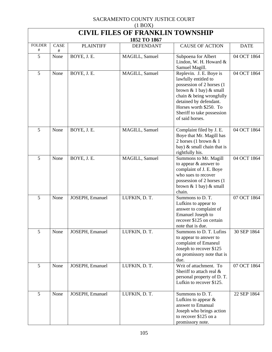| (110011)<br><b>CIVIL FILES OF FRANKLIN TOWNSHIP</b> |           |                  |                  |                                                                                                                                                                                                                                               |             |  |  |  |
|-----------------------------------------------------|-----------|------------------|------------------|-----------------------------------------------------------------------------------------------------------------------------------------------------------------------------------------------------------------------------------------------|-------------|--|--|--|
| 1852 TO 1867                                        |           |                  |                  |                                                                                                                                                                                                                                               |             |  |  |  |
| <b>FOLDER</b><br>#                                  | CASE<br># | <b>PLAINTIFF</b> | <b>DEFENDANT</b> | <b>CAUSE OF ACTION</b>                                                                                                                                                                                                                        | <b>DATE</b> |  |  |  |
| 5                                                   | None      | BOYE, J. E.      | MAGILL, Samuel   | Subpoena for Albert<br>Lindon, W. H. Howard $&$<br>Samuel Magill.                                                                                                                                                                             | 04 OCT 1864 |  |  |  |
| 5                                                   | None      | BOYE, J. E.      | MAGILL, Samuel   | Replevin. J. E. Boye is<br>lawfully entitled to<br>possession of 2 horses (1)<br>brown $& 1$ bay) $& $ small<br>chain & being wrongfully<br>detained by defendant.<br>Horses worth \$250. To<br>Sheriff to take possession<br>of said horses. | 04 OCT 1864 |  |  |  |
| 5                                                   | None      | BOYE, J. E.      | MAGILL, Samuel   | Complaint filed by J. E.<br>Boye that Mr. Magill has<br>2 horses (1 brown $& 1$<br>bay) $\&$ small chain that is<br>rightfully his.                                                                                                           | 04 OCT 1864 |  |  |  |
| 5                                                   | None      | BOYE, J. E.      | MAGILL, Samuel   | Summons to Mr. Magill<br>to appear & answer to<br>complaint of J. E. Boye<br>who sues to recover<br>possession of 2 horses (1<br>brown $\&$ 1 bay) $\&$ small<br>chain.                                                                       | 04 OCT 1864 |  |  |  |
| 5                                                   | None      | JOSEPH, Emanuel  | LUFKIN, D. T.    | Summons to D.T.<br>Lufkins to appear to<br>answer to complaint of<br>Emanuel Joseph to<br>recover \$125 on certain<br>note that is due.                                                                                                       | 07 OCT 1864 |  |  |  |
| 5                                                   | None      | JOSEPH, Emanuel  | LUFKIN, D. T.    | Summons to D. T. Lufins<br>to appear to answer to<br>complaint of Emaneul<br>Joseph to recover \$125<br>on promissory note that is<br>due.                                                                                                    | 30 SEP 1864 |  |  |  |
| 5                                                   | None      | JOSEPH, Emanuel  | LUFKIN, D. T.    | Writ of attachment. To<br>Sheriff to attach real &<br>personal property of D.T.<br>Lufkin to recover \$125.                                                                                                                                   | 07 OCT 1864 |  |  |  |
| 5                                                   | None      | JOSEPH, Emanuel  | LUFKIN, D. T.    | Summons to D.T.<br>Lufkins to appear $\&$<br>answer to Emanual<br>Joseph who brings action<br>to recover \$125 on a<br>promissory note.                                                                                                       | 22 SEP 1864 |  |  |  |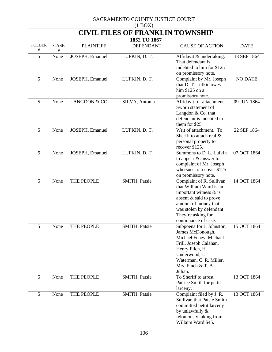| $(1$ BOX)                               |           |                         |                  |                                                                                                                                                                                                              |                |  |  |  |
|-----------------------------------------|-----------|-------------------------|------------------|--------------------------------------------------------------------------------------------------------------------------------------------------------------------------------------------------------------|----------------|--|--|--|
| <b>CIVIL FILES OF FRANKLIN TOWNSHIP</b> |           |                         |                  |                                                                                                                                                                                                              |                |  |  |  |
| 1852 TO 1867                            |           |                         |                  |                                                                                                                                                                                                              |                |  |  |  |
| <b>FOLDER</b><br>#                      | CASE<br># | <b>PLAINTIFF</b>        | <b>DEFENDANT</b> | <b>CAUSE OF ACTION</b>                                                                                                                                                                                       | <b>DATE</b>    |  |  |  |
| 5                                       | None      | JOSEPH, Emanuel         | LUFKIN, D. T.    | Affidavit & undertaking.<br>That defendant is<br>indebted to him for \$125<br>on promissory note.                                                                                                            | 13 SEP 1864    |  |  |  |
| 5                                       | None      | JOSEPH, Emanuel         | LUFKIN, D. T.    | Complaint by Mr. Joseph<br>that D. T. Lufkin owes<br>him \$125 on a<br>promissory note.                                                                                                                      | <b>NO DATE</b> |  |  |  |
| 5                                       | None      | <b>LANGDON &amp; CO</b> | SILVA, Antonia   | Affidavit for attachment.<br>Sworn statement of<br>Langdon & Co. that<br>defendant is indebted to<br>them for \$25.                                                                                          | 09 JUN 1864    |  |  |  |
| 5                                       | None      | JOSEPH, Emanuel         | LUFKIN, D. T.    | Writ of attachment. To<br>Sheriff to attach real &<br>personal property to<br>recover \$125.                                                                                                                 | 22 SEP 1864    |  |  |  |
| $\overline{5}$                          | None      | JOSEPH, Emanuel         | LUFKIN, D. T.    | Summons to D. L. Lufkin<br>to appear & answer to<br>complaint of Mr. Joseph<br>who sues to recover \$125<br>on promissory note.                                                                              | 07 OCT 1864    |  |  |  |
| 5                                       | None      | THE PEOPLE              | SMITH, Patsie    | Complaint of R. Sullivan<br>that William Ward is an<br>important witness $\&$ is<br>absent & said to prove<br>amount of money that<br>was stolen by defendant.<br>They're asking for<br>continuance of case. | 14 OCT 1864    |  |  |  |
| 5                                       | None      | THE PEOPLE              | SMITH, Patsie    | Subpoena for J. Johnston,<br>James McDonough,<br>Michael Feney, Michael<br>Frill, Joseph Calahan,<br>Henry Filch, H.<br>Underwood, J.<br>Waterman, C. R. Miller,<br>Mrs. Finch $&$ T. B.<br>Julian.          | 15 OCT 1864    |  |  |  |
| 5                                       | None      | THE PEOPLE              | SMITH, Patsie    | To Sheriff to arrest<br>Patrice Smith for pettit<br>larceny.                                                                                                                                                 | 13 OCT 1864    |  |  |  |
| 5                                       | None      | THE PEOPLE              | SMITH, Patsie    | Complaint filed by J. R.<br>Sullivan that Patsie Smith<br>committed pettit larceny<br>by unlawfully &<br>feloniously taking from<br>Willaim Ward \$45.                                                       | 13 OCT 1864    |  |  |  |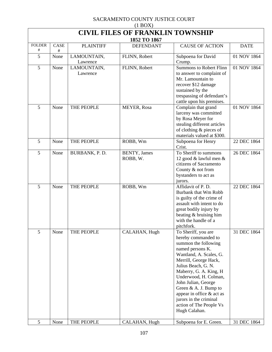| $(1 \text{D} \cup 1)$<br><b>CIVIL FILES OF FRANKLIN TOWNSHIP</b><br>1852 TO 1867 |              |                         |                                  |                                                                                                                                                                                                                                                                                                                                                                         |             |  |  |
|----------------------------------------------------------------------------------|--------------|-------------------------|----------------------------------|-------------------------------------------------------------------------------------------------------------------------------------------------------------------------------------------------------------------------------------------------------------------------------------------------------------------------------------------------------------------------|-------------|--|--|
| <b>FOLDER</b><br>#                                                               | CASE<br>$\#$ | <b>PLAINTIFF</b>        | <b>DEFENDANT</b>                 | <b>CAUSE OF ACTION</b>                                                                                                                                                                                                                                                                                                                                                  | <b>DATE</b> |  |  |
| 5                                                                                | None         | LAMOUNTAIN,<br>Lawrence | FLINN, Robert                    | Subpoena for David<br>Crump.                                                                                                                                                                                                                                                                                                                                            | 01 NOV 1864 |  |  |
| 5                                                                                | None         | LAMOUNTAIN,<br>Lawrence | FLINN, Robert                    | <b>Summons to Robert Flinn</b><br>to answer to complaint of<br>Mr. Lamountain to<br>recover \$12 damage<br>sustained by the<br>trespassing of defendant's<br>cattle upon his premises.                                                                                                                                                                                  | 01 NOV 1864 |  |  |
| 5                                                                                | None         | THE PEOPLE              | MEYER, Rosa                      | Complain that grand<br>larceny was committed<br>by Rosa Meyer for<br>stealing different articles<br>of clothing & pieces of<br>materials valued at \$300.                                                                                                                                                                                                               | 01 NOV 1864 |  |  |
| 5                                                                                | None         | THE PEOPLE              | ROBB, Wm                         | Subpoena for Henry<br>Crist.                                                                                                                                                                                                                                                                                                                                            | 22 DEC 1864 |  |  |
| 5                                                                                | None         | BURBANK, P.D.           | <b>BENTY</b> , James<br>ROBB, W. | To Sheriff to summons<br>12 good & lawful men &<br>citizens of Sacramento<br>County & not from<br>bystanders to act as<br>jurors.                                                                                                                                                                                                                                       | 26 DEC 1864 |  |  |
| 5                                                                                | None         | THE PEOPLE              | ROBB, Wm                         | Affidavit of P. D.<br>Burbank that Wm Robb<br>is guilty of the crime of<br>assault with intent to do<br>great bodily injury by<br>beating & bruising him<br>with the handle of a<br>pitchfork.                                                                                                                                                                          | 22 DEC 1864 |  |  |
| 5                                                                                | None         | THE PEOPLE              | CALAHAN, Hugh                    | To Sheriff, you are<br>hereby commanded to<br>summon the following<br>named persons K.<br>Wantland, A. Scales, G.<br>Merrill, George Hack,<br>Julius Beach, G. N.<br>Maberry, G. A. King, H<br>Underwood, H. Colman,<br>John Julian, George<br>Green & A. J. Bump to<br>appear in office & act as<br>jurors in the criminal<br>action of The People Vs<br>Hugh Calahan. | 31 DEC 1864 |  |  |
| 5                                                                                | None         | THE PEOPLE              | CALAHAN, Hugh                    | Subpoena for E. Green.                                                                                                                                                                                                                                                                                                                                                  | 31 DEC 1864 |  |  |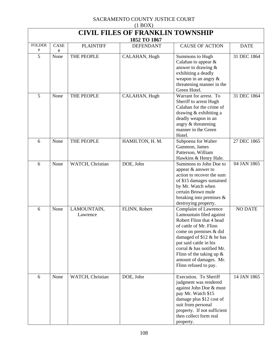| $(1 \text{D} \text{O} \Lambda)$<br><b>CIVIL FILES OF FRANKLIN TOWNSHIP</b> |      |                         |                                  |                                                                                                                                                                                                                                                                                                                 |                |  |  |
|----------------------------------------------------------------------------|------|-------------------------|----------------------------------|-----------------------------------------------------------------------------------------------------------------------------------------------------------------------------------------------------------------------------------------------------------------------------------------------------------------|----------------|--|--|
| <b>FOLDER</b>                                                              | CASE | <b>PLAINTIFF</b>        | 1852 TO 1867<br><b>DEFENDANT</b> | <b>CAUSE OF ACTION</b>                                                                                                                                                                                                                                                                                          | <b>DATE</b>    |  |  |
| #                                                                          | #    |                         |                                  |                                                                                                                                                                                                                                                                                                                 |                |  |  |
| 5                                                                          | None | THE PEOPLE              | CALAHAN, Hugh                    | Summons to Hugh<br>Calahan to appear $\&$<br>answer to drawing $\&$<br>exhibiting a deadly<br>weapon in an angry $\&$<br>threatening manner in the<br>Green Hotel.                                                                                                                                              | 31 DEC 1864    |  |  |
| 5                                                                          | None | THE PEOPLE              | CALAHAN, Hugh                    | Warrant for arrest. To<br>Sheriff to arrest Hugh<br>Calahan for the crime of<br>drawing & exhibiting a<br>deadly weapon in an<br>angry & threatening<br>manner in the Green<br>Hotel.                                                                                                                           | 31 DEC 1864    |  |  |
| 6                                                                          | None | THE PEOPLE              | HAMILTON, H. M.                  | Subpoena for Walter<br>Gammon, James<br>Patterson, William<br>Hawkins & Henry Hale.                                                                                                                                                                                                                             | 27 DEC 1865    |  |  |
| 6                                                                          | None | WATCH, Christian        | DOE, John                        | Summons to John Doe to<br>appear & answer to<br>action to recover the sum<br>of \$15 damages sustained<br>by Mr. Watch when<br>certain Brown mule<br>breaking into premises $\&$<br>destroying property.                                                                                                        | 04 JAN 1865    |  |  |
| 6                                                                          | None | LAMOUNTAIN,<br>Lawrence | FLINN, Robert                    | <b>Complaint of Lawrence</b><br>Lamountain filed against<br>Robert Flinn that 4 head<br>of cattle of Mr. Flinn<br>come on premises & did<br>damaged of $$12 \&$ he has<br>put said cattle in his<br>corral & has notified Mr.<br>Flinn of the taking up $\&$<br>amount of damages. Mr.<br>Flinn refused to pay. | <b>NO DATE</b> |  |  |
| 6                                                                          | None | WATCH, Christian        | DOE, John                        | Execution. To Sheriff<br>judgment was rendered<br>against John Doe & must<br>pay Mr. Watch \$15<br>damage plus \$12 cost of<br>suit from personal<br>property. If not sufficient<br>then collect form real<br>property.                                                                                         | 14 JAN 1865    |  |  |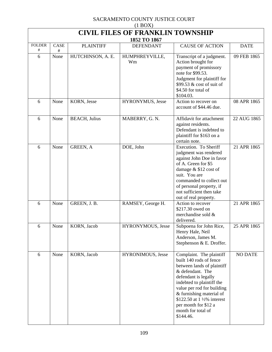| $(1 \text{D} \text{O} \Omega)$<br><b>CIVIL FILES OF FRANKLIN TOWNSHIP</b> |           |                      |                                  |                                                                                                                                                                                                                                                                                                                |                |  |  |
|---------------------------------------------------------------------------|-----------|----------------------|----------------------------------|----------------------------------------------------------------------------------------------------------------------------------------------------------------------------------------------------------------------------------------------------------------------------------------------------------------|----------------|--|--|
| <b>FOLDER</b>                                                             | CASE      | <b>PLAINTIFF</b>     | 1852 TO 1867<br><b>DEFENDANT</b> | <b>CAUSE OF ACTION</b>                                                                                                                                                                                                                                                                                         | <b>DATE</b>    |  |  |
| #<br>6                                                                    | #<br>None | HUTCHINSON, A. E.    | HUMPHREYVILLE,<br>Wm             | Transcript of a judgment.<br>Action brought for<br>payment of promissory<br>note for \$99.53.<br>Judgment for plaintiff for<br>\$99.53 & cost of suit of<br>\$4.50 for total of<br>\$104.03.                                                                                                                   | 09 FEB 1865    |  |  |
| 6                                                                         | None      | KORN, Jesse          | HYRONYMUS, Jesse                 | Action to recover on<br>account of \$44.46 due.                                                                                                                                                                                                                                                                | 08 APR 1865    |  |  |
| 6                                                                         | None      | <b>BEACH, Julius</b> | MABERRY, G. N.                   | Affidavit for attachment<br>against residents.<br>Defendant is indebted to<br>plaintiff for \$163 on a<br>certain note.                                                                                                                                                                                        | 22 AUG 1865    |  |  |
| 6                                                                         | None      | GREEN, A             | DOE, John                        | Execution. To Sheriff<br>judgment was rendered<br>against John Doe in favor<br>of A. Green for \$5<br>damage & \$12 cost of<br>suit. You are<br>commanded to collect out<br>of personal property, if<br>not sufficient then take<br>out of real property.                                                      | 21 APR 1865    |  |  |
| 6                                                                         | None      | GREEN, J.B.          | RAMSEY, George H.                | Action to recover<br>\$217.30 owed on<br>merchandise sold &<br>delivered.                                                                                                                                                                                                                                      | 21 APR 1865    |  |  |
| 6                                                                         | None      | KORN, Jacob          | HYRONYMOUS, Jesse                | Subpoena for John Rice,<br>Henry Hale, Neil<br>Anderson, James M.<br>Stephenson & E. Droffer.                                                                                                                                                                                                                  | 25 APR 1865    |  |  |
| 6                                                                         | None      | KORN, Jacob          | HYRONIMOUS, Jesse                | Complaint. The plaintiff<br>built 140 rods of fence<br>between lands of plaintiff<br>& defendant. The<br>defendant is legally<br>indebted to plaintiff the<br>value per rod for building<br>& furnishing material of<br>\$122.50 at 1 1/2% interest<br>per month for \$12 a<br>month for total of<br>\$144.46. | <b>NO DATE</b> |  |  |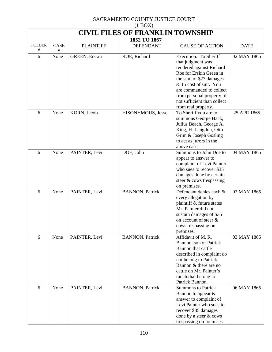| $(1 \text{D} \text{O} \Omega)$<br><b>CIVIL FILES OF FRANKLIN TOWNSHIP</b> |              |                      |                         |                                                                                                                                                                                                                                                                        |             |  |  |  |
|---------------------------------------------------------------------------|--------------|----------------------|-------------------------|------------------------------------------------------------------------------------------------------------------------------------------------------------------------------------------------------------------------------------------------------------------------|-------------|--|--|--|
|                                                                           | 1852 TO 1867 |                      |                         |                                                                                                                                                                                                                                                                        |             |  |  |  |
| <b>FOLDER</b><br>#                                                        | CASE<br>#    | <b>PLAINTIFF</b>     | <b>DEFENDANT</b>        | <b>CAUSE OF ACTION</b>                                                                                                                                                                                                                                                 | <b>DATE</b> |  |  |  |
| 6                                                                         | None         | <b>GREEN, Erskin</b> | ROE, Richard            | Execution. To Sheriff<br>that judgment was<br>rendered against Richard<br>Roe for Erskin Green in<br>the sum of \$27 damages<br>& 15 cost of suit. You<br>are commanded to collect<br>from personal property, if<br>not sufficient than collect<br>from real property. | 02 MAY 1865 |  |  |  |
| 6                                                                         | None         | KORN, Jacob          | HISONYMOUS, Jesse       | To Sheriff you are to<br>summons George Hack,<br>Julius Beach, George A.<br>King, H. Langdon, Otto<br>Grim & Joseph Gosling<br>to act as jurors in the<br>above case.                                                                                                  | 25 APR 1865 |  |  |  |
| 6                                                                         | None         | PAINTER, Levi        | DOE, John               | Summons to John Doe to<br>appear to answer to<br>complaint of Levi Painter<br>who sues to recover \$35<br>damages done by certain<br>steer & cows trespassing<br>on premises.                                                                                          | 04 MAY 1865 |  |  |  |
| 6                                                                         | None         | PAINTER, Levi        | <b>BANNON</b> , Patrick | Defendant denies each &<br>every allegation by<br>plaintiff & future states<br>Mr. Painter did not<br>sustain damages of \$35<br>on account of steer &<br>cows trespassing on<br>premises.                                                                             | 03 MAY 1865 |  |  |  |
| 6                                                                         | None         | PAINTER, Levi        | <b>BANNON</b> , Patrick | Affidavit of M.R.<br>Bannon, son of Patrick<br>Bannon that cattle<br>described in complaint do<br>not belong to Patrick<br>Bannon & there are no<br>cattle on Mr. Painter's<br>ranch that belong to<br>Patrick Bannon.                                                 | 03 MAY 1865 |  |  |  |
| 6                                                                         | None         | PAINTER, Levi        | <b>BANNON</b> , Patrick | <b>Summons to Patrick</b><br>Bannon to appear $\&$<br>answer to complaint of<br>Levi Painter who sues to<br>recover \$35 damages<br>done by a steer & cows<br>trespassing on premises.                                                                                 | 06 MAY 1865 |  |  |  |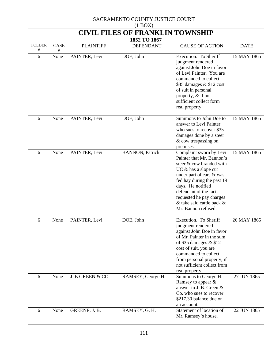| $(1$ BOX $)$                            |      |                  |                                  |                                                                                                                                                                                                                                                                                                     |             |  |  |
|-----------------------------------------|------|------------------|----------------------------------|-----------------------------------------------------------------------------------------------------------------------------------------------------------------------------------------------------------------------------------------------------------------------------------------------------|-------------|--|--|
| <b>CIVIL FILES OF FRANKLIN TOWNSHIP</b> |      |                  |                                  |                                                                                                                                                                                                                                                                                                     |             |  |  |
| <b>FOLDER</b>                           | CASE | <b>PLAINTIFF</b> | 1852 TO 1867<br><b>DEFENDANT</b> | <b>CAUSE OF ACTION</b>                                                                                                                                                                                                                                                                              | <b>DATE</b> |  |  |
| #                                       | #    |                  |                                  |                                                                                                                                                                                                                                                                                                     |             |  |  |
| 6                                       | None | PAINTER, Levi    | DOE, John                        | Execution. To Sheriff<br>judgment rendered<br>against John Doe in favor<br>of Levi Painter. You are<br>commanded to collect<br>\$35 damages $&$ \$12 cost<br>of suit in personal<br>property, & if not<br>sufficient collect form<br>real property.                                                 | 15 MAY 1865 |  |  |
| 6                                       | None | PAINTER, Levi    | DOE, John                        | Summons to John Doe to<br>answer to Levi Painter<br>who sues to recover \$35<br>damages done by a steer<br>& cow trespassing on<br>premises.                                                                                                                                                        | 15 MAY 1865 |  |  |
| 6                                       | None | PAINTER, Levi    | <b>BANNON</b> , Patrick          | Complaint sworn by Levi<br>Painter that Mr. Bannon's<br>steer & cow branded with<br>$UC &$ has a slope cut<br>under part of ears & was<br>fed hay during the past 19<br>days. He notified<br>defendant of the facts<br>requested he pay charges<br>& take said cattle back &<br>Mr. Bannon refused. | 15 MAY 1865 |  |  |
| 6                                       | None | PAINTER, Levi    | DOE, John                        | Execution. To Sheriff<br>judgment rendered<br>against John Doe in favor<br>of Mr. Painter in the sum<br>of \$35 damages $&$ \$12<br>cost of suit, you are<br>commanded to collect<br>from personal property, if<br>not sufficient collect from<br>real property.                                    | 26 MAY 1865 |  |  |
| 6                                       | None | J. B GREEN & CO  | RAMSEY, George H.                | Summons to George H.<br>Ramsey to appear $\&$<br>answer to J. B. Green &<br>Co. who sues to recover<br>\$217.30 balance due on<br>an account.                                                                                                                                                       | 27 JUN 1865 |  |  |
| 6                                       | None | GREENE, J. B.    | RAMSEY, G. H.                    | Statement of location of<br>Mr. Ramsey's house.                                                                                                                                                                                                                                                     | 22 JUN 1865 |  |  |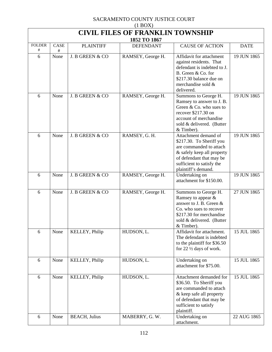| $(1 \text{DOL})$<br><b>CIVIL FILES OF FRANKLIN TOWNSHIP</b> |      |                      |                                  |                                                                                                                                                                                           |             |  |  |
|-------------------------------------------------------------|------|----------------------|----------------------------------|-------------------------------------------------------------------------------------------------------------------------------------------------------------------------------------------|-------------|--|--|
| <b>FOLDER</b>                                               | CASE | <b>PLAINTIFF</b>     | 1852 TO 1867<br><b>DEFENDANT</b> | <b>CAUSE OF ACTION</b>                                                                                                                                                                    | <b>DATE</b> |  |  |
| #                                                           | #    |                      |                                  |                                                                                                                                                                                           |             |  |  |
| 6                                                           | None | J. B GREEN & CO      | RAMSEY, George H.                | Affidavit for attachment<br>against residents. That<br>defendant is indebted to J.<br>B. Green & Co. for<br>\$217.30 balance due on<br>merchandise sold &<br>delivered.                   | 19 JUN 1865 |  |  |
| 6                                                           | None | J. B GREEN & CO      | RAMSEY, George H.                | Summons to George H.<br>Ramsey to answer to J. B.<br>Green & Co. who sues to<br>recover \$217.30 on<br>account of merchandise<br>sold & delivered. (Butter<br>& Timber).                  | 19 JUN 1865 |  |  |
| 6                                                           | None | J. B GREEN & CO      | RAMSEY, G. H.                    | Attachment demand of<br>\$217.30. To Sheriff you<br>are commanded to attach<br>& safely keep all property<br>of defendant that may be<br>sufficient to satisfy the<br>plaintiff's demand. | 19 JUN 1865 |  |  |
| 6                                                           | None | J. B GREEN & CO      | RAMSEY, George H.                | Undertaking on<br>attachment for \$150.00.                                                                                                                                                | 19 JUN 1865 |  |  |
| 6                                                           | None | J. B GREEN & CO      | RAMSEY, George H.                | Summons to George H.<br>Ramsey to appear &<br>answer to J. B. Green &<br>Co. who sues to recover<br>\$217.30 for merchandise<br>sold & delivered. (Butter<br>$&$ Timber).                 | 27 JUN 1865 |  |  |
| 6                                                           | None | KELLEY, Philip       | HUDSON, L.                       | Affidavit for attachment.<br>The defendant is indebted<br>to the plaintiff for \$36.50<br>for $22 \frac{1}{2}$ days of work.                                                              | 15 JUL 1865 |  |  |
| 6                                                           | None | KELLEY, Philip       | HUDSON, L.                       | Undertaking on<br>attachment for \$75.00.                                                                                                                                                 | 15 JUL 1865 |  |  |
| 6                                                           | None | KELLEY, Philip       | HUDSON, L.                       | Attachment demanded for<br>\$36.50. To Sheriff you<br>are commanded to attach<br>& keep safe all property<br>of defendant that may be<br>sufficient to satisfy<br>plaintiff.              | 15 JUL 1865 |  |  |
| 6                                                           | None | <b>BEACH, Julius</b> | MABERRY, G.W.                    | Undertaking on<br>attachment.                                                                                                                                                             | 22 AUG 1865 |  |  |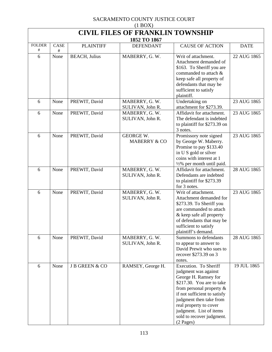| $(1$ BOX)                               |           |                       |                                             |                                                                                                                                                                                                                                                                                             |             |  |  |
|-----------------------------------------|-----------|-----------------------|---------------------------------------------|---------------------------------------------------------------------------------------------------------------------------------------------------------------------------------------------------------------------------------------------------------------------------------------------|-------------|--|--|
| <b>CIVIL FILES OF FRANKLIN TOWNSHIP</b> |           |                       |                                             |                                                                                                                                                                                                                                                                                             |             |  |  |
|                                         |           |                       | 1852 TO 1867                                |                                                                                                                                                                                                                                                                                             |             |  |  |
| <b>FOLDER</b><br>#                      | CASE<br># | <b>PLAINTIFF</b>      | <b>DEFENDANT</b>                            | <b>CAUSE OF ACTION</b>                                                                                                                                                                                                                                                                      | <b>DATE</b> |  |  |
| 6                                       | None      | <b>BEACH</b> , Julius | MABERRY, G.W.                               | Writ of attachment.<br>Attachment demanded of<br>\$163. To Sheriff you are<br>commanded to attach &<br>keep safe all property of<br>defendants that may be<br>sufficient to satisfy<br>plaintiff.                                                                                           | 22 AUG 1865 |  |  |
| 6                                       | None      | PREWIT, David         | MABERRY, G. W.<br>SULIVAN, John R.          | Undertaking on<br>attachment for \$273.39.                                                                                                                                                                                                                                                  | 23 AUG 1865 |  |  |
| 6                                       | None      | PREWIT, David         | MABERRY, G. W.<br>SULIVAN, John R.          | Affidavit for attachment.<br>The defendant is indebted<br>to plaintiff for \$273.39 on<br>3 notes.                                                                                                                                                                                          | 23 AUG 1865 |  |  |
| 6                                       | None      | PREWIT, David         | <b>GEORGE W.</b><br><b>MABERRY &amp; CO</b> | Promissory note signed<br>by George W. Maberry.<br>Promise to pay \$133.40<br>in U S gold or silver<br>coins with interest at 1<br>$\frac{1}{2}\%$ per month until paid.                                                                                                                    | 23 AUG 1865 |  |  |
| 6                                       | None      | PREWIT, David         | MABERRY, G. W.<br>SULIVAN, John R.          | Affidavit for attachment.<br>Defendants are indebted<br>to plaintiff for \$273.39<br>for 3 notes.                                                                                                                                                                                           | 28 AUG 1865 |  |  |
| 6                                       | None      | PREWIT, David         | MABERRY, G. W.<br>SULIVAN, John R.          | Writ of attachment.<br>Attachment demanded for<br>\$273.39. To Sheriff you<br>are commanded to attach<br>& keep safe all property<br>of defendants that may be<br>sufficient to satisfy<br>plaintiff's demand.                                                                              | 23 AUG 1865 |  |  |
| 6                                       | None      | PREWIT, David         | MABERRY, G. W.<br>SULIVAN, John R.          | Summons to defendants<br>to appear to answer to<br>David Prewit who sues to<br>recover \$273.39 on 3<br>notes.                                                                                                                                                                              | 28 AUG 1865 |  |  |
| 6                                       | None      | J B GREEN & CO        | RAMSEY, George H.                           | Execution. To Sheriff<br>judgment was against<br>George H. Ramsey for<br>\$217.30. You are to take<br>from personal property $\&$<br>if not sufficient to satisfy<br>judgment then take from<br>real property to cover<br>judgment. List of items<br>sold to recover judgment.<br>(2 Pages) | 19 JUL 1865 |  |  |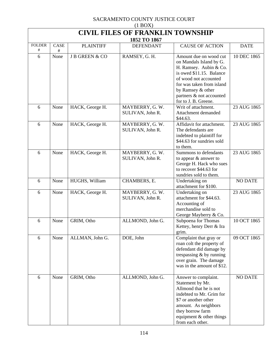| $(1$ BOX)                               |           |                  |                                     |                                                                                                                                                                                                                                        |                |  |  |  |
|-----------------------------------------|-----------|------------------|-------------------------------------|----------------------------------------------------------------------------------------------------------------------------------------------------------------------------------------------------------------------------------------|----------------|--|--|--|
| <b>CIVIL FILES OF FRANKLIN TOWNSHIP</b> |           |                  |                                     |                                                                                                                                                                                                                                        |                |  |  |  |
| 1852 TO 1867                            |           |                  |                                     |                                                                                                                                                                                                                                        |                |  |  |  |
| <b>FOLDER</b><br>#                      | CASE<br># | <b>PLAINTIFF</b> | <b>DEFENDANT</b>                    | <b>CAUSE OF ACTION</b>                                                                                                                                                                                                                 | <b>DATE</b>    |  |  |  |
| 6                                       | None      | J B GREEN & CO   | RAMSEY, G. H.                       | Amount due on wood cut<br>on Mandals Island by G.<br>H. Ramsey. Aubin & Co.<br>is owed \$11.15. Balance<br>of wood not accounted<br>for was taken from island<br>by Ramsey & other<br>partners & not accounted<br>for to J. B. Greene. | 10 DEC 1865    |  |  |  |
| 6                                       | None      | HACK, George H.  | MAYBERRY, G.W.<br>SULIVAN, John R.  | Writ of attachment.<br>Attachment demanded<br>\$44.63.                                                                                                                                                                                 | 23 AUG 1865    |  |  |  |
| 6                                       | None      | HACK, George H.  | MAYBERRY, G.W.<br>SULIVAN, John R.  | Affidavit for attachment.<br>The defendants are<br>indebted to plaintiff for<br>\$44.63 for sundries sold<br>to them.                                                                                                                  | 23 AUG 1865    |  |  |  |
| 6                                       | None      | HACK, George H.  | MAYBERRY, G.W.<br>SULIVAN, John R.  | Summons to defendants<br>to appear & answer to<br>George H. Hack who sues<br>to recover \$44.63 for<br>sundries sold to them.                                                                                                          | 23 AUG 1865    |  |  |  |
| 6                                       | None      | HUGHS, William   | CHAMBERS, E.                        | Undertaking on<br>attachment for \$100.                                                                                                                                                                                                | <b>NO DATE</b> |  |  |  |
| 6                                       | None      | HACK, George H.  | MAYBERRY, G. W.<br>SULIVAN, John R. | Undertaking on<br>attachment for \$44.63.<br>Accounting of<br>merchandise sold to<br>George Mayberry & Co.                                                                                                                             | 23 AUG 1865    |  |  |  |
| 6                                       | None      | GRIM, Otho       | ALLMOND, John G.                    | Subpoena for Thomas<br>Kettey, henry Derr & Ira<br>grim.                                                                                                                                                                               | 10 OCT 1865    |  |  |  |
| 6                                       | None      | ALLMAN, John G.  | DOE, John                           | Complaint that gray or<br>roan colt the property of<br>defendant did damage by<br>trespassing $&$ by running<br>over grain. The damage<br>was in the amount of \$12.                                                                   | 09 OCT 1865    |  |  |  |
| 6                                       | None      | GRIM, Otho       | ALLMOND, John G.                    | Answer to complaint.<br>Statement by Mr.<br>Allmond that he is not<br>indebted to Mr. Grim for<br>\$7 or another other<br>amount. As neighbors<br>they borrow farm<br>equipment & other things<br>from each other.                     | <b>NO DATE</b> |  |  |  |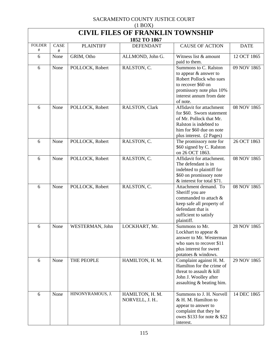| $(1 \text{D} \text{O} \Omega)$<br><b>CIVIL FILES OF FRANKLIN TOWNSHIP</b> |           |                  |                                  |                                                                                                                                                                     |             |  |  |  |
|---------------------------------------------------------------------------|-----------|------------------|----------------------------------|---------------------------------------------------------------------------------------------------------------------------------------------------------------------|-------------|--|--|--|
| 1852 TO 1867                                                              |           |                  |                                  |                                                                                                                                                                     |             |  |  |  |
| <b>FOLDER</b><br>#                                                        | CASE<br># | <b>PLAINTIFF</b> | <b>DEFENDANT</b>                 | <b>CAUSE OF ACTION</b>                                                                                                                                              | <b>DATE</b> |  |  |  |
| 6                                                                         | None      | GRIM, Otho       | ALLMOND, John G.                 | Witness list & amount<br>paid to them.                                                                                                                              | 12 OCT 1865 |  |  |  |
| 6                                                                         | None      | POLLOCK, Robert  | RALSTON, C.                      | Summons to C. Ralston<br>to appear & answer to<br>Robert Pollock who sues<br>to recover \$60 on<br>promissory note plus 10%<br>interest annum from date<br>of note. | 09 NOV 1865 |  |  |  |
| 6                                                                         | None      | POLLOCK, Robert  | RALSTON, Clark                   | Affidavit for attachment<br>for \$60. Sworn statement<br>of Mr. Pollock that Mr.<br>Ralston is indebted to<br>him for \$60 due on note<br>plus interest. (2 Pages)  | 08 NOV 1865 |  |  |  |
| 6                                                                         | None      | POLLOCK, Robert  | RALSTON, C.                      | The promissory note for<br>\$60 signed by C. Ralston<br>on 26 OCT 1863.                                                                                             | 26 OCT 1863 |  |  |  |
| 6                                                                         | None      | POLLOCK, Robert  | RALSTON, C.                      | Affidavit for attachment.<br>The defendant is in<br>indebted to plaintiff for<br>\$60 on promissory note<br>& interest for total \$71.                              | 08 NOV 1865 |  |  |  |
| 6                                                                         | None      | POLLOCK, Robert  | RALSTON, C.                      | Attachment demand. To<br>Sheriff you are<br>commanded to attach &<br>keep safe all property of<br>defendant that is<br>sufficient to satisfy<br>plaintiff.          | 08 NOV 1865 |  |  |  |
| 6                                                                         | None      | WESTERMAN, John  | LOCKHART, Mr.                    | Summons to Mr.<br>Lockhart to appear $\&$<br>answer to Mr. Westerman<br>who sues to recover \$11<br>plus interest for sweet<br>potatoes & windows.                  | 28 NOV 1865 |  |  |  |
| 6                                                                         | None      | THE PEOPLE       | HAMILTON, H. M.                  | Complaint against H. M.<br>Hamilton for the crime of<br>threat to assault & kill<br>John J. Woolley after<br>assaulting & beating him.                              | 29 NOV 1865 |  |  |  |
| 6                                                                         | None      | HINONYRAMOUS, J. | HAMILTON, H. M.<br>NORVELL, J. H | Summons to J. H. Norvell<br>& H. M. Hamilton to<br>appear to answer to<br>complaint that they he<br>owes \$133 for note $&$ \$22<br>interest.                       | 14 DEC 1865 |  |  |  |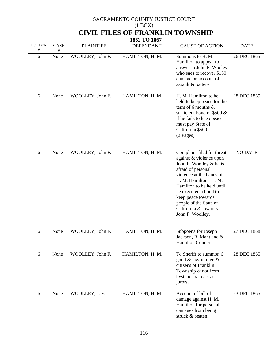| $(1 \text{D}O/\Lambda)$<br><b>CIVIL FILES OF FRANKLIN TOWNSHIP</b><br>1852 TO 1867 |           |                  |                  |                                                                                                                                                                                                                                                                                                               |                |  |  |
|------------------------------------------------------------------------------------|-----------|------------------|------------------|---------------------------------------------------------------------------------------------------------------------------------------------------------------------------------------------------------------------------------------------------------------------------------------------------------------|----------------|--|--|
| <b>FOLDER</b><br>#                                                                 | CASE<br># | <b>PLAINTIFF</b> | <b>DEFENDANT</b> | <b>CAUSE OF ACTION</b>                                                                                                                                                                                                                                                                                        | <b>DATE</b>    |  |  |
| 6                                                                                  | None      | WOOLLEY, John F. | HAMILTON, H. M.  | Summons to H. M.<br>Hamilton to appear to<br>answer to John F. Wooley<br>who sues to recover \$150<br>damage on account of<br>assault & battery.                                                                                                                                                              | 26 DEC 1865    |  |  |
| 6                                                                                  | None      | WOOLLEY, John F. | HAMILTON, H. M.  | H. M. Hamilton to be<br>held to keep peace for the<br>term of 6 months $\&$<br>sufficient bond of \$500 $\&$<br>if he fails to keep peace<br>must pay State of<br>California \$500.<br>$(2$ Pages)                                                                                                            | 28 DEC 1865    |  |  |
| 6                                                                                  | None      | WOOLLEY, John F. | HAMILTON, H. M.  | Complaint filed for threat<br>against & violence upon<br>John F. Woolley & he is<br>afraid of personal<br>violence at the hands of<br>H. M. Hamilton. H. M.<br>Hamilton to be held until<br>he executed a bond to<br>keep peace towards<br>people of the State of<br>California & towards<br>John F. Woolley. | <b>NO DATE</b> |  |  |
| 6                                                                                  | None      | WOOLLEY, John F. | HAMILTON, H. M.  | Subpoena for Joseph<br>Jackson, R. Mantland &<br>Hamilton Conner.                                                                                                                                                                                                                                             | 27 DEC 1868    |  |  |
| 6                                                                                  | None      | WOOLLEY, John F. | HAMILTON, H. M.  | To Sheriff to summon 6<br>good & lawful men &<br>citizens of Franklin<br>Township & not from<br>bystanders to act as<br>jurors.                                                                                                                                                                               | 28 DEC 1865    |  |  |
| 6                                                                                  | None      | WOOLLEY, J. F.   | HAMILTON, H. M.  | Account of bill of<br>damage against H. M.<br>Hamilton for personal<br>damages from being<br>struck & beaten.                                                                                                                                                                                                 | 23 DEC 1865    |  |  |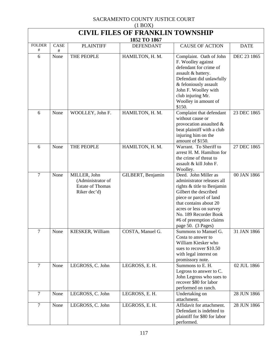| $(1 \text{D} \text{O} \Omega)$<br><b>CIVIL FILES OF FRANKLIN TOWNSHIP</b> |              |                                                                              |                   |                                                                                                                                                                                                                                                                     |             |  |  |  |
|---------------------------------------------------------------------------|--------------|------------------------------------------------------------------------------|-------------------|---------------------------------------------------------------------------------------------------------------------------------------------------------------------------------------------------------------------------------------------------------------------|-------------|--|--|--|
|                                                                           | 1852 TO 1867 |                                                                              |                   |                                                                                                                                                                                                                                                                     |             |  |  |  |
| <b>FOLDER</b><br>#                                                        | CASE<br>#    | <b>PLAINTIFF</b>                                                             | <b>DEFENDANT</b>  | <b>CAUSE OF ACTION</b>                                                                                                                                                                                                                                              | <b>DATE</b> |  |  |  |
| 6                                                                         | None         | THE PEOPLE                                                                   | HAMILTON, H. M.   | Complaint. Oath of John<br>F. Woolley against<br>defendant for crime of<br>assault & battery.<br>Defendant did unlawfully<br>& feloniously assault<br>John F. Woolley with<br>club injuring Mr.<br>Woolley in amount of<br>\$150.                                   | DEC 23 1865 |  |  |  |
| 6                                                                         | None         | WOOLLEY, John F.                                                             | HAMILTON, H. M.   | Complaint that defendant<br>without cause or<br>provocation assaulted $\&$<br>beat plaintiff with a club<br>injuring him on the<br>amount of \$150.                                                                                                                 | 23 DEC 1865 |  |  |  |
| 6                                                                         | None         | THE PEOPLE                                                                   | HAMILTON, H. M.   | Warrant. To Sheriff to<br>arrest H. M. Hamilton for<br>the crime of threat to<br>assault & kill John F.<br>Woolley.                                                                                                                                                 | 27 DEC 1865 |  |  |  |
| $\overline{7}$                                                            | None         | MILLER, John<br>(Administrator of<br><b>Estate of Thomas</b><br>Riker dec'd) | GILBERT, Benjamin | Deed. John Miller as<br>administrator releases all<br>rights & title to Benjamin<br>Gilbert the described<br>piece or parcel of land<br>that contains about 20<br>acres or less on survey<br>No. 189 Recorder Book<br>#6 of preemption claims<br>page 50. (3 Pages) | 00 JAN 1866 |  |  |  |
| $\overline{7}$                                                            | None         | KIESKER, William                                                             | COSTA, Manuel G.  | Summons to Manuel G.<br>Costa to answer to<br>William Kiesker who<br>sues to recover \$10.50<br>with legal interest on<br>promissory note.                                                                                                                          | 31 JAN 1866 |  |  |  |
| $\overline{7}$                                                            | None         | LEGROSS, C. John                                                             | LEGROSS, E. H.    | Summons to E. H.<br>Legross to answer to C.<br>John Legross who sues to<br>recover \$80 for labor<br>performed on ranch.                                                                                                                                            | 02 JUL 1866 |  |  |  |
| $\tau$                                                                    | None         | LEGROSS, C. John                                                             | LEGROSS, E. H.    | Undertaking on<br>attachment.                                                                                                                                                                                                                                       | 28 JUN 1866 |  |  |  |
| $\overline{7}$                                                            | None         | LEGROSS, C. John                                                             | LEGROSS, E.H.     | Affidavit for attachment.<br>Defendant is indebted to<br>plaintiff for \$80 for labor<br>performed.                                                                                                                                                                 | 28 JUN 1866 |  |  |  |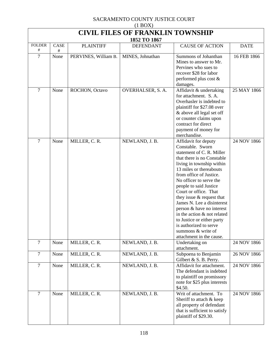| $(1 \text{DOL})$<br><b>CIVIL FILES OF FRANKLIN TOWNSHIP</b> |      |                      |                                  |                                                                                                                                                                                                                                                                                                                                                                                                                                                                                                         |             |  |  |
|-------------------------------------------------------------|------|----------------------|----------------------------------|---------------------------------------------------------------------------------------------------------------------------------------------------------------------------------------------------------------------------------------------------------------------------------------------------------------------------------------------------------------------------------------------------------------------------------------------------------------------------------------------------------|-------------|--|--|
| <b>FOLDER</b>                                               | CASE | <b>PLAINTIFF</b>     | 1852 TO 1867<br><b>DEFENDANT</b> | <b>CAUSE OF ACTION</b>                                                                                                                                                                                                                                                                                                                                                                                                                                                                                  | <b>DATE</b> |  |  |
| #                                                           | #    |                      |                                  |                                                                                                                                                                                                                                                                                                                                                                                                                                                                                                         |             |  |  |
| 7                                                           | None | PERVINES, William B. | MINES, Johnathan                 | Summons of Johanthan<br>Mines to answer to Mr.<br>Pervines who sues to<br>recover \$28 for labor<br>performed plus cost &<br>damages.                                                                                                                                                                                                                                                                                                                                                                   | 16 FEB 1866 |  |  |
| 7                                                           | None | ROCHON, Octavo       | OVERHALSER, S. A.                | Affidavit & undertaking<br>for attachment. S.A.<br>Overhasler is indebted to<br>plaintiff for \$27.08 over<br>& above all legal set off<br>or counter claims upon<br>contract for direct<br>payment of money for<br>merchandise.                                                                                                                                                                                                                                                                        | 25 MAY 1866 |  |  |
| $\overline{7}$                                              | None | MILLER, C. R.        | NEWLAND, J. B.                   | Affidavit for deputy<br>Constable. Sworn<br>statement of C. R. Miller<br>that there is no Constable<br>living in township within<br>13 miles or thereabouts<br>from office of Justice.<br>No officer to serve the<br>people to said Justice<br>Court or office. That<br>they issue $&$ request that<br>James N. Lee a disinterest<br>person & have no interest<br>in the action & not related<br>to Justice or either party<br>is authorized to serve<br>summons & write of<br>attachment in the cause. | 24 NOV 1866 |  |  |
| $\overline{7}$                                              | None | MILLER, C. R.        | NEWLAND, J. B.                   | Undertaking on<br>attachment.                                                                                                                                                                                                                                                                                                                                                                                                                                                                           | 24 NOV 1866 |  |  |
| 7                                                           | None | MILLER, C. R.        | NEWLAND, J. B.                   | Subpoena to Benjamin<br>Gilbert & S. B. Perry.                                                                                                                                                                                                                                                                                                                                                                                                                                                          | 26 NOV 1866 |  |  |
| $\overline{7}$                                              | None | MILLER, C. R.        | NEWLAND, J. B.                   | Affidavit for attachment.<br>The defendant is indebted<br>to plaintiff on promissory<br>note for \$25 plus interests<br>\$4.50.                                                                                                                                                                                                                                                                                                                                                                         | 24 NOV 1866 |  |  |
| $\overline{7}$                                              | None | MILLER, C. R.        | NEWLAND, J. B.                   | Writ of attachment. To<br>Sheriff to attach & keep<br>all property of defendant<br>that is sufficient to satisfy<br>plaintiff of \$29.30.                                                                                                                                                                                                                                                                                                                                                               | 24 NOV 1866 |  |  |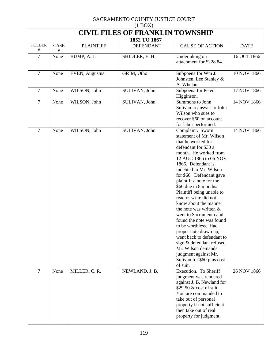| $(1$ BOX)                                               |           |                       |                  |                                                                                                                                                                                                                                                                                                                                                                                                                                                                                                                                                                                                                                                |             |  |  |
|---------------------------------------------------------|-----------|-----------------------|------------------|------------------------------------------------------------------------------------------------------------------------------------------------------------------------------------------------------------------------------------------------------------------------------------------------------------------------------------------------------------------------------------------------------------------------------------------------------------------------------------------------------------------------------------------------------------------------------------------------------------------------------------------------|-------------|--|--|
| <b>CIVIL FILES OF FRANKLIN TOWNSHIP</b><br>1852 TO 1867 |           |                       |                  |                                                                                                                                                                                                                                                                                                                                                                                                                                                                                                                                                                                                                                                |             |  |  |
| <b>FOLDER</b><br>#                                      | CASE<br># | <b>PLAINTIFF</b>      | <b>DEFENDANT</b> | <b>CAUSE OF ACTION</b>                                                                                                                                                                                                                                                                                                                                                                                                                                                                                                                                                                                                                         | <b>DATE</b> |  |  |
| 7                                                       | None      | BUMP, A. J.           | SHIDLER, E. H.   | Undertaking on<br>attachment for \$228.84.                                                                                                                                                                                                                                                                                                                                                                                                                                                                                                                                                                                                     | 16 OCT 1866 |  |  |
| $\overline{7}$                                          | None      | <b>EVEN, Augustus</b> | GRIM, Otho       | Subpoena for Wm J.<br>Johnsten, Lee Stanley &<br>A. Whelan.                                                                                                                                                                                                                                                                                                                                                                                                                                                                                                                                                                                    | 10 NOV 1866 |  |  |
| $\overline{7}$                                          | None      | WILSON, John          | SULIVAN, John    | Subpoena for Peter<br>Higginson.                                                                                                                                                                                                                                                                                                                                                                                                                                                                                                                                                                                                               | 17 NOV 1866 |  |  |
| $\overline{7}$                                          | None      | WILSON, John          | SULIVAN, John    | Summons to John<br>Sulivan to answer to John<br>Wilson who sues to<br>recover \$60 on account<br>for labor performed.                                                                                                                                                                                                                                                                                                                                                                                                                                                                                                                          | 14 NOV 1866 |  |  |
| $\tau$                                                  | None      | WILSON, John          | SULIVAN, John    | Complaint. Sworn<br>statement of Mr. Wilson<br>that he worked for<br>defendant for \$30 a<br>month. He worked from<br>12 AUG 1866 to 06 NOV<br>1866. Defendant is<br>indebted to Mr. Wilson<br>for \$60. Defendant gave<br>plaintiff a note for the<br>\$60 due in 8 months.<br>Plaintiff being unable to<br>read or write did not<br>know about the manner<br>the note was written &<br>went to Sacramento and<br>found the note was found<br>to be worthless. Had<br>proper note drawn up,<br>went back to defendant to<br>sign & defendant refused.<br>Mr. Wilson demands<br>judgment against Mr.<br>Sulivan for \$60 plus cost<br>of suit. | 14 NOV 1866 |  |  |
| $\overline{7}$                                          | None      | MILLER, C. R.         | NEWLAND, J. B.   | Execution. To Sheriff<br>judgment was rendered<br>against J. B. Newland for<br>\$29.50 & cost of suit.<br>You are commanded to<br>take out of personal<br>property if not sufficient<br>then take out of real<br>property for judgment.                                                                                                                                                                                                                                                                                                                                                                                                        | 26 NOV 1866 |  |  |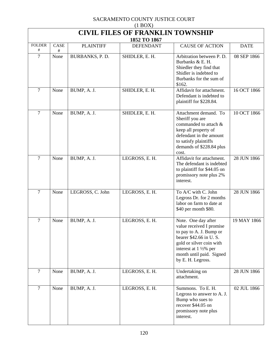| $(1$ BOX)                               |           |                  |                  |                                                                                                                                                                                                                       |             |  |  |
|-----------------------------------------|-----------|------------------|------------------|-----------------------------------------------------------------------------------------------------------------------------------------------------------------------------------------------------------------------|-------------|--|--|
| <b>CIVIL FILES OF FRANKLIN TOWNSHIP</b> |           |                  |                  |                                                                                                                                                                                                                       |             |  |  |
|                                         |           |                  | 1852 TO 1867     |                                                                                                                                                                                                                       |             |  |  |
| <b>FOLDER</b><br>#                      | CASE<br># | <b>PLAINTIFF</b> | <b>DEFENDANT</b> | <b>CAUSE OF ACTION</b>                                                                                                                                                                                                | <b>DATE</b> |  |  |
| 7                                       | None      | BURBANKS, P.D.   | SHIDLER, E. H.   | Arbitration between P. D.<br>Burbanks & E. H.<br>Shiedler they find that<br>Shidler is indebted to<br>Burbanks for the sum of<br>\$162.                                                                               | 08 SEP 1866 |  |  |
| 7                                       | None      | BUMP, A. J.      | SHIDLER, E. H.   | Affidavit for attachment.<br>Defendant is indebted to<br>plaintiff for \$228.84.                                                                                                                                      | 16 OCT 1866 |  |  |
| $\overline{7}$                          | None      | BUMP, A. J.      | SHIDLER, E. H.   | Attachment demand. To<br>Sheriff you are<br>commanded to attach &<br>keep all property of<br>defendant in the amount<br>to satisfy plaintiffs<br>demands of \$228.84 plus<br>cost.                                    | 10 OCT 1866 |  |  |
| $\overline{7}$                          | None      | BUMP, A. J.      | LEGROSS, E.H.    | Affidavit for attachment.<br>The defendant is indebted<br>to plaintiff for \$44.05 on<br>promissory note plus 2%<br>interest.                                                                                         | 28 JUN 1866 |  |  |
| $\overline{7}$                          | None      | LEGROSS, C. John | LEGROSS, E.H.    | To A/C with C. John<br>Legross Dr. for 2 months<br>labor on farm to date at<br>\$40 per month \$80.                                                                                                                   | 28 JUN 1866 |  |  |
| 7                                       | None      | BUMP, A. J.      | LEGROSS, E. H.   | Note. One day after<br>value received I promise<br>to pay to A. J. Bump or<br>bearer \$42.66 in U.S.<br>gold or silver coin with<br>interest at $1\frac{1}{2}\%$ per<br>month until paid. Signed<br>by E. H. Legross. | 19 MAY 1866 |  |  |
| $\overline{7}$                          | None      | BUMP, A. J.      | LEGROSS, E.H.    | Undertaking on<br>attachment.                                                                                                                                                                                         | 28 JUN 1866 |  |  |
| $\overline{7}$                          | None      | BUMP, A. J.      | LEGROSS, E.H.    | Summons. To E. H.<br>Legross to answer to A. J.<br>Bump who sues to<br>recover \$44.05 on<br>promissory note plus<br>interest.                                                                                        | 02 JUL 1866 |  |  |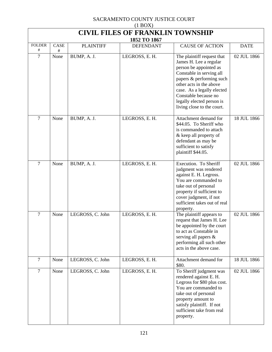| (11001)<br><b>CIVIL FILES OF FRANKLIN TOWNSHIP</b> |           |                  |                  |                                                                                                                                                                                                                                                                                    |             |  |
|----------------------------------------------------|-----------|------------------|------------------|------------------------------------------------------------------------------------------------------------------------------------------------------------------------------------------------------------------------------------------------------------------------------------|-------------|--|
| 1852 TO 1867                                       |           |                  |                  |                                                                                                                                                                                                                                                                                    |             |  |
| <b>FOLDER</b><br>#                                 | CASE<br># | <b>PLAINTIFF</b> | <b>DEFENDANT</b> | <b>CAUSE OF ACTION</b>                                                                                                                                                                                                                                                             | <b>DATE</b> |  |
| 7                                                  | None      | BUMP, A. J.      | LEGROSS, E.H.    | The plaintiff request that<br>James H. Lee a regular<br>person be appointed as<br>Constable in serving all<br>papers & performing such<br>other acts in the above<br>case. As a legally elected<br>Constable because no<br>legally elected person is<br>living close to the court. | 02 JUL 1866 |  |
| $\overline{7}$                                     | None      | BUMP, A. J.      | LEGROSS, E. H.   | Attachment demand for<br>\$44.05. To Sheriff who<br>is commanded to attach<br>& keep all property of<br>defendant as may be<br>sufficient to satisfy<br>plaintiff \$44.05.                                                                                                         | 18 JUL 1866 |  |
| $\overline{7}$                                     | None      | BUMP, A. J.      | LEGROSS, E.H.    | Execution. To Sheriff<br>judgment was rendered<br>against E. H. Legross.<br>You are commanded to<br>take out of personal<br>property if sufficient to<br>cover judgment, if not<br>sufficient takes out of real<br>property.                                                       | 02 JUL 1866 |  |
| $\overline{7}$                                     | None      | LEGROSS, C. John | LEGROSS, E. H.   | The plaintiff appears to<br>request that James H. Lee<br>be appointed by the court<br>to act as Constable in<br>serving all papers &<br>performing all such other<br>acts in the above case.                                                                                       | 02 JUL 1866 |  |
| $\tau$                                             | None      | LEGROSS, C. John | LEGROSS, E.H.    | Attachment demand for<br>\$80.                                                                                                                                                                                                                                                     | 18 JUL 1866 |  |
| $\overline{7}$                                     | None      | LEGROSS, C. John | LEGROSS, E.H.    | To Sheriff judgment was<br>rendered against E. H.<br>Legross for \$80 plus cost.<br>You are commanded to<br>take out of personal<br>property amount to<br>satisfy plaintiff. If not<br>sufficient take from real<br>property.                                                      | 02 JUL 1866 |  |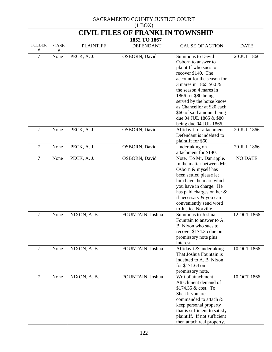| (110011)<br><b>CIVIL FILES OF FRANKLIN TOWNSHIP</b> |                  |                  |                  |                                                                                                                                                                                                                                                                                                                                                  |                |  |  |
|-----------------------------------------------------|------------------|------------------|------------------|--------------------------------------------------------------------------------------------------------------------------------------------------------------------------------------------------------------------------------------------------------------------------------------------------------------------------------------------------|----------------|--|--|
| 1852 TO 1867                                        |                  |                  |                  |                                                                                                                                                                                                                                                                                                                                                  |                |  |  |
| <b>FOLDER</b><br>#                                  | <b>CASE</b><br># | <b>PLAINTIFF</b> | <b>DEFENDANT</b> | <b>CAUSE OF ACTION</b>                                                                                                                                                                                                                                                                                                                           | <b>DATE</b>    |  |  |
| 7                                                   | None             | PECK, A. J.      | OSBORN, David    | <b>Summons to David</b><br>Osborn to answer to<br>plaintiff who sues to<br>recover \$140. The<br>account for the season for<br>3 mares in 1865 \$60 &<br>the season 4 mares in<br>1866 for \$80 being<br>served by the horse know<br>as Chancellor at \$20 each<br>\$60 of said amount being<br>due 04 JUL 1865 & \$80<br>being due 04 JUL 1866. | 20 JUL 1866    |  |  |
| $\overline{7}$                                      | None             | PECK, A. J.      | OSBORN, David    | Affidavit for attachment.<br>Defendant is indebted to<br>plaintiff for \$60.                                                                                                                                                                                                                                                                     | 20 JUL 1866    |  |  |
| $\overline{7}$                                      | None             | PECK, A. J.      | OSBORN, David    | Undertaking on<br>attachment for \$140.                                                                                                                                                                                                                                                                                                          | 20 JUL 1866    |  |  |
| $\overline{7}$                                      | None             | PECK, A. J.      | OSBORN, David    | Note. To Mr. Danripple.<br>In the matter between Mr.<br>Osborn & myself has<br>been settled please let<br>him have the mare which<br>you have in charge. He<br>has paid charges on her &<br>if necessary & you can<br>conveniently send word<br>to Justice Norville.                                                                             | <b>NO DATE</b> |  |  |
| $\overline{7}$                                      | None             | NIXON, A. B.     | FOUNTAIN, Joshua | Summons to Joshua<br>Fountain to answer to A.<br>B. Nixon who sues to<br>recover \$174.35 due on<br>promissory note plus<br>interest.                                                                                                                                                                                                            | 12 OCT 1866    |  |  |
| $\overline{7}$                                      | None             | NIXON, A. B.     | FOUNTAIN, Joshua | Affidavit & undertaking.<br>That Joshua Fountain is<br>indebted to A. B. Nixon<br>for \$171.64 on<br>promissory note.                                                                                                                                                                                                                            | 10 OCT 1866    |  |  |
| $\overline{7}$                                      | None             | NIXON, A. B.     | FOUNTAIN, Joshua | Writ of attachment.<br>Attachment demand of<br>\$174.35 & cost. To<br>Sheriff you are<br>commanded to attach &<br>keep personal property<br>that is sufficient to satisfy<br>plaintiff. If not sufficient<br>then attach real property.                                                                                                          | 10 OCT 1866    |  |  |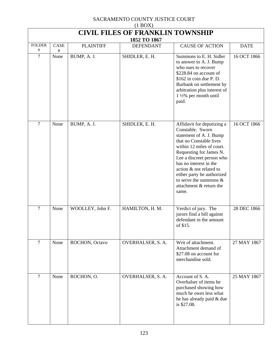| $(1 \text{D} \text{O} \Omega)$<br><b>CIVIL FILES OF FRANKLIN TOWNSHIP</b><br>1852 TO 1867 |              |                  |                   |                                                                                                                                                                                                                                                                                                                                               |             |  |  |
|-------------------------------------------------------------------------------------------|--------------|------------------|-------------------|-----------------------------------------------------------------------------------------------------------------------------------------------------------------------------------------------------------------------------------------------------------------------------------------------------------------------------------------------|-------------|--|--|
| <b>FOLDER</b><br>#                                                                        | CASE<br>$\#$ | <b>PLAINTIFF</b> | <b>DEFENDANT</b>  | <b>CAUSE OF ACTION</b>                                                                                                                                                                                                                                                                                                                        | <b>DATE</b> |  |  |
| 7                                                                                         | None         | BUMP, A. J.      | SHIDLER, E. H.    | Summons to E. H. Sidler<br>to answer to A. J. Bump<br>who sues to recover<br>\$228.84 on account of<br>\$162 in coin due P.D.<br>Burbank on settlement by<br>arbitration plus interest of<br>$1\frac{1}{2}\%$ per month until<br>paid.                                                                                                        | 16 OCT 1866 |  |  |
| $\overline{7}$                                                                            | None         | BUMP, A. J.      | SHIDLER, E. H.    | Affidavit for deputizing a<br>Constable. Sworn<br>statement of A. J. Bump<br>that no Constable lives<br>within 12 miles of court.<br>Requesting for James N.<br>Lee a discreet person who<br>has no interest in the<br>action & not related to<br>either party be authorized<br>to serve the summons $\&$<br>attachment & return the<br>same. | 16 OCT 1866 |  |  |
| $\overline{7}$                                                                            | None         | WOOLLEY, John F. | HAMILTON, H. M.   | Verdict of jury. The<br>jurors find a bill against<br>defendant in the amount<br>of \$15.                                                                                                                                                                                                                                                     | 28 DEC 1866 |  |  |
| $\overline{7}$                                                                            | None         | ROCHON, Octavo   | OVERHALSER, S. A. | Writ of attachment.<br>Attachment demand of<br>\$27.08 on account for<br>merchandise sold.                                                                                                                                                                                                                                                    | 27 MAY 1867 |  |  |
| $\overline{7}$                                                                            | None         | ROCHON, O.       | OVERHALSER, S. A. | Account of S.A.<br>Overhalser of items he<br>purchased showing how<br>much he owes less what<br>he has already paid & due<br>is \$27.08.                                                                                                                                                                                                      | 25 MAY 1867 |  |  |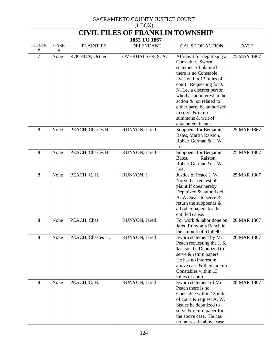| $(1 \text{D} \text{O} \Omega)$<br><b>CIVIL FILES OF FRANKLIN TOWNSHIP</b> |              |                   |                   |                                                                                                                                                                                                                                                                                                                                               |             |  |  |  |
|---------------------------------------------------------------------------|--------------|-------------------|-------------------|-----------------------------------------------------------------------------------------------------------------------------------------------------------------------------------------------------------------------------------------------------------------------------------------------------------------------------------------------|-------------|--|--|--|
| 1852 TO 1867                                                              |              |                   |                   |                                                                                                                                                                                                                                                                                                                                               |             |  |  |  |
| <b>FOLDER</b><br>#                                                        | CASE<br>$\#$ | <b>PLAINTIFF</b>  | <b>DEFENDANT</b>  | <b>CAUSE OF ACTION</b>                                                                                                                                                                                                                                                                                                                        | <b>DATE</b> |  |  |  |
| $\tau$                                                                    | None         | ROCHON, Octavo    | OVERHALSER, S. A. | Affidavit for deputizing a<br>Constable. Sworn<br>statement of plaintiff<br>there is no Constable<br>lives within 13 miles of<br>court. Requesting for J.<br>N. Lee a discreet person<br>who has no interest in the<br>action & not related to<br>either party be authorized<br>to serve & return<br>summons & writ of<br>attachment in suit. | 25 MAY 1867 |  |  |  |
| 8                                                                         | None         | PEACH, Charles H. | RUNYON, Jared     | Subpoena for Benjamin<br>Bates, Martin Ralston,<br>Robert German & J. W.<br>Lee.                                                                                                                                                                                                                                                              | 25 MAR 1867 |  |  |  |
| 8                                                                         | None         | PEACH, Charles H. | RUNYON, Jared     | Subpoena for Benjamin<br>Bates, _____ Ralston,<br>Robert German & J. W.<br>Lee.                                                                                                                                                                                                                                                               | 25 MAR 1867 |  |  |  |
| 8                                                                         | None         | PEACH, C. H.      | RUNYON, J.        | Justice of Peace J. W.<br>Norvell at request of<br>plaintiff does hereby<br>Deputized & authorized<br>A. W. Seals to serve &<br>return the subpoenas $\&$<br>all other papers for the<br>entitled cause.                                                                                                                                      | 25 MAR 1867 |  |  |  |
| 8                                                                         | None         | PEACH, Chas       | RUNYON, Jared     | For work & labor done on<br>Jared Runyon's Ranch in<br>the amount of \$156.90.                                                                                                                                                                                                                                                                | 20 MAR 1867 |  |  |  |
| 8                                                                         | None         | PEACH, Chasles H. | RUNYON, Jared     | Sworn statement by Mr.<br>Peach requesting the J. S.<br>Jackson be Deputized to<br>serve & return papers.<br>He has no interest in<br>above case & there are no<br>Constables within 13<br>miles of court.                                                                                                                                    | 20 MAR 1867 |  |  |  |
| 8                                                                         | None         | PEACH, C. H.      | RUNYON, Jared     | Sworn statement of Mr.<br>Peach there is no<br>Constable within 13 miles<br>of court & request A. W.<br>Seales be deputized to<br>serve & return paper for<br>the above case. He has<br>no interest in above case.                                                                                                                            | 28 MAR 1867 |  |  |  |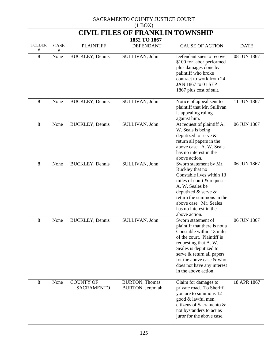| $(1$ BOX)                               |      |                                       |                                           |                                                                                                                                                                                                                                                                                  |             |  |  |
|-----------------------------------------|------|---------------------------------------|-------------------------------------------|----------------------------------------------------------------------------------------------------------------------------------------------------------------------------------------------------------------------------------------------------------------------------------|-------------|--|--|
| <b>CIVIL FILES OF FRANKLIN TOWNSHIP</b> |      |                                       |                                           |                                                                                                                                                                                                                                                                                  |             |  |  |
| <b>FOLDER</b>                           | CASE | <b>PLAINTIFF</b>                      | 1852 TO 1867<br><b>DEFENDANT</b>          | <b>CAUSE OF ACTION</b>                                                                                                                                                                                                                                                           | <b>DATE</b> |  |  |
| #                                       | #    |                                       |                                           |                                                                                                                                                                                                                                                                                  |             |  |  |
| 8                                       | None | <b>BUCKLEY</b> , Dennis               | SULLIVAN, John                            | Defendant sues to recover<br>\$100 for labor performed<br>plus damages done by<br>palintiff who broke<br>contract to work from 24<br>JAN 1867 to 01 SEP<br>1867 plus cost of suit.                                                                                               | 08 JUN 1867 |  |  |
| 8                                       | None | <b>BUCKLEY</b> , Dennis               | SULLIVAN, John                            | Notice of appeal sent to<br>plaintiff that Mr. Sullivan<br>is appealing ruling<br>against him.                                                                                                                                                                                   | 11 JUN 1867 |  |  |
| 8                                       | None | <b>BUCKLEY</b> , Dennis               | SULLIVAN, John                            | At request of plaintiff A.<br>W. Seals is being<br>deputized to serve &<br>return all papers in the<br>above case. A. W. Seals<br>has no interest in the<br>above action.                                                                                                        | 06 JUN 1867 |  |  |
| 8                                       | None | <b>BUCKLEY</b> , Dennis               | SULLIVAN, John                            | Sworn statement by Mr.<br>Buckley that no<br>Constable lives within 13<br>miles of court & request<br>A. W. Seales be<br>deputized $&$ serve $&$<br>return the summons in the<br>above case. Mr. Seales<br>has no interest in the<br>above action.                               | 06 JUN 1867 |  |  |
| 8                                       | None | <b>BUCKLEY</b> , Dennis               | SULLIVAN, John                            | Sworn statement of<br>plaintiff that there is not a<br>Constable within 13 miles<br>of the court. Plaintiff is<br>requesting that A. W.<br>Seales is deputized to<br>serve & return all papers<br>for the above case & who<br>does not have any interest<br>in the above action. | 06 JUN 1867 |  |  |
| 8                                       | None | <b>COUNTY OF</b><br><b>SACRAMENTO</b> | <b>BURTON, Thomas</b><br>BURTON, Jeremiah | Claim for damages to<br>private road. To Sheriff<br>you are to summons 12<br>good & lawful men,<br>citizens of Sacramento &<br>not bystanders to act as<br>juror for the above case.                                                                                             | 18 APR 1867 |  |  |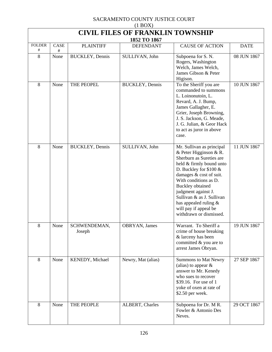| $(1 \text{D} \text{O} \Omega)$<br><b>CIVIL FILES OF FRANKLIN TOWNSHIP</b> |              |                         |                                  |                                                                                                                                                                                                                                                                                                                                                       |             |  |  |
|---------------------------------------------------------------------------|--------------|-------------------------|----------------------------------|-------------------------------------------------------------------------------------------------------------------------------------------------------------------------------------------------------------------------------------------------------------------------------------------------------------------------------------------------------|-------------|--|--|
| <b>FOLDER</b>                                                             | CASE         | <b>PLAINTIFF</b>        | 1852 TO 1867<br><b>DEFENDANT</b> | <b>CAUSE OF ACTION</b>                                                                                                                                                                                                                                                                                                                                | <b>DATE</b> |  |  |
| #<br>8                                                                    | $\#$<br>None | <b>BUCKLEY</b> , Dennis | SULLIVAN, John                   | Subpoena for S.N.<br>Rogers, Washington<br>Welch, James Welch,<br>James Gibson & Peter<br>Higison.                                                                                                                                                                                                                                                    | 08 JUN 1867 |  |  |
| 8                                                                         | None         | THE PEOPEL              | <b>BUCKLEY</b> , Dennis          | To the Sheriff you are<br>commanded to summons<br>L. Loinonutoin, L.<br>Revard, A. J. Bump,<br>James Gallagher, E.<br>Grier, Joseph Browning,<br>J. S. Jackson, G. Meade,<br>J. G. Julian, & Geor Hack<br>to act as juror in above<br>case.                                                                                                           | 10 JUN 1867 |  |  |
| 8                                                                         | None         | <b>BUCKLEY</b> , Dennis | SULLIVAN, John                   | Mr. Sullivan as principal<br>& Peter Higginson & R.<br>Sherburn as Sureties are<br>held & firmly bound unto<br>D. Buckley for \$100 &<br>damages & cost of suit.<br>With conditions as D.<br><b>Buckley</b> obtained<br>judgment against J.<br>Sullivan & as J. Sullivan<br>has appealed ruling &<br>will pay if appeal be<br>withdrawn or dismissed. | 11 JUN 1867 |  |  |
| 8                                                                         | None         | SCHWENDEMAN,<br>Joseph  | OBRYAN, James                    | Warrant. To Sheriff a<br>crime of house breaking<br>& larceny has been<br>committed & you are to<br>arrest James Obryan.                                                                                                                                                                                                                              | 19 JUN 1867 |  |  |
| 8                                                                         | None         | KENEDY, Michael         | Newry, Mat (alias)               | <b>Summons to Mat Newry</b><br>(alias) to appear $\&$<br>answer to Mr. Kenedy<br>who sues to recover<br>\$39.16. For use of 1<br>yoke of oxen at rate of<br>\$2.50 per week.                                                                                                                                                                          | 27 SEP 1867 |  |  |
| 8                                                                         | None         | THE PEOPLE              | ALBERT, Charles                  | Subpoena for Dr. M R.<br>Fowler & Antonio Des<br>Neves.                                                                                                                                                                                                                                                                                               | 29 OCT 1867 |  |  |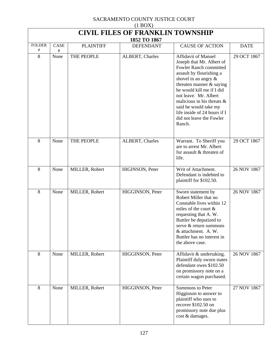| $(1 \text{DOL})$<br><b>CIVIL FILES OF FRANKLIN TOWNSHIP</b><br>1852 TO 1867 |              |                  |                        |                                                                                                                                                                                                                                                                                                                                                           |             |  |  |
|-----------------------------------------------------------------------------|--------------|------------------|------------------------|-----------------------------------------------------------------------------------------------------------------------------------------------------------------------------------------------------------------------------------------------------------------------------------------------------------------------------------------------------------|-------------|--|--|
| <b>FOLDER</b><br>#                                                          | CASE<br>$\#$ | <b>PLAINTIFF</b> | <b>DEFENDANT</b>       | <b>CAUSE OF ACTION</b>                                                                                                                                                                                                                                                                                                                                    | <b>DATE</b> |  |  |
| 8                                                                           | None         | THE PEOPLE       | ALBERT, Charles        | <b>Affidavit of Manuel</b><br>Joseph that Mr. Albert of<br>Fowler Ranch committed<br>assault by flourishing a<br>shovel in an angry &<br>threaten manner $&$ saying<br>he would kill me if I did<br>not leave. Mr. Albert<br>malicious in his threats $\&$<br>said he would take my<br>life inside of 24 hours if I<br>did not leave the Fowler<br>Ranch. | 29 OCT 1867 |  |  |
| 8                                                                           | None         | THE PEOPLE       | <b>ALBERT, Charles</b> | Warrant. To Sheriff you<br>are to arrest Mr. Albert<br>for assault & threaten of<br>life.                                                                                                                                                                                                                                                                 | 29 OCT 1867 |  |  |
| 8                                                                           | None         | MILLER, Robert   | HIGINSON, Peter        | Writ of Attachment.<br>Defendant is indebted to<br>plaintiff for \$102.50.                                                                                                                                                                                                                                                                                | 26 NOV 1867 |  |  |
| 8                                                                           | None         | MILLER, Robert   | HIGGINSON, Peter       | Sworn statement by<br>Robert Miller that no<br>Constable lives within 12<br>miles of the court &<br>requesting that A. W.<br>Buttler be deputized to<br>serve & return summons<br>& attachment. A. W.<br>Buttler has no interest in<br>the above case.                                                                                                    | 26 NOV 1867 |  |  |
| 8                                                                           | None         | MILLER, Robert   | HIGGINSON, Peter       | Affidavit & undertaking.<br>Plaintiff duly sworn states<br>defendant owes \$102.50<br>on promissory note on a<br>certain wagon purchased.                                                                                                                                                                                                                 | 26 NOV 1867 |  |  |
| 8                                                                           | None         | MILLER, Robert   | HIGGINSON, Peter       | <b>Summons to Peter</b><br>Higginson to answer to<br>plaintiff who sues to<br>recover \$102.50 on<br>promissory note due plus<br>cost & damages.                                                                                                                                                                                                          | 27 NOV 1867 |  |  |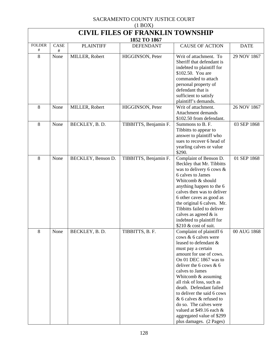| $(1$ BOX)                               |           |                    |                       |                                                                                                                                                                                                                                                                                                                                                                                                                                                           |             |  |  |  |
|-----------------------------------------|-----------|--------------------|-----------------------|-----------------------------------------------------------------------------------------------------------------------------------------------------------------------------------------------------------------------------------------------------------------------------------------------------------------------------------------------------------------------------------------------------------------------------------------------------------|-------------|--|--|--|
| <b>CIVIL FILES OF FRANKLIN TOWNSHIP</b> |           |                    |                       |                                                                                                                                                                                                                                                                                                                                                                                                                                                           |             |  |  |  |
| 1852 TO 1867                            |           |                    |                       |                                                                                                                                                                                                                                                                                                                                                                                                                                                           |             |  |  |  |
| <b>FOLDER</b><br>#                      | CASE<br># | <b>PLAINTIFF</b>   | <b>DEFENDANT</b>      | <b>CAUSE OF ACTION</b>                                                                                                                                                                                                                                                                                                                                                                                                                                    | <b>DATE</b> |  |  |  |
| 8                                       | None      | MILLER, Robert     | HIGGINSON, Peter      | Writ of attachment. To<br>Sheriff that defendant is<br>indebted to plaintiff for<br>\$102.50. You are<br>commanded to attach<br>personal property of<br>defendant that is<br>sufficient to satisfy<br>plaintiff's demands.                                                                                                                                                                                                                                | 29 NOV 1867 |  |  |  |
| 8                                       | None      | MILLER, Robert     | HIGGINSON, Peter      | Writ of attachment.<br><b>Attachment demands</b><br>\$102.50 from defendant.                                                                                                                                                                                                                                                                                                                                                                              | 26 NOV 1867 |  |  |  |
| 8                                       | None      | BECKLEY, B.D.      | TIBBITTS, Benjamin F. | Summons to B. F.<br>Tibbitts to appear to<br>answer to plaintiff who<br>sues to recover 6 head of<br>yearling calves or value<br>\$290.                                                                                                                                                                                                                                                                                                                   | 03 SEP 1868 |  |  |  |
| 8                                       | None      | BECKLEY, Benson D. | TIBBITTS, Benjamin F. | Complaint of Benson D.<br>Beckley that Mr. Tibbitts<br>was to delivery 6 cows $\&$<br>6 calves to James<br>Whitcomb & should<br>anything happen to the 6<br>calves then was to deliver<br>6 other caves as good as<br>the original 6 calves. Mr.<br>Tibbitts failed to deliver<br>calves as agreed $\&$ is<br>indebted to plaintiff for<br>\$210 & cost of suit.                                                                                          | 01 SEP 1868 |  |  |  |
| 8                                       | None      | BECKLEY, B.D.      | TIBBITTS, B. F.       | Complaint of plaintiff 6<br>cows & 6 calves were<br>leased to defendant &<br>must pay a certain<br>amount for use of cows.<br>On 01 DEC 1867 was to<br>deliver the 6 cows $& 6$<br>calves to James<br>Whitcomb & assuming<br>all risk of loss, such as<br>death. Defendant failed<br>to deliver the said 6 cows<br>& 6 calves & refused to<br>do so. The calves were<br>valued at $$49.16$ each &<br>aggregated value of \$299<br>plus damages. (2 Pages) | 00 AUG 1868 |  |  |  |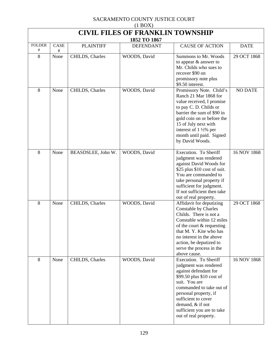| $(1 \text{D} \text{O} \Lambda)$<br><b>CIVIL FILES OF FRANKLIN TOWNSHIP</b><br>1852 TO 1867 |           |                    |                  |                                                                                                                                                                                                                                                                              |                |  |  |
|--------------------------------------------------------------------------------------------|-----------|--------------------|------------------|------------------------------------------------------------------------------------------------------------------------------------------------------------------------------------------------------------------------------------------------------------------------------|----------------|--|--|
| <b>FOLDER</b><br>#                                                                         | CASE<br># | <b>PLAINTIFF</b>   | <b>DEFENDANT</b> | <b>CAUSE OF ACTION</b>                                                                                                                                                                                                                                                       | <b>DATE</b>    |  |  |
| 8                                                                                          | None      | CHILDS, Charles    | WOODS, David     | Summons to Mr. Woods<br>to appear $\&$ answer to<br>Mr. Childs who sues to<br>recover \$90 on<br>promissory note plus<br>\$9.50 interest.                                                                                                                                    | 29 OCT 1868    |  |  |
| 8                                                                                          | None      | CHILDS, Charles    | WOODS, David     | Promissory Note. Child's<br>Ranch 21 Mar 1868 for<br>value received, I promise<br>to pay C. D. Childs or<br>barrier the sum of \$90 in<br>gold coin on or before the<br>15 of July next with<br>interest of 1 1/2% per<br>month until paid. Signed<br>by David Woods.        | <b>NO DATE</b> |  |  |
| 8                                                                                          | None      | BEASDSLEE, John W. | WOODS, David     | Execution. To Sheriff<br>judgment was rendered<br>against David Woods for<br>\$25 plus \$10 cost of suit.<br>You are commanded to<br>take personal property if<br>sufficient for judgment.<br>If not sufficient then take<br>out of real property.                           | 16 NOV 1868    |  |  |
| 8                                                                                          | None      | CHILDS, Charles    | WOODS, David     | Affidavit for deputizing<br>Constable by Charles<br>Childs. There is not a<br>Constable within 12 miles<br>of the court & requesting<br>that M. Y. Kite who has<br>no interest in the above<br>action, be deputized to<br>serve the process in the<br>above cause.           | 29 OCT 1868    |  |  |
| 8                                                                                          | None      | CHILDS, Charles    | WOODS, David     | Execution. To Sheriff<br>judgment was rendered<br>against defendant for<br>\$99.50 plus \$10 cost of<br>suit. You are<br>commanded to take out of<br>personal property, if<br>sufficient to cover<br>demand, & if not<br>sufficient you are to take<br>out of real property. | 16 NOV 1868    |  |  |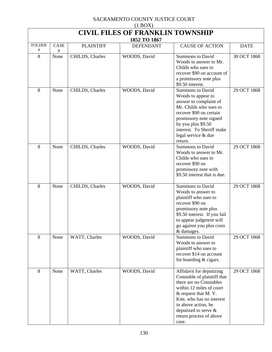| $(1$ BOX)          |                                         |                  |                  |                                                                                                                                                                                                                                                       |             |  |  |  |
|--------------------|-----------------------------------------|------------------|------------------|-------------------------------------------------------------------------------------------------------------------------------------------------------------------------------------------------------------------------------------------------------|-------------|--|--|--|
|                    | <b>CIVIL FILES OF FRANKLIN TOWNSHIP</b> |                  |                  |                                                                                                                                                                                                                                                       |             |  |  |  |
|                    |                                         |                  | 1852 TO 1867     |                                                                                                                                                                                                                                                       |             |  |  |  |
| <b>FOLDER</b><br># | CASE<br>#                               | <b>PLAINTIFF</b> | <b>DEFENDANT</b> | <b>CAUSE OF ACTION</b>                                                                                                                                                                                                                                | <b>DATE</b> |  |  |  |
| 8                  | None                                    | CHILDS, Charles  | WOODS, David     | <b>Summons to David</b><br>Woods to answer to Mr.<br>Childs who sues to<br>recover \$90 on account of<br>a promissory note plus<br>\$9.50 interest.                                                                                                   | 30 OCT 1868 |  |  |  |
| 8                  | None                                    | CHILDS, Charles  | WOODS, David     | <b>Summons to David</b><br>Woods to appear to<br>answer to complaint of<br>Mr. Childs who sues to<br>recover \$90 on certain<br>promissory note signed<br>by you plus \$9.50<br>interest. To Sheriff make<br>legal service & due<br>return.           | 29 OCT 1868 |  |  |  |
| 8                  | None                                    | CHILDS, Charles  | WOODS, David     | <b>Summons to David</b><br>Woods to answer to Mr.<br>Childs who sues to<br>recover \$90 on<br>promissory note with<br>\$9.50 interest that is due.                                                                                                    | 29 OCT 1868 |  |  |  |
| 8                  | None                                    | CHILDS, Charles  | WOODS, David     | <b>Summons to David</b><br>Woods to answer to<br>plaintiff who sues to<br>recover \$90 on<br>promissory note plus<br>\$9.50 interest. If you fail<br>to appear judgment will<br>go against you plus costs<br>& damages.                               | 29 OCT 1868 |  |  |  |
| 8                  | None                                    | WATT, Charles    | WOODS, David     | Summons to David<br>Woods to answer to<br>plaintiff who sues to<br>recover \$14 on account<br>for boarding & cigars.                                                                                                                                  | 29 OCT 1868 |  |  |  |
| 8                  | None                                    | WATT, Charles    | WOODS, David     | Affidavit for deputizing<br>Constable of plaintiff that<br>there are no Constables<br>within 12 miles of court<br>& request that M.Y.<br>Kite, who has no interest<br>in above action, be<br>deputized to serve &<br>return process of above<br>case. | 29 OCT 1868 |  |  |  |